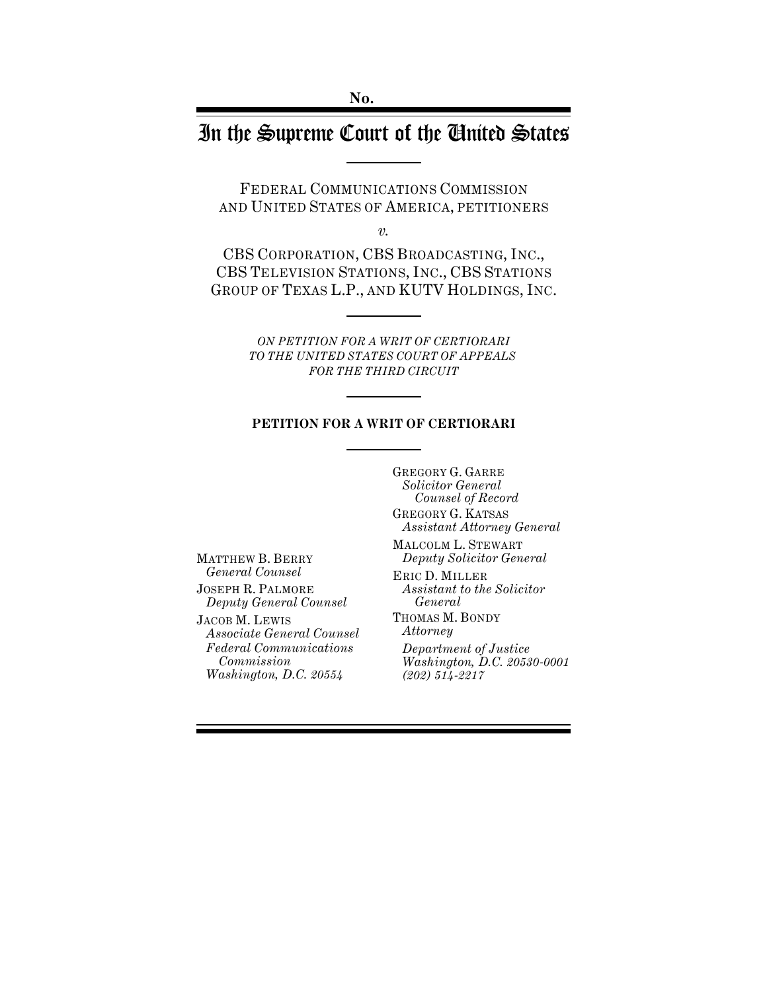# In the Supreme Court of the United States

FEDERAL COMMUNICATIONS COMMISSION AND UNITED STATES OF AMERICA, PETITIONERS

*v.*

CBS CORPORATION, CBS BROADCASTING, INC., CBS TELEVISION STATIONS, INC., CBS STATIONS GROUP OF TEXAS L.P., AND KUTV HOLDINGS, INC.

> *ON PETITION FOR A WRIT OF CERTIORARI TO THE UNITED STATES COURT OF APPEALS FOR THE THIRD CIRCUIT*

#### **PETITION FOR A WRIT OF CERTIORARI**

GREGORY G. GARRE *Solicitor General Counsel of Record* GREGORY G. KATSAS *Assistant Attorney General*

MATTHEW B. BERRY *General Counsel*

JOSEPH R. PALMORE *Deputy General Counsel*

JACOB M. LEWIS *Associate General Counsel Federal Communications Commission Washington, D.C. 20554*

MALCOLM L. STEWART *Deputy Solicitor General* ERIC D. MILLER

*Assistant to the Solicitor General*

THOMAS M. BONDY *Attorney*

*Department of Justice Washington, D.C. 20530-0001 (202) 514-2217*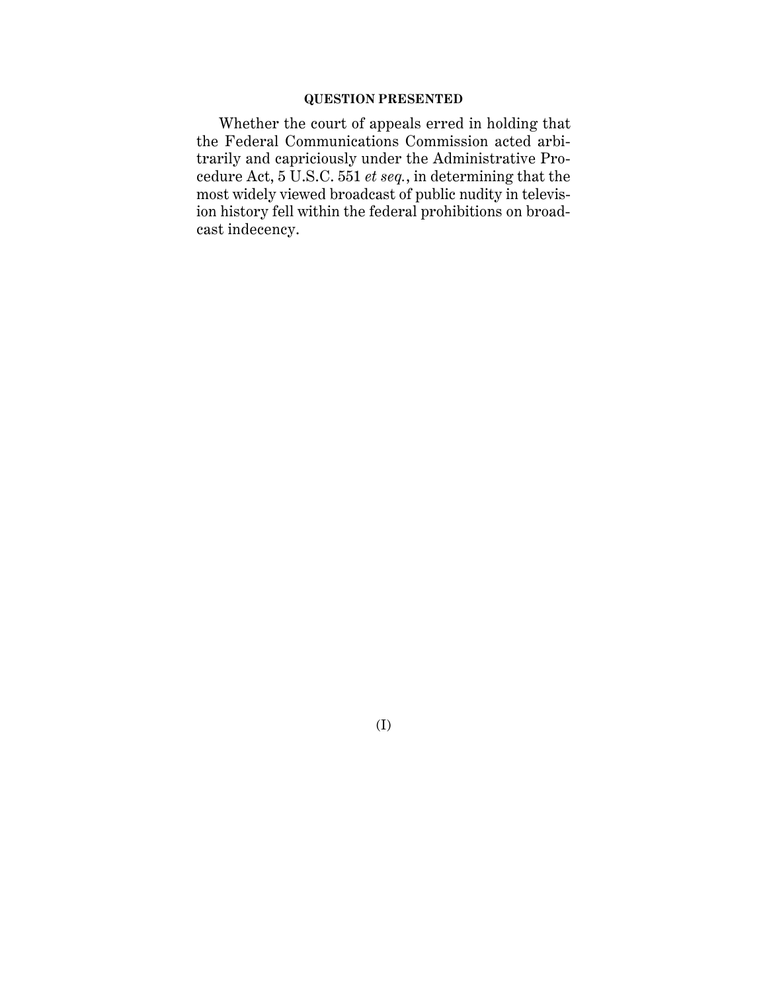### **QUESTION PRESENTED**

Whether the court of appeals erred in holding that the Federal Communications Commission acted arbitrarily and capriciously under the Administrative Procedure Act, 5 U.S.C. 551 *et seq.*, in determining that the most widely viewed broadcast of public nudity in television history fell within the federal prohibitions on broadcast indecency.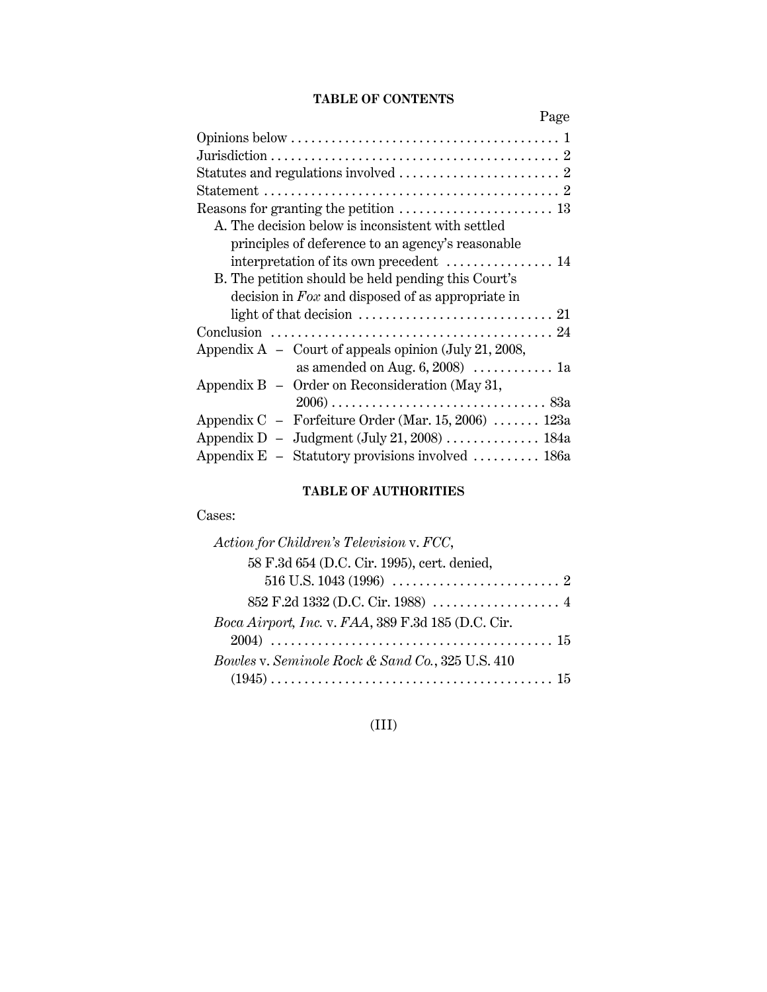## **TABLE OF CONTENTS**

| Page                                                       |
|------------------------------------------------------------|
|                                                            |
|                                                            |
|                                                            |
|                                                            |
|                                                            |
| A. The decision below is inconsistent with settled         |
| principles of deference to an agency's reasonable          |
|                                                            |
| B. The petition should be held pending this Court's        |
| decision in $Fox$ and disposed of as appropriate in        |
|                                                            |
|                                                            |
| Appendix $A -$ Court of appeals opinion (July 21, 2008,    |
| as amended on Aug. $6, 2008)$ 1a                           |
| Appendix $B -$ Order on Reconsideration (May 31,           |
|                                                            |
| Appendix C – Forfeiture Order (Mar. 15, 2006) $\dots$ 123a |
|                                                            |
| Appendix $E -$ Statutory provisions involved  186a         |

## **TABLE OF AUTHORITIES**

Cases:

| Action for Children's Television v. FCC,           |
|----------------------------------------------------|
| 58 F.3d 654 (D.C. Cir. 1995), cert. denied,        |
|                                                    |
|                                                    |
| Boca Airport, Inc. v. FAA, 389 F.3d 185 (D.C. Cir. |
|                                                    |
| Bowles v. Seminole Rock & Sand Co., 325 U.S. 410   |
|                                                    |
|                                                    |

## (III)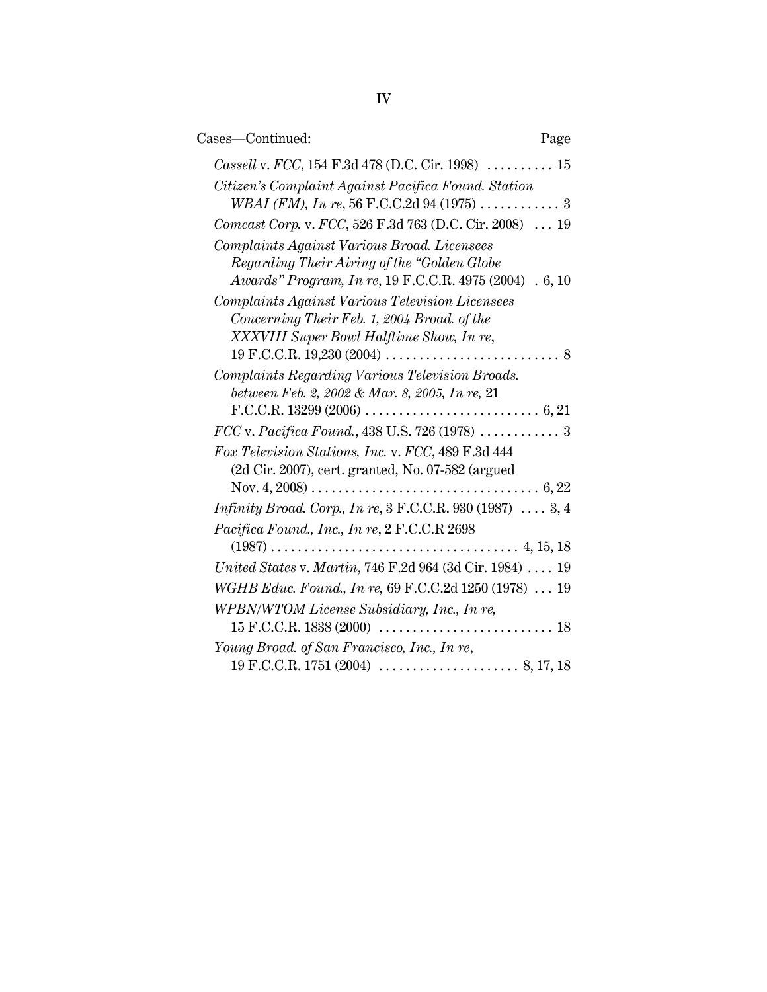| Cases-Continued:<br>Page                                                                                                                 |
|------------------------------------------------------------------------------------------------------------------------------------------|
| Cassell v. FCC, 154 F.3d 478 (D.C. Cir. 1998) $\ldots$ 15                                                                                |
| Citizen's Complaint Against Pacifica Found. Station                                                                                      |
|                                                                                                                                          |
| Comcast Corp. v. FCC, 526 F.3d 763 (D.C. Cir. 2008)  19                                                                                  |
| Complaints Against Various Broad. Licensees                                                                                              |
| Regarding Their Airing of the "Golden Globe                                                                                              |
| Awards" Program, In re, 19 F.C.C.R. 4975 (2004) . 6, 10                                                                                  |
| Complaints Against Various Television Licensees                                                                                          |
| Concerning Their Feb. 1, 2004 Broad. of the                                                                                              |
| XXXVIII Super Bowl Halftime Show, In re,<br>$19 F.C.C.R. 19,230 (2004) \ldots \ldots \ldots \ldots \ldots \ldots \ldots \ldots \ldots 8$ |
| Complaints Regarding Various Television Broads.                                                                                          |
| between Feb. 2, 2002 & Mar. 8, 2005, In re, 21                                                                                           |
|                                                                                                                                          |
|                                                                                                                                          |
| Fox Television Stations, Inc. v. FCC, 489 F.3d 444                                                                                       |
| (2d Cir. 2007), cert. granted, No. 07-582 (argued                                                                                        |
|                                                                                                                                          |
| Infinity Broad. Corp., In re, 3 F.C.C.R. 930 (1987)  3, 4                                                                                |
| Pacifica Found., Inc., In re, 2 F.C.C.R 2698                                                                                             |
|                                                                                                                                          |
| United States v. Martin, 746 F.2d 964 (3d Cir. 1984)  19                                                                                 |
| WGHB Educ. Found., In re, 69 F.C.C.2d 1250 (1978)  19                                                                                    |
| WPBN/WTOM License Subsidiary, Inc., In re,                                                                                               |
| $15 F.C.C.R. 1838 (2000) \ldots \ldots \ldots \ldots \ldots \ldots \ldots \ldots \ldots 18$                                              |
| Young Broad. of San Francisco, Inc., In re,                                                                                              |
|                                                                                                                                          |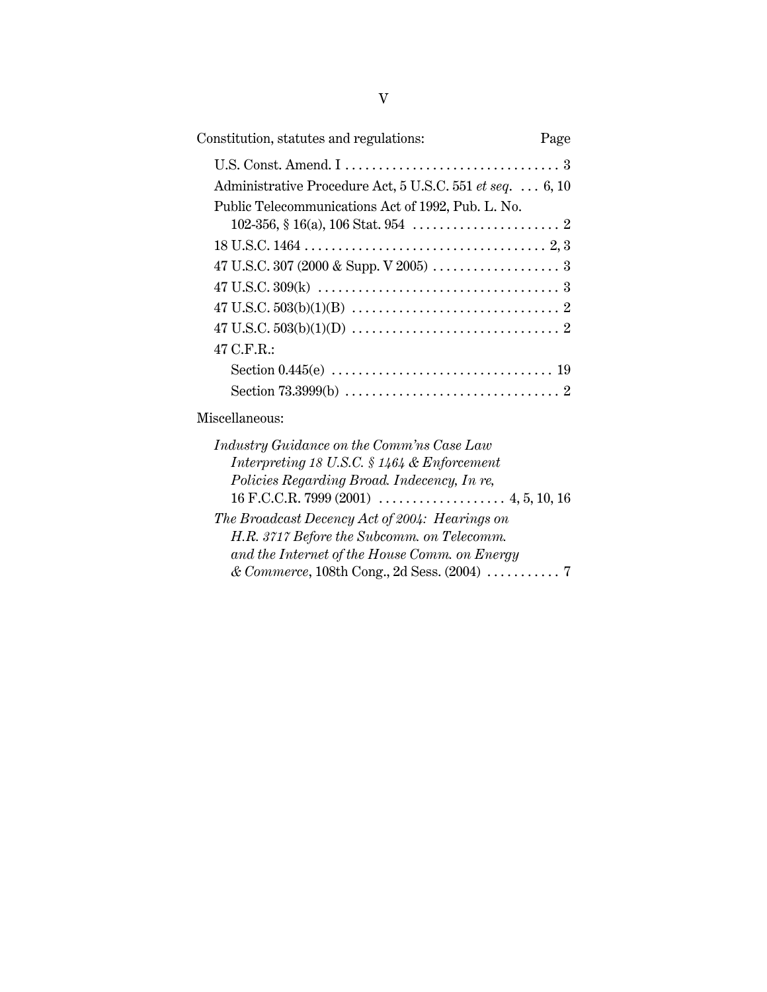| Constitution, statutes and regulations:                   | Page |
|-----------------------------------------------------------|------|
|                                                           |      |
| Administrative Procedure Act, 5 U.S.C. 551 et seq.  6, 10 |      |
| Public Telecommunications Act of 1992, Pub. L. No.        |      |
|                                                           |      |
|                                                           |      |
|                                                           |      |
|                                                           |      |
|                                                           |      |
|                                                           |      |
| 47 C.F.R.:                                                |      |
|                                                           |      |
|                                                           |      |
|                                                           |      |

# Miscellaneous:

| Industry Guidance on the Comm'ns Case Law      |
|------------------------------------------------|
| Interpreting 18 U.S.C. § 1464 & Enforcement    |
| Policies Regarding Broad. Indecency, In re,    |
|                                                |
| The Broadcast Decency Act of 2004: Hearings on |
| H.R. 3717 Before the Subcomm. on Telecomm.     |
| and the Internet of the House Comm. on Energy  |
| & Commerce, 108th Cong., 2d Sess. (2004)  7    |
|                                                |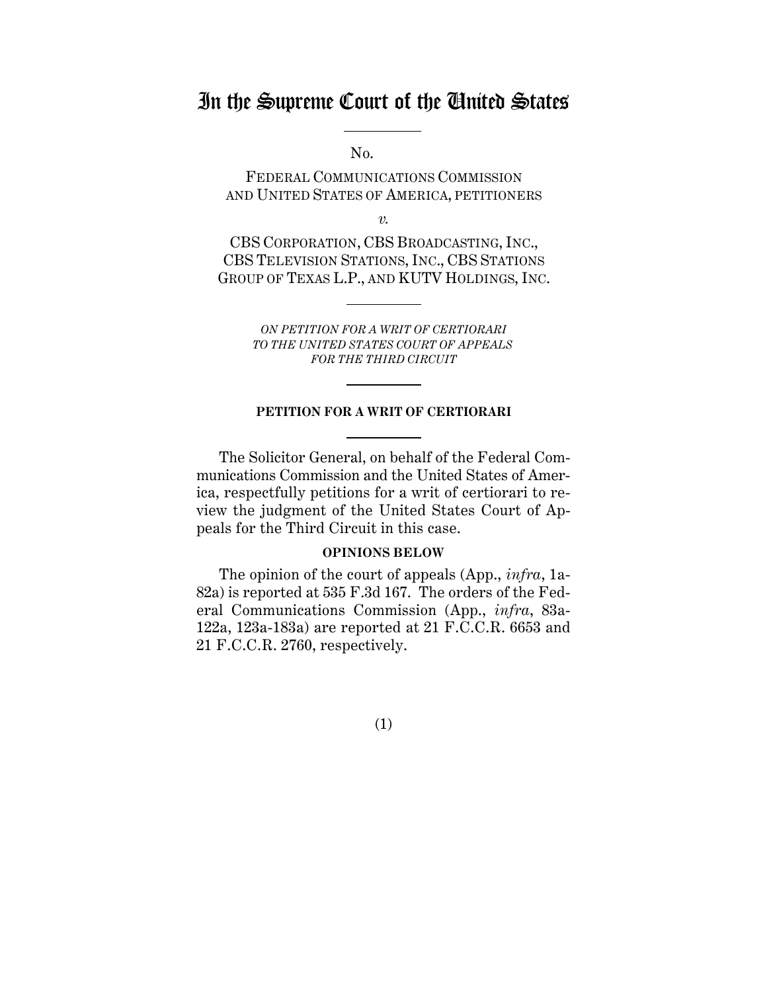# In the Supreme Court of the United States

No.

FEDERAL COMMUNICATIONS COMMISSION AND UNITED STATES OF AMERICA, PETITIONERS

*v.*

CBS CORPORATION, CBS BROADCASTING, INC., CBS TELEVISION STATIONS, INC., CBS STATIONS GROUP OF TEXAS L.P., AND KUTV HOLDINGS, INC.

> *ON PETITION FOR A WRIT OF CERTIORARI TO THE UNITED STATES COURT OF APPEALS FOR THE THIRD CIRCUIT*

#### **PETITION FOR A WRIT OF CERTIORARI**

The Solicitor General, on behalf of the Federal Communications Commission and the United States of America, respectfully petitions for a writ of certiorari to review the judgment of the United States Court of Appeals for the Third Circuit in this case.

#### **OPINIONS BELOW**

The opinion of the court of appeals (App., *infra*, 1a-82a) is reported at 535 F.3d 167. The orders of the Federal Communications Commission (App., *infra*, 83a-122a, 123a-183a) are reported at 21 F.C.C.R. 6653 and 21 F.C.C.R. 2760, respectively.

(1)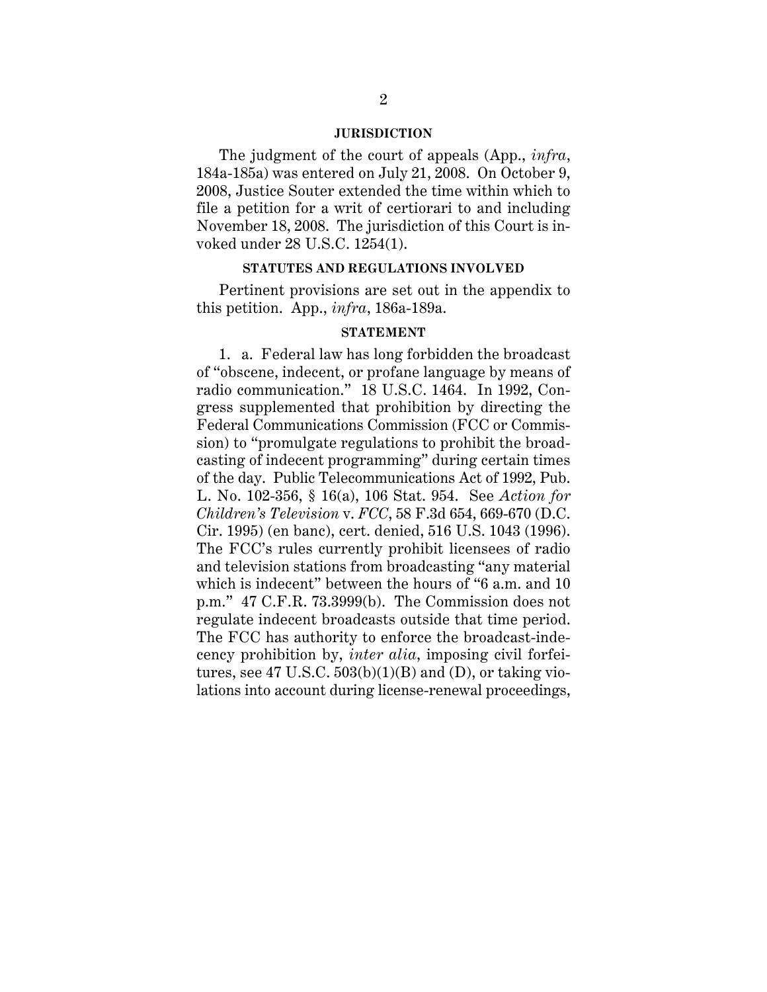#### **JURISDICTION**

The judgment of the court of appeals (App., *infra*, 184a-185a) was entered on July 21, 2008. On October 9, 2008, Justice Souter extended the time within which to file a petition for a writ of certiorari to and including November 18, 2008. The jurisdiction of this Court is invoked under 28 U.S.C. 1254(1).

#### **STATUTES AND REGULATIONS INVOLVED**

Pertinent provisions are set out in the appendix to this petition. App., *infra*, 186a-189a.

#### **STATEMENT**

1. a. Federal law has long forbidden the broadcast of "obscene, indecent, or profane language by means of radio communication." 18 U.S.C. 1464. In 1992, Congress supplemented that prohibition by directing the Federal Communications Commission (FCC or Commission) to "promulgate regulations to prohibit the broadcasting of indecent programming" during certain times of the day. Public Telecommunications Act of 1992, Pub. L. No. 102-356, § 16(a), 106 Stat. 954. See *Action for Children's Television* v. *FCC*, 58 F.3d 654, 669-670 (D.C. Cir. 1995) (en banc), cert. denied, 516 U.S. 1043 (1996). The FCC's rules currently prohibit licensees of radio and television stations from broadcasting "any material which is indecent" between the hours of "6 a.m. and 10 p.m." 47 C.F.R. 73.3999(b). The Commission does not regulate indecent broadcasts outside that time period. The FCC has authority to enforce the broadcast-indecency prohibition by, *inter alia*, imposing civil forfeitures, see 47 U.S.C.  $503(b)(1)(B)$  and (D), or taking violations into account during license-renewal proceedings,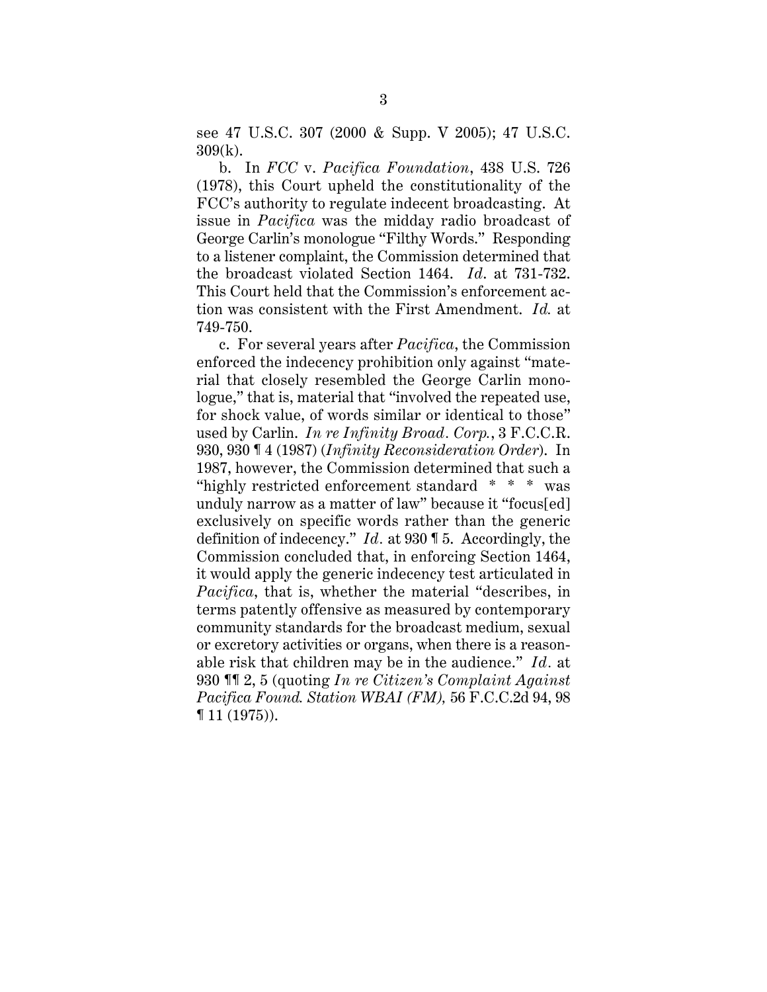see 47 U.S.C. 307 (2000 & Supp. V 2005); 47 U.S.C. 309(k).

b. In *FCC* v. *Pacifica Foundation*, 438 U.S. 726 (1978), this Court upheld the constitutionality of the FCC's authority to regulate indecent broadcasting. At issue in *Pacifica* was the midday radio broadcast of George Carlin's monologue "Filthy Words." Responding to a listener complaint, the Commission determined that the broadcast violated Section 1464. *Id*. at 731-732. This Court held that the Commission's enforcement action was consistent with the First Amendment. *Id.* at 749-750.

c. For several years after *Pacifica*, the Commission enforced the indecency prohibition only against "material that closely resembled the George Carlin monologue," that is, material that "involved the repeated use, for shock value, of words similar or identical to those" used by Carlin. *In re Infinity Broad. Corp.*, 3 F.C.C.R. 930, 930 ¶ 4 (1987) (*Infinity Reconsideration Order*). In 1987, however, the Commission determined that such a "highly restricted enforcement standard \* \* \* was unduly narrow as a matter of law" because it "focus[ed] exclusively on specific words rather than the generic definition of indecency." *Id.* at 930 ¶ 5. Accordingly, the Commission concluded that, in enforcing Section 1464, it would apply the generic indecency test articulated in *Pacifica*, that is, whether the material "describes, in terms patently offensive as measured by contemporary community standards for the broadcast medium, sexual or excretory activities or organs, when there is a reasonable risk that children may be in the audience." *Id.* at 930 ¶¶ 2, 5 (quoting *In re Citizen's Complaint Against Pacifica Found. Station WBAI (FM),* 56 F.C.C.2d 94, 98 ¶ 11 (1975)).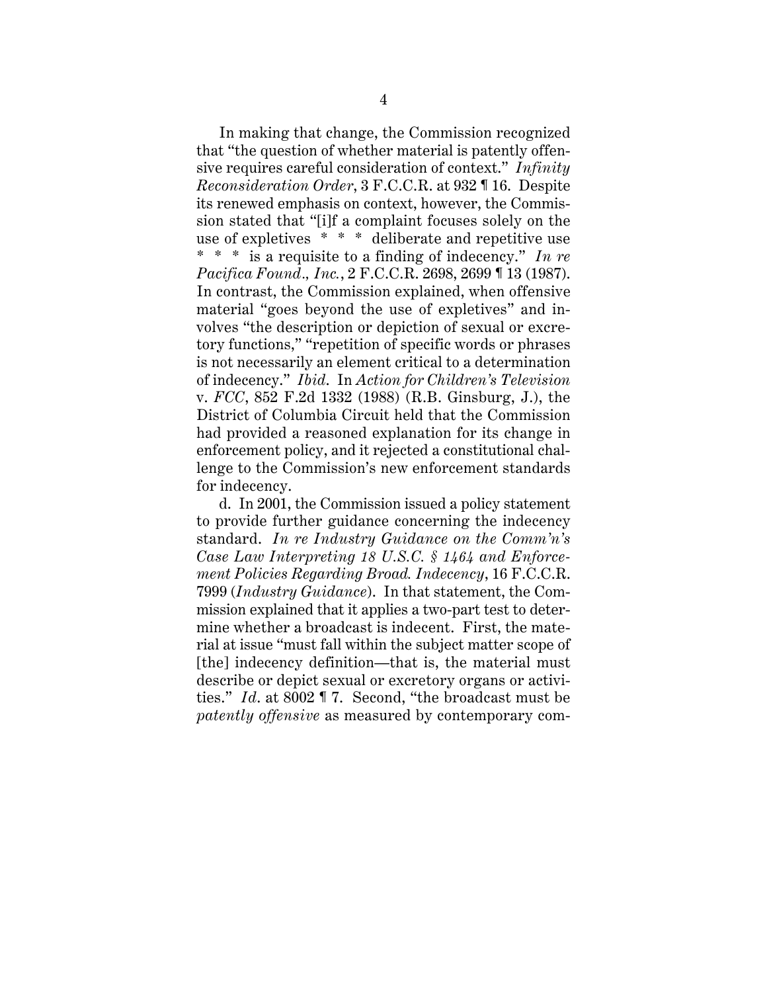In making that change, the Commission recognized that "the question of whether material is patently offensive requires careful consideration of context." *Infinity Reconsideration Order*, 3 F.C.C.R. at 932 ¶ 16. Despite its renewed emphasis on context, however, the Commission stated that "[i]f a complaint focuses solely on the use of expletives \* \* \* deliberate and repetitive use \* \* \* is a requisite to a finding of indecency." *In re Pacifica Found., Inc.*, 2 F.C.C.R. 2698, 2699 ¶ 13 (1987). In contrast, the Commission explained, when offensive material "goes beyond the use of expletives" and involves "the description or depiction of sexual or excretory functions," "repetition of specific words or phrases is not necessarily an element critical to a determination of indecency." *Ibid*. In *Action for Children's Television* v. *FCC*, 852 F.2d 1332 (1988) (R.B. Ginsburg, J.), the District of Columbia Circuit held that the Commission had provided a reasoned explanation for its change in enforcement policy, and it rejected a constitutional challenge to the Commission's new enforcement standards for indecency.

d. In 2001, the Commission issued a policy statement to provide further guidance concerning the indecency standard. *In re Industry Guidance on the Comm'n's Case Law Interpreting 18 U.S.C. § 1464 and Enforcement Policies Regarding Broad. Indecency*, 16 F.C.C.R. 7999 (*Industry Guidance*). In that statement, the Commission explained that it applies a two-part test to determine whether a broadcast is indecent. First, the material at issue "must fall within the subject matter scope of [the] indecency definition—that is, the material must describe or depict sexual or excretory organs or activities." *Id*. at 8002 ¶ 7. Second, "the broadcast must be *patently offensive* as measured by contemporary com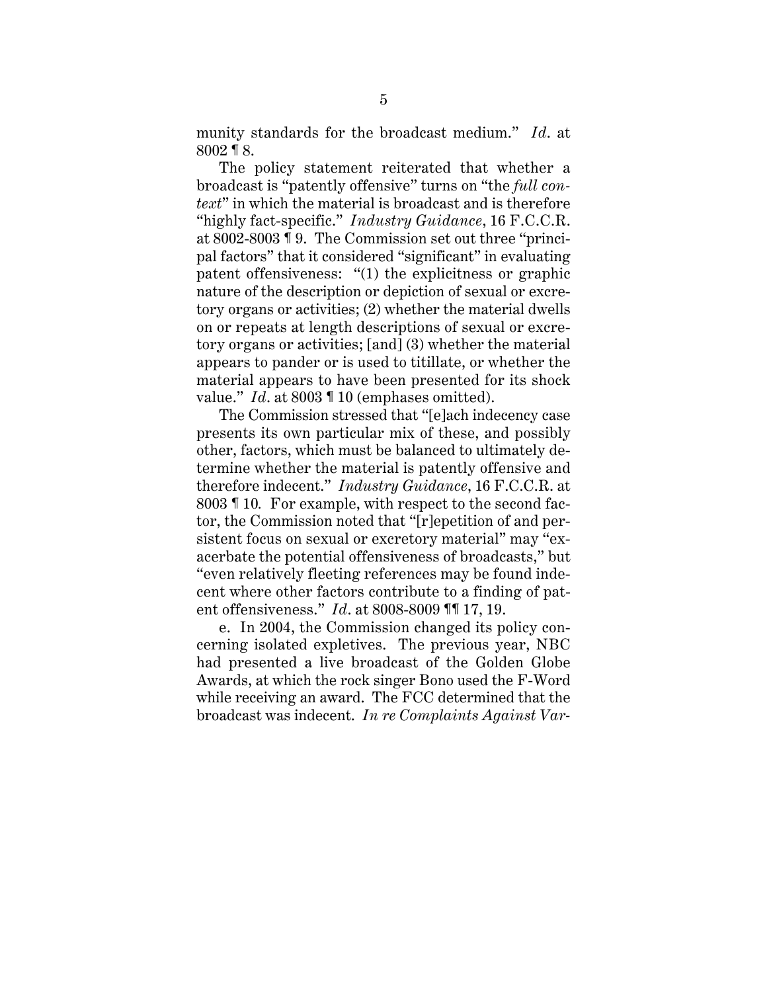munity standards for the broadcast medium." *Id*. at 8002 ¶ 8.

The policy statement reiterated that whether a broadcast is "patently offensive" turns on "the *full context*" in which the material is broadcast and is therefore "highly fact-specific." *Industry Guidance*, 16 F.C.C.R. at 8002-8003 ¶ 9. The Commission set out three "principal factors" that it considered "significant" in evaluating patent offensiveness: "(1) the explicitness or graphic nature of the description or depiction of sexual or excretory organs or activities; (2) whether the material dwells on or repeats at length descriptions of sexual or excretory organs or activities; [and] (3) whether the material appears to pander or is used to titillate, or whether the material appears to have been presented for its shock value." *Id*. at 8003 ¶ 10 (emphases omitted).

The Commission stressed that "[e]ach indecency case presents its own particular mix of these, and possibly other, factors, which must be balanced to ultimately determine whether the material is patently offensive and therefore indecent." *Industry Guidance*, 16 F.C.C.R. at 8003 ¶ 10*.* For example, with respect to the second factor, the Commission noted that "[r]epetition of and persistent focus on sexual or excretory material" may "exacerbate the potential offensiveness of broadcasts," but "even relatively fleeting references may be found indecent where other factors contribute to a finding of patent offensiveness." *Id*. at 8008-8009 ¶¶ 17, 19.

e. In 2004, the Commission changed its policy concerning isolated expletives. The previous year, NBC had presented a live broadcast of the Golden Globe Awards, at which the rock singer Bono used the F-Word while receiving an award. The FCC determined that the broadcast was indecent. *In re Complaints Against Var-*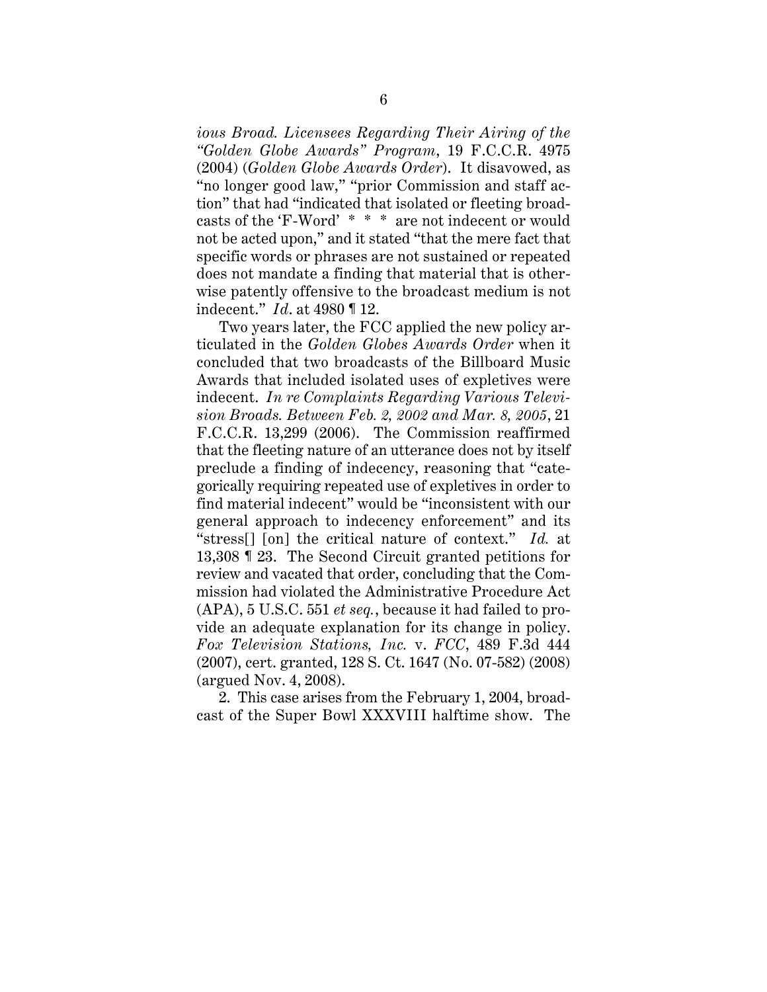*ious Broad. Licensees Regarding Their Airing of the "Golden Globe Awards" Program*, 19 F.C.C.R. 4975 (2004) (*Golden Globe Awards Order*). It disavowed, as "no longer good law," "prior Commission and staff action" that had "indicated that isolated or fleeting broadcasts of the 'F-Word' \* \* \* are not indecent or would not be acted upon," and it stated "that the mere fact that specific words or phrases are not sustained or repeated does not mandate a finding that material that is otherwise patently offensive to the broadcast medium is not indecent." *Id*. at 4980 ¶ 12.

Two years later, the FCC applied the new policy articulated in the *Golden Globes Awards Order* when it concluded that two broadcasts of the Billboard Music Awards that included isolated uses of expletives were indecent. *In re Complaints Regarding Various Television Broads. Between Feb. 2, 2002 and Mar. 8, 2005*, 21 F.C.C.R. 13,299 (2006). The Commission reaffirmed that the fleeting nature of an utterance does not by itself preclude a finding of indecency, reasoning that "categorically requiring repeated use of expletives in order to find material indecent" would be "inconsistent with our general approach to indecency enforcement" and its "stress[] [on] the critical nature of context." *Id.* at 13,308 ¶ 23. The Second Circuit granted petitions for review and vacated that order, concluding that the Commission had violated the Administrative Procedure Act (APA), 5 U.S.C. 551 *et seq.*, because it had failed to provide an adequate explanation for its change in policy. *Fox Television Stations, Inc.* v. *FCC*, 489 F.3d 444 (2007), cert. granted, 128 S. Ct. 1647 (No. 07-582) (2008) (argued Nov. 4, 2008).

2. This case arises from the February 1, 2004, broadcast of the Super Bowl XXXVIII halftime show. The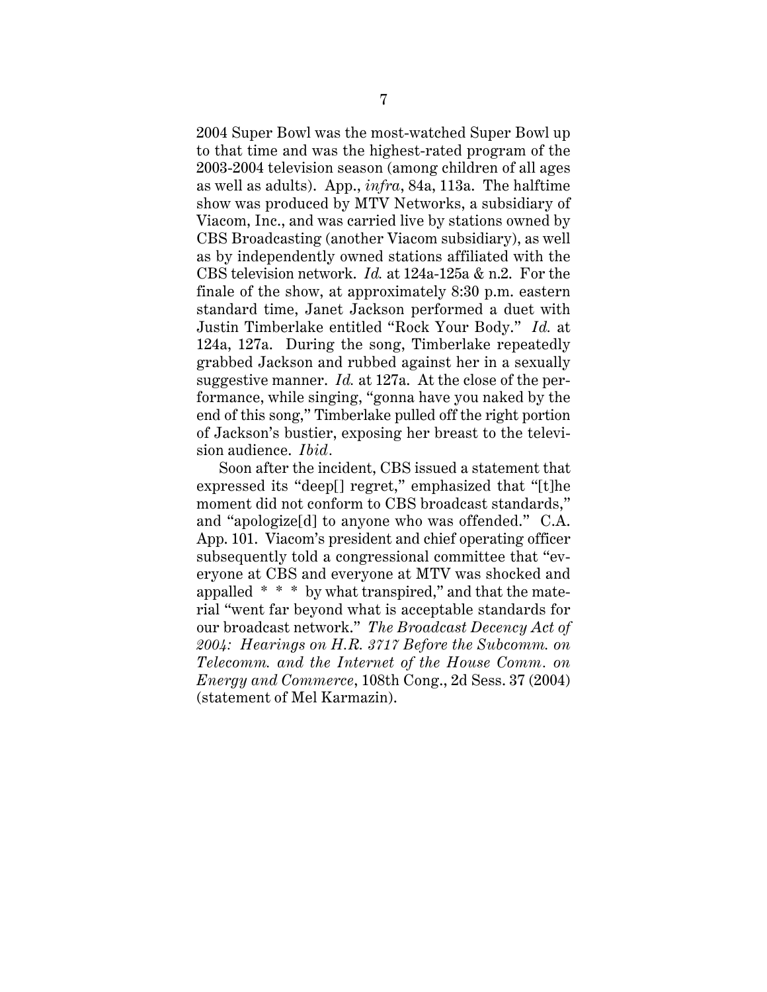2004 Super Bowl was the most-watched Super Bowl up to that time and was the highest-rated program of the 2003-2004 television season (among children of all ages as well as adults). App., *infra*, 84a, 113a. The halftime show was produced by MTV Networks, a subsidiary of Viacom, Inc., and was carried live by stations owned by CBS Broadcasting (another Viacom subsidiary), as well as by independently owned stations affiliated with the CBS television network. *Id.* at 124a-125a & n.2. For the finale of the show, at approximately 8:30 p.m. eastern standard time, Janet Jackson performed a duet with Justin Timberlake entitled "Rock Your Body." *Id.* at 124a, 127a. During the song, Timberlake repeatedly grabbed Jackson and rubbed against her in a sexually suggestive manner. *Id.* at 127a. At the close of the performance, while singing, "gonna have you naked by the end of this song," Timberlake pulled off the right portion of Jackson's bustier, exposing her breast to the television audience. *Ibid.*

Soon after the incident, CBS issued a statement that expressed its "deep[] regret," emphasized that "[t]he moment did not conform to CBS broadcast standards," and "apologize[d] to anyone who was offended." C.A. App. 101. Viacom's president and chief operating officer subsequently told a congressional committee that "everyone at CBS and everyone at MTV was shocked and appalled \* \* \* by what transpired," and that the material "went far beyond what is acceptable standards for our broadcast network." *The Broadcast Decency Act of 2004: Hearings on H.R. 3717 Before the Subcomm. on Telecomm. and the Internet of the House Comm. on Energy and Commerce*, 108th Cong., 2d Sess. 37 (2004) (statement of Mel Karmazin).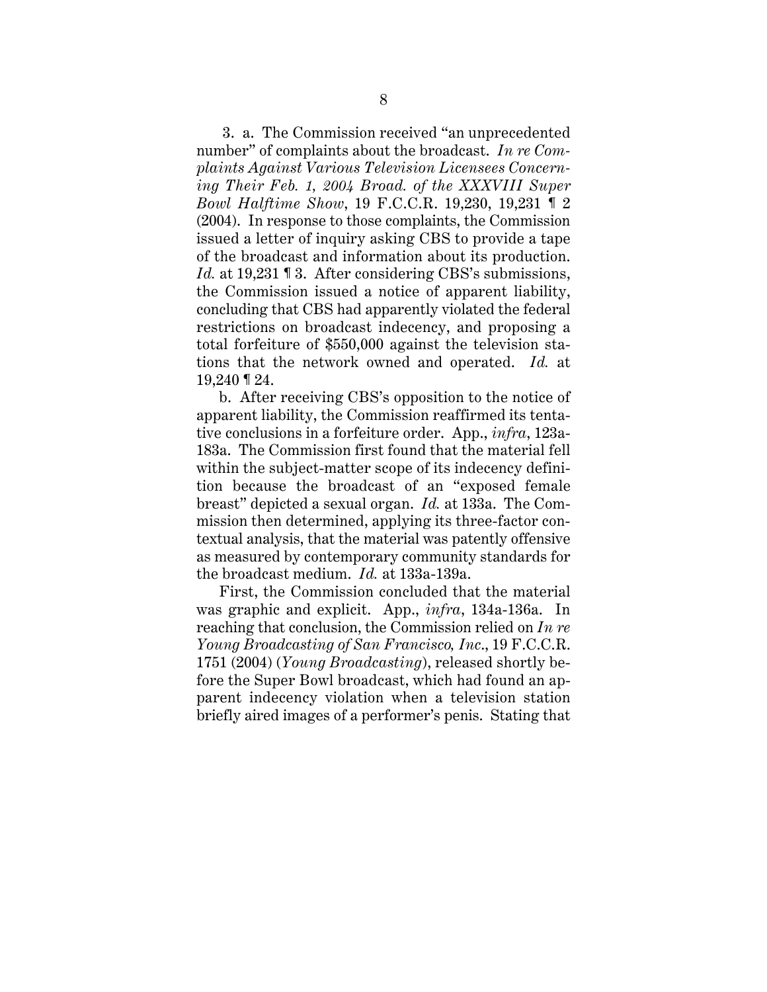3. a. The Commission received "an unprecedented number" of complaints about the broadcast. *In re Complaints Against Various Television Licensees Concerning Their Feb. 1, 2004 Broad. of the XXXVIII Super Bowl Halftime Show*, 19 F.C.C.R. 19,230, 19,231 ¶ 2 (2004). In response to those complaints, the Commission issued a letter of inquiry asking CBS to provide a tape of the broadcast and information about its production. *Id.* at 19,231 ¶ 3. After considering CBS's submissions, the Commission issued a notice of apparent liability, concluding that CBS had apparently violated the federal restrictions on broadcast indecency, and proposing a total forfeiture of \$550,000 against the television stations that the network owned and operated. *Id.* at 19,240 ¶ 24.

b. After receiving CBS's opposition to the notice of apparent liability, the Commission reaffirmed its tentative conclusions in a forfeiture order. App., *infra*, 123a-183a. The Commission first found that the material fell within the subject-matter scope of its indecency definition because the broadcast of an "exposed female breast" depicted a sexual organ. *Id.* at 133a. The Commission then determined, applying its three-factor contextual analysis, that the material was patently offensive as measured by contemporary community standards for the broadcast medium. *Id.* at 133a-139a.

First, the Commission concluded that the material was graphic and explicit. App., *infra*, 134a-136a. In reaching that conclusion, the Commission relied on *In re Young Broadcasting of San Francisco, Inc*., 19 F.C.C.R. 1751 (2004) (*Young Broadcasting*), released shortly before the Super Bowl broadcast, which had found an apparent indecency violation when a television station briefly aired images of a performer's penis. Stating that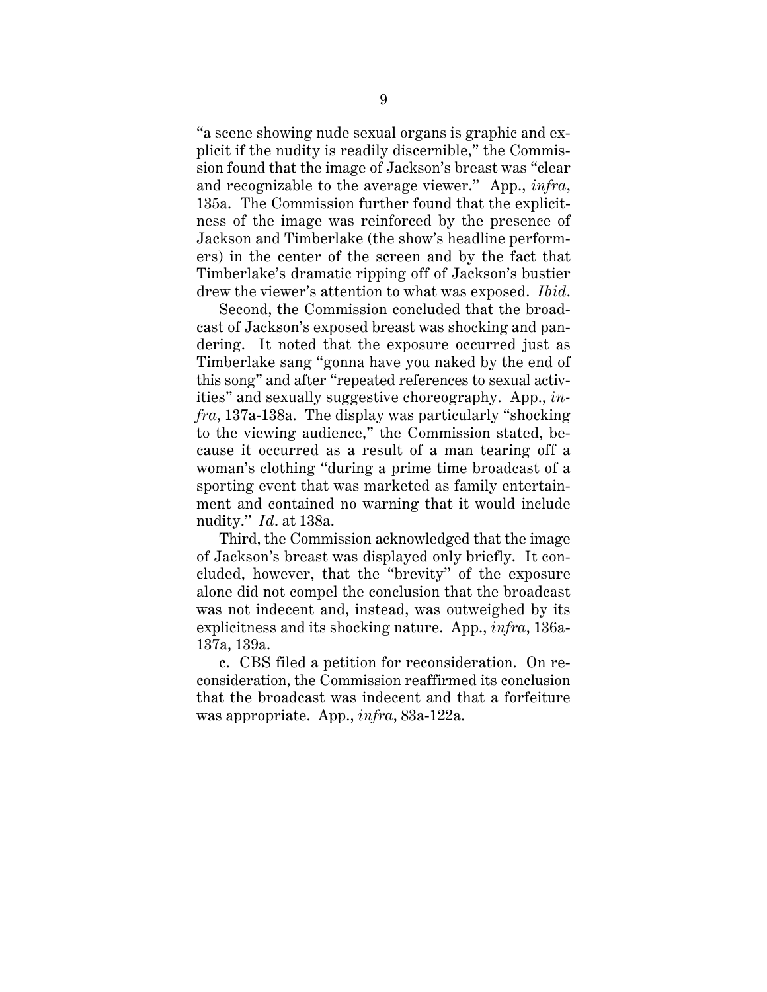"a scene showing nude sexual organs is graphic and explicit if the nudity is readily discernible," the Commission found that the image of Jackson's breast was "clear and recognizable to the average viewer." App., *infra*, 135a. The Commission further found that the explicitness of the image was reinforced by the presence of Jackson and Timberlake (the show's headline performers) in the center of the screen and by the fact that Timberlake's dramatic ripping off of Jackson's bustier drew the viewer's attention to what was exposed. *Ibid*.

Second, the Commission concluded that the broadcast of Jackson's exposed breast was shocking and pandering. It noted that the exposure occurred just as Timberlake sang "gonna have you naked by the end of this song" and after "repeated references to sexual activities" and sexually suggestive choreography. App., *infra*, 137a-138a. The display was particularly "shocking to the viewing audience," the Commission stated, because it occurred as a result of a man tearing off a woman's clothing "during a prime time broadcast of a sporting event that was marketed as family entertainment and contained no warning that it would include nudity." *Id*. at 138a.

Third, the Commission acknowledged that the image of Jackson's breast was displayed only briefly. It concluded, however, that the "brevity" of the exposure alone did not compel the conclusion that the broadcast was not indecent and, instead, was outweighed by its explicitness and its shocking nature. App., *infra*, 136a-137a, 139a.

c. CBS filed a petition for reconsideration. On reconsideration, the Commission reaffirmed its conclusion that the broadcast was indecent and that a forfeiture was appropriate. App., *infra*, 83a-122a.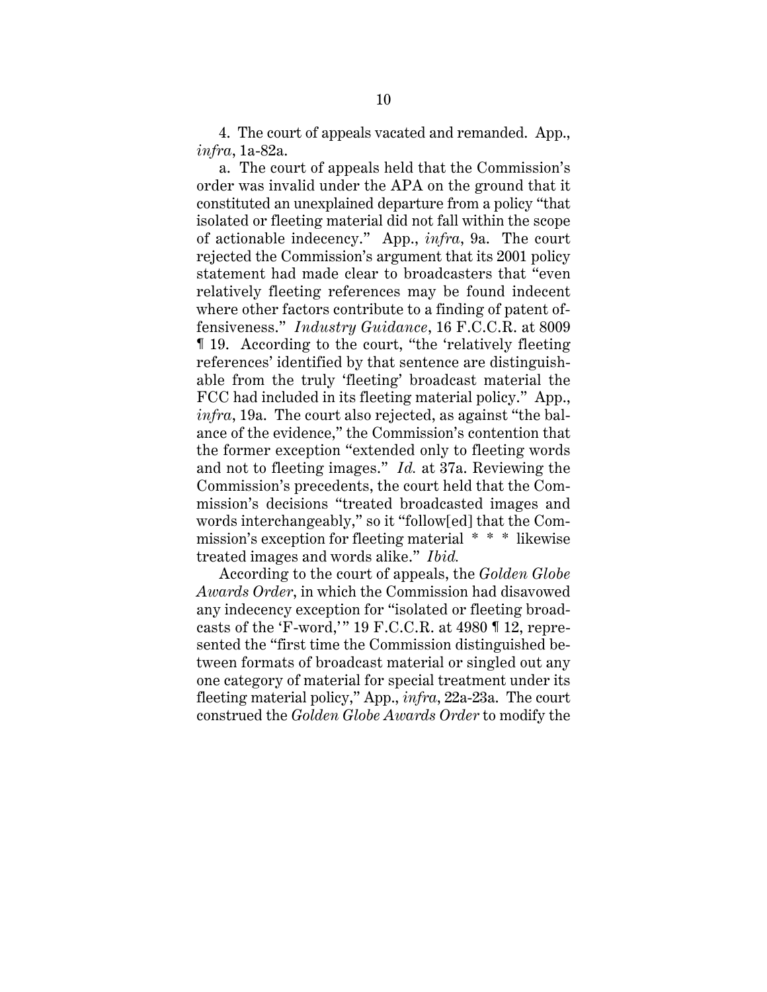4. The court of appeals vacated and remanded. App., *infra*, 1a-82a.

a. The court of appeals held that the Commission's order was invalid under the APA on the ground that it constituted an unexplained departure from a policy "that isolated or fleeting material did not fall within the scope of actionable indecency." App., *infra*, 9a. The court rejected the Commission's argument that its 2001 policy statement had made clear to broadcasters that "even relatively fleeting references may be found indecent where other factors contribute to a finding of patent offensiveness." *Industry Guidance*, 16 F.C.C.R. at 8009 ¶ 19. According to the court, "the 'relatively fleeting references' identified by that sentence are distinguishable from the truly 'fleeting' broadcast material the FCC had included in its fleeting material policy." App., *infra*, 19a. The court also rejected, as against "the balance of the evidence," the Commission's contention that the former exception "extended only to fleeting words and not to fleeting images." *Id.* at 37a. Reviewing the Commission's precedents, the court held that the Commission's decisions "treated broadcasted images and words interchangeably," so it "follow[ed] that the Commission's exception for fleeting material \* \* \* likewise treated images and words alike." *Ibid.*

According to the court of appeals, the *Golden Globe Awards Order*, in which the Commission had disavowed any indecency exception for "isolated or fleeting broadcasts of the 'F-word,'" 19 F.C.C.R. at 4980 ¶ 12, represented the "first time the Commission distinguished between formats of broadcast material or singled out any one category of material for special treatment under its fleeting material policy," App., *infra*, 22a-23a. The court construed the *Golden Globe Awards Order* to modify the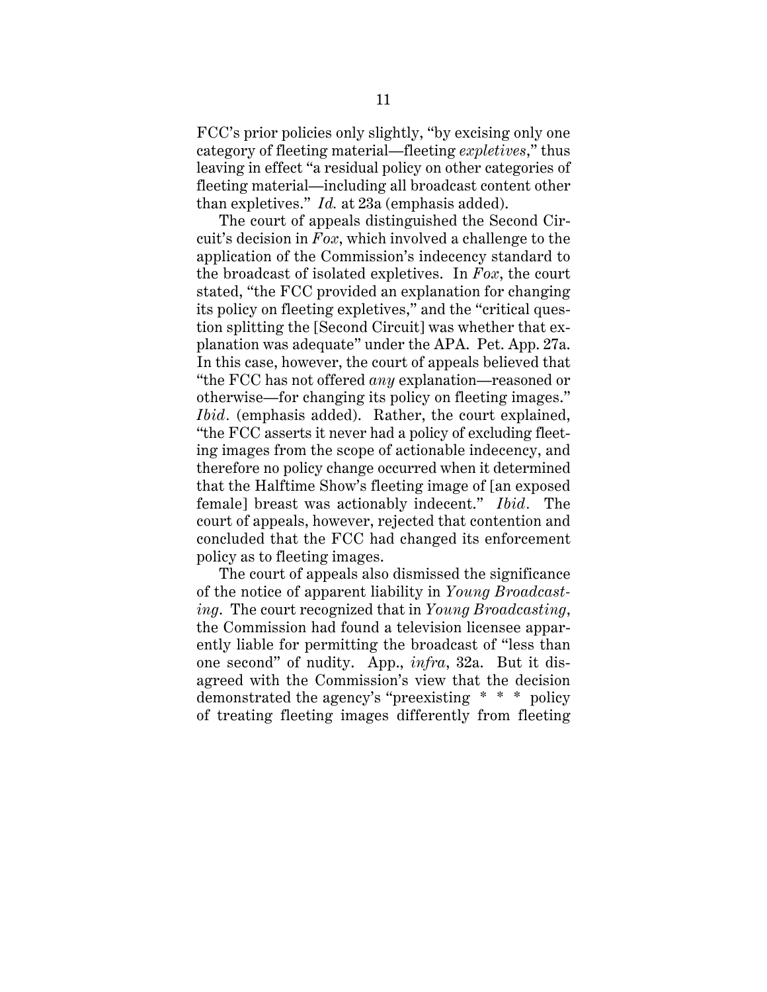FCC's prior policies only slightly, "by excising only one category of fleeting material—fleeting *expletives*," thus leaving in effect "a residual policy on other categories of fleeting material—including all broadcast content other than expletives." *Id.* at 23a (emphasis added).

The court of appeals distinguished the Second Circuit's decision in *Fox*, which involved a challenge to the application of the Commission's indecency standard to the broadcast of isolated expletives. In *Fox*, the court stated, "the FCC provided an explanation for changing its policy on fleeting expletives," and the "critical question splitting the [Second Circuit] was whether that explanation was adequate" under the APA. Pet. App. 27a. In this case, however, the court of appeals believed that "the FCC has not offered *any* explanation—reasoned or otherwise—for changing its policy on fleeting images." *Ibid.* (emphasis added). Rather, the court explained, "the FCC asserts it never had a policy of excluding fleeting images from the scope of actionable indecency, and therefore no policy change occurred when it determined that the Halftime Show's fleeting image of [an exposed female] breast was actionably indecent." *Ibid.* The court of appeals, however, rejected that contention and concluded that the FCC had changed its enforcement policy as to fleeting images.

The court of appeals also dismissed the significance of the notice of apparent liability in *Young Broadcasting*. The court recognized that in *Young Broadcasting*, the Commission had found a television licensee apparently liable for permitting the broadcast of "less than one second" of nudity. App., *infra*, 32a. But it disagreed with the Commission's view that the decision demonstrated the agency's "preexisting \* \* \* policy of treating fleeting images differently from fleeting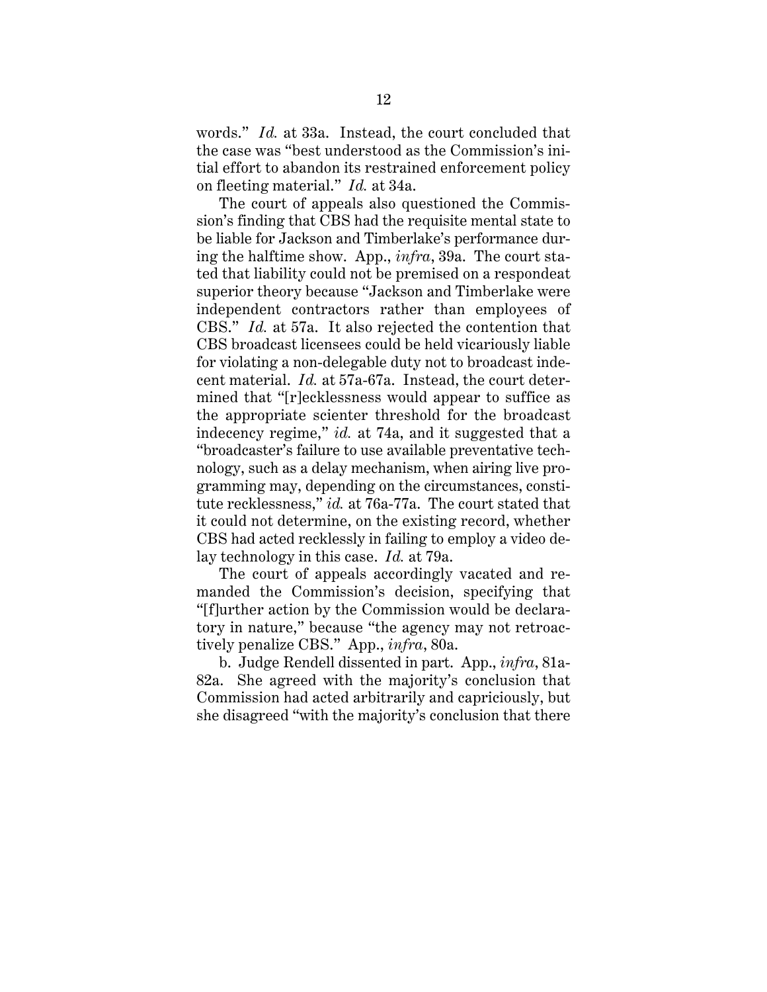words." *Id.* at 33a. Instead, the court concluded that the case was "best understood as the Commission's initial effort to abandon its restrained enforcement policy on fleeting material." *Id.* at 34a.

The court of appeals also questioned the Commission's finding that CBS had the requisite mental state to be liable for Jackson and Timberlake's performance during the halftime show. App., *infra*, 39a. The court stated that liability could not be premised on a respondeat superior theory because "Jackson and Timberlake were independent contractors rather than employees of CBS." *Id.* at 57a. It also rejected the contention that CBS broadcast licensees could be held vicariously liable for violating a non-delegable duty not to broadcast indecent material. *Id.* at 57a-67a. Instead, the court determined that "[r]ecklessness would appear to suffice as the appropriate scienter threshold for the broadcast indecency regime," *id.* at 74a, and it suggested that a "broadcaster's failure to use available preventative technology, such as a delay mechanism, when airing live programming may, depending on the circumstances, constitute recklessness," *id.* at 76a-77a. The court stated that it could not determine, on the existing record, whether CBS had acted recklessly in failing to employ a video delay technology in this case. *Id.* at 79a.

The court of appeals accordingly vacated and remanded the Commission's decision, specifying that "[f]urther action by the Commission would be declaratory in nature," because "the agency may not retroactively penalize CBS." App., *infra*, 80a.

b. Judge Rendell dissented in part. App., *infra*, 81a-82a. She agreed with the majority's conclusion that Commission had acted arbitrarily and capriciously, but she disagreed "with the majority's conclusion that there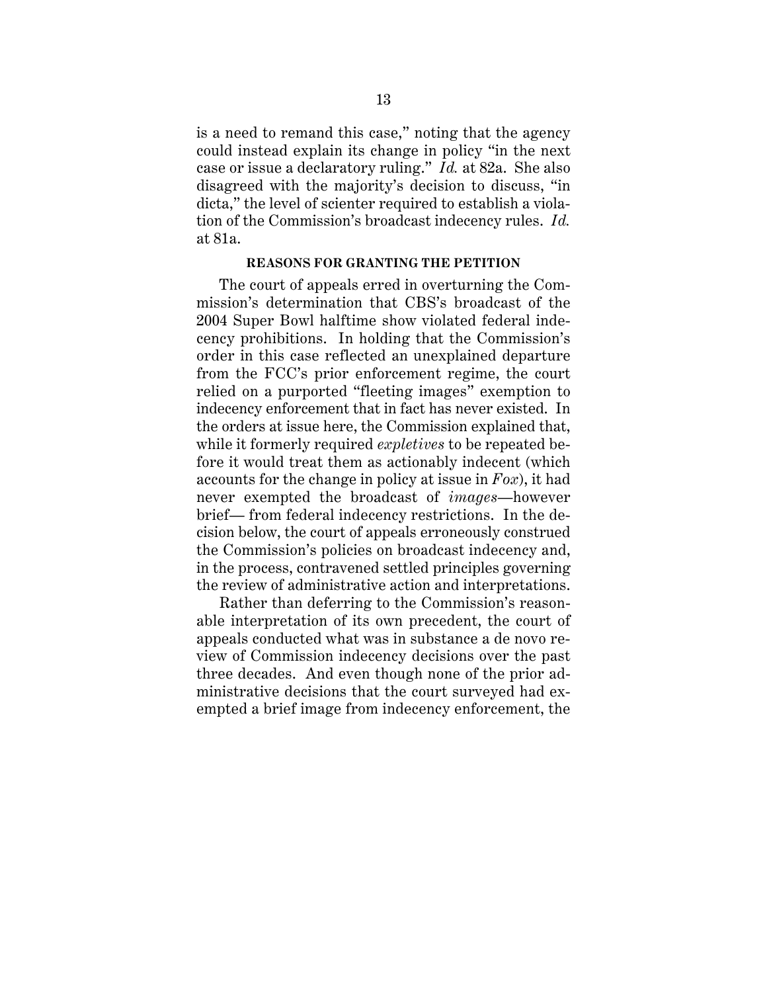is a need to remand this case," noting that the agency could instead explain its change in policy "in the next case or issue a declaratory ruling." *Id.* at 82a. She also disagreed with the majority's decision to discuss, "in dicta," the level of scienter required to establish a violation of the Commission's broadcast indecency rules. *Id.* at 81a.

#### **REASONS FOR GRANTING THE PETITION**

The court of appeals erred in overturning the Commission's determination that CBS's broadcast of the 2004 Super Bowl halftime show violated federal indecency prohibitions. In holding that the Commission's order in this case reflected an unexplained departure from the FCC's prior enforcement regime, the court relied on a purported "fleeting images" exemption to indecency enforcement that in fact has never existed. In the orders at issue here, the Commission explained that, while it formerly required *expletives* to be repeated before it would treat them as actionably indecent (which accounts for the change in policy at issue in *Fox*), it had never exempted the broadcast of *images*—however brief— from federal indecency restrictions. In the decision below, the court of appeals erroneously construed the Commission's policies on broadcast indecency and, in the process, contravened settled principles governing the review of administrative action and interpretations.

Rather than deferring to the Commission's reasonable interpretation of its own precedent, the court of appeals conducted what was in substance a de novo review of Commission indecency decisions over the past three decades. And even though none of the prior administrative decisions that the court surveyed had exempted a brief image from indecency enforcement, the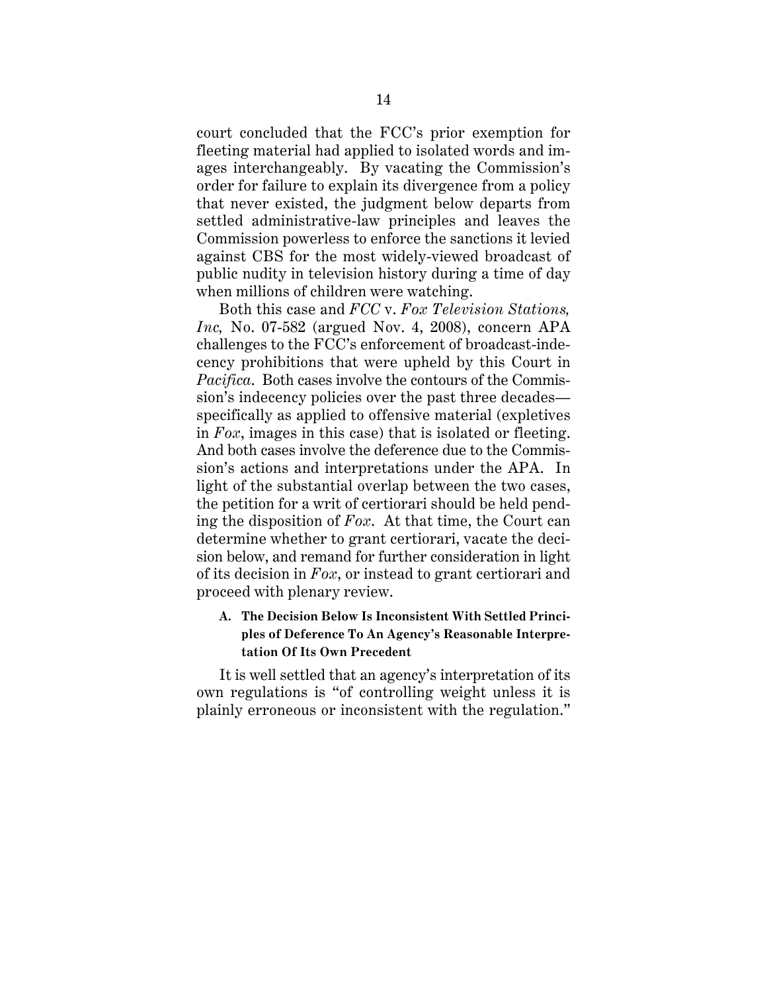court concluded that the FCC's prior exemption for fleeting material had applied to isolated words and images interchangeably. By vacating the Commission's order for failure to explain its divergence from a policy that never existed, the judgment below departs from settled administrative-law principles and leaves the Commission powerless to enforce the sanctions it levied against CBS for the most widely-viewed broadcast of public nudity in television history during a time of day when millions of children were watching.

Both this case and *FCC* v. *Fox Television Stations, Inc,* No. 07-582 (argued Nov. 4, 2008), concern APA challenges to the FCC's enforcement of broadcast-indecency prohibitions that were upheld by this Court in *Pacifica*. Both cases involve the contours of the Commission's indecency policies over the past three decades specifically as applied to offensive material (expletives in *Fox*, images in this case) that is isolated or fleeting. And both cases involve the deference due to the Commission's actions and interpretations under the APA. In light of the substantial overlap between the two cases, the petition for a writ of certiorari should be held pending the disposition of *Fox*. At that time, the Court can determine whether to grant certiorari, vacate the decision below, and remand for further consideration in light of its decision in *Fox*, or instead to grant certiorari and proceed with plenary review.

## **A. The Decision Below Is Inconsistent With Settled Principles of Deference To An Agency's Reasonable Interpretation Of Its Own Precedent**

It is well settled that an agency's interpretation of its own regulations is "of controlling weight unless it is plainly erroneous or inconsistent with the regulation."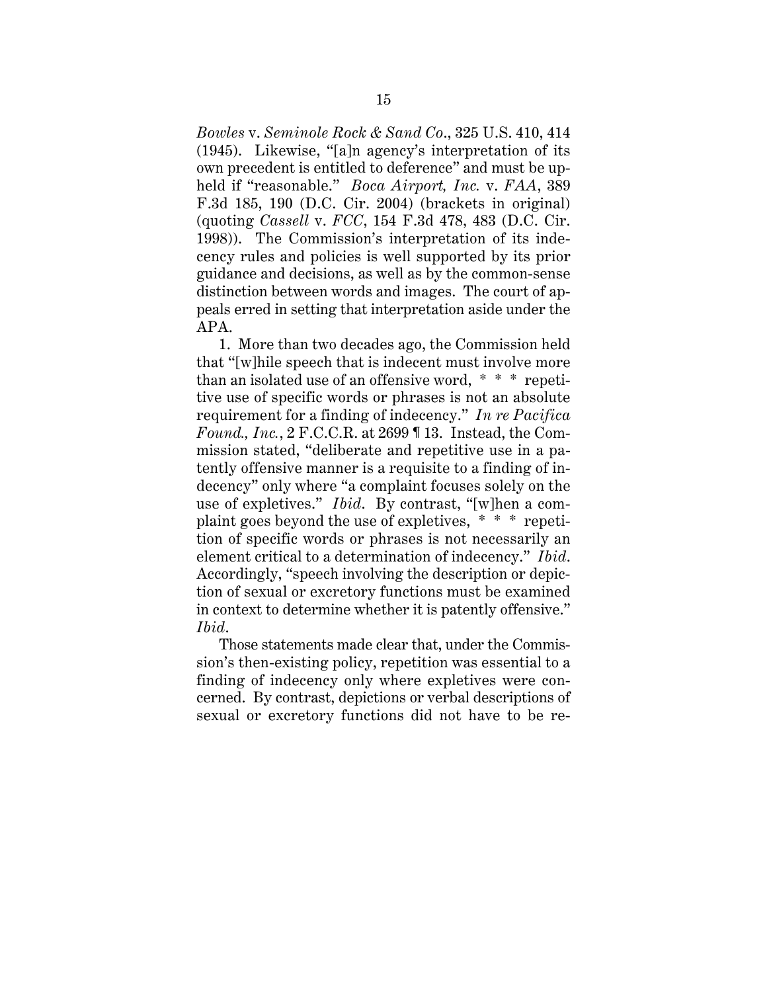*Bowles* v. *Seminole Rock & Sand Co*., 325 U.S. 410, 414 (1945). Likewise, "[a]n agency's interpretation of its own precedent is entitled to deference" and must be upheld if "reasonable." *Boca Airport, Inc.* v. *FAA*, 389 F.3d 185, 190 (D.C. Cir. 2004) (brackets in original) (quoting *Cassell* v. *FCC*, 154 F.3d 478, 483 (D.C. Cir. 1998)). The Commission's interpretation of its indecency rules and policies is well supported by its prior guidance and decisions, as well as by the common-sense distinction between words and images. The court of appeals erred in setting that interpretation aside under the APA.

1. More than two decades ago, the Commission held that "[w]hile speech that is indecent must involve more than an isolated use of an offensive word, \* \* \* repetitive use of specific words or phrases is not an absolute requirement for a finding of indecency." *In re Pacifica Found., Inc.*, 2 F.C.C.R. at 2699 ¶ 13. Instead, the Commission stated, "deliberate and repetitive use in a patently offensive manner is a requisite to a finding of indecency" only where "a complaint focuses solely on the use of expletives." *Ibid*. By contrast, "[w]hen a complaint goes beyond the use of expletives, \* \* \* repetition of specific words or phrases is not necessarily an element critical to a determination of indecency." *Ibid*. Accordingly, "speech involving the description or depiction of sexual or excretory functions must be examined in context to determine whether it is patently offensive." *Ibid*.

Those statements made clear that, under the Commission's then-existing policy, repetition was essential to a finding of indecency only where expletives were concerned. By contrast, depictions or verbal descriptions of sexual or excretory functions did not have to be re-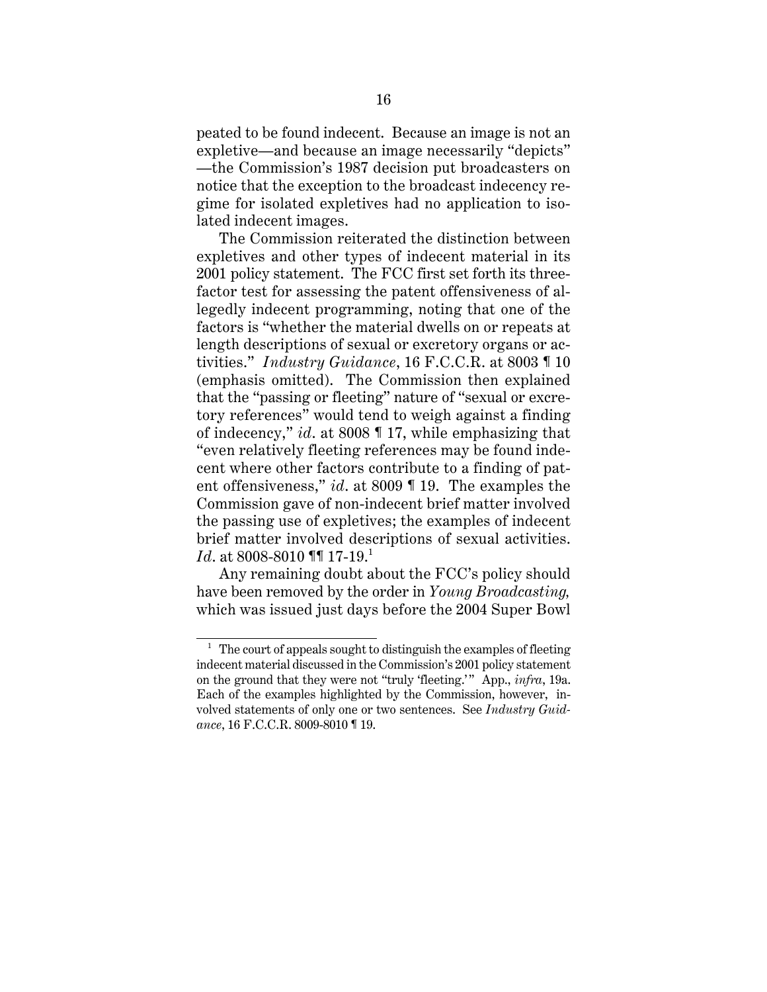peated to be found indecent. Because an image is not an expletive—and because an image necessarily "depicts" —the Commission's 1987 decision put broadcasters on notice that the exception to the broadcast indecency regime for isolated expletives had no application to isolated indecent images.

The Commission reiterated the distinction between expletives and other types of indecent material in its 2001 policy statement. The FCC first set forth its threefactor test for assessing the patent offensiveness of allegedly indecent programming, noting that one of the factors is "whether the material dwells on or repeats at length descriptions of sexual or excretory organs or activities." *Industry Guidance*, 16 F.C.C.R. at 8003 ¶ 10 (emphasis omitted). The Commission then explained that the "passing or fleeting" nature of "sexual or excretory references" would tend to weigh against a finding of indecency," *id*. at 8008 ¶ 17, while emphasizing that "even relatively fleeting references may be found indecent where other factors contribute to a finding of patent offensiveness," *id*. at 8009 ¶ 19. The examples the Commission gave of non-indecent brief matter involved the passing use of expletives; the examples of indecent brief matter involved descriptions of sexual activities. *Id.* at 8008-8010 **¶** 17-19.<sup>1</sup>

Any remaining doubt about the FCC's policy should have been removed by the order in *Young Broadcasting,* which was issued just days before the 2004 Super Bowl

<sup>&</sup>lt;sup>1</sup> The court of appeals sought to distinguish the examples of fleeting indecent material discussed in the Commission's 2001 policy statement on the ground that they were not "truly 'fleeting.'" App., *infra*, 19a. Each of the examples highlighted by the Commission, however, involved statements of only one or two sentences. See *Industry Guidance*, 16 F.C.C.R. 8009-8010 ¶ 19.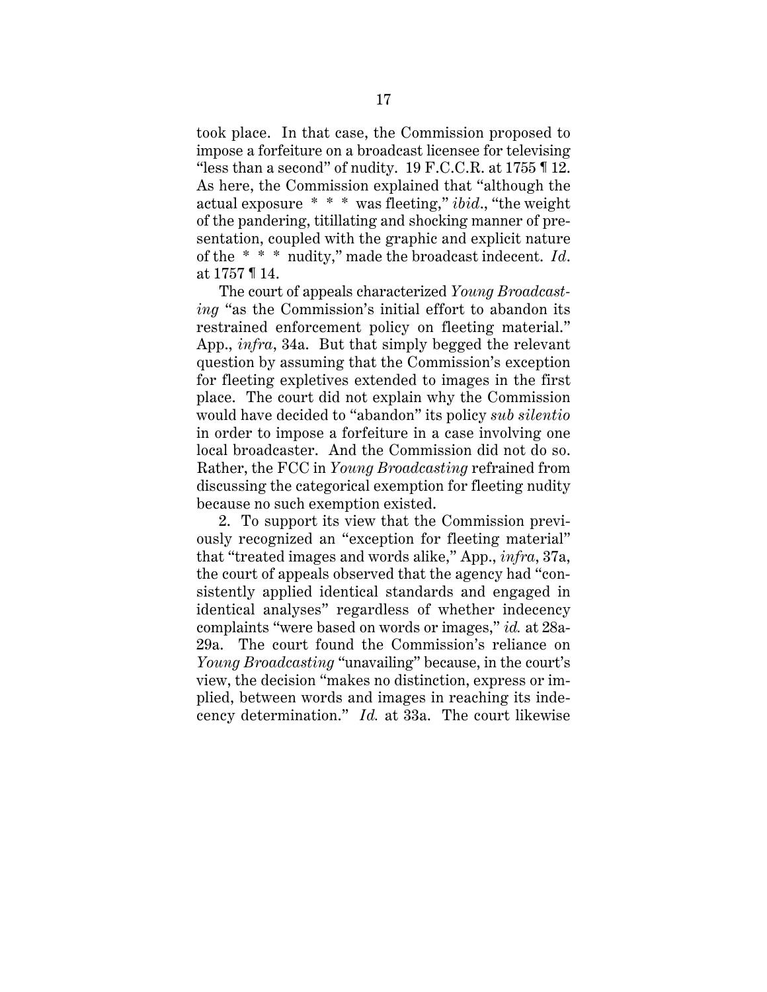took place. In that case, the Commission proposed to impose a forfeiture on a broadcast licensee for televising "less than a second" of nudity.  $19 F.C.C.R.$  at  $1755 \text{ } n12$ . As here, the Commission explained that "although the actual exposure \* \* \* was fleeting," *ibid*., "the weight of the pandering, titillating and shocking manner of presentation, coupled with the graphic and explicit nature of the \* \* \* nudity," made the broadcast indecent. *Id*. at 1757 ¶ 14.

The court of appeals characterized *Young Broadcasting* "as the Commission's initial effort to abandon its restrained enforcement policy on fleeting material." App., *infra*, 34a. But that simply begged the relevant question by assuming that the Commission's exception for fleeting expletives extended to images in the first place. The court did not explain why the Commission would have decided to "abandon" its policy *sub silentio* in order to impose a forfeiture in a case involving one local broadcaster. And the Commission did not do so. Rather, the FCC in *Young Broadcasting* refrained from discussing the categorical exemption for fleeting nudity because no such exemption existed.

2. To support its view that the Commission previously recognized an "exception for fleeting material" that "treated images and words alike," App., *infra*, 37a, the court of appeals observed that the agency had "consistently applied identical standards and engaged in identical analyses" regardless of whether indecency complaints "were based on words or images," *id.* at 28a-29a. The court found the Commission's reliance on *Young Broadcasting* "unavailing" because, in the court's view, the decision "makes no distinction, express or implied, between words and images in reaching its indecency determination." *Id.* at 33a. The court likewise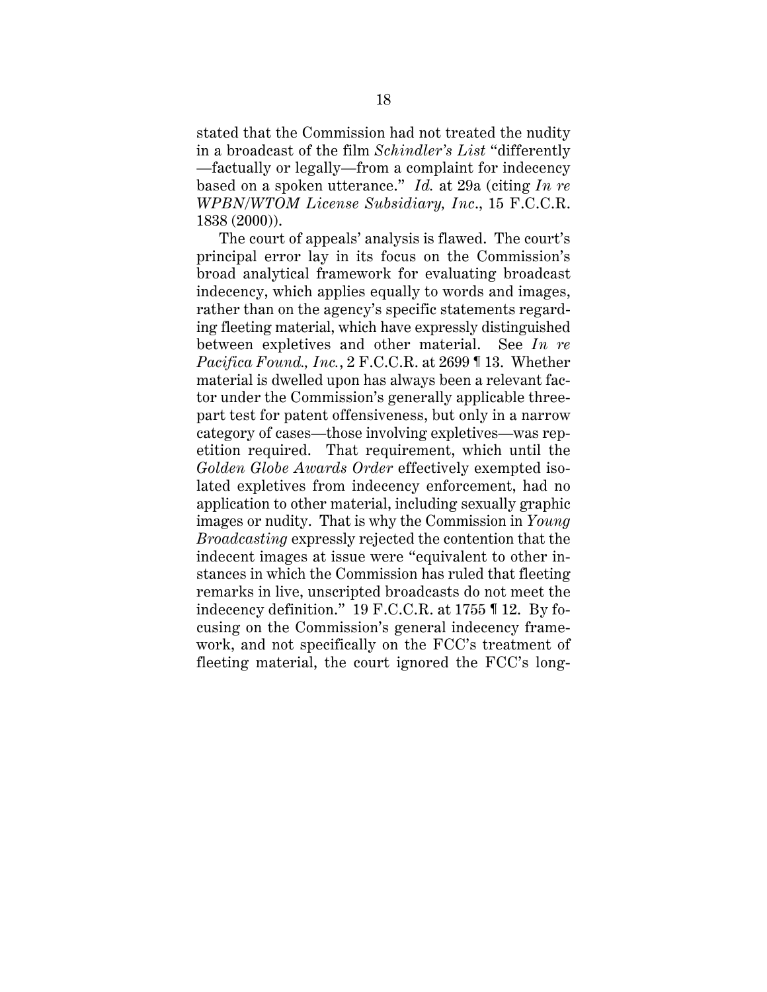stated that the Commission had not treated the nudity in a broadcast of the film *Schindler's List* "differently —factually or legally—from a complaint for indecency based on a spoken utterance." *Id.* at 29a (citing *In re WPBN/WTOM License Subsidiary, Inc*., 15 F.C.C.R. 1838 (2000)).

The court of appeals' analysis is flawed. The court's principal error lay in its focus on the Commission's broad analytical framework for evaluating broadcast indecency, which applies equally to words and images, rather than on the agency's specific statements regarding fleeting material, which have expressly distinguished between expletives and other material. See *In re Pacifica Found., Inc.*, 2 F.C.C.R. at 2699 ¶ 13. Whether material is dwelled upon has always been a relevant factor under the Commission's generally applicable threepart test for patent offensiveness, but only in a narrow category of cases—those involving expletives—was repetition required. That requirement, which until the *Golden Globe Awards Order* effectively exempted isolated expletives from indecency enforcement, had no application to other material, including sexually graphic images or nudity. That is why the Commission in *Young Broadcasting* expressly rejected the contention that the indecent images at issue were "equivalent to other instances in which the Commission has ruled that fleeting remarks in live, unscripted broadcasts do not meet the indecency definition." 19 F.C.C.R. at 1755 ¶ 12. By focusing on the Commission's general indecency framework, and not specifically on the FCC's treatment of fleeting material, the court ignored the FCC's long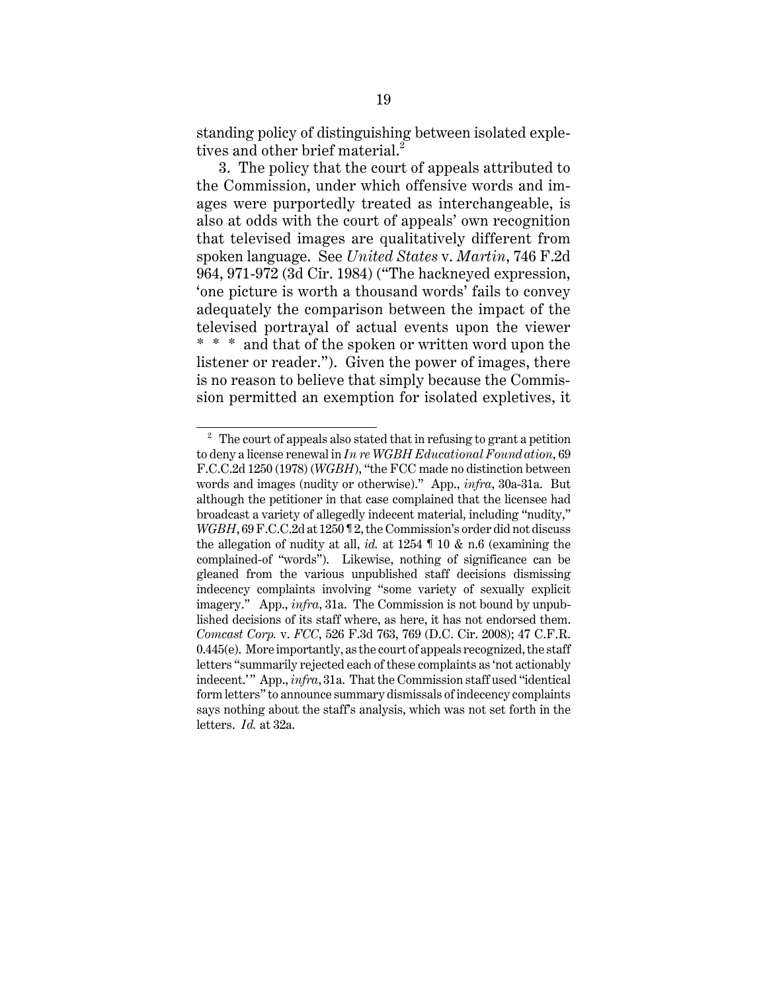standing policy of distinguishing between isolated expletives and other brief material.<sup>2</sup>

3. The policy that the court of appeals attributed to the Commission, under which offensive words and images were purportedly treated as interchangeable, is also at odds with the court of appeals' own recognition that televised images are qualitatively different from spoken language. See *United States* v. *Martin*, 746 F.2d 964, 971-972 (3d Cir. 1984) ("The hackneyed expression, 'one picture is worth a thousand words' fails to convey adequately the comparison between the impact of the televised portrayal of actual events upon the viewer \* \* \* and that of the spoken or written word upon the listener or reader."). Given the power of images, there is no reason to believe that simply because the Commission permitted an exemption for isolated expletives, it

 $2\degree$  The court of appeals also stated that in refusing to grant a petition to deny a license renewal in *In re WGBH Educational Foundation*, 69 F.C.C.2d 1250 (1978) (*WGBH*), "the FCC made no distinction between words and images (nudity or otherwise)." App., *infra*, 30a-31a. But although the petitioner in that case complained that the licensee had broadcast a variety of allegedly indecent material, including "nudity," *WGBH*, 69 F.C.C.2d at 1250 ¶ 2, the Commission's order did not discuss the allegation of nudity at all, *id.* at 1254 ¶ 10 & n.6 (examining the complained-of "words"). Likewise, nothing of significance can be gleaned from the various unpublished staff decisions dismissing indecency complaints involving "some variety of sexually explicit imagery." App., *infra*, 31a. The Commission is not bound by unpublished decisions of its staff where, as here, it has not endorsed them. *Comcast Corp.* v. *FCC*, 526 F.3d 763, 769 (D.C. Cir. 2008); 47 C.F.R. 0.445(e). More importantly, as the court of appeals recognized, the staff letters "summarily rejected each of these complaints as 'not actionably indecent.'" App., *infra*, 31a. That the Commission staff used "identical form letters" to announce summary dismissals of indecency complaints says nothing about the staff's analysis, which was not set forth in the letters. *Id.* at 32a.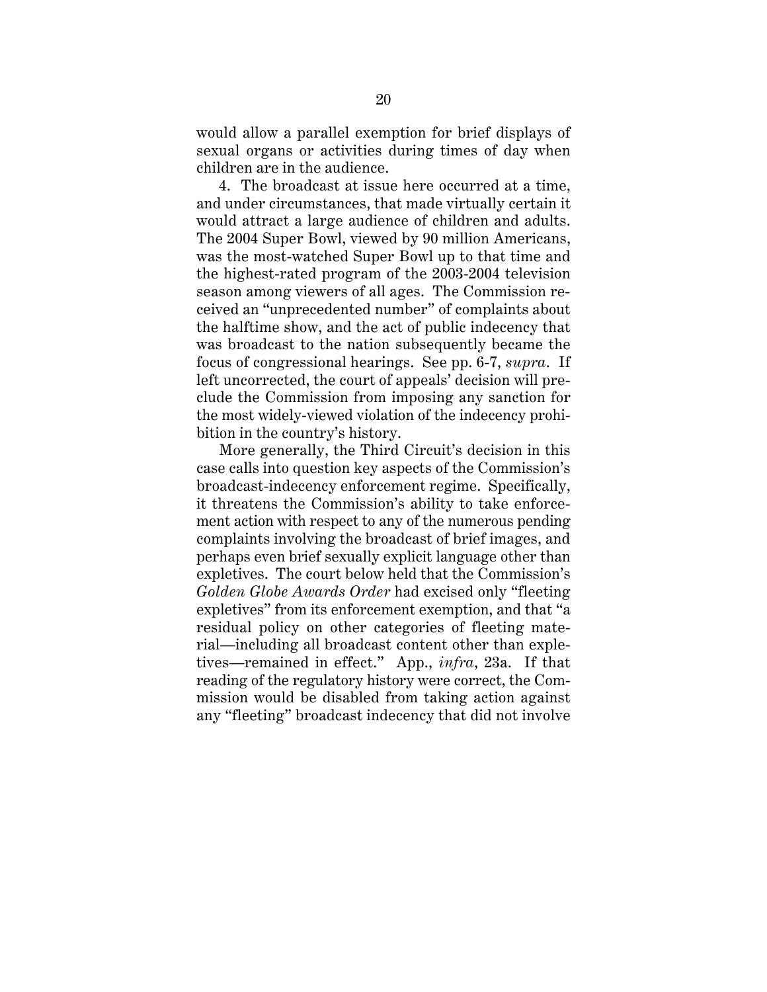would allow a parallel exemption for brief displays of sexual organs or activities during times of day when children are in the audience.

4. The broadcast at issue here occurred at a time, and under circumstances, that made virtually certain it would attract a large audience of children and adults. The 2004 Super Bowl, viewed by 90 million Americans, was the most-watched Super Bowl up to that time and the highest-rated program of the 2003-2004 television season among viewers of all ages. The Commission received an "unprecedented number" of complaints about the halftime show, and the act of public indecency that was broadcast to the nation subsequently became the focus of congressional hearings. See pp. 6-7, *supra*. If left uncorrected, the court of appeals' decision will preclude the Commission from imposing any sanction for the most widely-viewed violation of the indecency prohibition in the country's history.

More generally, the Third Circuit's decision in this case calls into question key aspects of the Commission's broadcast-indecency enforcement regime. Specifically, it threatens the Commission's ability to take enforcement action with respect to any of the numerous pending complaints involving the broadcast of brief images, and perhaps even brief sexually explicit language other than expletives. The court below held that the Commission's *Golden Globe Awards Order* had excised only "fleeting expletives" from its enforcement exemption, and that "a residual policy on other categories of fleeting material—including all broadcast content other than expletives—remained in effect." App., *infra*, 23a. If that reading of the regulatory history were correct, the Commission would be disabled from taking action against any "fleeting" broadcast indecency that did not involve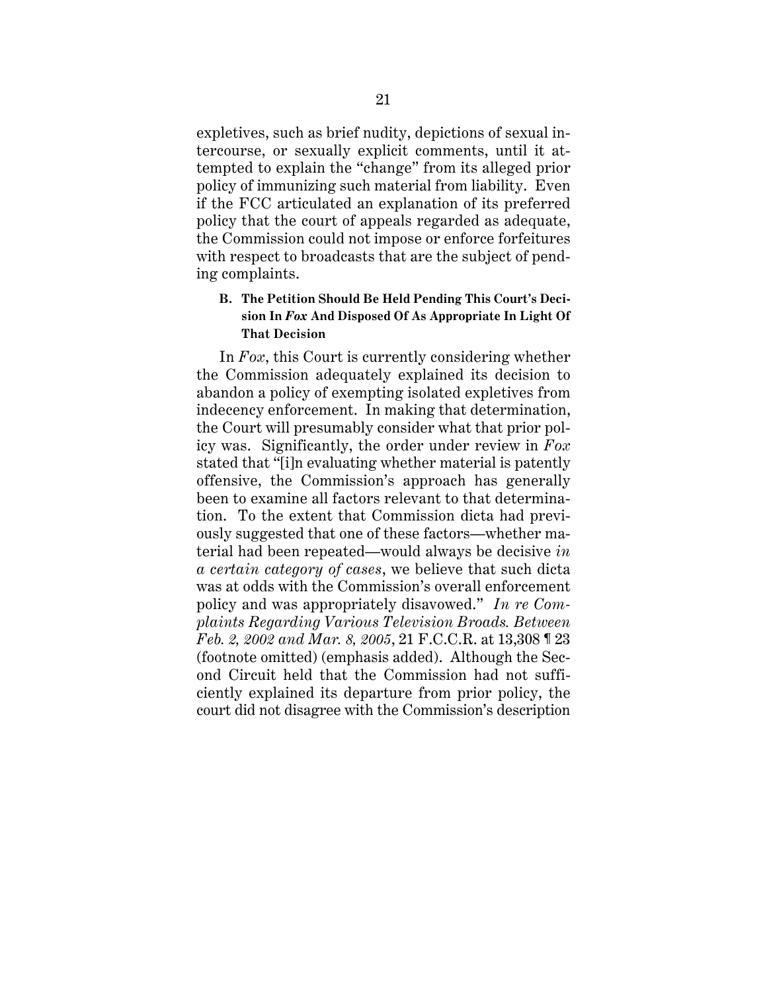expletives, such as brief nudity, depictions of sexual intercourse, or sexually explicit comments, until it attempted to explain the "change" from its alleged prior policy of immunizing such material from liability. Even if the FCC articulated an explanation of its preferred policy that the court of appeals regarded as adequate, the Commission could not impose or enforce forfeitures with respect to broadcasts that are the subject of pending complaints.

## **B. The Petition Should Be Held Pending This Court's Decision In** *Fox* **And Disposed Of As Appropriate In Light Of That Decision**

In *Fox*, this Court is currently considering whether the Commission adequately explained its decision to abandon a policy of exempting isolated expletives from indecency enforcement. In making that determination, the Court will presumably consider what that prior policy was. Significantly, the order under review in *Fox* stated that "[i]n evaluating whether material is patently offensive, the Commission's approach has generally been to examine all factors relevant to that determination. To the extent that Commission dicta had previously suggested that one of these factors—whether material had been repeated—would always be decisive *in a certain category of cases*, we believe that such dicta was at odds with the Commission's overall enforcement policy and was appropriately disavowed." *In re Complaints Regarding Various Television Broads. Between Feb. 2, 2002 and Mar. 8, 2005*, 21 F.C.C.R. at 13,308 ¶ 23 (footnote omitted) (emphasis added). Although the Second Circuit held that the Commission had not sufficiently explained its departure from prior policy, the court did not disagree with the Commission's description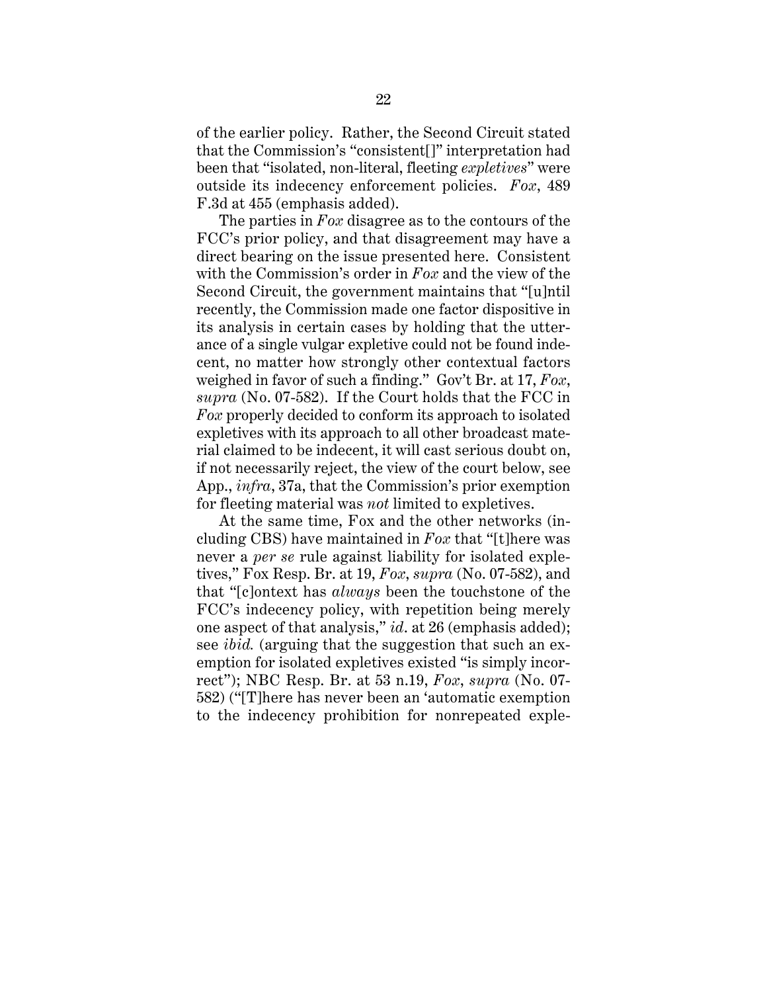of the earlier policy. Rather, the Second Circuit stated that the Commission's "consistent[]" interpretation had been that "isolated, non-literal, fleeting *expletives*" were outside its indecency enforcement policies. *Fox*, 489 F.3d at 455 (emphasis added).

The parties in *Fox* disagree as to the contours of the FCC's prior policy, and that disagreement may have a direct bearing on the issue presented here. Consistent with the Commission's order in *Fox* and the view of the Second Circuit, the government maintains that "[u]ntil recently, the Commission made one factor dispositive in its analysis in certain cases by holding that the utterance of a single vulgar expletive could not be found indecent, no matter how strongly other contextual factors weighed in favor of such a finding." Gov't Br. at 17, *Fox*, *supra* (No. 07-582). If the Court holds that the FCC in *Fox* properly decided to conform its approach to isolated expletives with its approach to all other broadcast material claimed to be indecent, it will cast serious doubt on, if not necessarily reject, the view of the court below, see App., *infra*, 37a, that the Commission's prior exemption for fleeting material was *not* limited to expletives.

At the same time, Fox and the other networks (including CBS) have maintained in *Fox* that "[t]here was never a *per se* rule against liability for isolated expletives," Fox Resp. Br. at 19, *Fox*, *supra* (No. 07-582), and that "[c]ontext has *always* been the touchstone of the FCC's indecency policy, with repetition being merely one aspect of that analysis," *id*. at 26 (emphasis added); see *ibid.* (arguing that the suggestion that such an exemption for isolated expletives existed "is simply incorrect"); NBC Resp. Br. at 53 n.19, *Fox*, *supra* (No. 07- 582) ("[T]here has never been an 'automatic exemption to the indecency prohibition for nonrepeated exple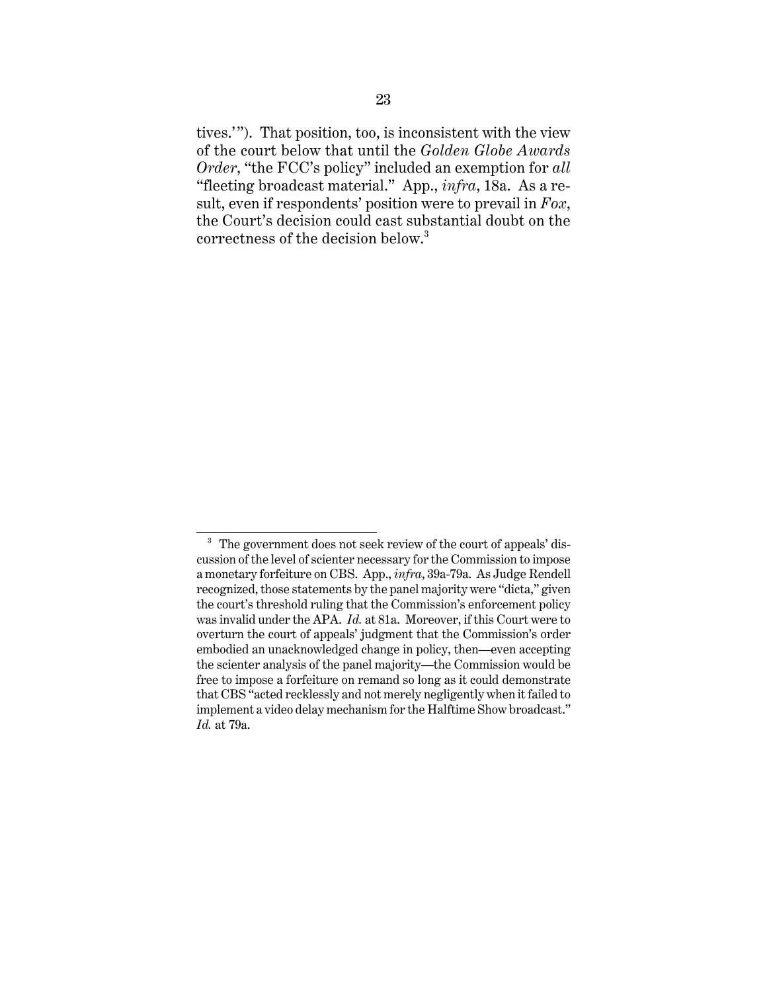tives.'"). That position, too, is inconsistent with the view of the court below that until the *Golden Globe Awards Order*, "the FCC's policy" included an exemption for *all* "fleeting broadcast material." App., *infra*, 18a. As a result, even if respondents' position were to prevail in *Fox*, the Court's decision could cast substantial doubt on the correctness of the decision below.<sup>3</sup>

<sup>&</sup>lt;sup>3</sup> The government does not seek review of the court of appeals' discussion of the level of scienter necessary for the Commission to impose a monetary forfeiture on CBS. App., *infra*, 39a-79a. As Judge Rendell recognized, those statements by the panel majority were "dicta," given the court's threshold ruling that the Commission's enforcement policy was invalid under the APA. *Id.* at 81a. Moreover, if this Court were to overturn the court of appeals' judgment that the Commission's order embodied an unacknowledged change in policy, then—even accepting the scienter analysis of the panel majority—the Commission would be free to impose a forfeiture on remand so long as it could demonstrate that CBS "acted recklessly and not merely negligently when it failed to implement a video delay mechanism for the Halftime Show broadcast." *Id.* at 79a.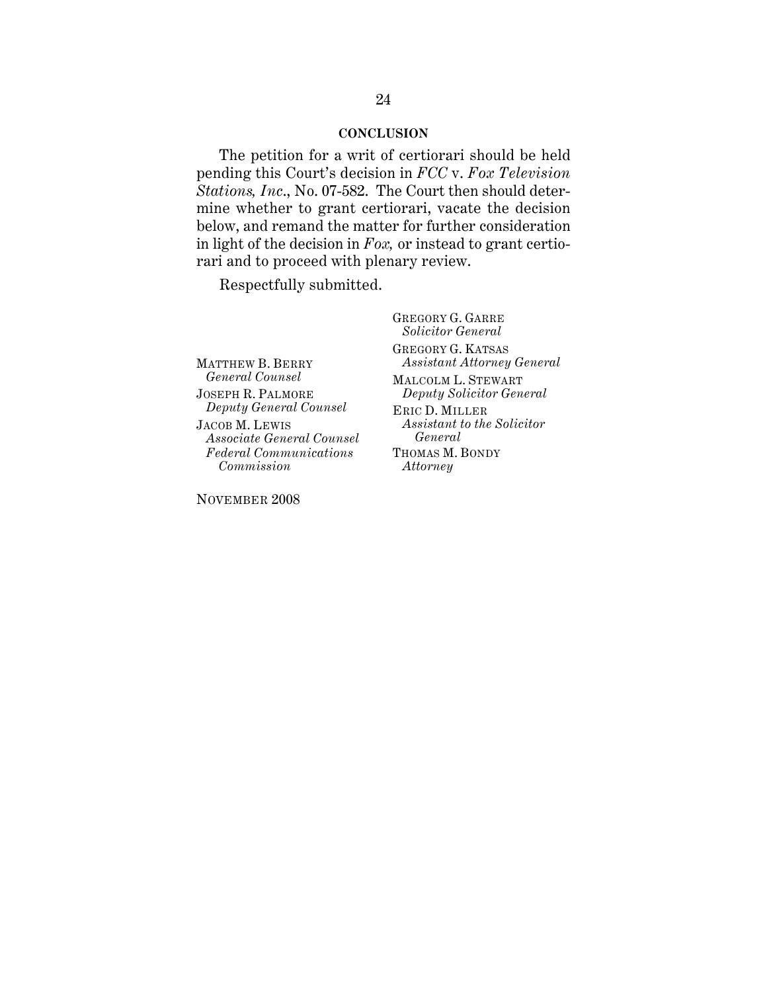### **CONCLUSION**

The petition for a writ of certiorari should be held pending this Court's decision in *FCC* v. *Fox Television Stations, Inc*., No. 07-582. The Court then should determine whether to grant certiorari, vacate the decision below, and remand the matter for further consideration in light of the decision in *Fox,* or instead to grant certiorari and to proceed with plenary review.

Respectfully submitted.

MATTHEW B. BERRY *General Counsel* JOSEPH R. PALMORE *Deputy General Counsel* JACOB M. LEWIS *Associate General Counsel Federal Communications*

*Commission*

NOVEMBER 2008

GREGORY G. GARRE *Solicitor General* GREGORY G. KATSAS *Assistant Attorney General* MALCOLM L. STEWART *Deputy Solicitor General* ERIC D. MILLER *Assistant to the Solicitor General* THOMAS M. BONDY *Attorney*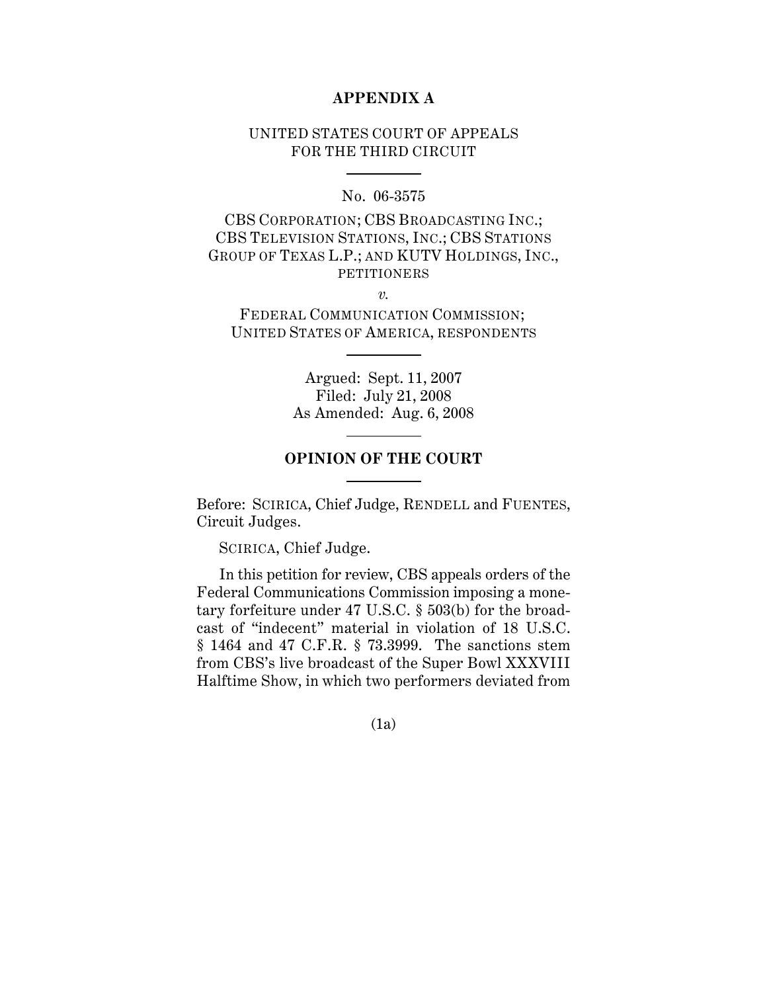## **APPENDIX A**

## UNITED STATES COURT OF APPEALS FOR THE THIRD CIRCUIT

## No. 06-3575

CBS CORPORATION; CBS BROADCASTING INC.; CBS TELEVISION STATIONS, INC.; CBS STATIONS GROUP OF TEXAS L.P.; AND KUTV HOLDINGS, INC., **PETITIONERS** 

*v.*

FEDERAL COMMUNICATION COMMISSION; UNITED STATES OF AMERICA, RESPONDENTS

> Argued: Sept. 11, 2007 Filed: July 21, 2008 As Amended: Aug. 6, 2008

## **OPINION OF THE COURT**

Before: SCIRICA, Chief Judge, RENDELL and FUENTES, Circuit Judges.

SCIRICA, Chief Judge.

In this petition for review, CBS appeals orders of the Federal Communications Commission imposing a monetary forfeiture under 47 U.S.C. § 503(b) for the broadcast of "indecent" material in violation of 18 U.S.C. § 1464 and 47 C.F.R. § 73.3999. The sanctions stem from CBS's live broadcast of the Super Bowl XXXVIII Halftime Show, in which two performers deviated from

(1a)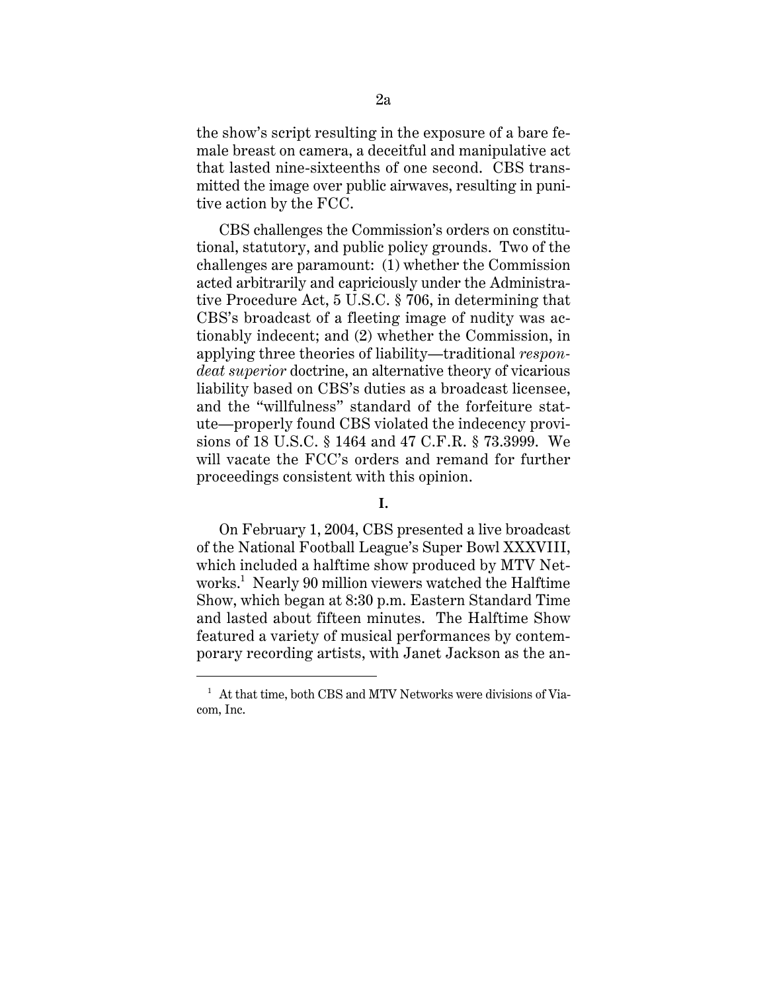the show's script resulting in the exposure of a bare female breast on camera, a deceitful and manipulative act that lasted nine-sixteenths of one second. CBS transmitted the image over public airwaves, resulting in punitive action by the FCC.

CBS challenges the Commission's orders on constitutional, statutory, and public policy grounds. Two of the challenges are paramount: (1) whether the Commission acted arbitrarily and capriciously under the Administrative Procedure Act, 5 U.S.C. § 706, in determining that CBS's broadcast of a fleeting image of nudity was actionably indecent; and (2) whether the Commission, in applying three theories of liability—traditional *respondeat superior* doctrine, an alternative theory of vicarious liability based on CBS's duties as a broadcast licensee, and the "willfulness" standard of the forfeiture statute—properly found CBS violated the indecency provisions of 18 U.S.C. § 1464 and 47 C.F.R. § 73.3999. We will vacate the FCC's orders and remand for further proceedings consistent with this opinion.

## **I.**

On February 1, 2004, CBS presented a live broadcast of the National Football League's Super Bowl XXXVIII, which included a halftime show produced by MTV Networks.<sup>1</sup> Nearly 90 million viewers watched the Halftime Show, which began at 8:30 p.m. Eastern Standard Time and lasted about fifteen minutes. The Halftime Show featured a variety of musical performances by contemporary recording artists, with Janet Jackson as the an-

<sup>&</sup>lt;sup>1</sup> At that time, both CBS and MTV Networks were divisions of Viacom, Inc.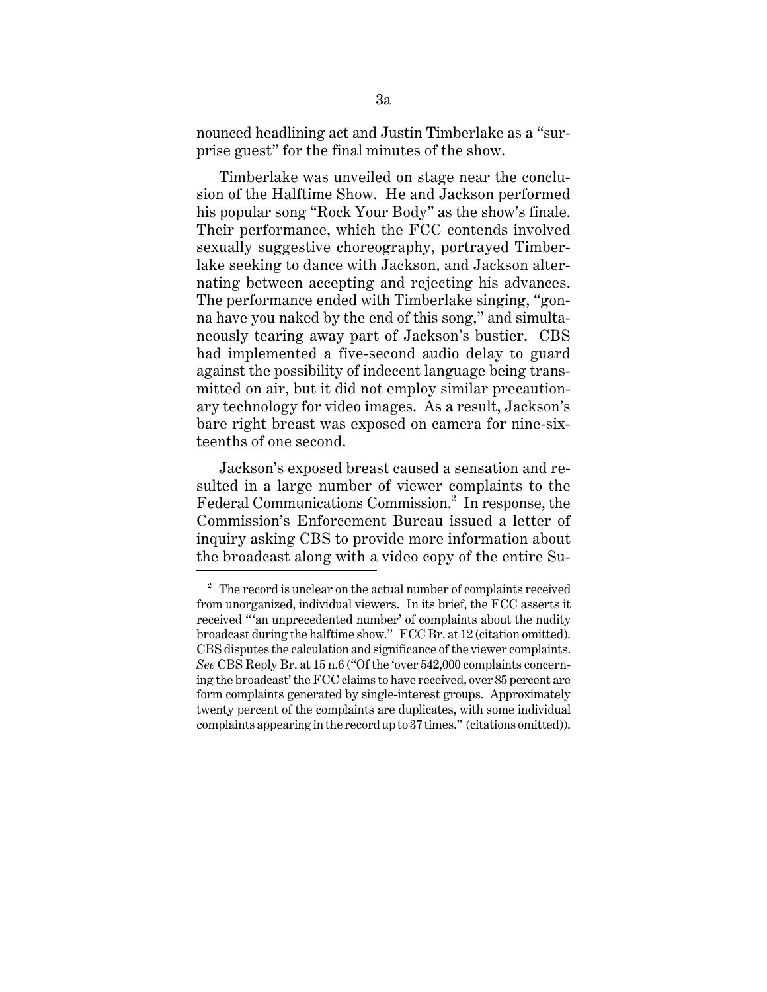nounced headlining act and Justin Timberlake as a "surprise guest" for the final minutes of the show.

Timberlake was unveiled on stage near the conclusion of the Halftime Show. He and Jackson performed his popular song "Rock Your Body" as the show's finale. Their performance, which the FCC contends involved sexually suggestive choreography, portrayed Timberlake seeking to dance with Jackson, and Jackson alternating between accepting and rejecting his advances. The performance ended with Timberlake singing, "gonna have you naked by the end of this song," and simultaneously tearing away part of Jackson's bustier. CBS had implemented a five-second audio delay to guard against the possibility of indecent language being transmitted on air, but it did not employ similar precautionary technology for video images. As a result, Jackson's bare right breast was exposed on camera for nine-sixteenths of one second.

Jackson's exposed breast caused a sensation and resulted in a large number of viewer complaints to the Federal Communications Commission.<sup>2</sup> In response, the Commission's Enforcement Bureau issued a letter of inquiry asking CBS to provide more information about the broadcast along with a video copy of the entire Su-

 $2^2$  The record is unclear on the actual number of complaints received from unorganized, individual viewers. In its brief, the FCC asserts it received "'an unprecedented number' of complaints about the nudity broadcast during the halftime show." FCC Br. at 12 (citation omitted). CBS disputes the calculation and significance of the viewer complaints. *See* CBS Reply Br. at 15 n.6 ("Of the 'over 542,000 complaints concerning the broadcast' the FCC claims to have received, over 85 percent are form complaints generated by single-interest groups. Approximately twenty percent of the complaints are duplicates, with some individual complaints appearing in the record up to 37 times." (citations omitted)).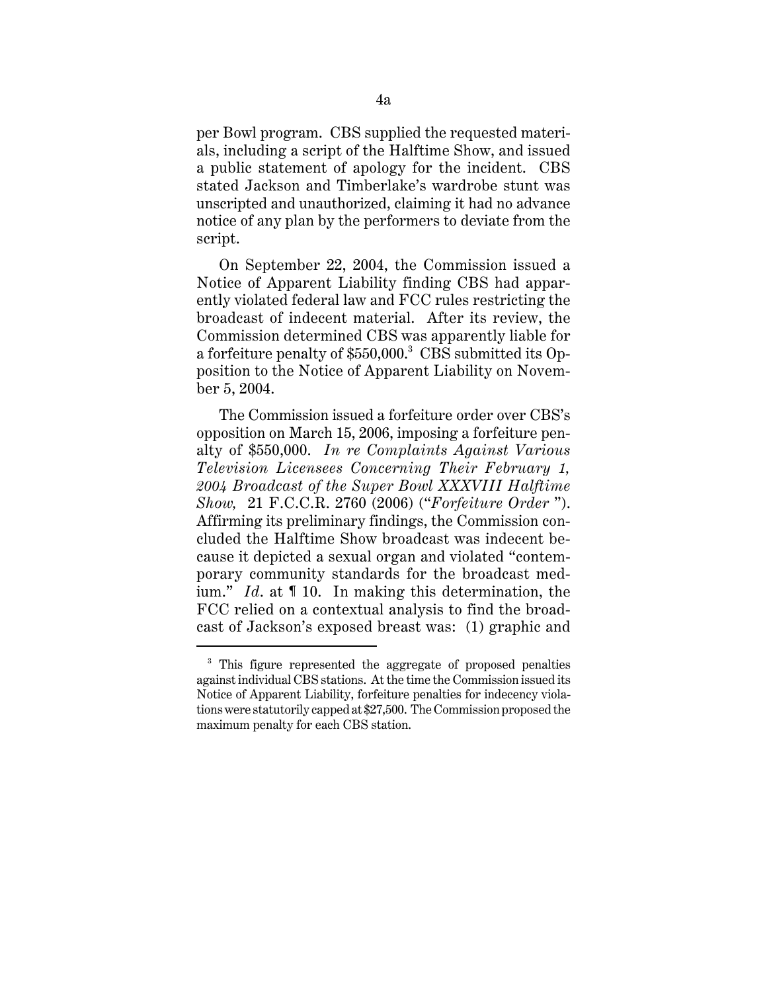per Bowl program. CBS supplied the requested materials, including a script of the Halftime Show, and issued a public statement of apology for the incident. CBS stated Jackson and Timberlake's wardrobe stunt was unscripted and unauthorized, claiming it had no advance notice of any plan by the performers to deviate from the script.

On September 22, 2004, the Commission issued a Notice of Apparent Liability finding CBS had apparently violated federal law and FCC rules restricting the broadcast of indecent material. After its review, the Commission determined CBS was apparently liable for a forfeiture penalty of \$550,000.<sup>3</sup> CBS submitted its Opposition to the Notice of Apparent Liability on November 5, 2004.

The Commission issued a forfeiture order over CBS's opposition on March 15, 2006, imposing a forfeiture penalty of \$550,000. *In re Complaints Against Various Television Licensees Concerning Their February 1, 2004 Broadcast of the Super Bowl XXXVIII Halftime Show,* 21 F.C.C.R. 2760 (2006) ("*Forfeiture Order* "). Affirming its preliminary findings, the Commission concluded the Halftime Show broadcast was indecent because it depicted a sexual organ and violated "contemporary community standards for the broadcast medium." *Id*. at ¶ 10. In making this determination, the FCC relied on a contextual analysis to find the broadcast of Jackson's exposed breast was: (1) graphic and

<sup>&</sup>lt;sup>3</sup> This figure represented the aggregate of proposed penalties against individual CBS stations. At the time the Commission issued its Notice of Apparent Liability, forfeiture penalties for indecency violations were statutorily capped at \$27,500. The Commission proposed the maximum penalty for each CBS station.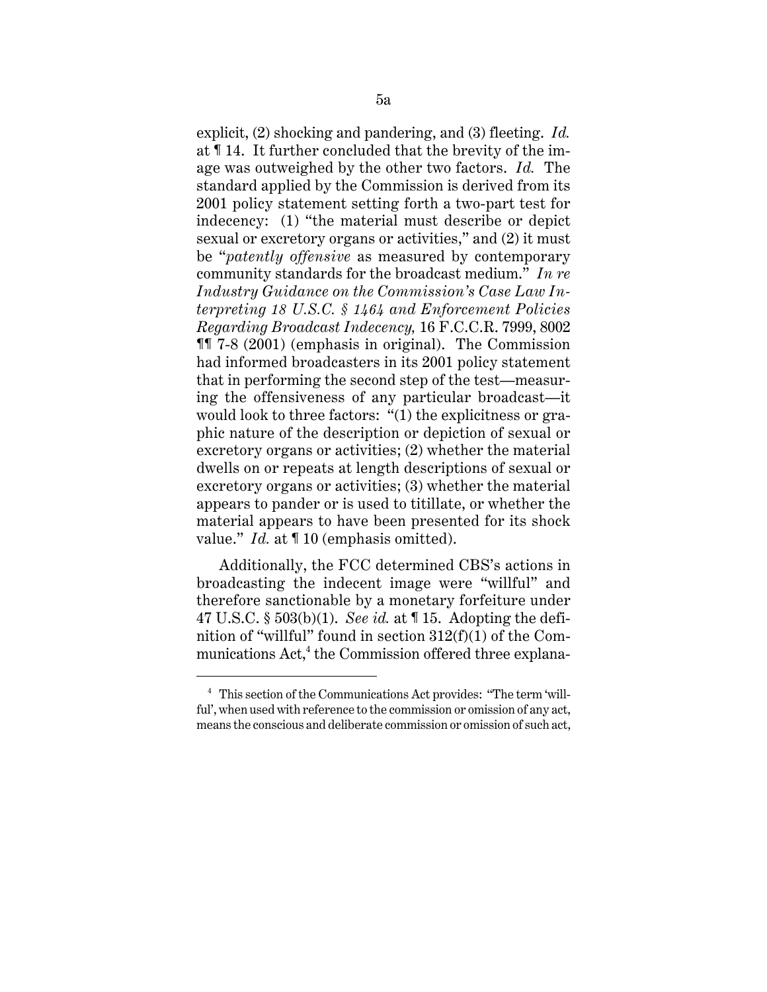explicit, (2) shocking and pandering, and (3) fleeting. *Id.* at ¶ 14. It further concluded that the brevity of the image was outweighed by the other two factors. *Id.* The standard applied by the Commission is derived from its 2001 policy statement setting forth a two-part test for indecency: (1) "the material must describe or depict sexual or excretory organs or activities," and (2) it must be "*patently offensive* as measured by contemporary community standards for the broadcast medium." *In re Industry Guidance on the Commission's Case Law Interpreting 18 U.S.C. § 1464 and Enforcement Policies Regarding Broadcast Indecency,* 16 F.C.C.R. 7999, 8002 ¶¶ 7-8 (2001) (emphasis in original). The Commission had informed broadcasters in its 2001 policy statement that in performing the second step of the test—measuring the offensiveness of any particular broadcast—it would look to three factors:  $\cdot$  (1) the explicitness or graphic nature of the description or depiction of sexual or excretory organs or activities; (2) whether the material dwells on or repeats at length descriptions of sexual or excretory organs or activities; (3) whether the material appears to pander or is used to titillate, or whether the material appears to have been presented for its shock value." *Id.* at  $\P$  10 (emphasis omitted).

Additionally, the FCC determined CBS's actions in broadcasting the indecent image were "willful" and therefore sanctionable by a monetary forfeiture under 47 U.S.C. § 503(b)(1). *See id.* at ¶ 15. Adopting the definition of "willful" found in section 312(f)(1) of the Communications Act,<sup>4</sup> the Commission offered three explana-

<sup>4</sup> This section of the Communications Act provides: "The term 'willful', when used with reference to the commission or omission of any act, means the conscious and deliberate commission or omission of such act,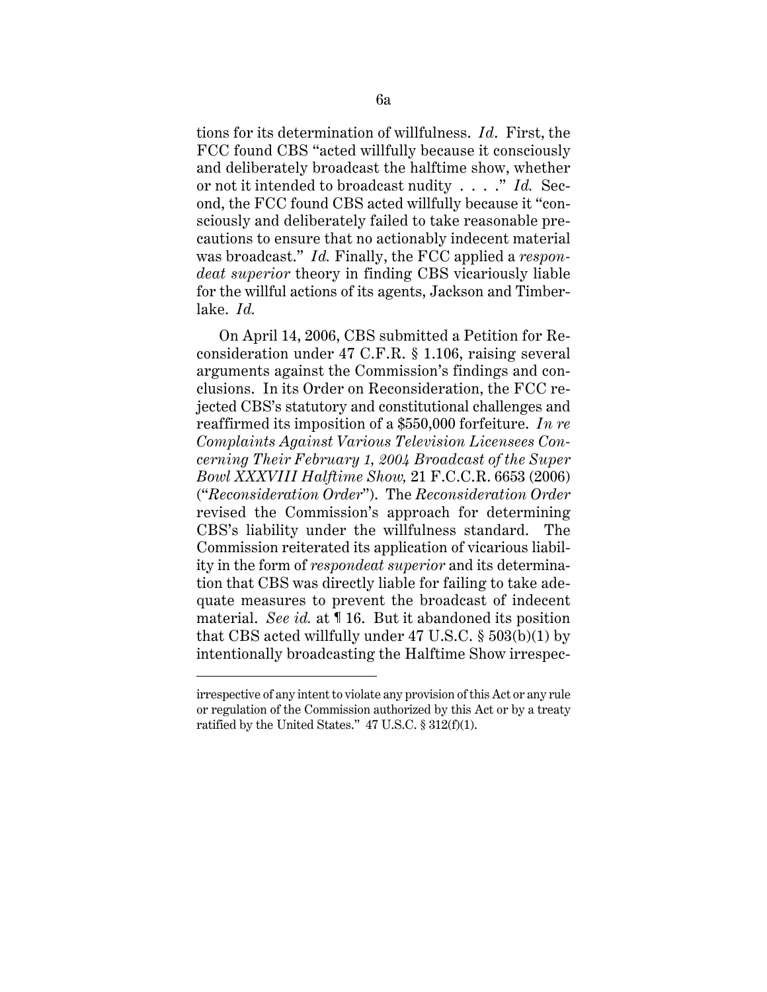tions for its determination of willfulness. *Id*. First, the FCC found CBS "acted willfully because it consciously and deliberately broadcast the halftime show, whether or not it intended to broadcast nudity . . . ." *Id.* Second, the FCC found CBS acted willfully because it "consciously and deliberately failed to take reasonable precautions to ensure that no actionably indecent material was broadcast." *Id.* Finally, the FCC applied a *respondeat superior* theory in finding CBS vicariously liable for the willful actions of its agents, Jackson and Timberlake. *Id.*

On April 14, 2006, CBS submitted a Petition for Reconsideration under 47 C.F.R. § 1.106, raising several arguments against the Commission's findings and conclusions. In its Order on Reconsideration, the FCC rejected CBS's statutory and constitutional challenges and reaffirmed its imposition of a \$550,000 forfeiture. *In re Complaints Against Various Television Licensees Concerning Their February 1, 2004 Broadcast of the Super Bowl XXXVIII Halftime Show,* 21 F.C.C.R. 6653 (2006) ("*Reconsideration Order*"). The *Reconsideration Order* revised the Commission's approach for determining CBS's liability under the willfulness standard. The Commission reiterated its application of vicarious liability in the form of *respondeat superior* and its determination that CBS was directly liable for failing to take adequate measures to prevent the broadcast of indecent material. *See id.* at ¶ 16. But it abandoned its position that CBS acted willfully under 47 U.S.C. § 503(b)(1) by intentionally broadcasting the Halftime Show irrespec-

irrespective of any intent to violate any provision of this Act or any rule or regulation of the Commission authorized by this Act or by a treaty ratified by the United States." 47 U.S.C. § 312(f)(1).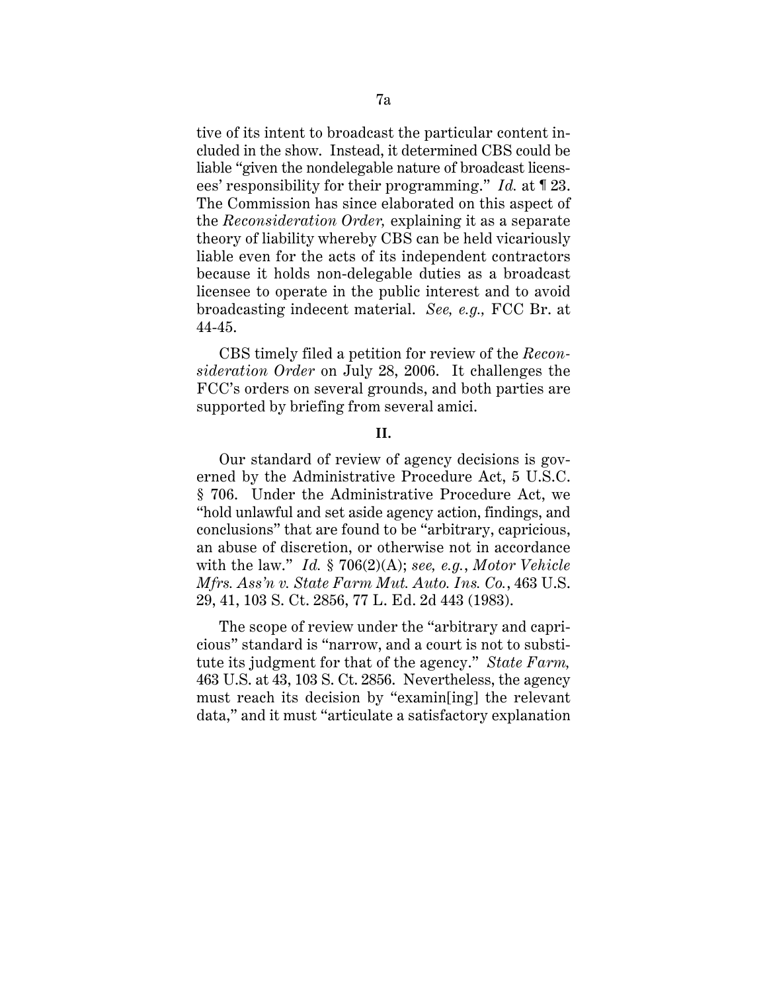tive of its intent to broadcast the particular content included in the show. Instead, it determined CBS could be liable "given the nondelegable nature of broadcast licensees' responsibility for their programming." *Id.* at ¶ 23. The Commission has since elaborated on this aspect of the *Reconsideration Order,* explaining it as a separate theory of liability whereby CBS can be held vicariously liable even for the acts of its independent contractors because it holds non-delegable duties as a broadcast licensee to operate in the public interest and to avoid broadcasting indecent material. *See, e.g.,* FCC Br. at 44-45.

CBS timely filed a petition for review of the *Reconsideration Order* on July 28, 2006. It challenges the FCC's orders on several grounds, and both parties are supported by briefing from several amici.

#### **II.**

Our standard of review of agency decisions is governed by the Administrative Procedure Act, 5 U.S.C. § 706. Under the Administrative Procedure Act, we "hold unlawful and set aside agency action, findings, and conclusions" that are found to be "arbitrary, capricious, an abuse of discretion, or otherwise not in accordance with the law." *Id.* § 706(2)(A); *see, e.g.*, *Motor Vehicle Mfrs. Ass'n v. State Farm Mut. Auto. Ins. Co.*, 463 U.S. 29, 41, 103 S. Ct. 2856, 77 L. Ed. 2d 443 (1983).

The scope of review under the "arbitrary and capricious" standard is "narrow, and a court is not to substitute its judgment for that of the agency." *State Farm,* 463 U.S. at 43, 103 S. Ct. 2856. Nevertheless, the agency must reach its decision by "examin[ing] the relevant data," and it must "articulate a satisfactory explanation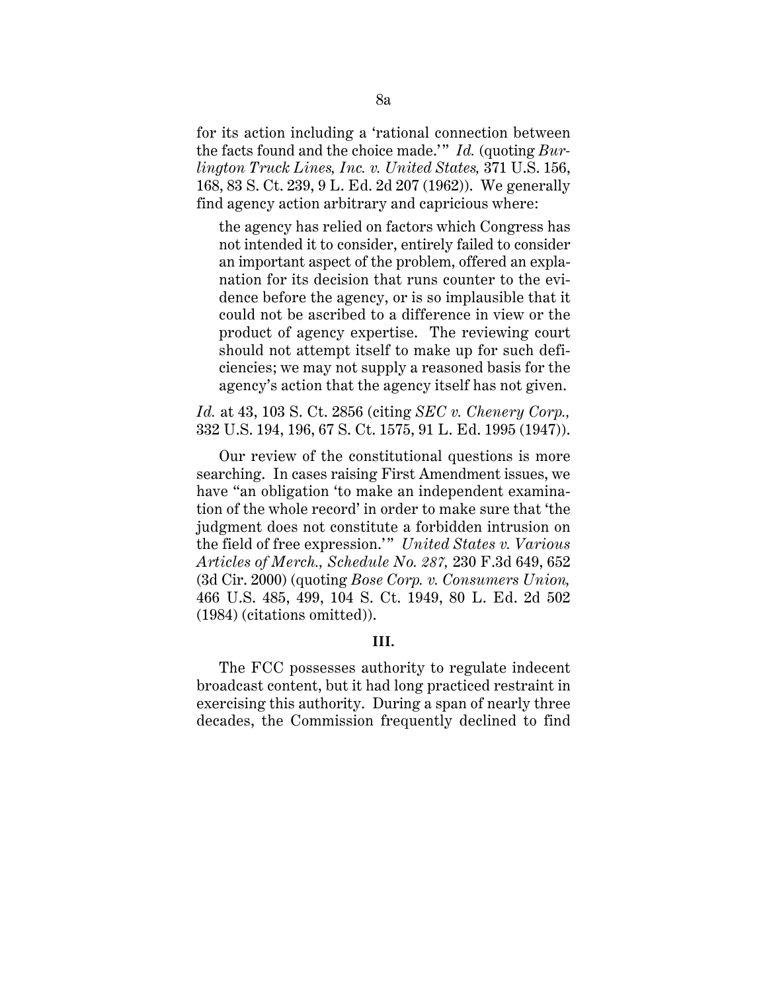for its action including a 'rational connection between the facts found and the choice made.'" *Id.* (quoting *Burlington Truck Lines, Inc. v. United States,* 371 U.S. 156, 168, 83 S. Ct. 239, 9 L. Ed. 2d 207 (1962)). We generally find agency action arbitrary and capricious where:

the agency has relied on factors which Congress has not intended it to consider, entirely failed to consider an important aspect of the problem, offered an explanation for its decision that runs counter to the evidence before the agency, or is so implausible that it could not be ascribed to a difference in view or the product of agency expertise. The reviewing court should not attempt itself to make up for such deficiencies; we may not supply a reasoned basis for the agency's action that the agency itself has not given.

*Id.* at 43, 103 S. Ct. 2856 (citing *SEC v. Chenery Corp.,* 332 U.S. 194, 196, 67 S. Ct. 1575, 91 L. Ed. 1995 (1947)).

Our review of the constitutional questions is more searching. In cases raising First Amendment issues, we have "an obligation 'to make an independent examination of the whole record' in order to make sure that 'the judgment does not constitute a forbidden intrusion on the field of free expression.'" *United States v. Various Articles of Merch., Schedule No. 287,* 230 F.3d 649, 652 (3d Cir. 2000) (quoting *Bose Corp. v. Consumers Union,* 466 U.S. 485, 499, 104 S. Ct. 1949, 80 L. Ed. 2d 502 (1984) (citations omitted)).

# **III.**

The FCC possesses authority to regulate indecent broadcast content, but it had long practiced restraint in exercising this authority. During a span of nearly three decades, the Commission frequently declined to find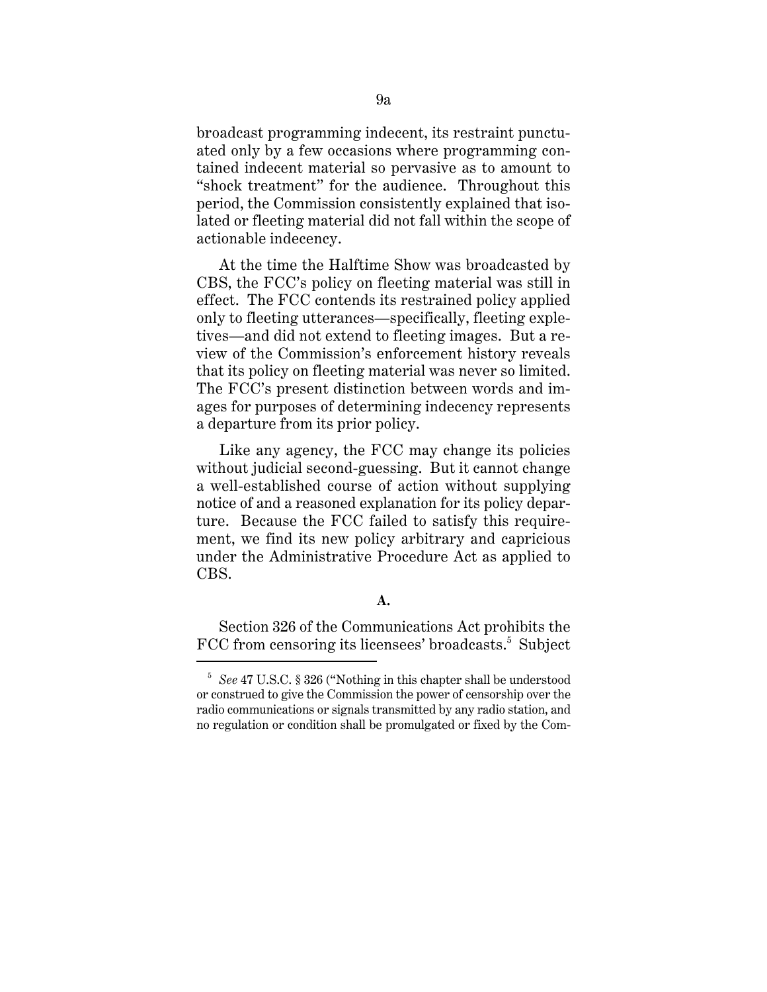broadcast programming indecent, its restraint punctuated only by a few occasions where programming contained indecent material so pervasive as to amount to "shock treatment" for the audience. Throughout this period, the Commission consistently explained that isolated or fleeting material did not fall within the scope of actionable indecency.

At the time the Halftime Show was broadcasted by CBS, the FCC's policy on fleeting material was still in effect. The FCC contends its restrained policy applied only to fleeting utterances—specifically, fleeting expletives—and did not extend to fleeting images. But a review of the Commission's enforcement history reveals that its policy on fleeting material was never so limited. The FCC's present distinction between words and images for purposes of determining indecency represents a departure from its prior policy.

Like any agency, the FCC may change its policies without judicial second-guessing. But it cannot change a well-established course of action without supplying notice of and a reasoned explanation for its policy departure. Because the FCC failed to satisfy this requirement, we find its new policy arbitrary and capricious under the Administrative Procedure Act as applied to CBS.

# **A.**

Section 326 of the Communications Act prohibits the FCC from censoring its licensees' broadcasts.<sup>5</sup> Subject

<sup>5</sup> *See* 47 U.S.C. § 326 ("Nothing in this chapter shall be understood or construed to give the Commission the power of censorship over the radio communications or signals transmitted by any radio station, and no regulation or condition shall be promulgated or fixed by the Com-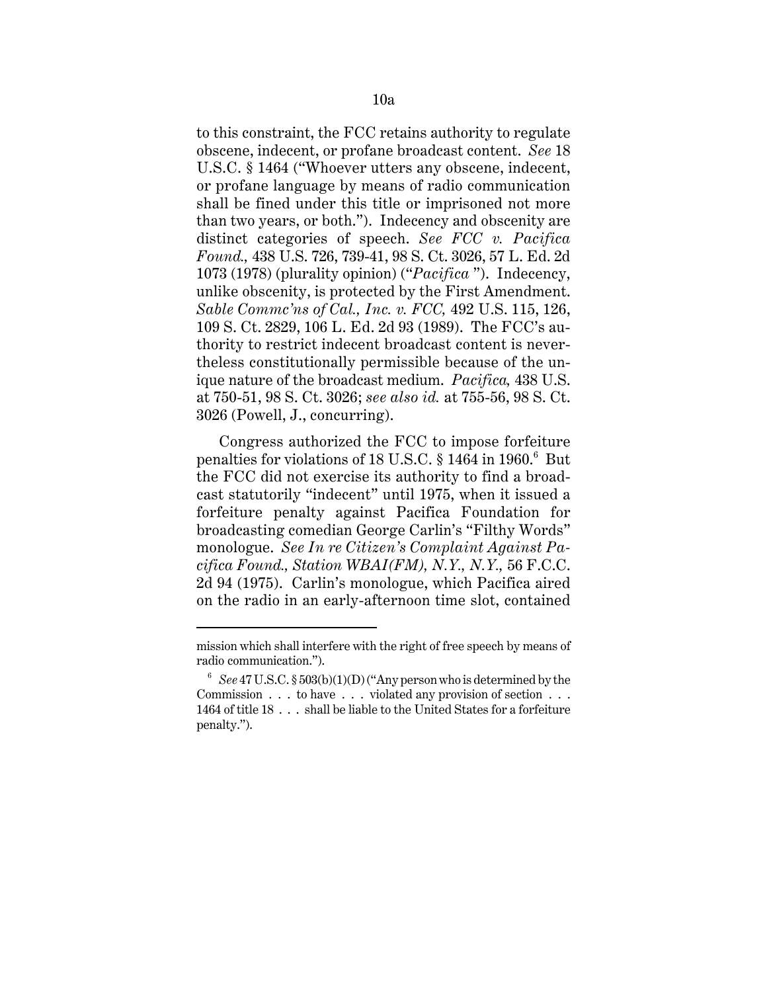to this constraint, the FCC retains authority to regulate obscene, indecent, or profane broadcast content. *See* 18 U.S.C. § 1464 ("Whoever utters any obscene, indecent, or profane language by means of radio communication shall be fined under this title or imprisoned not more than two years, or both."). Indecency and obscenity are distinct categories of speech. *See FCC v. Pacifica Found.,* 438 U.S. 726, 739-41, 98 S. Ct. 3026, 57 L. Ed. 2d 1073 (1978) (plurality opinion) ("*Pacifica* "). Indecency, unlike obscenity, is protected by the First Amendment. *Sable Commc'ns of Cal., Inc. v. FCC,* 492 U.S. 115, 126, 109 S. Ct. 2829, 106 L. Ed. 2d 93 (1989). The FCC's authority to restrict indecent broadcast content is nevertheless constitutionally permissible because of the unique nature of the broadcast medium. *Pacifica,* 438 U.S. at 750-51, 98 S. Ct. 3026; *see also id.* at 755-56, 98 S. Ct. 3026 (Powell, J., concurring).

Congress authorized the FCC to impose forfeiture penalties for violations of 18 U.S.C. § 1464 in 1960. $^6\,$  But the FCC did not exercise its authority to find a broadcast statutorily "indecent" until 1975, when it issued a forfeiture penalty against Pacifica Foundation for broadcasting comedian George Carlin's "Filthy Words" monologue. *See In re Citizen's Complaint Against Pacifica Found., Station WBAI(FM), N.Y., N.Y.,* 56 F.C.C. 2d 94 (1975). Carlin's monologue, which Pacifica aired on the radio in an early-afternoon time slot, contained

mission which shall interfere with the right of free speech by means of radio communication.").

 $6 \text{ }$  *See* 47 U.S.C. § 503(b)(1)(D) ("Any person who is determined by the Commission . . . to have . . . violated any provision of section . . . 1464 of title 18 . . . shall be liable to the United States for a forfeiture penalty.").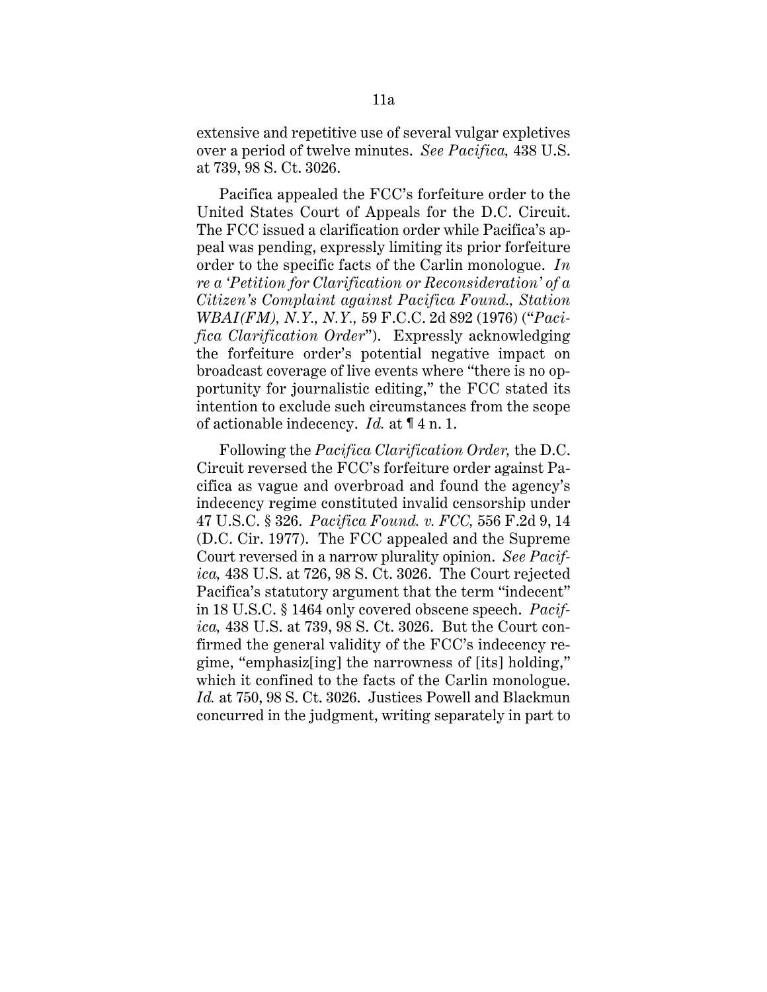extensive and repetitive use of several vulgar expletives over a period of twelve minutes. *See Pacifica,* 438 U.S. at 739, 98 S. Ct. 3026.

Pacifica appealed the FCC's forfeiture order to the United States Court of Appeals for the D.C. Circuit. The FCC issued a clarification order while Pacifica's appeal was pending, expressly limiting its prior forfeiture order to the specific facts of the Carlin monologue. *In re a 'Petition for Clarification or Reconsideration' of a Citizen's Complaint against Pacifica Found., Station WBAI(FM), N.Y., N.Y.,* 59 F.C.C. 2d 892 (1976) ("*Pacifica Clarification Order*"). Expressly acknowledging the forfeiture order's potential negative impact on broadcast coverage of live events where "there is no opportunity for journalistic editing," the FCC stated its intention to exclude such circumstances from the scope of actionable indecency. *Id.* at ¶ 4 n. 1.

Following the *Pacifica Clarification Order,* the D.C. Circuit reversed the FCC's forfeiture order against Pacifica as vague and overbroad and found the agency's indecency regime constituted invalid censorship under 47 U.S.C. § 326. *Pacifica Found. v. FCC,* 556 F.2d 9, 14 (D.C. Cir. 1977). The FCC appealed and the Supreme Court reversed in a narrow plurality opinion. *See Pacifica,* 438 U.S. at 726, 98 S. Ct. 3026. The Court rejected Pacifica's statutory argument that the term "indecent" in 18 U.S.C. § 1464 only covered obscene speech. *Pacifica,* 438 U.S. at 739, 98 S. Ct. 3026. But the Court confirmed the general validity of the FCC's indecency regime, "emphasiz[ing] the narrowness of [its] holding," which it confined to the facts of the Carlin monologue. *Id.* at 750, 98 S. Ct. 3026. Justices Powell and Blackmun concurred in the judgment, writing separately in part to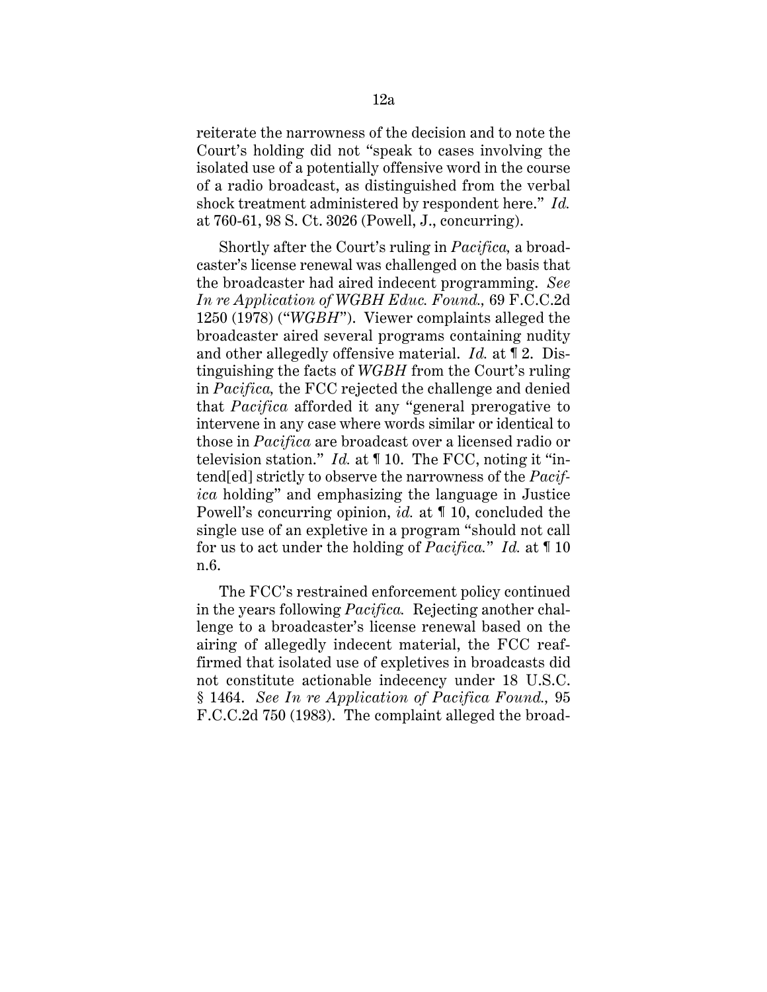reiterate the narrowness of the decision and to note the Court's holding did not "speak to cases involving the isolated use of a potentially offensive word in the course of a radio broadcast, as distinguished from the verbal shock treatment administered by respondent here." *Id.* at 760-61, 98 S. Ct. 3026 (Powell, J., concurring).

Shortly after the Court's ruling in *Pacifica,* a broadcaster's license renewal was challenged on the basis that the broadcaster had aired indecent programming. *See In re Application of WGBH Educ. Found.,* 69 F.C.C.2d 1250 (1978) ("*WGBH*"). Viewer complaints alleged the broadcaster aired several programs containing nudity and other allegedly offensive material. *Id.* at ¶ 2. Distinguishing the facts of *WGBH* from the Court's ruling in *Pacifica,* the FCC rejected the challenge and denied that *Pacifica* afforded it any "general prerogative to intervene in any case where words similar or identical to those in *Pacifica* are broadcast over a licensed radio or television station." *Id.* at ¶ 10. The FCC, noting it "intend[ed] strictly to observe the narrowness of the *Pacifica* holding" and emphasizing the language in Justice Powell's concurring opinion, *id.* at ¶ 10, concluded the single use of an expletive in a program "should not call for us to act under the holding of *Pacifica.*" *Id.* at ¶ 10 n.6.

The FCC's restrained enforcement policy continued in the years following *Pacifica.* Rejecting another challenge to a broadcaster's license renewal based on the airing of allegedly indecent material, the FCC reaffirmed that isolated use of expletives in broadcasts did not constitute actionable indecency under 18 U.S.C. § 1464. *See In re Application of Pacifica Found.,* 95 F.C.C.2d 750 (1983). The complaint alleged the broad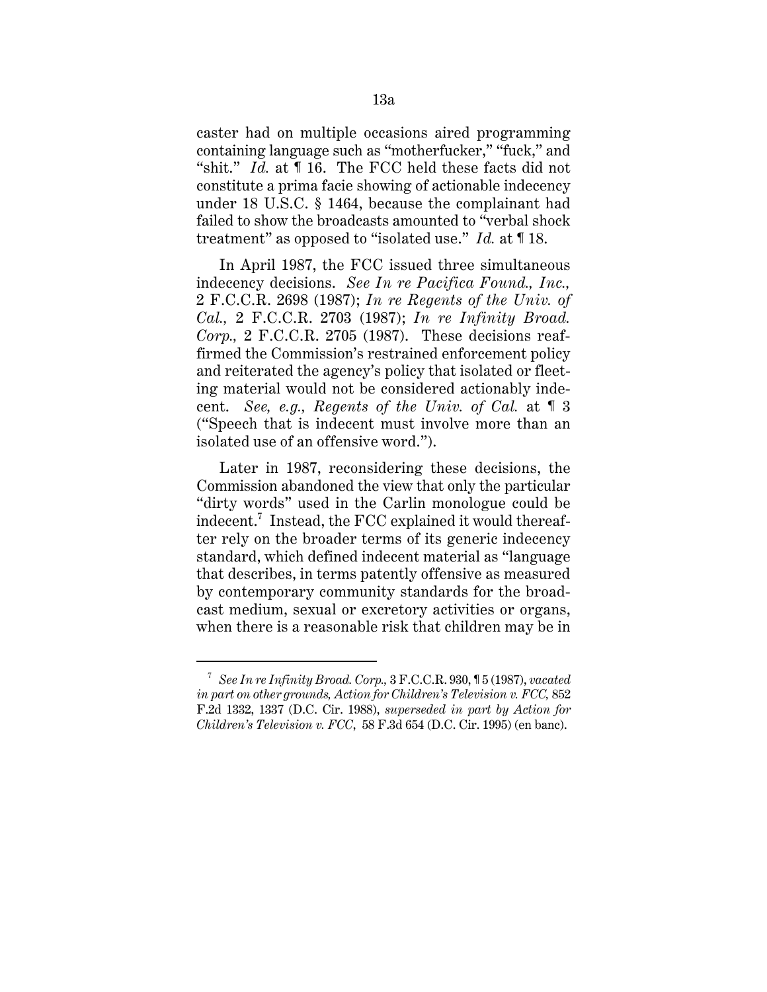caster had on multiple occasions aired programming containing language such as "motherfucker," "fuck," and "shit." *Id.* at ¶ 16. The FCC held these facts did not constitute a prima facie showing of actionable indecency under 18 U.S.C. § 1464, because the complainant had failed to show the broadcasts amounted to "verbal shock treatment" as opposed to "isolated use." *Id.* at ¶ 18.

In April 1987, the FCC issued three simultaneous indecency decisions. *See In re Pacifica Found., Inc.,* 2 F.C.C.R. 2698 (1987); *In re Regents of the Univ. of Cal.,* 2 F.C.C.R. 2703 (1987); *In re Infinity Broad. Corp.,* 2 F.C.C.R. 2705 (1987). These decisions reaffirmed the Commission's restrained enforcement policy and reiterated the agency's policy that isolated or fleeting material would not be considered actionably indecent. *See, e.g., Regents of the Univ. of Cal.* at ¶ 3 ("Speech that is indecent must involve more than an isolated use of an offensive word.").

Later in 1987, reconsidering these decisions, the Commission abandoned the view that only the particular "dirty words" used in the Carlin monologue could be indecent.<sup>7</sup> Instead, the FCC explained it would thereafter rely on the broader terms of its generic indecency standard, which defined indecent material as "language that describes, in terms patently offensive as measured by contemporary community standards for the broadcast medium, sexual or excretory activities or organs, when there is a reasonable risk that children may be in

<sup>7</sup> *See In re Infinity Broad. Corp.,* 3 F.C.C.R. 930, ¶ 5 (1987), *vacated in part on other grounds, Action for Children's Television v. FCC,* 852 F.2d 1332, 1337 (D.C. Cir. 1988), *superseded in part by Action for Children's Television v. FCC*, 58 F.3d 654 (D.C. Cir. 1995) (en banc).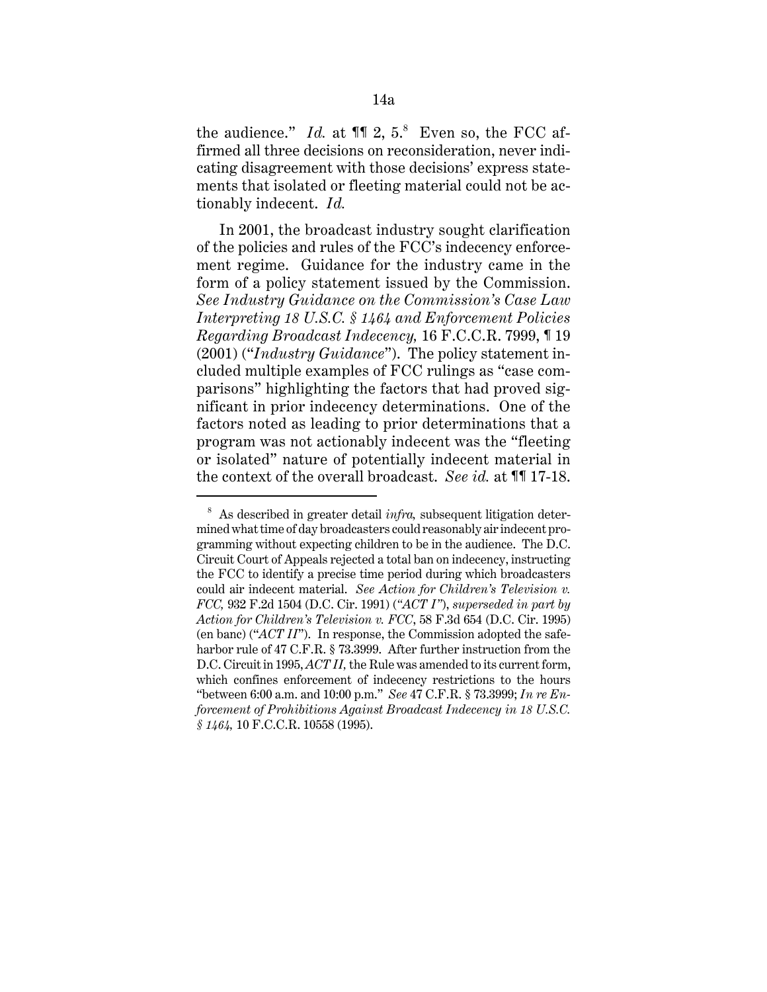the audience." Id. at  $\P\P$  2, 5. $^8$  Even so, the FCC affirmed all three decisions on reconsideration, never indicating disagreement with those decisions' express statements that isolated or fleeting material could not be actionably indecent. *Id.*

In 2001, the broadcast industry sought clarification of the policies and rules of the FCC's indecency enforcement regime. Guidance for the industry came in the form of a policy statement issued by the Commission. *See Industry Guidance on the Commission's Case Law Interpreting 18 U.S.C. § 1464 and Enforcement Policies Regarding Broadcast Indecency,* 16 F.C.C.R. 7999, ¶ 19 (2001) ("*Industry Guidance*"). The policy statement included multiple examples of FCC rulings as "case comparisons" highlighting the factors that had proved significant in prior indecency determinations. One of the factors noted as leading to prior determinations that a program was not actionably indecent was the "fleeting or isolated" nature of potentially indecent material in the context of the overall broadcast. *See id.* at ¶¶ 17-18.

<sup>8</sup> As described in greater detail *infra,* subsequent litigation determined what time of day broadcasters could reasonably air indecent programming without expecting children to be in the audience. The D.C. Circuit Court of Appeals rejected a total ban on indecency, instructing the FCC to identify a precise time period during which broadcasters could air indecent material. *See Action for Children's Television v. FCC,* 932 F.2d 1504 (D.C. Cir. 1991) (*"ACT I"*), *superseded in part by Action for Children's Television v. FCC*, 58 F.3d 654 (D.C. Cir. 1995) (en banc) ("*ACT II*"). In response, the Commission adopted the safeharbor rule of 47 C.F.R. § 73.3999. After further instruction from the D.C. Circuit in 1995, *ACT II,* the Rule was amended to its current form, which confines enforcement of indecency restrictions to the hours "between 6:00 a.m. and 10:00 p.m." *See* 47 C.F.R. § 73.3999; *In re Enforcement of Prohibitions Against Broadcast Indecency in 18 U.S.C. § 1464,* 10 F.C.C.R. 10558 (1995).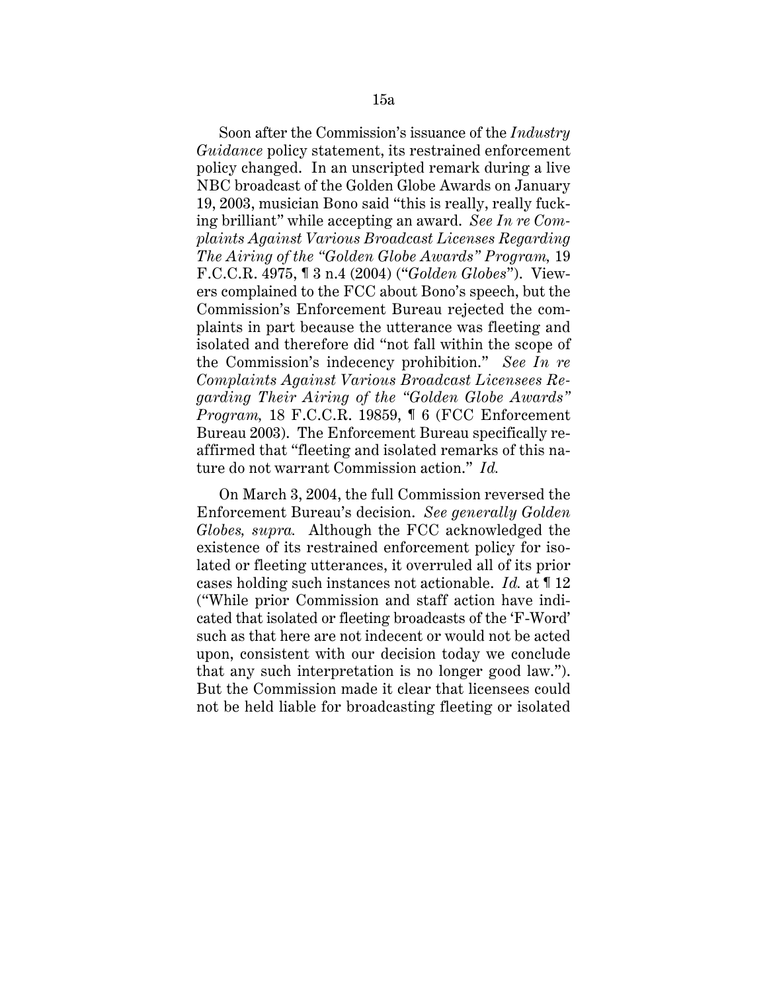Soon after the Commission's issuance of the *Industry Guidance* policy statement, its restrained enforcement policy changed. In an unscripted remark during a live NBC broadcast of the Golden Globe Awards on January 19, 2003, musician Bono said "this is really, really fucking brilliant" while accepting an award. *See In re Complaints Against Various Broadcast Licenses Regarding The Airing of the "Golden Globe Awards" Program,* 19 F.C.C.R. 4975, ¶ 3 n.4 (2004) ("*Golden Globes*"). Viewers complained to the FCC about Bono's speech, but the Commission's Enforcement Bureau rejected the complaints in part because the utterance was fleeting and isolated and therefore did "not fall within the scope of the Commission's indecency prohibition." *See In re Complaints Against Various Broadcast Licensees Regarding Their Airing of the "Golden Globe Awards" Program,* 18 F.C.C.R. 19859, ¶ 6 (FCC Enforcement Bureau 2003). The Enforcement Bureau specifically reaffirmed that "fleeting and isolated remarks of this nature do not warrant Commission action." *Id.*

On March 3, 2004, the full Commission reversed the Enforcement Bureau's decision. *See generally Golden Globes, supra.* Although the FCC acknowledged the existence of its restrained enforcement policy for isolated or fleeting utterances, it overruled all of its prior cases holding such instances not actionable. *Id.* at ¶ 12 ("While prior Commission and staff action have indicated that isolated or fleeting broadcasts of the 'F-Word' such as that here are not indecent or would not be acted upon, consistent with our decision today we conclude that any such interpretation is no longer good law."). But the Commission made it clear that licensees could not be held liable for broadcasting fleeting or isolated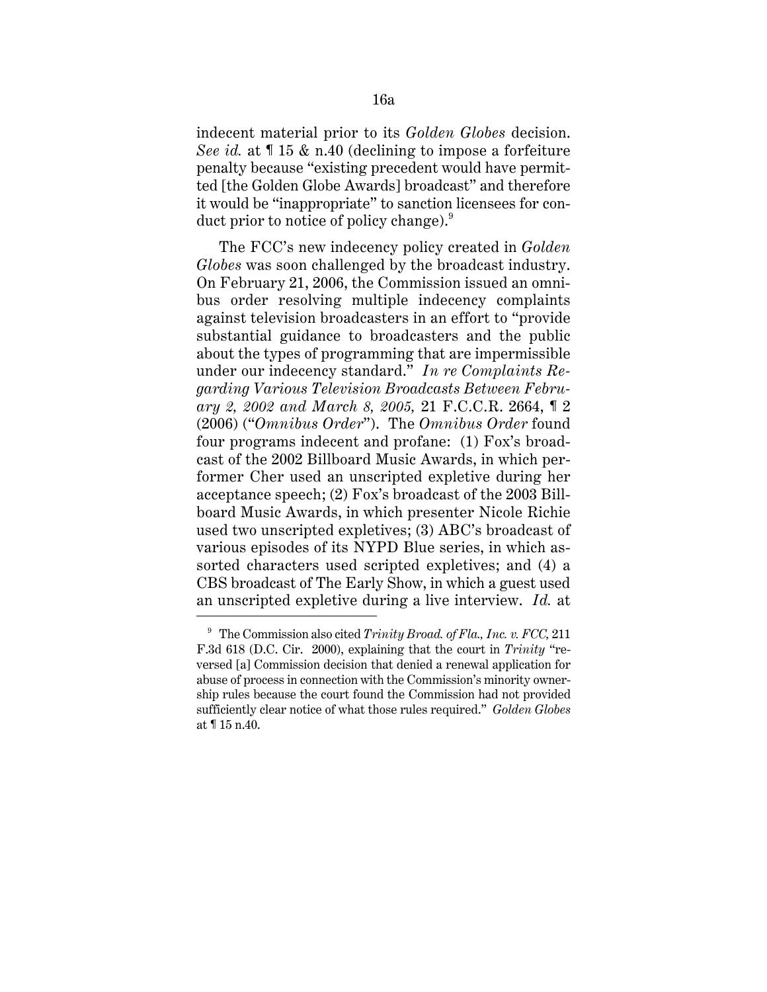indecent material prior to its *Golden Globes* decision. *See id.* at ¶ 15 & n.40 (declining to impose a forfeiture penalty because "existing precedent would have permitted [the Golden Globe Awards] broadcast" and therefore it would be "inappropriate" to sanction licensees for conduct prior to notice of policy change).<sup>9</sup>

The FCC's new indecency policy created in *Golden Globes* was soon challenged by the broadcast industry. On February 21, 2006, the Commission issued an omnibus order resolving multiple indecency complaints against television broadcasters in an effort to "provide substantial guidance to broadcasters and the public about the types of programming that are impermissible under our indecency standard." *In re Complaints Regarding Various Television Broadcasts Between February 2, 2002 and March 8, 2005,* 21 F.C.C.R. 2664, ¶ 2 (2006) ("*Omnibus Order*"). The *Omnibus Order* found four programs indecent and profane: (1) Fox's broadcast of the 2002 Billboard Music Awards, in which performer Cher used an unscripted expletive during her acceptance speech; (2) Fox's broadcast of the 2003 Billboard Music Awards, in which presenter Nicole Richie used two unscripted expletives; (3) ABC's broadcast of various episodes of its NYPD Blue series, in which assorted characters used scripted expletives; and (4) a CBS broadcast of The Early Show, in which a guest used an unscripted expletive during a live interview. *Id.* at

<sup>9</sup> The Commission also cited *Trinity Broad. of Fla., Inc. v. FCC,* 211 F.3d 618 (D.C. Cir. 2000), explaining that the court in *Trinity* "reversed [a] Commission decision that denied a renewal application for abuse of process in connection with the Commission's minority ownership rules because the court found the Commission had not provided sufficiently clear notice of what those rules required." *Golden Globes* at ¶ 15 n.40.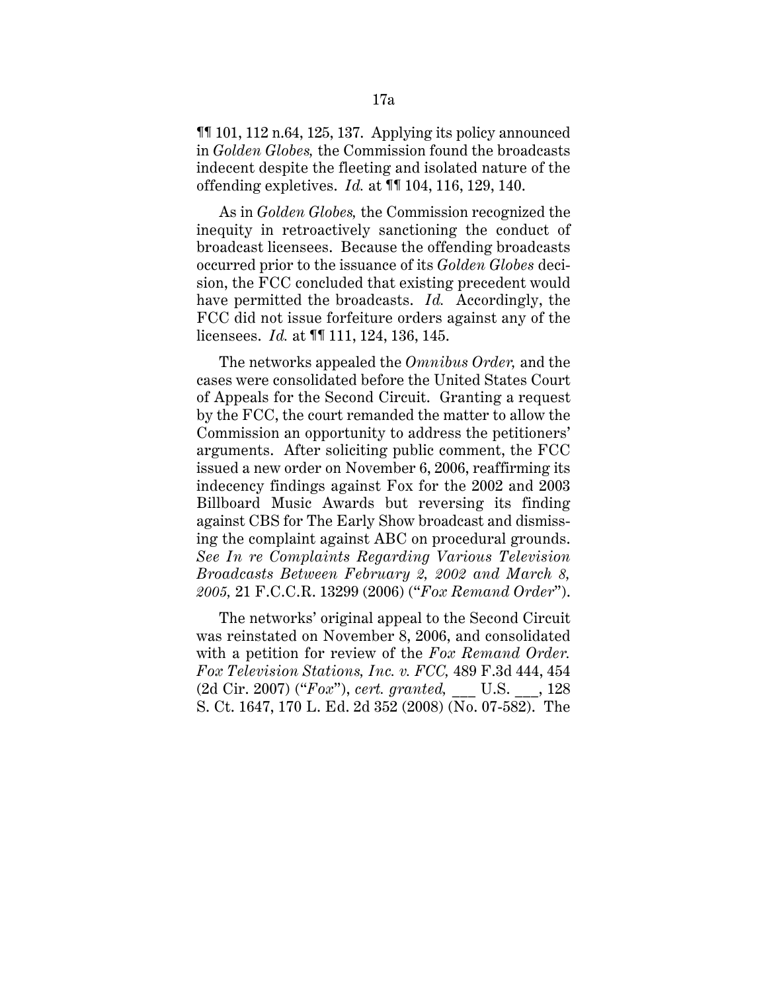$\P$  101, 112 n.64, 125, 137. Applying its policy announced in *Golden Globes,* the Commission found the broadcasts indecent despite the fleeting and isolated nature of the offending expletives. *Id.* at ¶¶ 104, 116, 129, 140.

As in *Golden Globes,* the Commission recognized the inequity in retroactively sanctioning the conduct of broadcast licensees. Because the offending broadcasts occurred prior to the issuance of its *Golden Globes* decision, the FCC concluded that existing precedent would have permitted the broadcasts. *Id.* Accordingly, the FCC did not issue forfeiture orders against any of the licensees. *Id.* at ¶¶ 111, 124, 136, 145.

The networks appealed the *Omnibus Order,* and the cases were consolidated before the United States Court of Appeals for the Second Circuit. Granting a request by the FCC, the court remanded the matter to allow the Commission an opportunity to address the petitioners' arguments. After soliciting public comment, the FCC issued a new order on November 6, 2006, reaffirming its indecency findings against Fox for the 2002 and 2003 Billboard Music Awards but reversing its finding against CBS for The Early Show broadcast and dismissing the complaint against ABC on procedural grounds. *See In re Complaints Regarding Various Television Broadcasts Between February 2, 2002 and March 8, 2005,* 21 F.C.C.R. 13299 (2006) ("*Fox Remand Order*").

The networks' original appeal to the Second Circuit was reinstated on November 8, 2006, and consolidated with a petition for review of the *Fox Remand Order. Fox Television Stations, Inc. v. FCC,* 489 F.3d 444, 454 (2d Cir. 2007) ("*Fox*"), *cert. granted,* \_\_\_ U.S. \_\_\_, 128 S. Ct. 1647, 170 L. Ed. 2d 352 (2008) (No. 07-582). The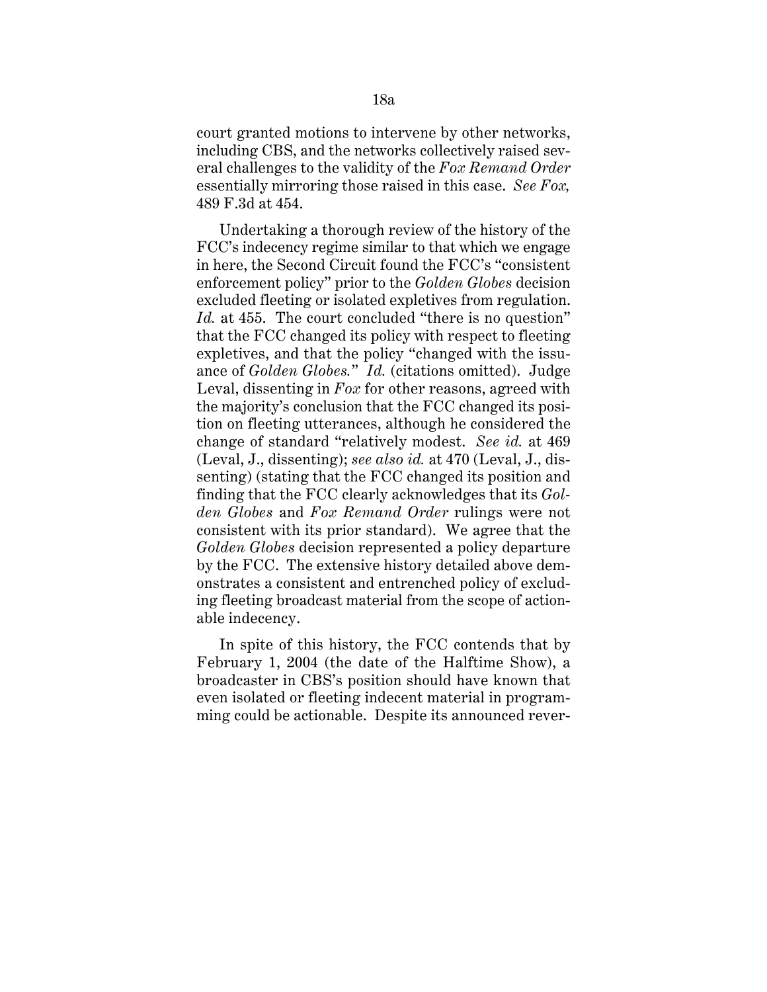court granted motions to intervene by other networks, including CBS, and the networks collectively raised several challenges to the validity of the *Fox Remand Order* essentially mirroring those raised in this case. *See Fox,* 489 F.3d at 454.

Undertaking a thorough review of the history of the FCC's indecency regime similar to that which we engage in here, the Second Circuit found the FCC's "consistent enforcement policy" prior to the *Golden Globes* decision excluded fleeting or isolated expletives from regulation. Id. at 455. The court concluded "there is no question" that the FCC changed its policy with respect to fleeting expletives, and that the policy "changed with the issuance of *Golden Globes.*" *Id.* (citations omitted). Judge Leval, dissenting in *Fox* for other reasons, agreed with the majority's conclusion that the FCC changed its position on fleeting utterances, although he considered the change of standard "relatively modest. *See id.* at 469 (Leval, J., dissenting); *see also id.* at 470 (Leval, J., dissenting) (stating that the FCC changed its position and finding that the FCC clearly acknowledges that its *Golden Globes* and *Fox Remand Order* rulings were not consistent with its prior standard). We agree that the *Golden Globes* decision represented a policy departure by the FCC. The extensive history detailed above demonstrates a consistent and entrenched policy of excluding fleeting broadcast material from the scope of actionable indecency.

In spite of this history, the FCC contends that by February 1, 2004 (the date of the Halftime Show), a broadcaster in CBS's position should have known that even isolated or fleeting indecent material in programming could be actionable. Despite its announced rever-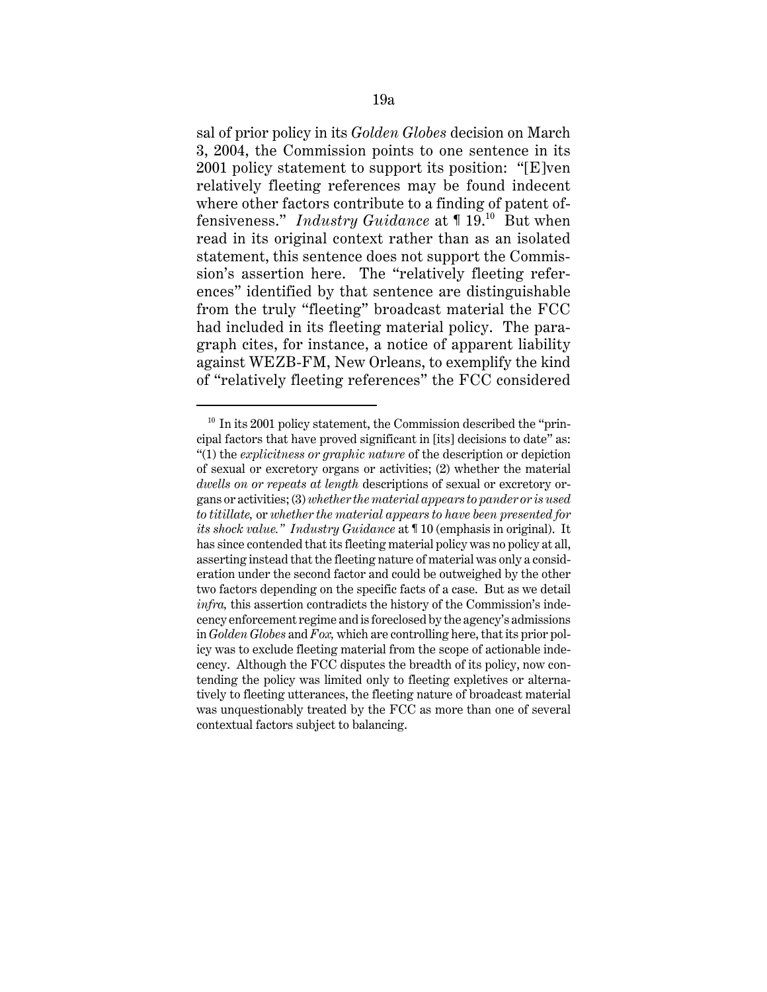sal of prior policy in its *Golden Globes* decision on March 3, 2004, the Commission points to one sentence in its 2001 policy statement to support its position: "[E]ven relatively fleeting references may be found indecent where other factors contribute to a finding of patent offensiveness." *Industry Guidance* at ¶ 19.10 But when read in its original context rather than as an isolated statement, this sentence does not support the Commission's assertion here. The "relatively fleeting references" identified by that sentence are distinguishable from the truly "fleeting" broadcast material the FCC had included in its fleeting material policy. The paragraph cites, for instance, a notice of apparent liability against WEZB-FM, New Orleans, to exemplify the kind of "relatively fleeting references" the FCC considered

 $10$  In its 2001 policy statement, the Commission described the "principal factors that have proved significant in [its] decisions to date" as: "(1) the *explicitness or graphic nature* of the description or depiction of sexual or excretory organs or activities; (2) whether the material *dwells on or repeats at length* descriptions of sexual or excretory organs or activities; (3) *whether the material appears to pander or is used to titillate,* or *whether the material appears to have been presented for its shock value." Industry Guidance* at ¶ 10 (emphasis in original). It has since contended that its fleeting material policy was no policy at all, asserting instead that the fleeting nature of material was only a consideration under the second factor and could be outweighed by the other two factors depending on the specific facts of a case. But as we detail *infra,* this assertion contradicts the history of the Commission's indecency enforcement regime and is foreclosed by the agency's admissions in *Golden Globes* and *Fox,* which are controlling here, that its prior policy was to exclude fleeting material from the scope of actionable indecency. Although the FCC disputes the breadth of its policy, now contending the policy was limited only to fleeting expletives or alternatively to fleeting utterances, the fleeting nature of broadcast material was unquestionably treated by the FCC as more than one of several contextual factors subject to balancing.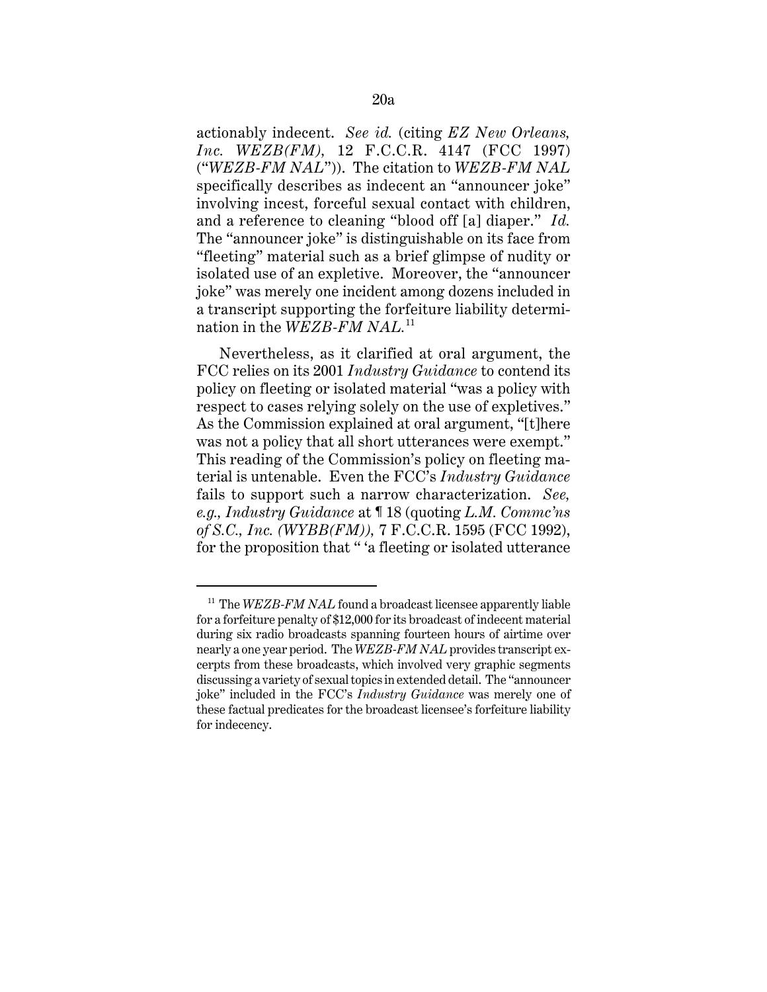actionably indecent. *See id.* (citing *EZ New Orleans, Inc. WEZB(FM),* 12 F.C.C.R. 4147 (FCC 1997) ("*WEZB-FM NAL*")). The citation to *WEZB-FM NAL* specifically describes as indecent an "announcer joke" involving incest, forceful sexual contact with children, and a reference to cleaning "blood off [a] diaper." *Id.* The "announcer joke" is distinguishable on its face from "fleeting" material such as a brief glimpse of nudity or isolated use of an expletive. Moreover, the "announcer joke" was merely one incident among dozens included in a transcript supporting the forfeiture liability determination in the *WEZB-FM NAL.*<sup>11</sup>

Nevertheless, as it clarified at oral argument, the FCC relies on its 2001 *Industry Guidance* to contend its policy on fleeting or isolated material "was a policy with respect to cases relying solely on the use of expletives." As the Commission explained at oral argument, "[t]here was not a policy that all short utterances were exempt." This reading of the Commission's policy on fleeting material is untenable. Even the FCC's *Industry Guidance* fails to support such a narrow characterization. *See, e.g., Industry Guidance* at ¶ 18 (quoting *L.M. Commc'ns of S.C., Inc. (WYBB(FM)),* 7 F.C.C.R. 1595 (FCC 1992), for the proposition that " 'a fleeting or isolated utterance

<sup>&</sup>lt;sup>11</sup> The *WEZB-FM NAL* found a broadcast licensee apparently liable for a forfeiture penalty of \$12,000 for its broadcast of indecent material during six radio broadcasts spanning fourteen hours of airtime over nearly a one year period. The *WEZB-FM NAL* provides transcript excerpts from these broadcasts, which involved very graphic segments discussing a variety of sexual topics in extended detail. The "announcer joke" included in the FCC's *Industry Guidance* was merely one of these factual predicates for the broadcast licensee's forfeiture liability for indecency.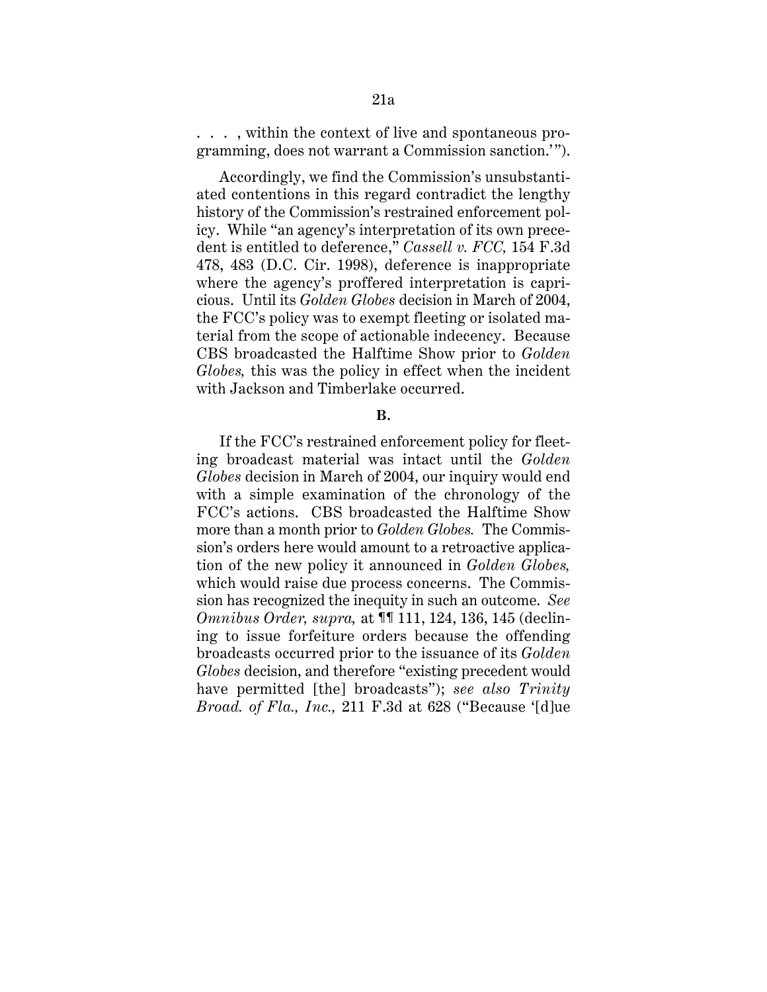. . . , within the context of live and spontaneous programming, does not warrant a Commission sanction.'").

Accordingly, we find the Commission's unsubstantiated contentions in this regard contradict the lengthy history of the Commission's restrained enforcement policy. While "an agency's interpretation of its own precedent is entitled to deference," *Cassell v. FCC,* 154 F.3d 478, 483 (D.C. Cir. 1998), deference is inappropriate where the agency's proffered interpretation is capricious. Until its *Golden Globes* decision in March of 2004, the FCC's policy was to exempt fleeting or isolated material from the scope of actionable indecency. Because CBS broadcasted the Halftime Show prior to *Golden Globes,* this was the policy in effect when the incident with Jackson and Timberlake occurred.

#### **B.**

If the FCC's restrained enforcement policy for fleeting broadcast material was intact until the *Golden Globes* decision in March of 2004, our inquiry would end with a simple examination of the chronology of the FCC's actions. CBS broadcasted the Halftime Show more than a month prior to *Golden Globes.* The Commission's orders here would amount to a retroactive application of the new policy it announced in *Golden Globes,* which would raise due process concerns. The Commission has recognized the inequity in such an outcome. *See Omnibus Order, supra,* at ¶¶ 111, 124, 136, 145 (declining to issue forfeiture orders because the offending broadcasts occurred prior to the issuance of its *Golden Globes* decision, and therefore "existing precedent would have permitted [the] broadcasts"); *see also Trinity Broad. of Fla., Inc.,* 211 F.3d at 628 ("Because '[d]ue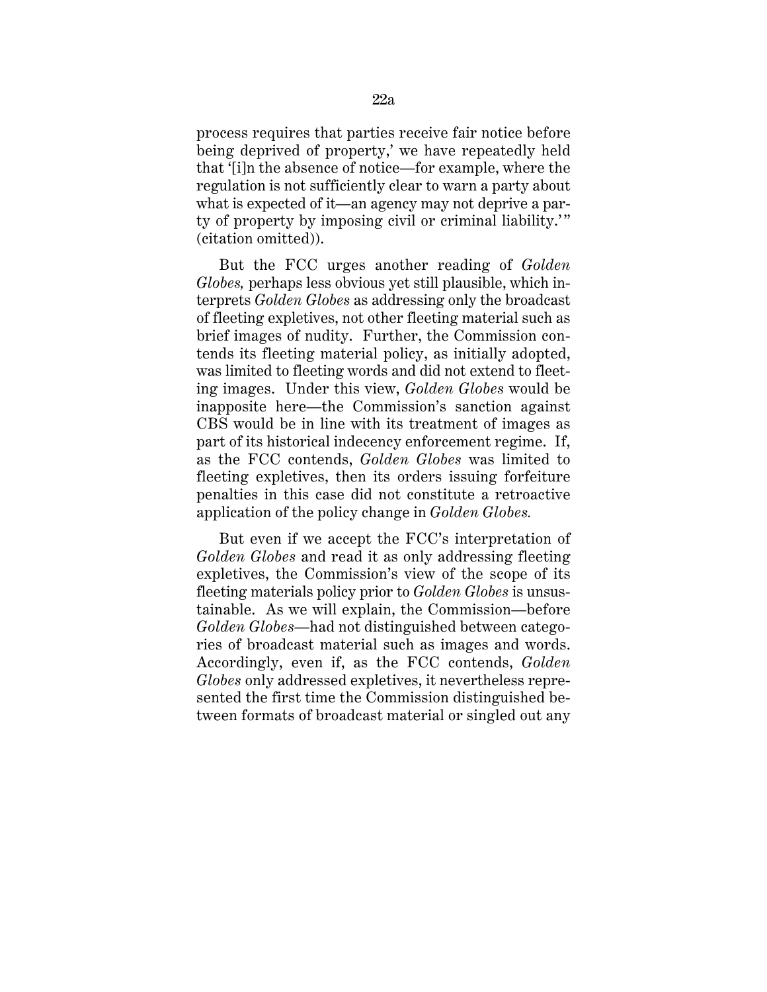process requires that parties receive fair notice before being deprived of property,' we have repeatedly held that '[i]n the absence of notice—for example, where the regulation is not sufficiently clear to warn a party about what is expected of it—an agency may not deprive a party of property by imposing civil or criminal liability.'" (citation omitted)).

But the FCC urges another reading of *Golden Globes,* perhaps less obvious yet still plausible, which interprets *Golden Globes* as addressing only the broadcast of fleeting expletives, not other fleeting material such as brief images of nudity. Further, the Commission contends its fleeting material policy, as initially adopted, was limited to fleeting words and did not extend to fleeting images. Under this view, *Golden Globes* would be inapposite here—the Commission's sanction against CBS would be in line with its treatment of images as part of its historical indecency enforcement regime. If, as the FCC contends, *Golden Globes* was limited to fleeting expletives, then its orders issuing forfeiture penalties in this case did not constitute a retroactive application of the policy change in *Golden Globes.*

But even if we accept the FCC's interpretation of *Golden Globes* and read it as only addressing fleeting expletives, the Commission's view of the scope of its fleeting materials policy prior to *Golden Globes* is unsustainable. As we will explain, the Commission—before *Golden Globes*—had not distinguished between categories of broadcast material such as images and words. Accordingly, even if, as the FCC contends, *Golden Globes* only addressed expletives, it nevertheless represented the first time the Commission distinguished between formats of broadcast material or singled out any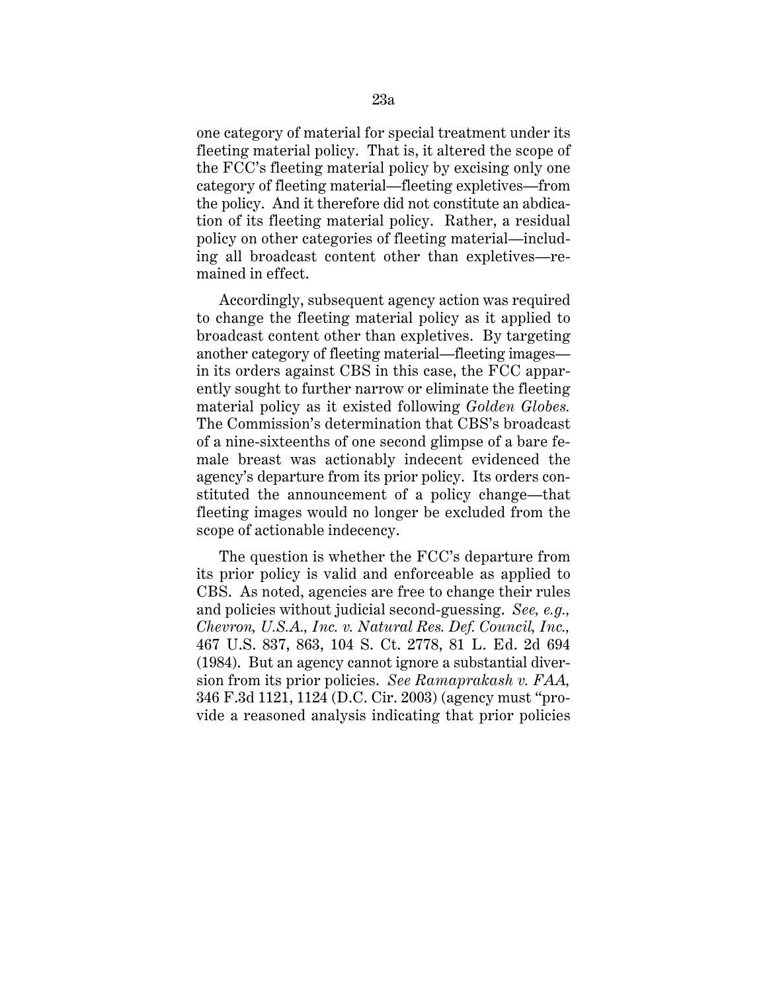one category of material for special treatment under its fleeting material policy. That is, it altered the scope of the FCC's fleeting material policy by excising only one category of fleeting material—fleeting expletives—from the policy. And it therefore did not constitute an abdication of its fleeting material policy. Rather, a residual policy on other categories of fleeting material—including all broadcast content other than expletives—remained in effect.

Accordingly, subsequent agency action was required to change the fleeting material policy as it applied to broadcast content other than expletives. By targeting another category of fleeting material—fleeting images in its orders against CBS in this case, the FCC apparently sought to further narrow or eliminate the fleeting material policy as it existed following *Golden Globes.* The Commission's determination that CBS's broadcast of a nine-sixteenths of one second glimpse of a bare female breast was actionably indecent evidenced the agency's departure from its prior policy. Its orders constituted the announcement of a policy change—that fleeting images would no longer be excluded from the scope of actionable indecency.

The question is whether the FCC's departure from its prior policy is valid and enforceable as applied to CBS. As noted, agencies are free to change their rules and policies without judicial second-guessing. *See, e.g., Chevron, U.S.A., Inc. v. Natural Res. Def. Council, Inc.,* 467 U.S. 837, 863, 104 S. Ct. 2778, 81 L. Ed. 2d 694 (1984). But an agency cannot ignore a substantial diversion from its prior policies. *See Ramaprakash v. FAA,* 346 F.3d 1121, 1124 (D.C. Cir. 2003) (agency must "provide a reasoned analysis indicating that prior policies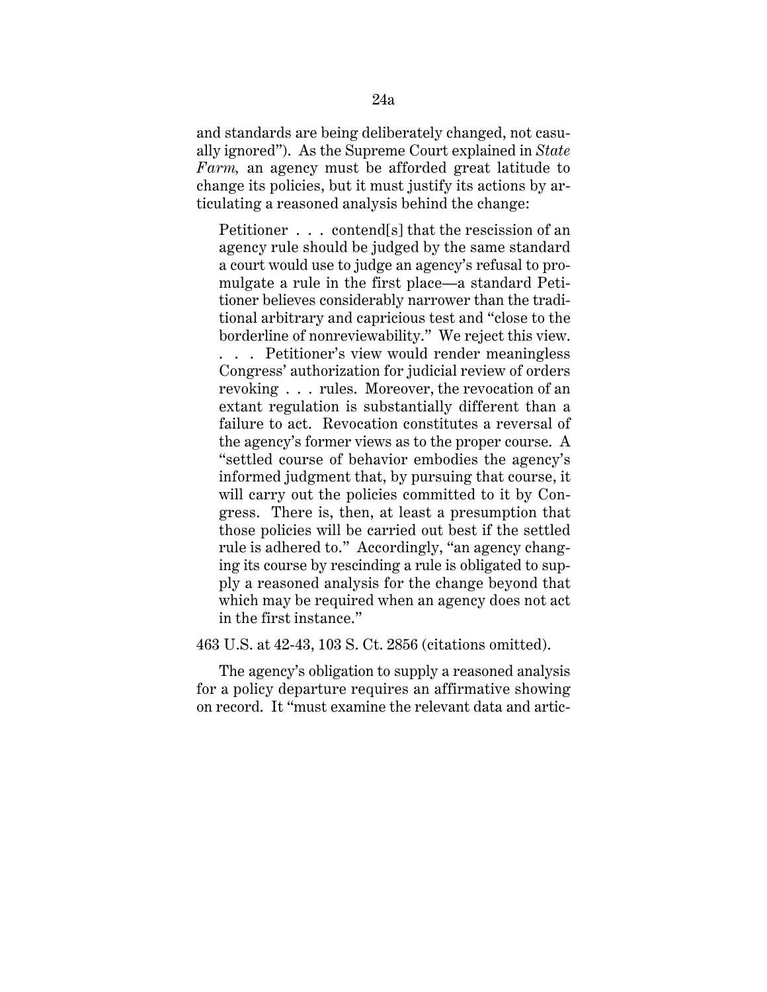and standards are being deliberately changed, not casually ignored"). As the Supreme Court explained in *State Farm,* an agency must be afforded great latitude to change its policies, but it must justify its actions by articulating a reasoned analysis behind the change:

Petitioner . . . contend[s] that the rescission of an agency rule should be judged by the same standard a court would use to judge an agency's refusal to promulgate a rule in the first place—a standard Petitioner believes considerably narrower than the traditional arbitrary and capricious test and "close to the borderline of nonreviewability." We reject this view. . . . Petitioner's view would render meaningless Congress' authorization for judicial review of orders revoking . . . rules. Moreover, the revocation of an extant regulation is substantially different than a failure to act. Revocation constitutes a reversal of the agency's former views as to the proper course. A "settled course of behavior embodies the agency's informed judgment that, by pursuing that course, it will carry out the policies committed to it by Congress. There is, then, at least a presumption that those policies will be carried out best if the settled rule is adhered to." Accordingly, "an agency changing its course by rescinding a rule is obligated to supply a reasoned analysis for the change beyond that which may be required when an agency does not act in the first instance."

463 U.S. at 42-43, 103 S. Ct. 2856 (citations omitted).

The agency's obligation to supply a reasoned analysis for a policy departure requires an affirmative showing on record. It "must examine the relevant data and artic-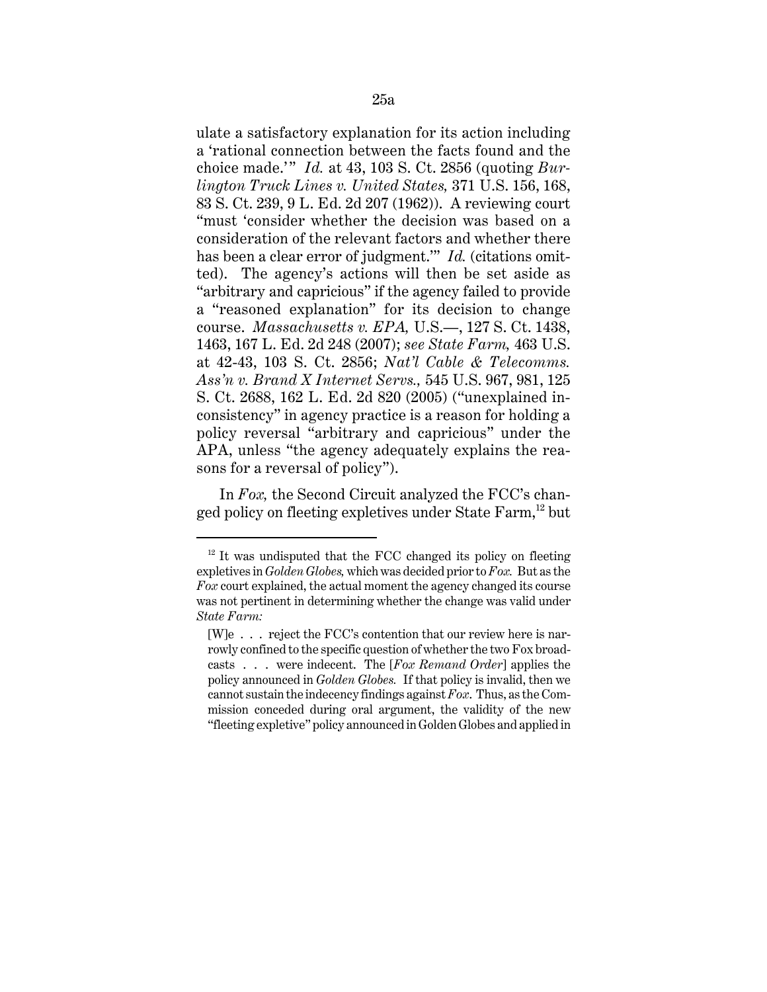ulate a satisfactory explanation for its action including a 'rational connection between the facts found and the choice made.'" *Id.* at 43, 103 S. Ct. 2856 (quoting *Burlington Truck Lines v. United States,* 371 U.S. 156, 168, 83 S. Ct. 239, 9 L. Ed. 2d 207 (1962)). A reviewing court "must 'consider whether the decision was based on a consideration of the relevant factors and whether there has been a clear error of judgment.'" *Id.* (citations omitted). The agency's actions will then be set aside as "arbitrary and capricious" if the agency failed to provide a "reasoned explanation" for its decision to change course. *Massachusetts v. EPA,* U.S.—, 127 S. Ct. 1438, 1463, 167 L. Ed. 2d 248 (2007); *see State Farm,* 463 U.S. at 42-43, 103 S. Ct. 2856; *Nat'l Cable & Telecomms. Ass'n v. Brand X Internet Servs.,* 545 U.S. 967, 981, 125 S. Ct. 2688, 162 L. Ed. 2d 820 (2005) ("unexplained inconsistency" in agency practice is a reason for holding a policy reversal "arbitrary and capricious" under the APA, unless "the agency adequately explains the reasons for a reversal of policy").

In *Fox,* the Second Circuit analyzed the FCC's changed policy on fleeting expletives under State Farm,12 but

 $12$  It was undisputed that the FCC changed its policy on fleeting expletives in *Golden Globes,* which was decided prior to *Fox.* But as the *Fox* court explained, the actual moment the agency changed its course was not pertinent in determining whether the change was valid under *State Farm:*

<sup>[</sup>W]e . . . reject the FCC's contention that our review here is narrowly confined to the specific question of whether the two Fox broadcasts . . . were indecent. The [*Fox Remand Order*] applies the policy announced in *Golden Globes.* If that policy is invalid, then we cannot sustain the indecency findings against *Fox*. Thus, as the Commission conceded during oral argument, the validity of the new "fleeting expletive" policy announced in Golden Globes and applied in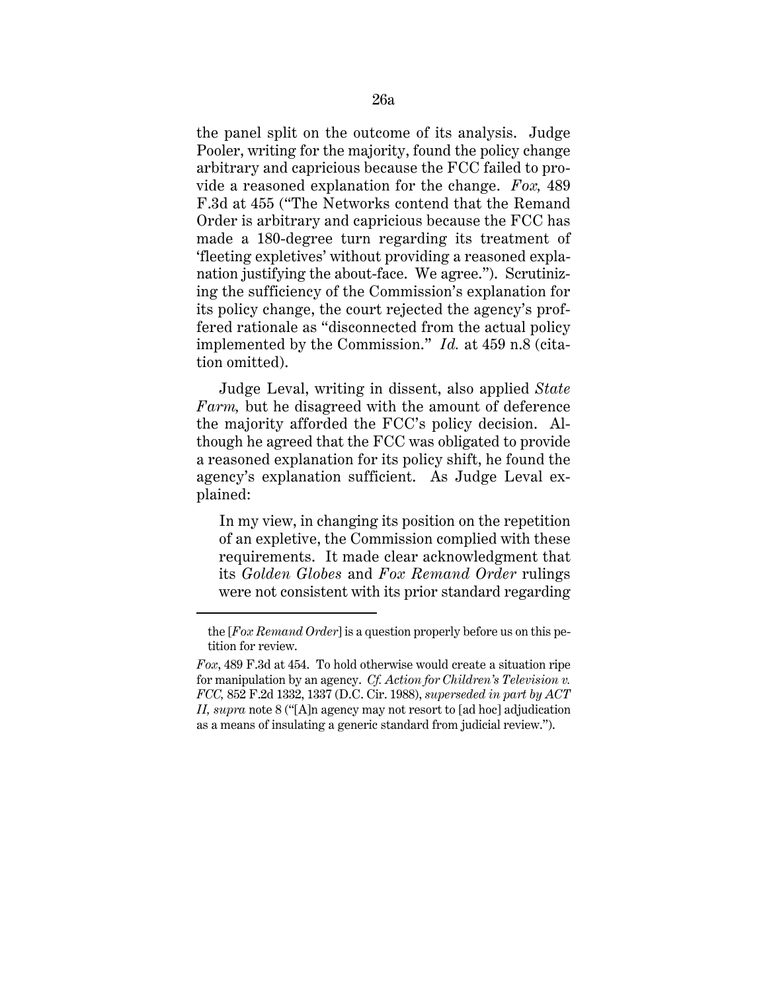the panel split on the outcome of its analysis. Judge Pooler, writing for the majority, found the policy change arbitrary and capricious because the FCC failed to provide a reasoned explanation for the change. *Fox,* 489 F.3d at 455 ("The Networks contend that the Remand Order is arbitrary and capricious because the FCC has made a 180-degree turn regarding its treatment of 'fleeting expletives' without providing a reasoned explanation justifying the about-face. We agree."). Scrutinizing the sufficiency of the Commission's explanation for its policy change, the court rejected the agency's proffered rationale as "disconnected from the actual policy implemented by the Commission." *Id.* at 459 n.8 (citation omitted).

Judge Leval, writing in dissent, also applied *State Farm,* but he disagreed with the amount of deference the majority afforded the FCC's policy decision. Although he agreed that the FCC was obligated to provide a reasoned explanation for its policy shift, he found the agency's explanation sufficient. As Judge Leval explained:

In my view, in changing its position on the repetition of an expletive, the Commission complied with these requirements. It made clear acknowledgment that its *Golden Globes* and *Fox Remand Order* rulings were not consistent with its prior standard regarding

the [*Fox Remand Order*] is a question properly before us on this petition for review.

*Fox*, 489 F.3d at 454. To hold otherwise would create a situation ripe for manipulation by an agency. *Cf. Action for Children's Television v. FCC,* 852 F.2d 1332, 1337 (D.C. Cir. 1988), *superseded in part by ACT II, supra* note 8 ("[A]n agency may not resort to [ad hoc] adjudication as a means of insulating a generic standard from judicial review.").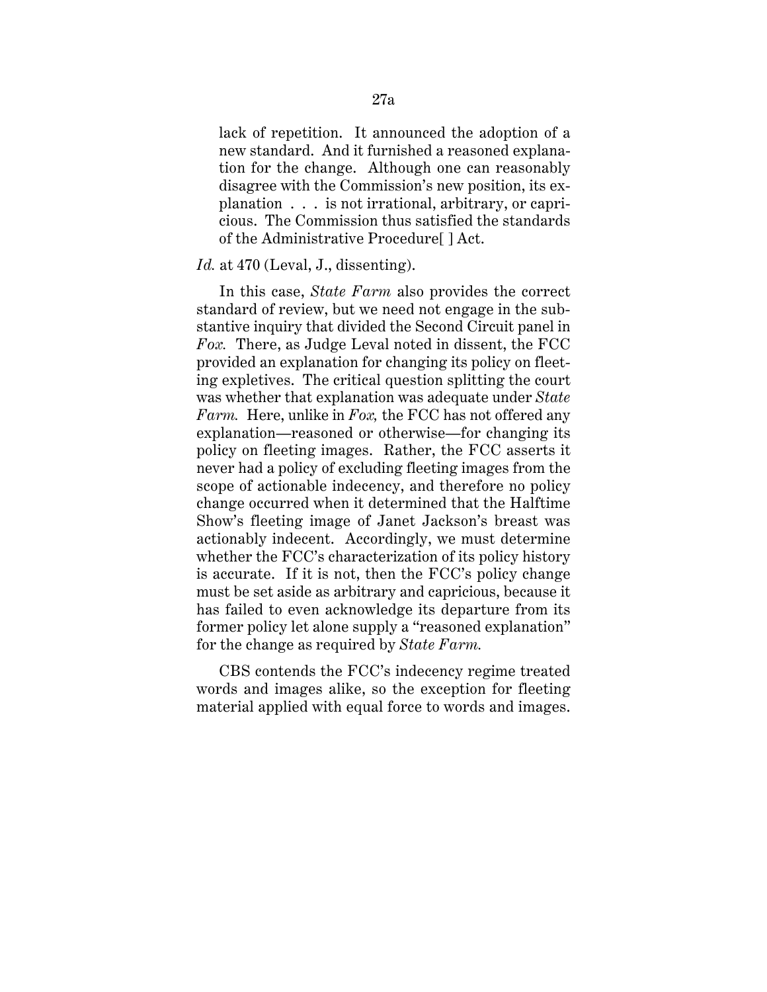lack of repetition. It announced the adoption of a new standard. And it furnished a reasoned explanation for the change. Although one can reasonably disagree with the Commission's new position, its explanation . . . is not irrational, arbitrary, or capricious. The Commission thus satisfied the standards of the Administrative Procedure[ ] Act.

## *Id.* at 470 (Leval, J., dissenting).

In this case, *State Farm* also provides the correct standard of review, but we need not engage in the substantive inquiry that divided the Second Circuit panel in *Fox.* There, as Judge Leval noted in dissent, the FCC provided an explanation for changing its policy on fleeting expletives. The critical question splitting the court was whether that explanation was adequate under *State Farm.* Here, unlike in *Fox,* the FCC has not offered any explanation—reasoned or otherwise—for changing its policy on fleeting images. Rather, the FCC asserts it never had a policy of excluding fleeting images from the scope of actionable indecency, and therefore no policy change occurred when it determined that the Halftime Show's fleeting image of Janet Jackson's breast was actionably indecent. Accordingly, we must determine whether the FCC's characterization of its policy history is accurate. If it is not, then the FCC's policy change must be set aside as arbitrary and capricious, because it has failed to even acknowledge its departure from its former policy let alone supply a "reasoned explanation" for the change as required by *State Farm.*

CBS contends the FCC's indecency regime treated words and images alike, so the exception for fleeting material applied with equal force to words and images.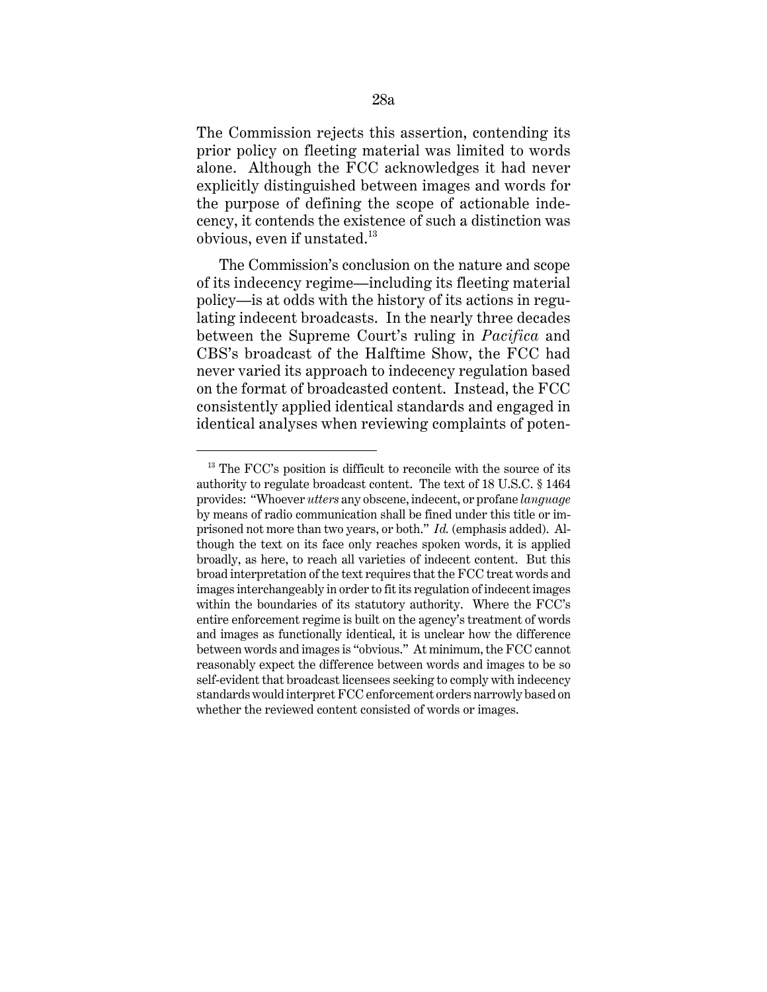The Commission rejects this assertion, contending its prior policy on fleeting material was limited to words alone. Although the FCC acknowledges it had never explicitly distinguished between images and words for the purpose of defining the scope of actionable indecency, it contends the existence of such a distinction was obvious, even if unstated.<sup>13</sup>

The Commission's conclusion on the nature and scope of its indecency regime—including its fleeting material policy—is at odds with the history of its actions in regulating indecent broadcasts. In the nearly three decades between the Supreme Court's ruling in *Pacifica* and CBS's broadcast of the Halftime Show, the FCC had never varied its approach to indecency regulation based on the format of broadcasted content. Instead, the FCC consistently applied identical standards and engaged in identical analyses when reviewing complaints of poten-

 $13$  The FCC's position is difficult to reconcile with the source of its authority to regulate broadcast content. The text of 18 U.S.C. § 1464 provides: "Whoever *utters* any obscene, indecent, or profane *language* by means of radio communication shall be fined under this title or imprisoned not more than two years, or both." *Id.* (emphasis added). Although the text on its face only reaches spoken words, it is applied broadly, as here, to reach all varieties of indecent content. But this broad interpretation of the text requires that the FCC treat words and images interchangeably in order to fit its regulation of indecent images within the boundaries of its statutory authority. Where the FCC's entire enforcement regime is built on the agency's treatment of words and images as functionally identical, it is unclear how the difference between words and images is "obvious." At minimum, the FCC cannot reasonably expect the difference between words and images to be so self-evident that broadcast licensees seeking to comply with indecency standards would interpret FCC enforcement orders narrowly based on whether the reviewed content consisted of words or images.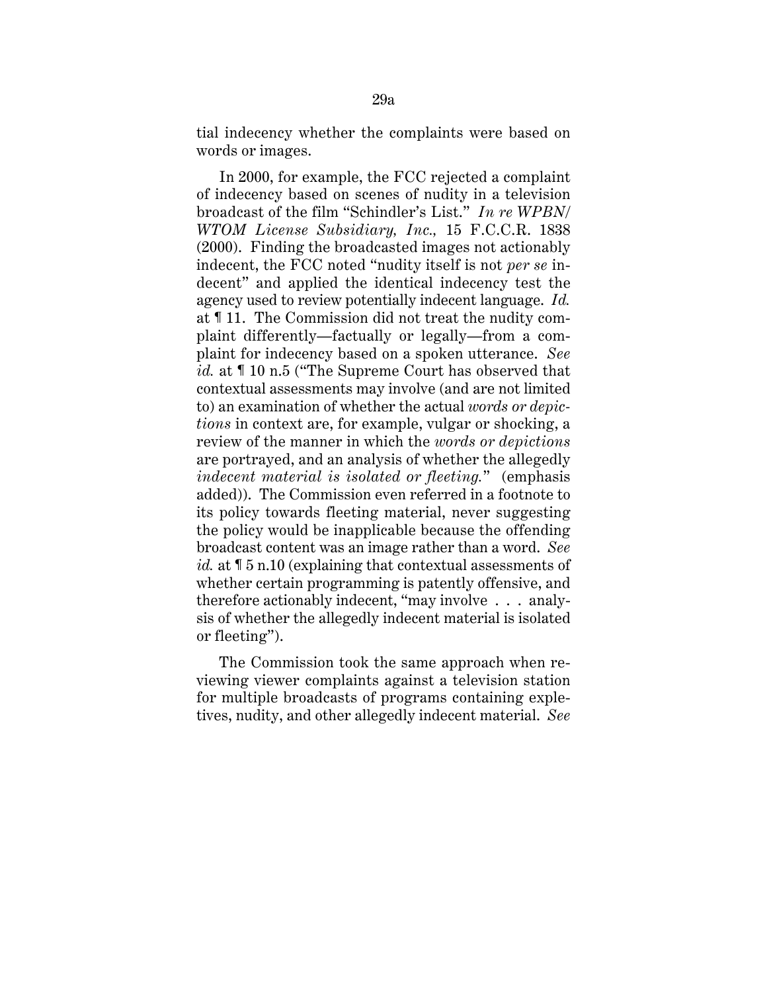tial indecency whether the complaints were based on words or images.

In 2000, for example, the FCC rejected a complaint of indecency based on scenes of nudity in a television broadcast of the film "Schindler's List." *In re WPBN/ WTOM License Subsidiary, Inc.,* 15 F.C.C.R. 1838 (2000). Finding the broadcasted images not actionably indecent, the FCC noted "nudity itself is not *per se* indecent" and applied the identical indecency test the agency used to review potentially indecent language. *Id.* at ¶ 11. The Commission did not treat the nudity complaint differently—factually or legally—from a complaint for indecency based on a spoken utterance. *See id.* at ¶ 10 n.5 ("The Supreme Court has observed that contextual assessments may involve (and are not limited to) an examination of whether the actual *words or depictions* in context are, for example, vulgar or shocking, a review of the manner in which the *words or depictions* are portrayed, and an analysis of whether the allegedly *indecent material is isolated or fleeting.*" (emphasis added)). The Commission even referred in a footnote to its policy towards fleeting material, never suggesting the policy would be inapplicable because the offending broadcast content was an image rather than a word. *See id.* at ¶ 5 n.10 (explaining that contextual assessments of whether certain programming is patently offensive, and therefore actionably indecent, "may involve . . . analysis of whether the allegedly indecent material is isolated or fleeting").

The Commission took the same approach when reviewing viewer complaints against a television station for multiple broadcasts of programs containing expletives, nudity, and other allegedly indecent material. *See*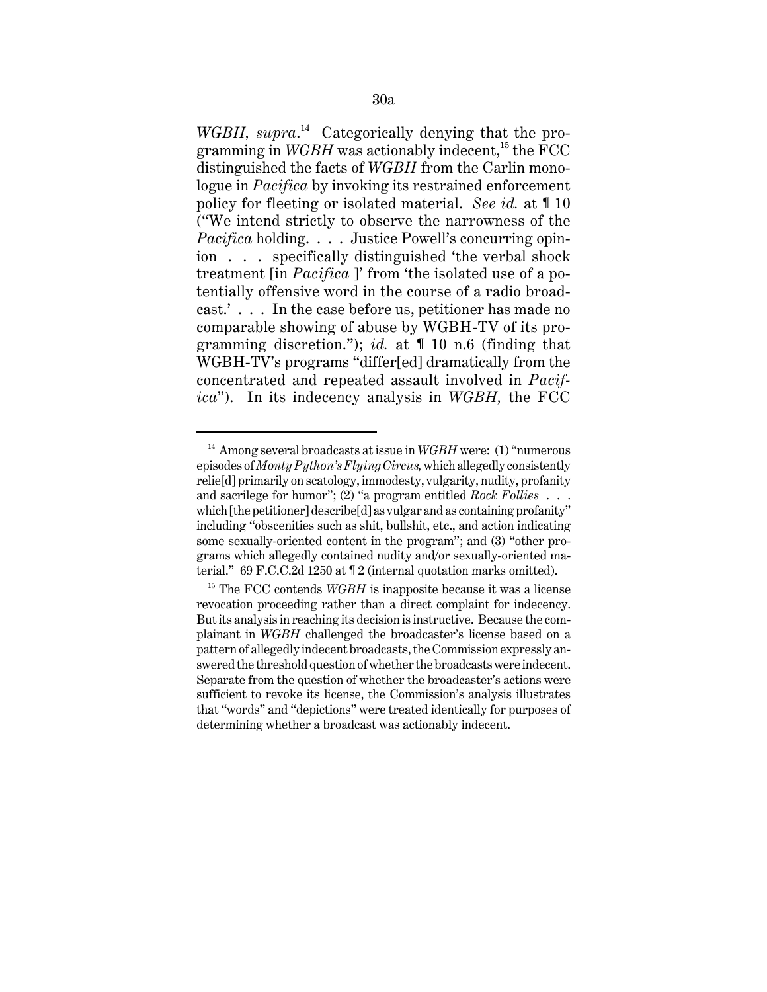*WGBH, supra*. 14 Categorically denying that the programming in  $WGBH$  was actionably indecent,<sup>15</sup> the FCC distinguished the facts of *WGBH* from the Carlin monologue in *Pacifica* by invoking its restrained enforcement policy for fleeting or isolated material. *See id.* at ¶ 10 ("We intend strictly to observe the narrowness of the *Pacifica* holding. . . . Justice Powell's concurring opinion . . . specifically distinguished 'the verbal shock treatment [in *Pacifica* ]' from 'the isolated use of a potentially offensive word in the course of a radio broadcast.' . . . In the case before us, petitioner has made no comparable showing of abuse by WGBH-TV of its programming discretion."); *id.* at ¶ 10 n.6 (finding that WGBH-TV's programs "differ[ed] dramatically from the concentrated and repeated assault involved in *Pacifica*"). In its indecency analysis in *WGBH,* the FCC

<sup>14</sup> Among several broadcasts at issue in *WGBH* were: (1) "numerous episodes of *Monty Python's Flying Circus,* which allegedly consistently relie[d] primarily on scatology, immodesty, vulgarity, nudity, profanity and sacrilege for humor"; (2) "a program entitled *Rock Follies* . . . which [the petitioner] describe[d] as vulgar and as containing profanity" including "obscenities such as shit, bullshit, etc., and action indicating some sexually-oriented content in the program"; and (3) "other programs which allegedly contained nudity and/or sexually-oriented material." 69 F.C.C.2d 1250 at ¶ 2 (internal quotation marks omitted).

<sup>&</sup>lt;sup>15</sup> The FCC contends *WGBH* is inapposite because it was a license revocation proceeding rather than a direct complaint for indecency. But its analysis in reaching its decision is instructive. Because the complainant in *WGBH* challenged the broadcaster's license based on a pattern of allegedly indecent broadcasts, the Commission expressly answered the threshold question of whether the broadcasts were indecent. Separate from the question of whether the broadcaster's actions were sufficient to revoke its license, the Commission's analysis illustrates that "words" and "depictions" were treated identically for purposes of determining whether a broadcast was actionably indecent.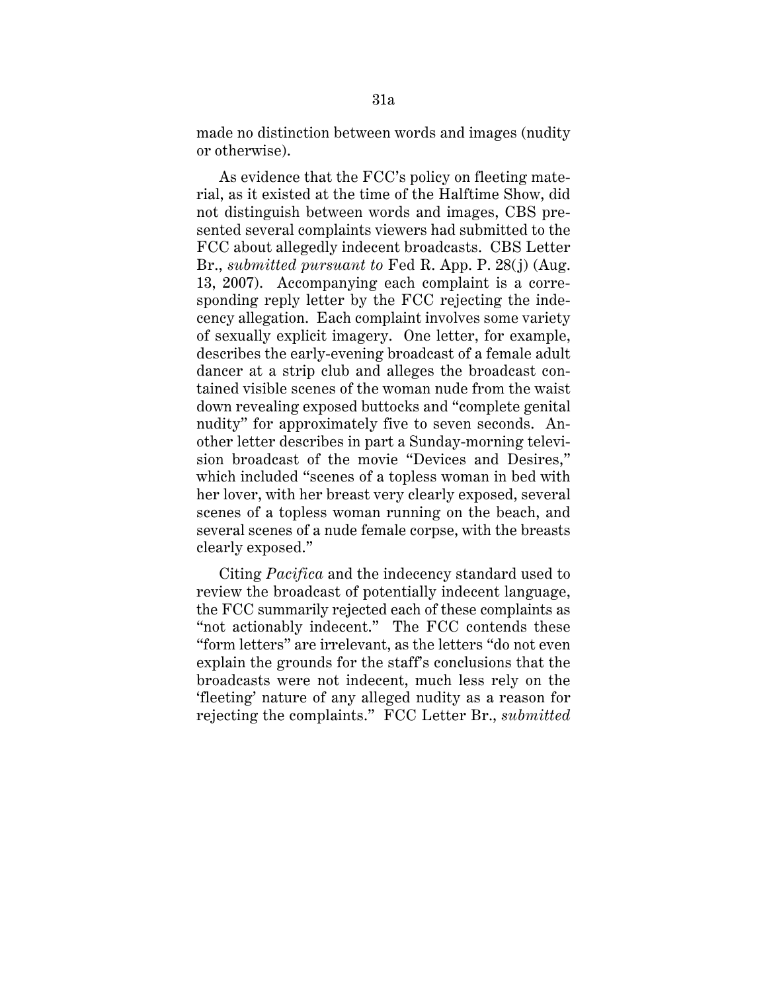made no distinction between words and images (nudity or otherwise).

As evidence that the FCC's policy on fleeting material, as it existed at the time of the Halftime Show, did not distinguish between words and images, CBS presented several complaints viewers had submitted to the FCC about allegedly indecent broadcasts. CBS Letter Br., *submitted pursuant to* Fed R. App. P. 28(j) (Aug. 13, 2007). Accompanying each complaint is a corresponding reply letter by the FCC rejecting the indecency allegation. Each complaint involves some variety of sexually explicit imagery. One letter, for example, describes the early-evening broadcast of a female adult dancer at a strip club and alleges the broadcast contained visible scenes of the woman nude from the waist down revealing exposed buttocks and "complete genital nudity" for approximately five to seven seconds. Another letter describes in part a Sunday-morning television broadcast of the movie "Devices and Desires," which included "scenes of a topless woman in bed with her lover, with her breast very clearly exposed, several scenes of a topless woman running on the beach, and several scenes of a nude female corpse, with the breasts clearly exposed."

Citing *Pacifica* and the indecency standard used to review the broadcast of potentially indecent language, the FCC summarily rejected each of these complaints as "not actionably indecent." The FCC contends these "form letters" are irrelevant, as the letters "do not even explain the grounds for the staff's conclusions that the broadcasts were not indecent, much less rely on the 'fleeting' nature of any alleged nudity as a reason for rejecting the complaints." FCC Letter Br., *submitted*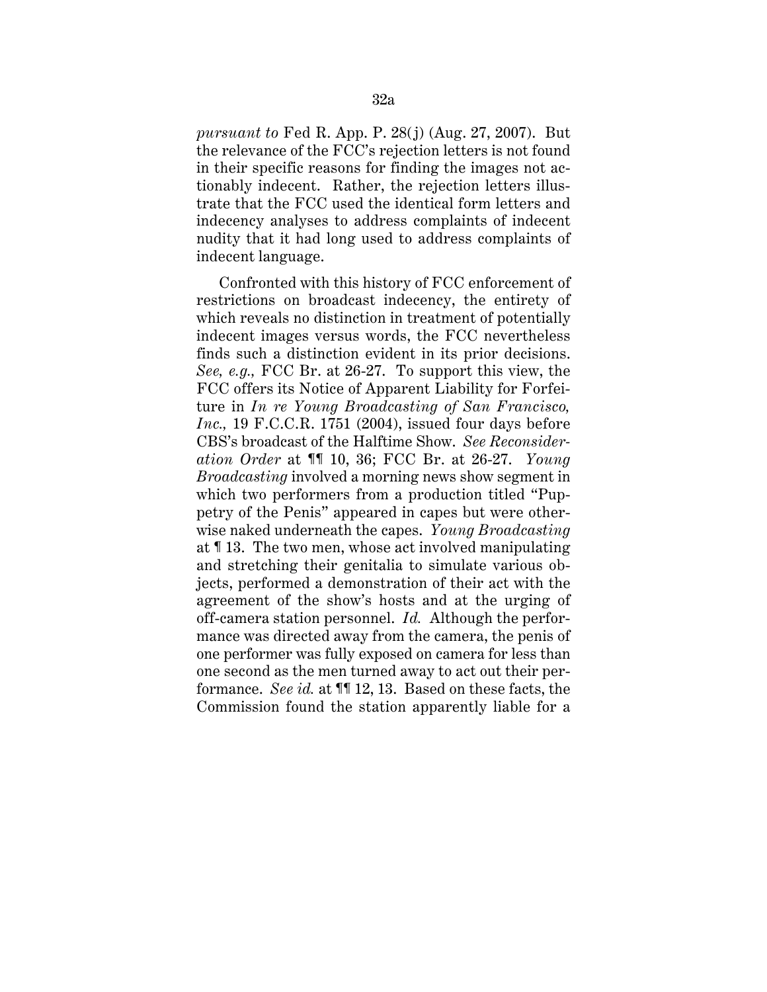*pursuant to* Fed R. App. P. 28(j) (Aug. 27, 2007). But the relevance of the FCC's rejection letters is not found in their specific reasons for finding the images not actionably indecent. Rather, the rejection letters illustrate that the FCC used the identical form letters and indecency analyses to address complaints of indecent nudity that it had long used to address complaints of indecent language.

Confronted with this history of FCC enforcement of restrictions on broadcast indecency, the entirety of which reveals no distinction in treatment of potentially indecent images versus words, the FCC nevertheless finds such a distinction evident in its prior decisions. *See, e.g.,* FCC Br. at 26-27. To support this view, the FCC offers its Notice of Apparent Liability for Forfeiture in *In re Young Broadcasting of San Francisco, Inc.,* 19 F.C.C.R. 1751 (2004), issued four days before CBS's broadcast of the Halftime Show. *See Reconsideration Order* at ¶¶ 10, 36; FCC Br. at 26-27. *Young Broadcasting* involved a morning news show segment in which two performers from a production titled "Puppetry of the Penis" appeared in capes but were otherwise naked underneath the capes. *Young Broadcasting* at ¶ 13. The two men, whose act involved manipulating and stretching their genitalia to simulate various objects, performed a demonstration of their act with the agreement of the show's hosts and at the urging of off-camera station personnel. *Id.* Although the performance was directed away from the camera, the penis of one performer was fully exposed on camera for less than one second as the men turned away to act out their performance. *See id.* at ¶¶ 12, 13. Based on these facts, the Commission found the station apparently liable for a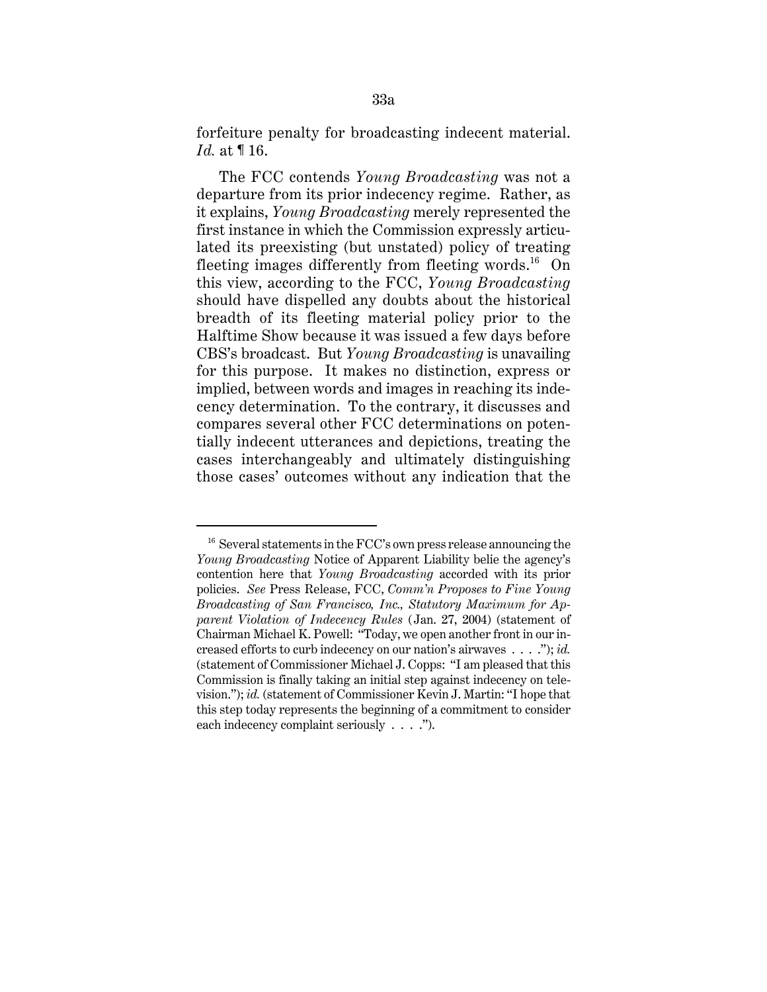forfeiture penalty for broadcasting indecent material. *Id.* at ¶ 16.

The FCC contends *Young Broadcasting* was not a departure from its prior indecency regime. Rather, as it explains, *Young Broadcasting* merely represented the first instance in which the Commission expressly articulated its preexisting (but unstated) policy of treating fleeting images differently from fleeting words.<sup>16</sup> On this view, according to the FCC, *Young Broadcasting* should have dispelled any doubts about the historical breadth of its fleeting material policy prior to the Halftime Show because it was issued a few days before CBS's broadcast. But *Young Broadcasting* is unavailing for this purpose. It makes no distinction, express or implied, between words and images in reaching its indecency determination. To the contrary, it discusses and compares several other FCC determinations on potentially indecent utterances and depictions, treating the cases interchangeably and ultimately distinguishing those cases' outcomes without any indication that the

 $16$  Several statements in the FCC's own press release announcing the *Young Broadcasting* Notice of Apparent Liability belie the agency's contention here that *Young Broadcasting* accorded with its prior policies. *See* Press Release, FCC, *Comm'n Proposes to Fine Young Broadcasting of San Francisco, Inc., Statutory Maximum for Apparent Violation of Indecency Rules* (Jan. 27, 2004) (statement of Chairman Michael K. Powell: "Today, we open another front in our increased efforts to curb indecency on our nation's airwaves . . . ."); *id.* (statement of Commissioner Michael J. Copps: "I am pleased that this Commission is finally taking an initial step against indecency on television."); *id.* (statement of Commissioner Kevin J. Martin: "I hope that this step today represents the beginning of a commitment to consider each indecency complaint seriously . . . .").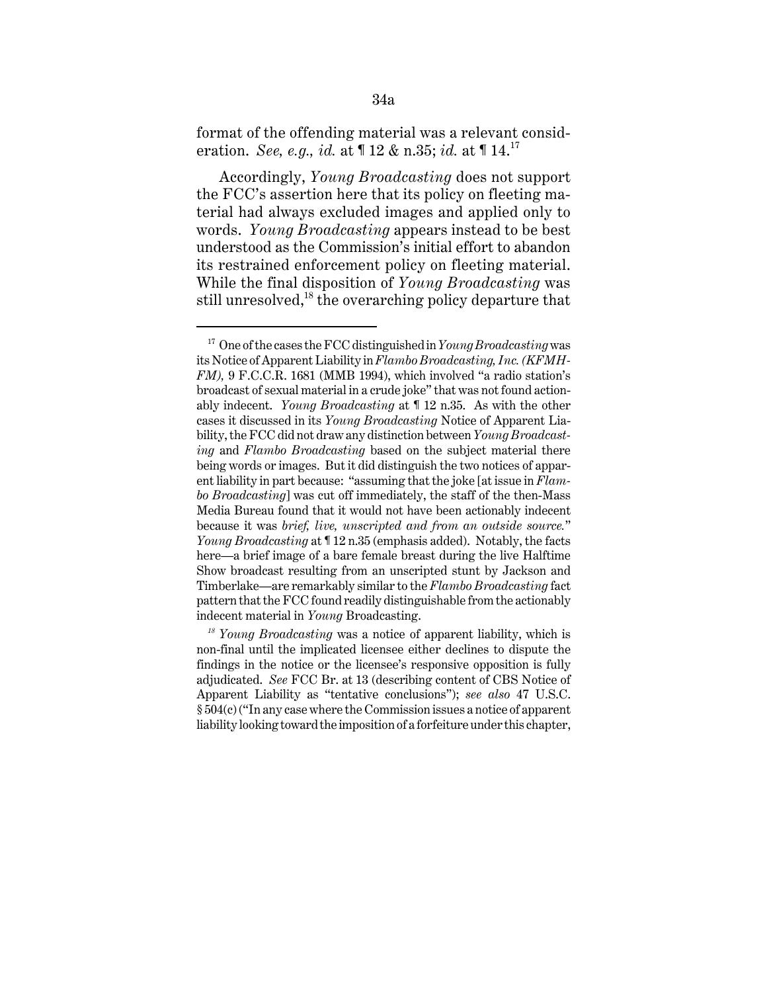format of the offending material was a relevant consideration. *See, e.g., id.* at ¶ 12 & n.35; *id.* at ¶ 14.<sup>17</sup>

Accordingly, *Young Broadcasting* does not support the FCC's assertion here that its policy on fleeting material had always excluded images and applied only to words. *Young Broadcasting* appears instead to be best understood as the Commission's initial effort to abandon its restrained enforcement policy on fleeting material. While the final disposition of *Young Broadcasting* was still unresolved,<sup>18</sup> the overarching policy departure that

<sup>17</sup> One of the cases the FCC distinguished in *Young Broadcasting* was its Notice of Apparent Liability in *Flambo Broadcasting, Inc. (KFMH-FM),* 9 F.C.C.R. 1681 (MMB 1994), which involved "a radio station's broadcast of sexual material in a crude joke" that was not found actionably indecent. *Young Broadcasting* at ¶ 12 n.35. As with the other cases it discussed in its *Young Broadcasting* Notice of Apparent Liability, the FCC did not draw any distinction between *Young Broadcasting* and *Flambo Broadcasting* based on the subject material there being words or images. But it did distinguish the two notices of apparent liability in part because: "assuming that the joke [at issue in *Flambo Broadcasting*] was cut off immediately, the staff of the then-Mass Media Bureau found that it would not have been actionably indecent because it was *brief, live, unscripted and from an outside source.*" *Young Broadcasting* at ¶ 12 n.35 (emphasis added). Notably, the facts here—a brief image of a bare female breast during the live Halftime Show broadcast resulting from an unscripted stunt by Jackson and Timberlake—are remarkably similar to the *Flambo Broadcasting* fact pattern that the FCC found readily distinguishable from the actionably indecent material in *Young* Broadcasting.

*<sup>18</sup> Young Broadcasting* was a notice of apparent liability, which is non-final until the implicated licensee either declines to dispute the findings in the notice or the licensee's responsive opposition is fully adjudicated. *See* FCC Br. at 13 (describing content of CBS Notice of Apparent Liability as "tentative conclusions"); *see also* 47 U.S.C. § 504(c) ("In any case where the Commission issues a notice of apparent liability looking toward the imposition of a forfeiture under this chapter,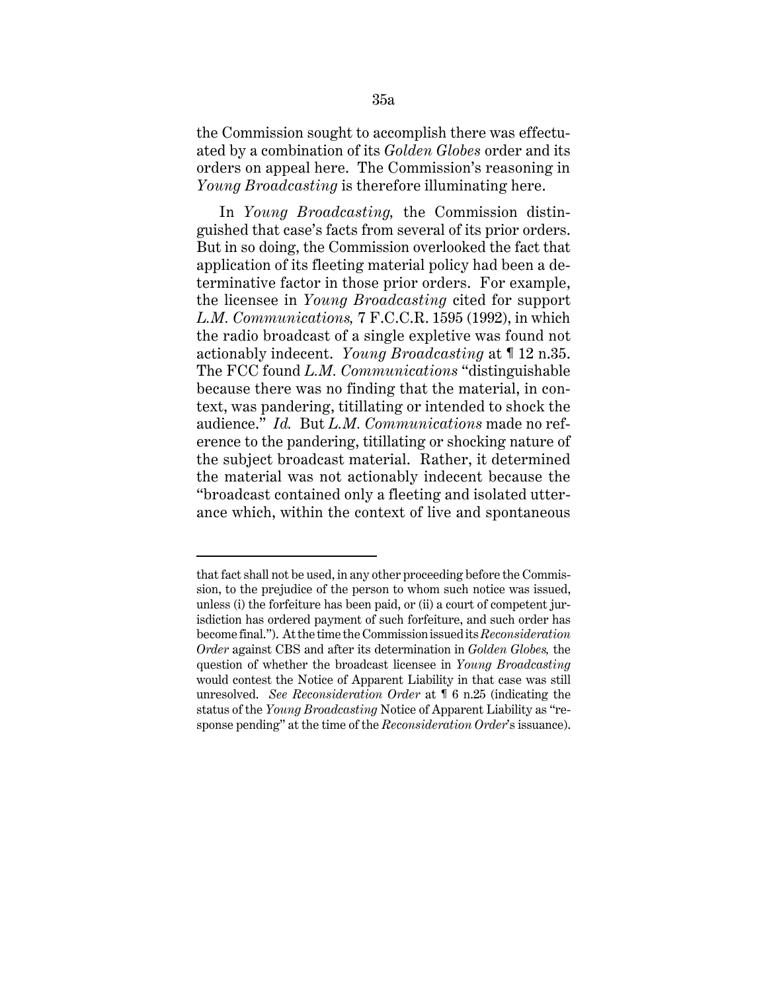the Commission sought to accomplish there was effectuated by a combination of its *Golden Globes* order and its orders on appeal here. The Commission's reasoning in *Young Broadcasting* is therefore illuminating here.

In *Young Broadcasting,* the Commission distinguished that case's facts from several of its prior orders. But in so doing, the Commission overlooked the fact that application of its fleeting material policy had been a determinative factor in those prior orders. For example, the licensee in *Young Broadcasting* cited for support *L.M. Communications,* 7 F.C.C.R. 1595 (1992), in which the radio broadcast of a single expletive was found not actionably indecent. *Young Broadcasting* at ¶ 12 n.35. The FCC found *L.M. Communications* "distinguishable because there was no finding that the material, in context, was pandering, titillating or intended to shock the audience." *Id.* But *L.M. Communications* made no reference to the pandering, titillating or shocking nature of the subject broadcast material. Rather, it determined the material was not actionably indecent because the "broadcast contained only a fleeting and isolated utterance which, within the context of live and spontaneous

that fact shall not be used, in any other proceeding before the Commission, to the prejudice of the person to whom such notice was issued, unless (i) the forfeiture has been paid, or (ii) a court of competent jurisdiction has ordered payment of such forfeiture, and such order has become final."). At the time the Commission issued its *Reconsideration Order* against CBS and after its determination in *Golden Globes,* the question of whether the broadcast licensee in *Young Broadcasting* would contest the Notice of Apparent Liability in that case was still unresolved. *See Reconsideration Order* at ¶ 6 n.25 (indicating the status of the *Young Broadcasting* Notice of Apparent Liability as "response pending" at the time of the *Reconsideration Order*'s issuance).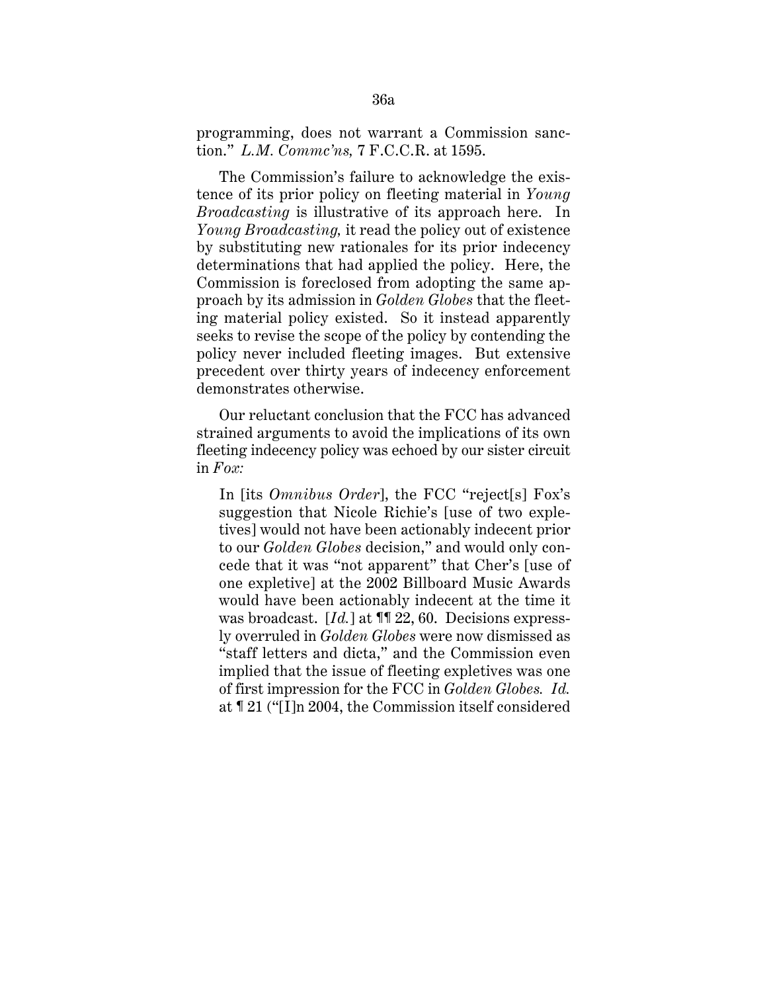programming, does not warrant a Commission sanction." *L.M. Commc'ns,* 7 F.C.C.R. at 1595.

The Commission's failure to acknowledge the existence of its prior policy on fleeting material in *Young Broadcasting* is illustrative of its approach here. In *Young Broadcasting,* it read the policy out of existence by substituting new rationales for its prior indecency determinations that had applied the policy. Here, the Commission is foreclosed from adopting the same approach by its admission in *Golden Globes* that the fleeting material policy existed. So it instead apparently seeks to revise the scope of the policy by contending the policy never included fleeting images. But extensive precedent over thirty years of indecency enforcement demonstrates otherwise.

Our reluctant conclusion that the FCC has advanced strained arguments to avoid the implications of its own fleeting indecency policy was echoed by our sister circuit in *Fox:*

In [its *Omnibus Order*], the FCC "reject[s] Fox's suggestion that Nicole Richie's [use of two expletives] would not have been actionably indecent prior to our *Golden Globes* decision," and would only concede that it was "not apparent" that Cher's [use of one expletive] at the 2002 Billboard Music Awards would have been actionably indecent at the time it was broadcast. [*Id.*] at **11** 22, 60. Decisions expressly overruled in *Golden Globes* were now dismissed as "staff letters and dicta," and the Commission even implied that the issue of fleeting expletives was one of first impression for the FCC in *Golden Globes. Id.* at ¶ 21 ("[I]n 2004, the Commission itself considered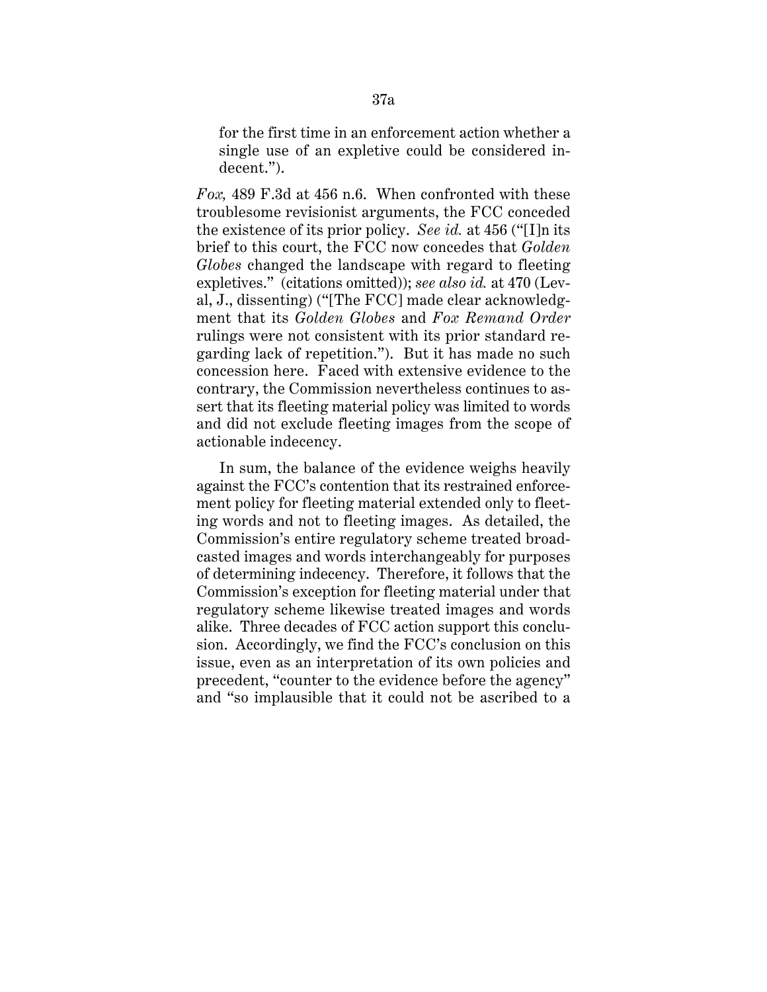for the first time in an enforcement action whether a single use of an expletive could be considered indecent.").

*Fox,* 489 F.3d at 456 n.6. When confronted with these troublesome revisionist arguments, the FCC conceded the existence of its prior policy. *See id.* at 456 ("[I]n its brief to this court, the FCC now concedes that *Golden Globes* changed the landscape with regard to fleeting expletives." (citations omitted)); *see also id.* at 470 (Leval, J., dissenting) ("[The FCC] made clear acknowledgment that its *Golden Globes* and *Fox Remand Order* rulings were not consistent with its prior standard regarding lack of repetition."). But it has made no such concession here. Faced with extensive evidence to the contrary, the Commission nevertheless continues to assert that its fleeting material policy was limited to words and did not exclude fleeting images from the scope of actionable indecency.

In sum, the balance of the evidence weighs heavily against the FCC's contention that its restrained enforcement policy for fleeting material extended only to fleeting words and not to fleeting images. As detailed, the Commission's entire regulatory scheme treated broadcasted images and words interchangeably for purposes of determining indecency. Therefore, it follows that the Commission's exception for fleeting material under that regulatory scheme likewise treated images and words alike. Three decades of FCC action support this conclusion. Accordingly, we find the FCC's conclusion on this issue, even as an interpretation of its own policies and precedent, "counter to the evidence before the agency" and "so implausible that it could not be ascribed to a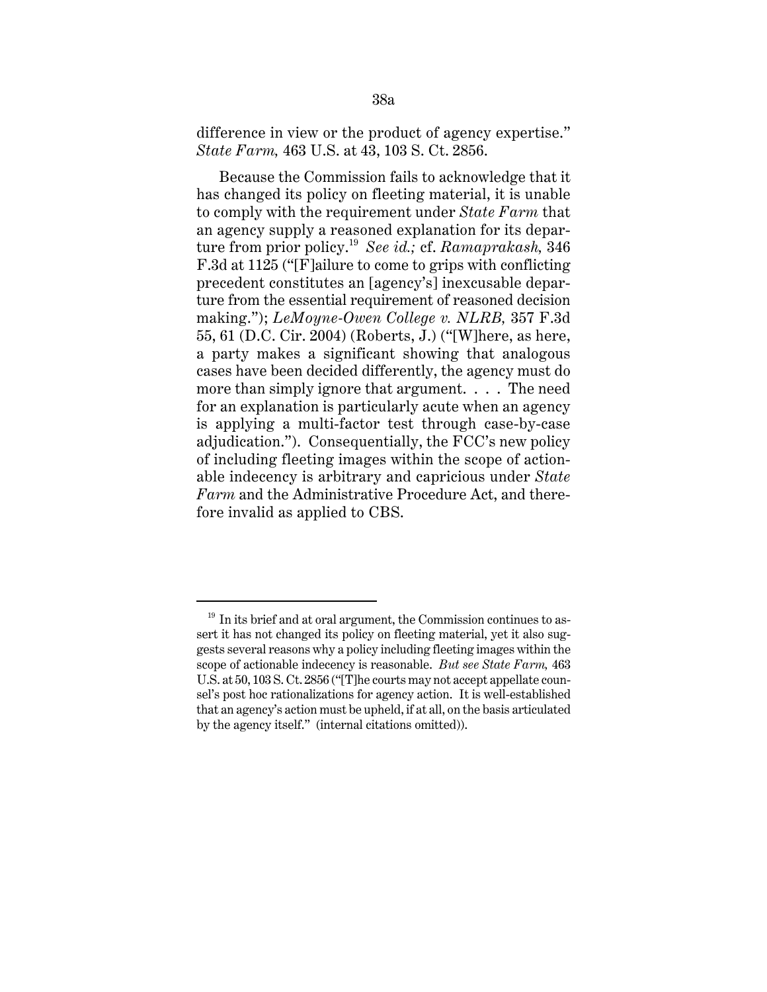difference in view or the product of agency expertise." *State Farm,* 463 U.S. at 43, 103 S. Ct. 2856.

Because the Commission fails to acknowledge that it has changed its policy on fleeting material, it is unable to comply with the requirement under *State Farm* that an agency supply a reasoned explanation for its departure from prior policy.19 *See id.;* cf. *Ramaprakash,* 346 F.3d at 1125 ("[F]ailure to come to grips with conflicting precedent constitutes an [agency's] inexcusable departure from the essential requirement of reasoned decision making."); *LeMoyne-Owen College v. NLRB,* 357 F.3d 55, 61 (D.C. Cir. 2004) (Roberts, J.) ("[W]here, as here, a party makes a significant showing that analogous cases have been decided differently, the agency must do more than simply ignore that argument. . . . The need for an explanation is particularly acute when an agency is applying a multi-factor test through case-by-case adjudication."). Consequentially, the FCC's new policy of including fleeting images within the scope of actionable indecency is arbitrary and capricious under *State Farm* and the Administrative Procedure Act, and therefore invalid as applied to CBS.

 $19$  In its brief and at oral argument, the Commission continues to assert it has not changed its policy on fleeting material, yet it also suggests several reasons why a policy including fleeting images within the scope of actionable indecency is reasonable. *But see State Farm,* 463 U.S. at 50, 103 S. Ct. 2856 ("[T]he courts may not accept appellate counsel's post hoc rationalizations for agency action. It is well-established that an agency's action must be upheld, if at all, on the basis articulated by the agency itself." (internal citations omitted)).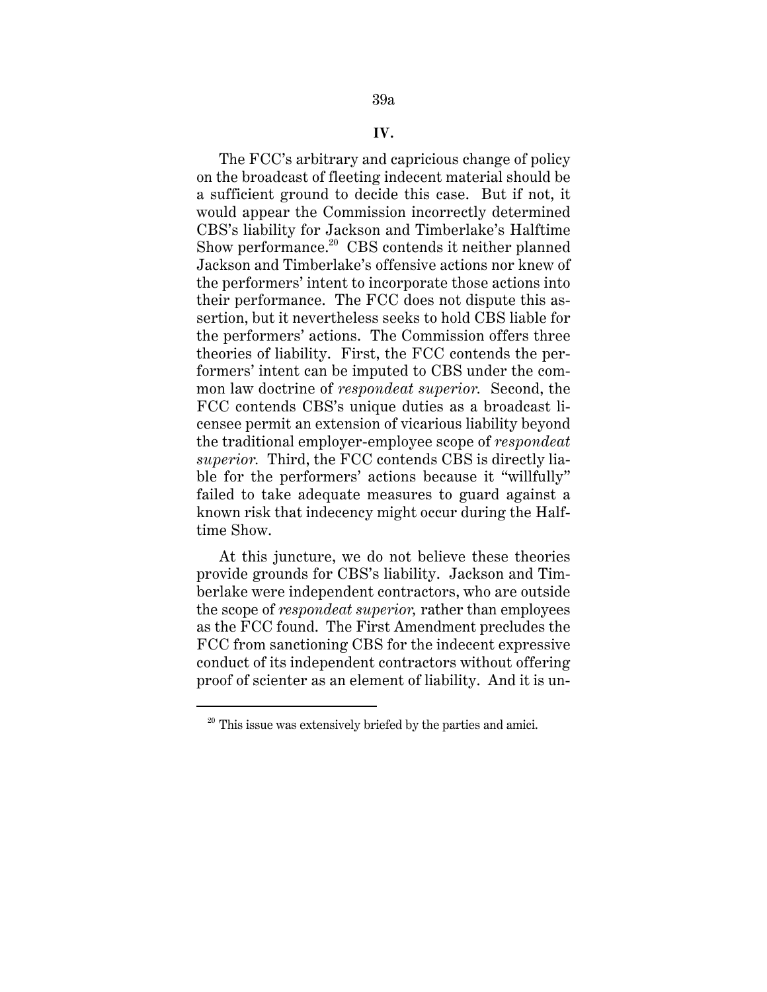The FCC's arbitrary and capricious change of policy on the broadcast of fleeting indecent material should be a sufficient ground to decide this case. But if not, it would appear the Commission incorrectly determined CBS's liability for Jackson and Timberlake's Halftime Show performance.<sup>20</sup> CBS contends it neither planned Jackson and Timberlake's offensive actions nor knew of the performers' intent to incorporate those actions into their performance. The FCC does not dispute this assertion, but it nevertheless seeks to hold CBS liable for the performers' actions. The Commission offers three theories of liability. First, the FCC contends the performers' intent can be imputed to CBS under the common law doctrine of *respondeat superior.* Second, the FCC contends CBS's unique duties as a broadcast licensee permit an extension of vicarious liability beyond the traditional employer-employee scope of *respondeat superior.* Third, the FCC contends CBS is directly liable for the performers' actions because it "willfully" failed to take adequate measures to guard against a known risk that indecency might occur during the Halftime Show.

At this juncture, we do not believe these theories provide grounds for CBS's liability. Jackson and Timberlake were independent contractors, who are outside the scope of *respondeat superior,* rather than employees as the FCC found. The First Amendment precludes the FCC from sanctioning CBS for the indecent expressive conduct of its independent contractors without offering proof of scienter as an element of liability. And it is un-

 $20$  This issue was extensively briefed by the parties and amici.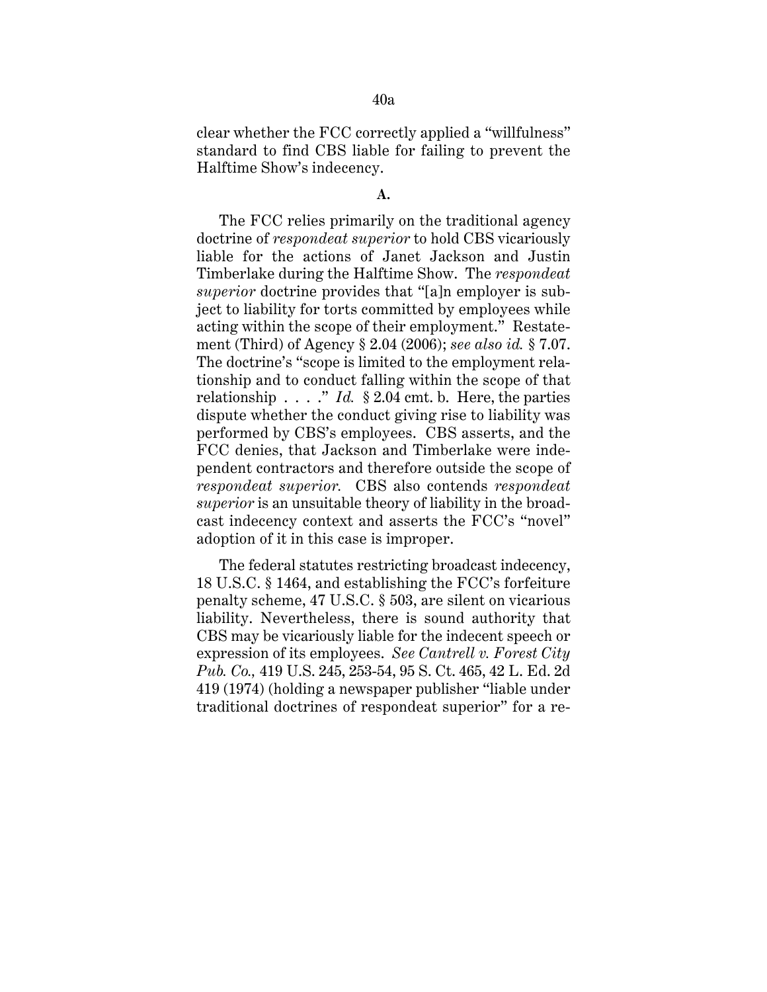clear whether the FCC correctly applied a "willfulness" standard to find CBS liable for failing to prevent the Halftime Show's indecency.

# **A.**

The FCC relies primarily on the traditional agency doctrine of *respondeat superior* to hold CBS vicariously liable for the actions of Janet Jackson and Justin Timberlake during the Halftime Show. The *respondeat superior* doctrine provides that "[a]n employer is subject to liability for torts committed by employees while acting within the scope of their employment." Restatement (Third) of Agency § 2.04 (2006); *see also id.* § 7.07. The doctrine's "scope is limited to the employment relationship and to conduct falling within the scope of that relationship  $\ldots$  ." *Id.* § 2.04 cmt. b. Here, the parties dispute whether the conduct giving rise to liability was performed by CBS's employees. CBS asserts, and the FCC denies, that Jackson and Timberlake were independent contractors and therefore outside the scope of *respondeat superior.* CBS also contends *respondeat superior* is an unsuitable theory of liability in the broadcast indecency context and asserts the FCC's "novel" adoption of it in this case is improper.

The federal statutes restricting broadcast indecency, 18 U.S.C. § 1464, and establishing the FCC's forfeiture penalty scheme, 47 U.S.C. § 503, are silent on vicarious liability. Nevertheless, there is sound authority that CBS may be vicariously liable for the indecent speech or expression of its employees. *See Cantrell v. Forest City Pub. Co.,* 419 U.S. 245, 253-54, 95 S. Ct. 465, 42 L. Ed. 2d 419 (1974) (holding a newspaper publisher "liable under traditional doctrines of respondeat superior" for a re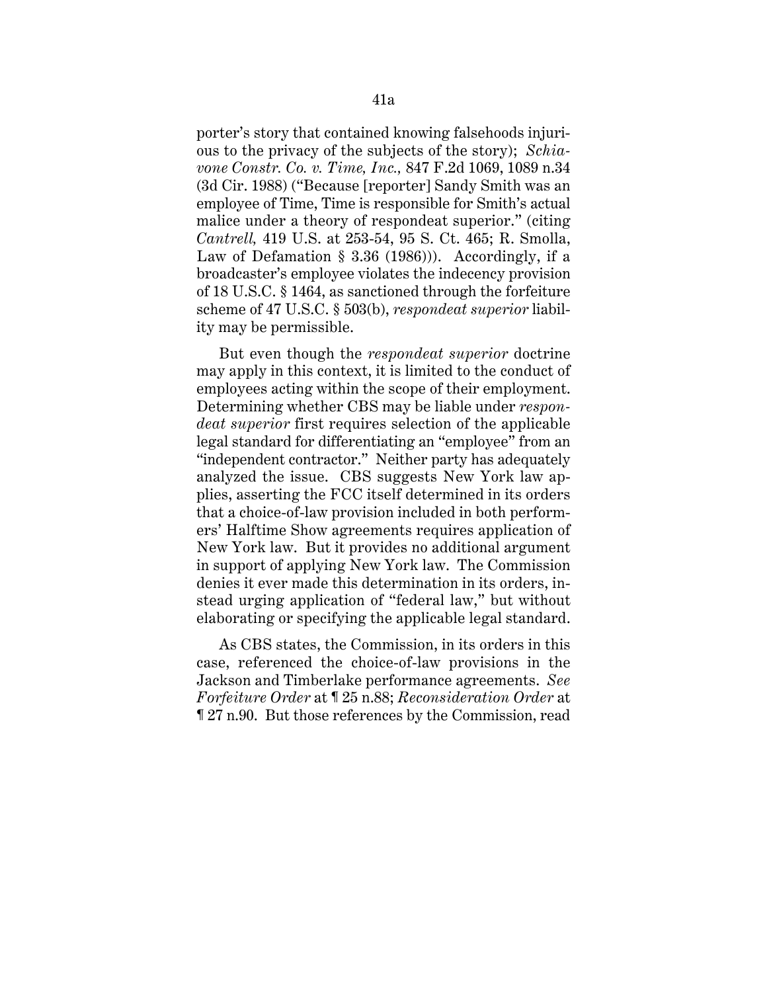porter's story that contained knowing falsehoods injurious to the privacy of the subjects of the story); *Schiavone Constr. Co. v. Time, Inc.,* 847 F.2d 1069, 1089 n.34 (3d Cir. 1988) ("Because [reporter] Sandy Smith was an employee of Time, Time is responsible for Smith's actual malice under a theory of respondeat superior." (citing *Cantrell,* 419 U.S. at 253-54, 95 S. Ct. 465; R. Smolla, Law of Defamation § 3.36 (1986))). Accordingly, if a broadcaster's employee violates the indecency provision of 18 U.S.C. § 1464, as sanctioned through the forfeiture scheme of 47 U.S.C. § 503(b), *respondeat superior* liability may be permissible.

But even though the *respondeat superior* doctrine may apply in this context, it is limited to the conduct of employees acting within the scope of their employment. Determining whether CBS may be liable under *respondeat superior* first requires selection of the applicable legal standard for differentiating an "employee" from an "independent contractor." Neither party has adequately analyzed the issue. CBS suggests New York law applies, asserting the FCC itself determined in its orders that a choice-of-law provision included in both performers' Halftime Show agreements requires application of New York law. But it provides no additional argument in support of applying New York law. The Commission denies it ever made this determination in its orders, instead urging application of "federal law," but without elaborating or specifying the applicable legal standard.

As CBS states, the Commission, in its orders in this case, referenced the choice-of-law provisions in the Jackson and Timberlake performance agreements. *See Forfeiture Order* at ¶ 25 n.88; *Reconsideration Order* at ¶ 27 n.90. But those references by the Commission, read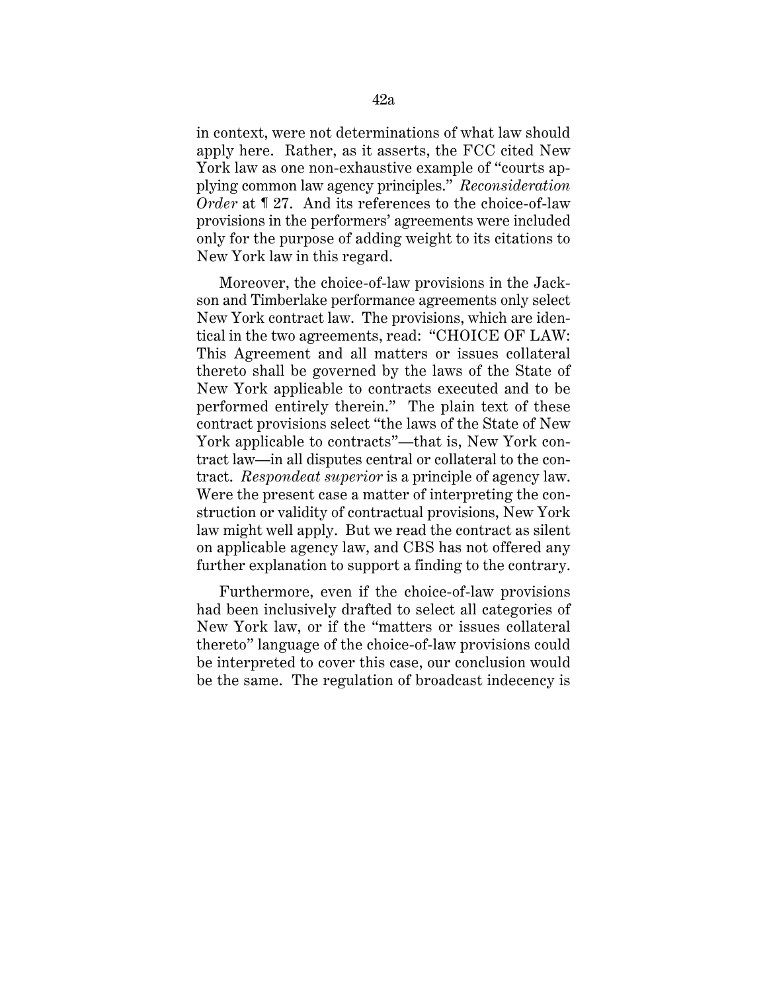in context, were not determinations of what law should apply here. Rather, as it asserts, the FCC cited New York law as one non-exhaustive example of "courts applying common law agency principles." *Reconsideration Order* at  $\mathbb{I}$  27. And its references to the choice-of-law provisions in the performers' agreements were included only for the purpose of adding weight to its citations to New York law in this regard.

Moreover, the choice-of-law provisions in the Jackson and Timberlake performance agreements only select New York contract law. The provisions, which are identical in the two agreements, read: "CHOICE OF LAW: This Agreement and all matters or issues collateral thereto shall be governed by the laws of the State of New York applicable to contracts executed and to be performed entirely therein." The plain text of these contract provisions select "the laws of the State of New York applicable to contracts"—that is, New York contract law—in all disputes central or collateral to the contract. *Respondeat superior* is a principle of agency law. Were the present case a matter of interpreting the construction or validity of contractual provisions, New York law might well apply. But we read the contract as silent on applicable agency law, and CBS has not offered any further explanation to support a finding to the contrary.

Furthermore, even if the choice-of-law provisions had been inclusively drafted to select all categories of New York law, or if the "matters or issues collateral thereto" language of the choice-of-law provisions could be interpreted to cover this case, our conclusion would be the same. The regulation of broadcast indecency is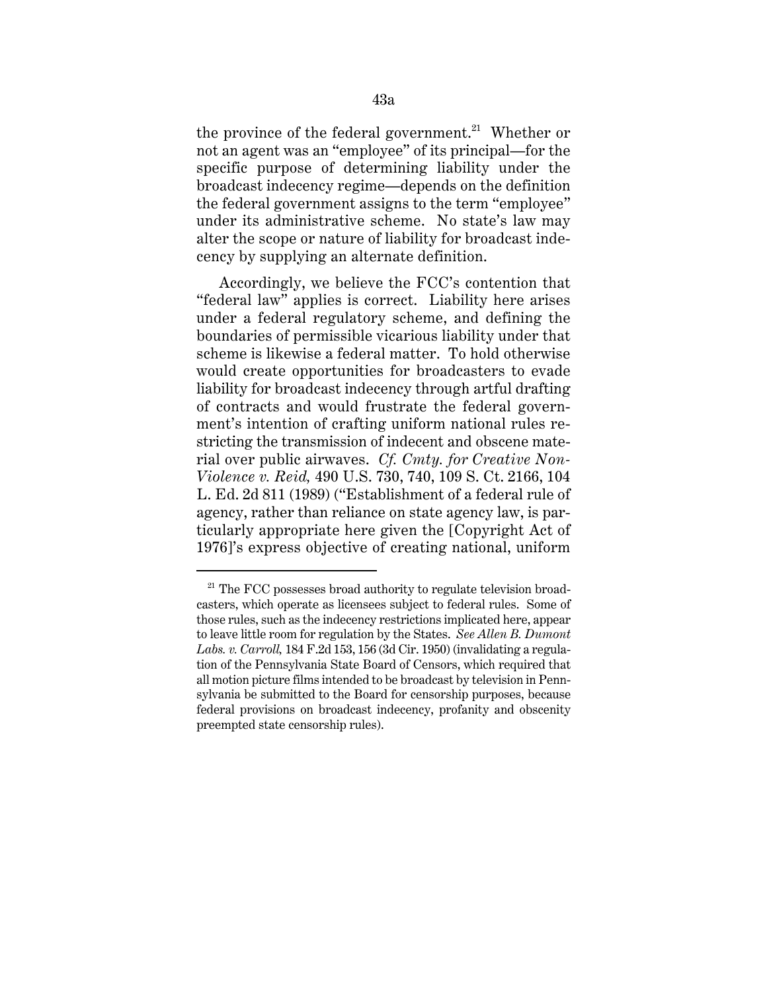the province of the federal government.<sup>21</sup> Whether or not an agent was an "employee" of its principal—for the specific purpose of determining liability under the broadcast indecency regime—depends on the definition the federal government assigns to the term "employee" under its administrative scheme. No state's law may alter the scope or nature of liability for broadcast indecency by supplying an alternate definition.

Accordingly, we believe the FCC's contention that "federal law" applies is correct. Liability here arises under a federal regulatory scheme, and defining the boundaries of permissible vicarious liability under that scheme is likewise a federal matter. To hold otherwise would create opportunities for broadcasters to evade liability for broadcast indecency through artful drafting of contracts and would frustrate the federal government's intention of crafting uniform national rules restricting the transmission of indecent and obscene material over public airwaves. *Cf. Cmty. for Creative Non-Violence v. Reid,* 490 U.S. 730, 740, 109 S. Ct. 2166, 104 L. Ed. 2d 811 (1989) ("Establishment of a federal rule of agency, rather than reliance on state agency law, is particularly appropriate here given the [Copyright Act of 1976]'s express objective of creating national, uniform

 $21$  The FCC possesses broad authority to regulate television broadcasters, which operate as licensees subject to federal rules. Some of those rules, such as the indecency restrictions implicated here, appear to leave little room for regulation by the States. *See Allen B. Dumont Labs. v. Carroll,* 184 F.2d 153, 156 (3d Cir. 1950) (invalidating a regulation of the Pennsylvania State Board of Censors, which required that all motion picture films intended to be broadcast by television in Pennsylvania be submitted to the Board for censorship purposes, because federal provisions on broadcast indecency, profanity and obscenity preempted state censorship rules).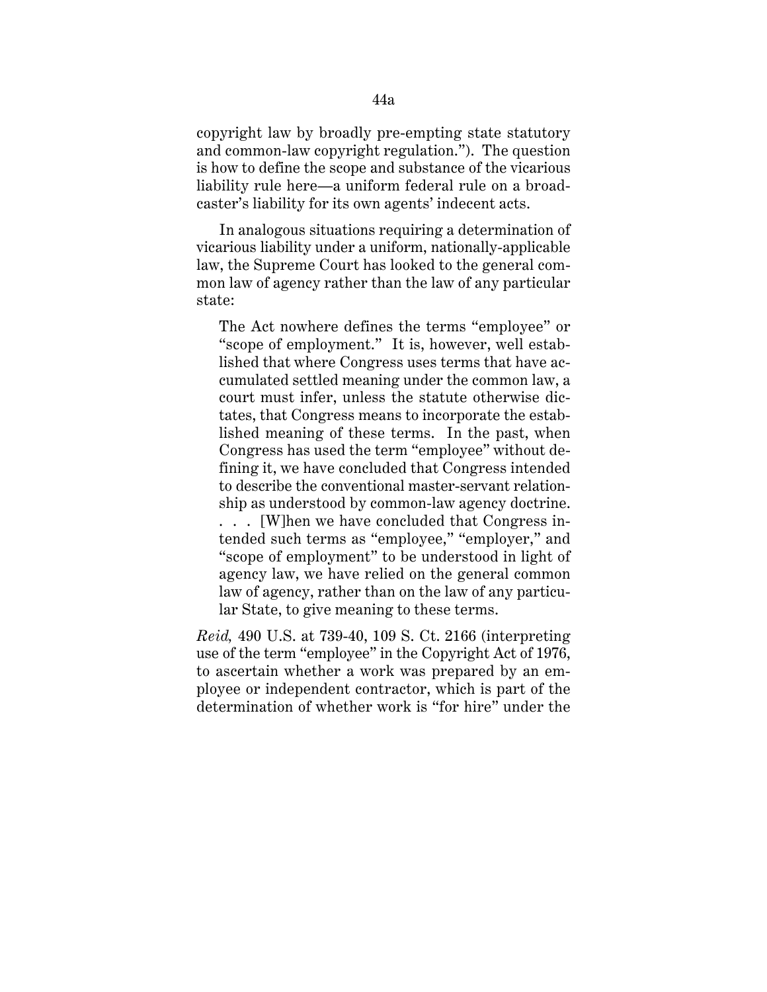copyright law by broadly pre-empting state statutory and common-law copyright regulation."). The question is how to define the scope and substance of the vicarious liability rule here—a uniform federal rule on a broadcaster's liability for its own agents' indecent acts.

In analogous situations requiring a determination of vicarious liability under a uniform, nationally-applicable law, the Supreme Court has looked to the general common law of agency rather than the law of any particular state:

The Act nowhere defines the terms "employee" or "scope of employment." It is, however, well established that where Congress uses terms that have accumulated settled meaning under the common law, a court must infer, unless the statute otherwise dictates, that Congress means to incorporate the established meaning of these terms. In the past, when Congress has used the term "employee" without defining it, we have concluded that Congress intended to describe the conventional master-servant relationship as understood by common-law agency doctrine. . . . [W]hen we have concluded that Congress intended such terms as "employee," "employer," and "scope of employment" to be understood in light of agency law, we have relied on the general common law of agency, rather than on the law of any particular State, to give meaning to these terms.

*Reid,* 490 U.S. at 739-40, 109 S. Ct. 2166 (interpreting use of the term "employee" in the Copyright Act of 1976, to ascertain whether a work was prepared by an employee or independent contractor, which is part of the determination of whether work is "for hire" under the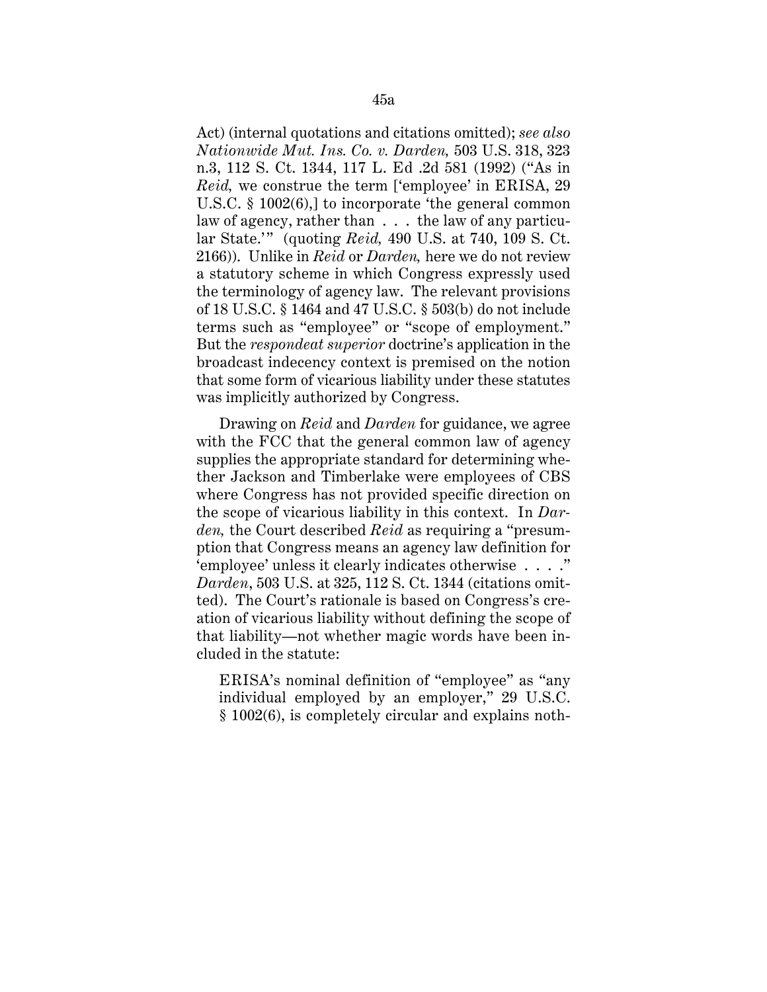Act) (internal quotations and citations omitted); *see also Nationwide Mut. Ins. Co. v. Darden,* 503 U.S. 318, 323 n.3, 112 S. Ct. 1344, 117 L. Ed .2d 581 (1992) ("As in *Reid,* we construe the term ['employee' in ERISA, 29 U.S.C. § 1002(6),] to incorporate 'the general common law of agency, rather than . . . the law of any particular State.'" (quoting *Reid,* 490 U.S. at 740, 109 S. Ct. 2166)). Unlike in *Reid* or *Darden,* here we do not review a statutory scheme in which Congress expressly used the terminology of agency law. The relevant provisions of 18 U.S.C. § 1464 and 47 U.S.C. § 503(b) do not include terms such as "employee" or "scope of employment." But the *respondeat superior* doctrine's application in the broadcast indecency context is premised on the notion that some form of vicarious liability under these statutes was implicitly authorized by Congress.

Drawing on *Reid* and *Darden* for guidance, we agree with the FCC that the general common law of agency supplies the appropriate standard for determining whether Jackson and Timberlake were employees of CBS where Congress has not provided specific direction on the scope of vicarious liability in this context. In *Darden,* the Court described *Reid* as requiring a "presumption that Congress means an agency law definition for 'employee' unless it clearly indicates otherwise . . . ." *Darden*, 503 U.S. at 325, 112 S. Ct. 1344 (citations omitted). The Court's rationale is based on Congress's creation of vicarious liability without defining the scope of that liability—not whether magic words have been included in the statute:

ERISA's nominal definition of "employee" as "any individual employed by an employer," 29 U.S.C. § 1002(6), is completely circular and explains noth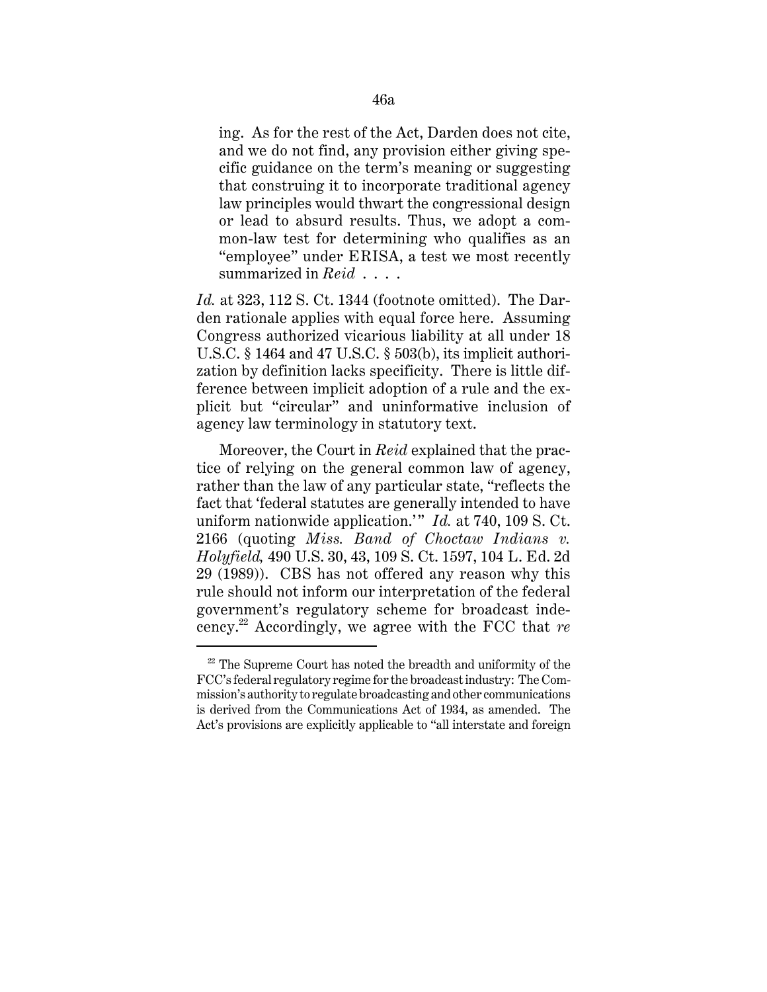ing. As for the rest of the Act, Darden does not cite, and we do not find, any provision either giving specific guidance on the term's meaning or suggesting that construing it to incorporate traditional agency law principles would thwart the congressional design or lead to absurd results. Thus, we adopt a common-law test for determining who qualifies as an "employee" under ERISA, a test we most recently summarized in *Reid* . . . .

*Id.* at 323, 112 S. Ct. 1344 (footnote omitted). The Darden rationale applies with equal force here. Assuming Congress authorized vicarious liability at all under 18 U.S.C. § 1464 and 47 U.S.C. § 503(b), its implicit authorization by definition lacks specificity. There is little difference between implicit adoption of a rule and the explicit but "circular" and uninformative inclusion of agency law terminology in statutory text.

Moreover, the Court in *Reid* explained that the practice of relying on the general common law of agency, rather than the law of any particular state, "reflects the fact that 'federal statutes are generally intended to have uniform nationwide application.'" *Id.* at 740, 109 S. Ct. 2166 (quoting *Miss. Band of Choctaw Indians v. Holyfield,* 490 U.S. 30, 43, 109 S. Ct. 1597, 104 L. Ed. 2d 29 (1989)). CBS has not offered any reason why this rule should not inform our interpretation of the federal government's regulatory scheme for broadcast indecency.22 Accordingly, we agree with the FCC that *re*

 $22$  The Supreme Court has noted the breadth and uniformity of the FCC's federal regulatory regime for the broadcast industry: The Commission's authority to regulate broadcasting and other communications is derived from the Communications Act of 1934, as amended. The Act's provisions are explicitly applicable to "all interstate and foreign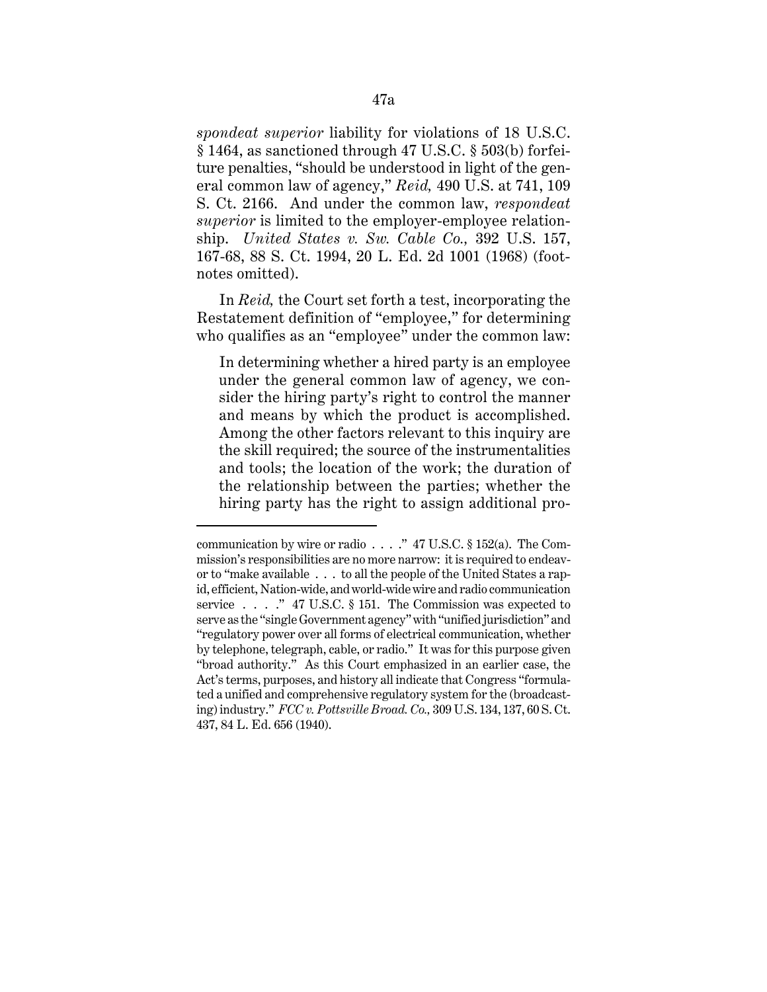*spondeat superior* liability for violations of 18 U.S.C. § 1464, as sanctioned through 47 U.S.C. § 503(b) forfeiture penalties, "should be understood in light of the general common law of agency," *Reid,* 490 U.S. at 741, 109 S. Ct. 2166. And under the common law, *respondeat superior* is limited to the employer-employee relationship. *United States v. Sw. Cable Co.,* 392 U.S. 157, 167-68, 88 S. Ct. 1994, 20 L. Ed. 2d 1001 (1968) (footnotes omitted).

In *Reid,* the Court set forth a test, incorporating the Restatement definition of "employee," for determining who qualifies as an "employee" under the common law:

In determining whether a hired party is an employee under the general common law of agency, we consider the hiring party's right to control the manner and means by which the product is accomplished. Among the other factors relevant to this inquiry are the skill required; the source of the instrumentalities and tools; the location of the work; the duration of the relationship between the parties; whether the hiring party has the right to assign additional pro-

communication by wire or radio . . . ." 47 U.S.C. § 152(a). The Commission's responsibilities are no more narrow: it is required to endeavor to "make available . . . to all the people of the United States a rapid, efficient, Nation-wide, and world-wide wire and radio communication service . . . . " 47 U.S.C. § 151. The Commission was expected to serve as the "single Government agency" with "unified jurisdiction" and "regulatory power over all forms of electrical communication, whether by telephone, telegraph, cable, or radio." It was for this purpose given "broad authority." As this Court emphasized in an earlier case, the Act's terms, purposes, and history all indicate that Congress "formulated a unified and comprehensive regulatory system for the (broadcasting) industry." *FCC v. Pottsville Broad. Co.,* 309 U.S. 134, 137, 60 S. Ct. 437, 84 L. Ed. 656 (1940).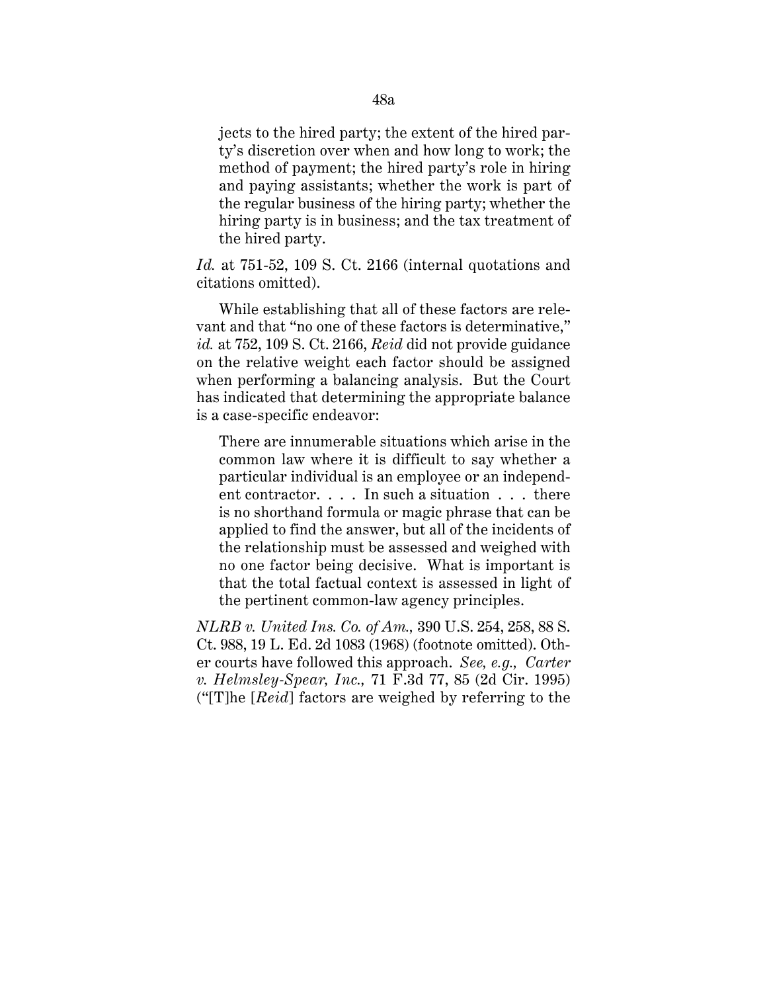jects to the hired party; the extent of the hired party's discretion over when and how long to work; the method of payment; the hired party's role in hiring and paying assistants; whether the work is part of the regular business of the hiring party; whether the hiring party is in business; and the tax treatment of the hired party.

*Id.* at 751-52, 109 S. Ct. 2166 (internal quotations and citations omitted).

While establishing that all of these factors are relevant and that "no one of these factors is determinative," *id.* at 752, 109 S. Ct. 2166, *Reid* did not provide guidance on the relative weight each factor should be assigned when performing a balancing analysis. But the Court has indicated that determining the appropriate balance is a case-specific endeavor:

There are innumerable situations which arise in the common law where it is difficult to say whether a particular individual is an employee or an independent contractor. . . . In such a situation . . . there is no shorthand formula or magic phrase that can be applied to find the answer, but all of the incidents of the relationship must be assessed and weighed with no one factor being decisive. What is important is that the total factual context is assessed in light of the pertinent common-law agency principles.

*NLRB v. United Ins. Co. of Am.,* 390 U.S. 254, 258, 88 S. Ct. 988, 19 L. Ed. 2d 1083 (1968) (footnote omitted). Other courts have followed this approach. *See, e.g., Carter v. Helmsley-Spear, Inc.,* 71 F.3d 77, 85 (2d Cir. 1995) ("[T]he [*Reid*] factors are weighed by referring to the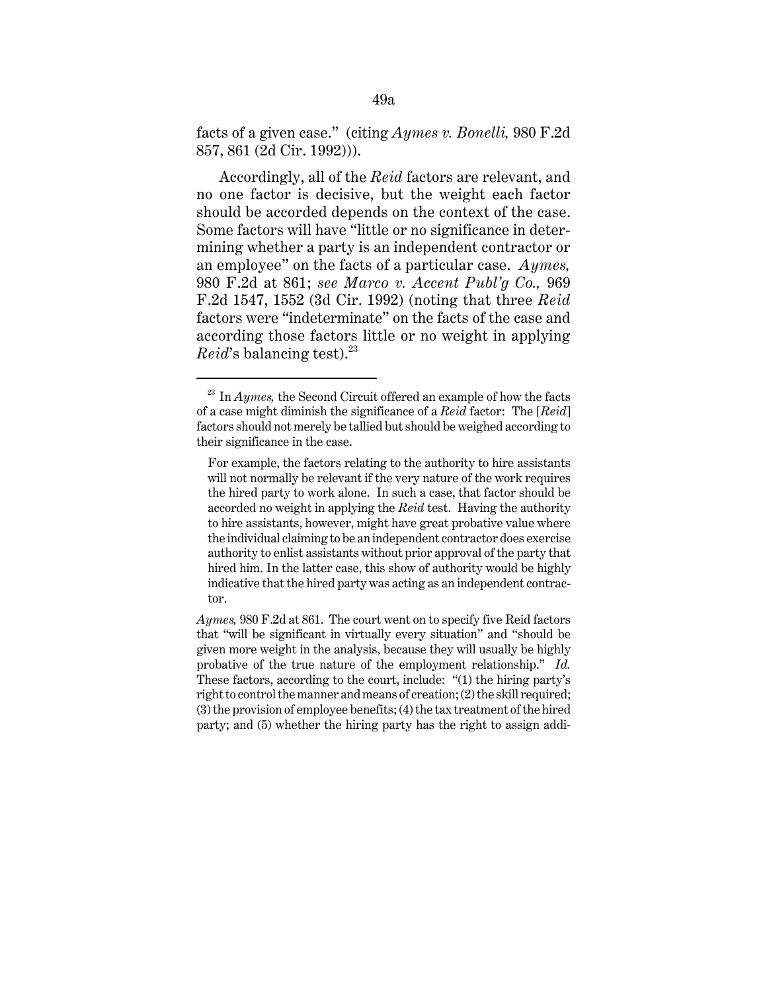facts of a given case." (citing *Aymes v. Bonelli,* 980 F.2d 857, 861 (2d Cir. 1992))).

Accordingly, all of the *Reid* factors are relevant, and no one factor is decisive, but the weight each factor should be accorded depends on the context of the case. Some factors will have "little or no significance in determining whether a party is an independent contractor or an employee" on the facts of a particular case. *Aymes,* 980 F.2d at 861; *see Marco v. Accent Publ'g Co.,* 969 F.2d 1547, 1552 (3d Cir. 1992) (noting that three *Reid* factors were "indeterminate" on the facts of the case and according those factors little or no weight in applying *Reid*'s balancing test).<sup>23</sup>

<sup>&</sup>lt;sup>23</sup> In *Aymes*, the Second Circuit offered an example of how the facts of a case might diminish the significance of a *Reid* factor: The [*Reid*] factors should not merely be tallied but should be weighed according to their significance in the case.

For example, the factors relating to the authority to hire assistants will not normally be relevant if the very nature of the work requires the hired party to work alone. In such a case, that factor should be accorded no weight in applying the *Reid* test. Having the authority to hire assistants, however, might have great probative value where the individual claiming to be an independent contractor does exercise authority to enlist assistants without prior approval of the party that hired him. In the latter case, this show of authority would be highly indicative that the hired party was acting as an independent contractor.

*Aymes,* 980 F.2d at 861. The court went on to specify five Reid factors that "will be significant in virtually every situation" and "should be given more weight in the analysis, because they will usually be highly probative of the true nature of the employment relationship." *Id.* These factors, according to the court, include: "(1) the hiring party's right to control the manner and means of creation; (2) the skill required; (3) the provision of employee benefits; (4) the tax treatment of the hired party; and (5) whether the hiring party has the right to assign addi-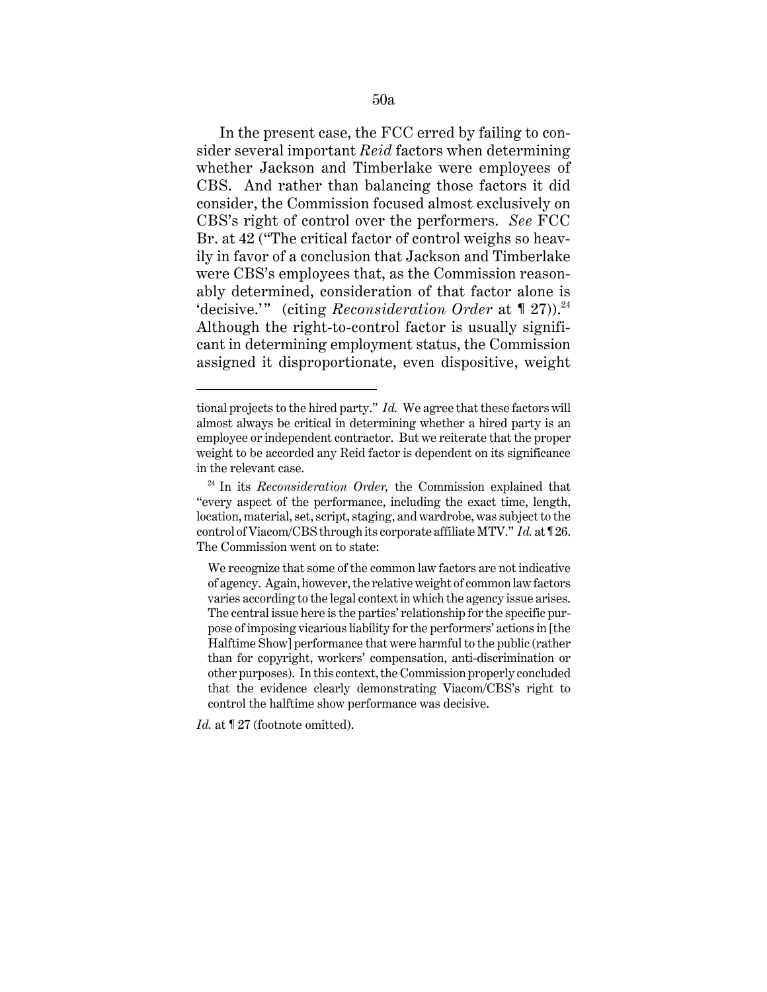In the present case, the FCC erred by failing to consider several important *Reid* factors when determining whether Jackson and Timberlake were employees of CBS. And rather than balancing those factors it did consider, the Commission focused almost exclusively on CBS's right of control over the performers. *See* FCC Br. at 42 ("The critical factor of control weighs so heavily in favor of a conclusion that Jackson and Timberlake were CBS's employees that, as the Commission reasonably determined, consideration of that factor alone is 'decisive.'" (citing *Reconsideration Order* at 1 27).<sup>24</sup> Although the right-to-control factor is usually significant in determining employment status, the Commission assigned it disproportionate, even dispositive, weight

*Id.* at ¶ 27 (footnote omitted).

tional projects to the hired party." *Id.* We agree that these factors will almost always be critical in determining whether a hired party is an employee or independent contractor. But we reiterate that the proper weight to be accorded any Reid factor is dependent on its significance in the relevant case.

<sup>24</sup> In its *Reconsideration Order,* the Commission explained that "every aspect of the performance, including the exact time, length, location, material, set, script, staging, and wardrobe, was subject to the control of Viacom/CBS through its corporate affiliate MTV." *Id.* at ¶ 26. The Commission went on to state:

We recognize that some of the common law factors are not indicative of agency. Again, however, the relative weight of common law factors varies according to the legal context in which the agency issue arises. The central issue here is the parties' relationship for the specific purpose of imposing vicarious liability for the performers' actions in [the Halftime Show] performance that were harmful to the public (rather than for copyright, workers' compensation, anti-discrimination or other purposes). In this context, the Commission properly concluded that the evidence clearly demonstrating Viacom/CBS's right to control the halftime show performance was decisive.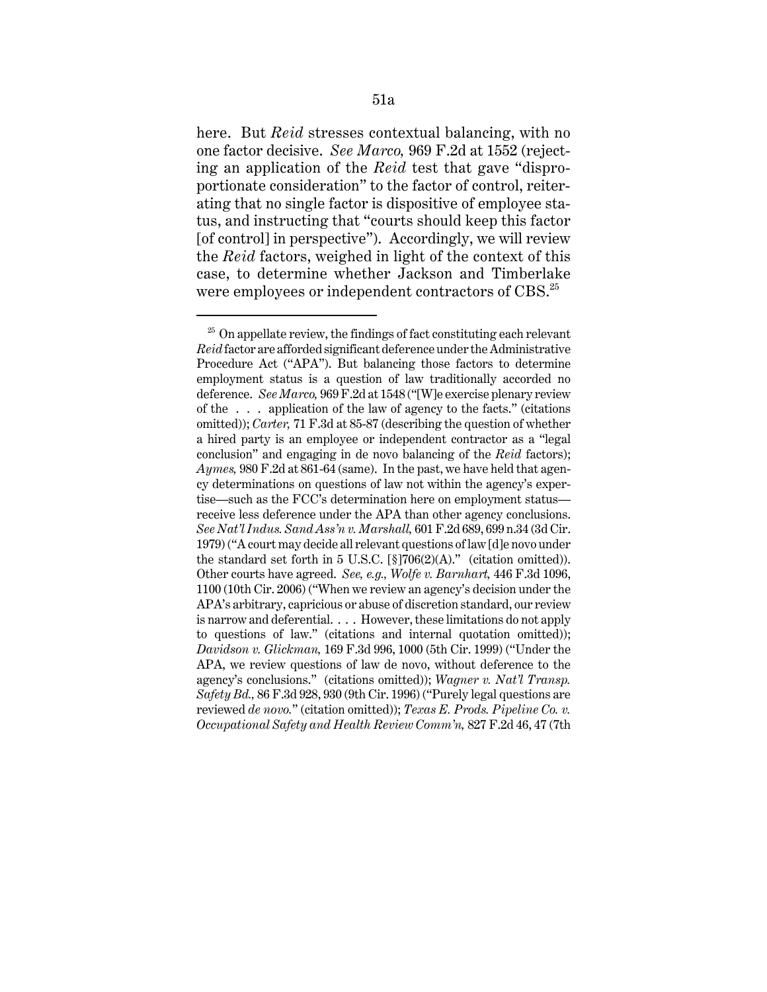here. But *Reid* stresses contextual balancing, with no one factor decisive. *See Marco,* 969 F.2d at 1552 (rejecting an application of the *Reid* test that gave "disproportionate consideration" to the factor of control, reiterating that no single factor is dispositive of employee status, and instructing that "courts should keep this factor [of control] in perspective"). Accordingly, we will review the *Reid* factors, weighed in light of the context of this case, to determine whether Jackson and Timberlake were employees or independent contractors of CBS.<sup>25</sup>

 $25$  On appellate review, the findings of fact constituting each relevant *Reid* factor are afforded significant deference under the Administrative Procedure Act ("APA"). But balancing those factors to determine employment status is a question of law traditionally accorded no deference. *See Marco,* 969 F.2d at 1548 ("[W]e exercise plenary review of the . . . application of the law of agency to the facts." (citations omitted)); *Carter,* 71 F.3d at 85-87 (describing the question of whether a hired party is an employee or independent contractor as a "legal conclusion" and engaging in de novo balancing of the *Reid* factors); *Aymes,* 980 F.2d at 861-64 (same). In the past, we have held that agency determinations on questions of law not within the agency's expertise—such as the FCC's determination here on employment status receive less deference under the APA than other agency conclusions. *See Nat'l Indus. Sand Ass'n v. Marshall,* 601 F.2d 689, 699 n.34 (3d Cir. 1979) ("A court may decide all relevant questions of law [d]e novo under the standard set forth in 5 U.S.C.  $[\S]706(2)(A)$ ." (citation omitted)). Other courts have agreed. *See, e.g., Wolfe v. Barnhart,* 446 F.3d 1096, 1100 (10th Cir. 2006) ("When we review an agency's decision under the APA's arbitrary, capricious or abuse of discretion standard, our review is narrow and deferential. . . . However, these limitations do not apply to questions of law." (citations and internal quotation omitted)); *Davidson v. Glickman,* 169 F.3d 996, 1000 (5th Cir. 1999) ("Under the APA, we review questions of law de novo, without deference to the agency's conclusions." (citations omitted)); *Wagner v. Nat'l Transp. Safety Bd.,* 86 F.3d 928, 930 (9th Cir. 1996) ("Purely legal questions are reviewed *de novo.*" (citation omitted)); *Texas E. Prods. Pipeline Co. v. Occupational Safety and Health Review Comm'n,* 827 F.2d 46, 47 (7th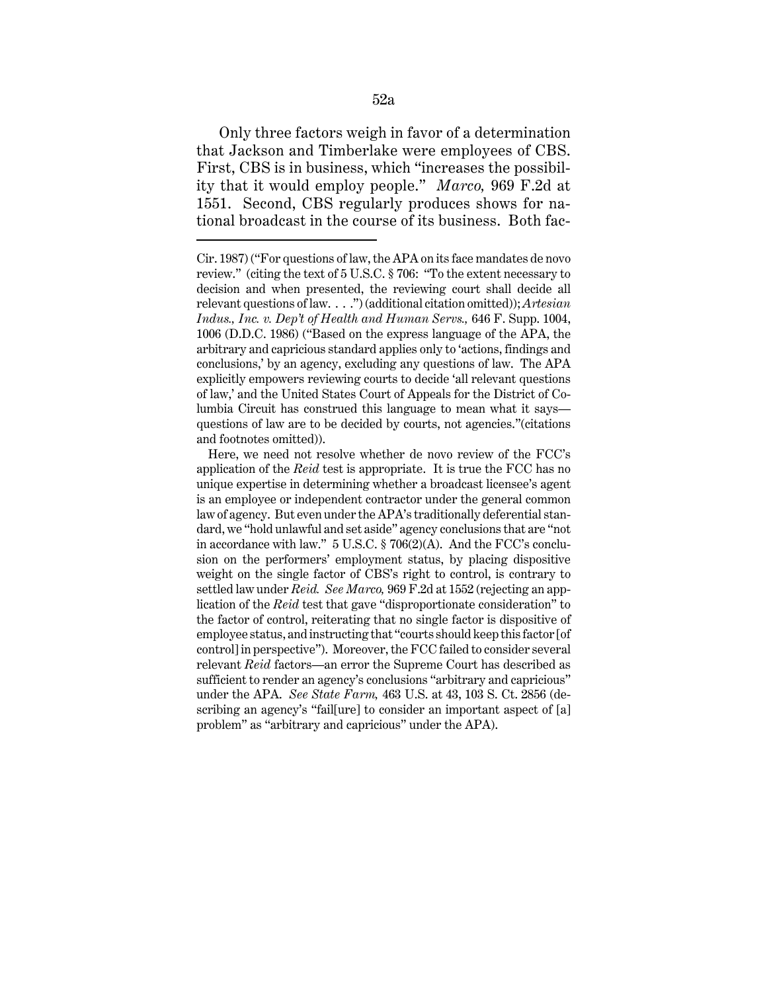Only three factors weigh in favor of a determination that Jackson and Timberlake were employees of CBS. First, CBS is in business, which "increases the possibility that it would employ people." *Marco,* 969 F.2d at 1551. Second, CBS regularly produces shows for national broadcast in the course of its business. Both fac-

Cir. 1987) ("For questions of law, the APA on its face mandates de novo review." (citing the text of 5 U.S.C. § 706: "To the extent necessary to decision and when presented, the reviewing court shall decide all relevant questions of law. . . .") (additional citation omitted)); *Artesian Indus., Inc. v. Dep't of Health and Human Servs.,* 646 F. Supp. 1004, 1006 (D.D.C. 1986) ("Based on the express language of the APA, the arbitrary and capricious standard applies only to 'actions, findings and conclusions,' by an agency, excluding any questions of law. The APA explicitly empowers reviewing courts to decide 'all relevant questions of law,' and the United States Court of Appeals for the District of Columbia Circuit has construed this language to mean what it says questions of law are to be decided by courts, not agencies."(citations and footnotes omitted)).

Here, we need not resolve whether de novo review of the FCC's application of the *Reid* test is appropriate. It is true the FCC has no unique expertise in determining whether a broadcast licensee's agent is an employee or independent contractor under the general common law of agency. But even under the APA's traditionally deferential standard, we "hold unlawful and set aside" agency conclusions that are "not in accordance with law." 5 U.S.C. § 706(2)(A). And the FCC's conclusion on the performers' employment status, by placing dispositive weight on the single factor of CBS's right to control, is contrary to settled law under *Reid. See Marco,* 969 F.2d at 1552 (rejecting an application of the *Reid* test that gave "disproportionate consideration" to the factor of control, reiterating that no single factor is dispositive of employee status, and instructing that "courts should keep this factor [of control] in perspective"). Moreover, the FCC failed to consider several relevant *Reid* factors—an error the Supreme Court has described as sufficient to render an agency's conclusions "arbitrary and capricious" under the APA. *See State Farm,* 463 U.S. at 43, 103 S. Ct. 2856 (describing an agency's "fail[ure] to consider an important aspect of [a] problem" as "arbitrary and capricious" under the APA).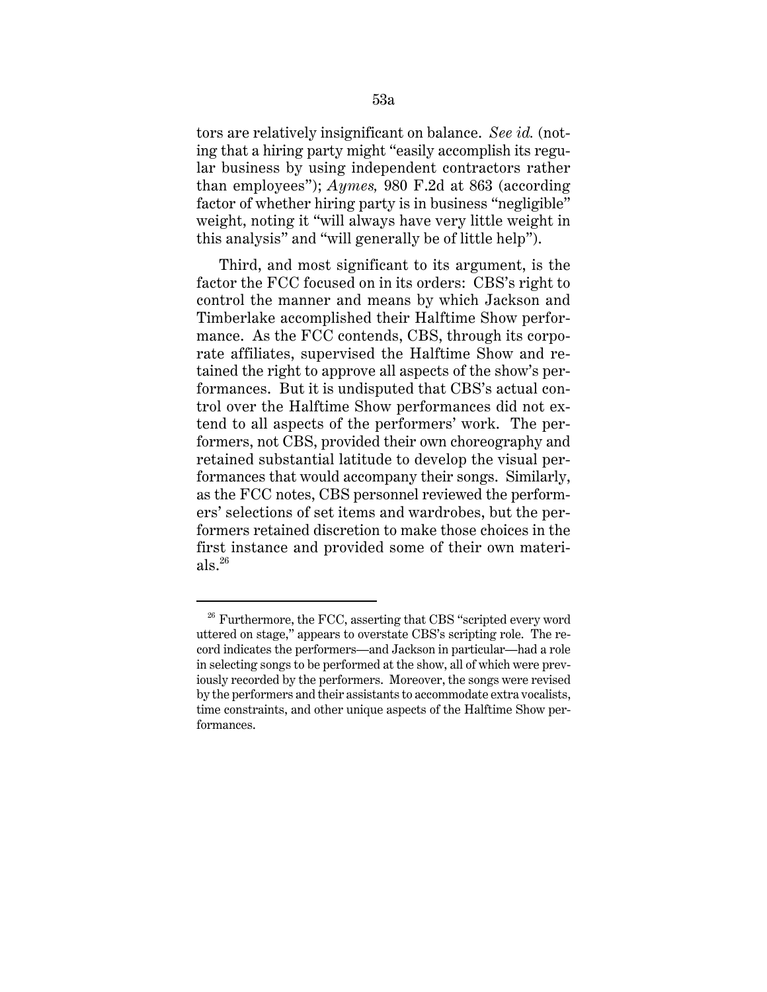tors are relatively insignificant on balance. *See id.* (noting that a hiring party might "easily accomplish its regular business by using independent contractors rather than employees"); *Aymes,* 980 F.2d at 863 (according factor of whether hiring party is in business "negligible" weight, noting it "will always have very little weight in this analysis" and "will generally be of little help").

Third, and most significant to its argument, is the factor the FCC focused on in its orders: CBS's right to control the manner and means by which Jackson and Timberlake accomplished their Halftime Show performance. As the FCC contends, CBS, through its corporate affiliates, supervised the Halftime Show and retained the right to approve all aspects of the show's performances. But it is undisputed that CBS's actual control over the Halftime Show performances did not extend to all aspects of the performers' work. The performers, not CBS, provided their own choreography and retained substantial latitude to develop the visual performances that would accompany their songs. Similarly, as the FCC notes, CBS personnel reviewed the performers' selections of set items and wardrobes, but the performers retained discretion to make those choices in the first instance and provided some of their own materi $als.<sup>26</sup>$ 

 $26$  Furthermore, the FCC, asserting that CBS "scripted every word uttered on stage," appears to overstate CBS's scripting role. The record indicates the performers—and Jackson in particular—had a role in selecting songs to be performed at the show, all of which were previously recorded by the performers. Moreover, the songs were revised by the performers and their assistants to accommodate extra vocalists, time constraints, and other unique aspects of the Halftime Show performances.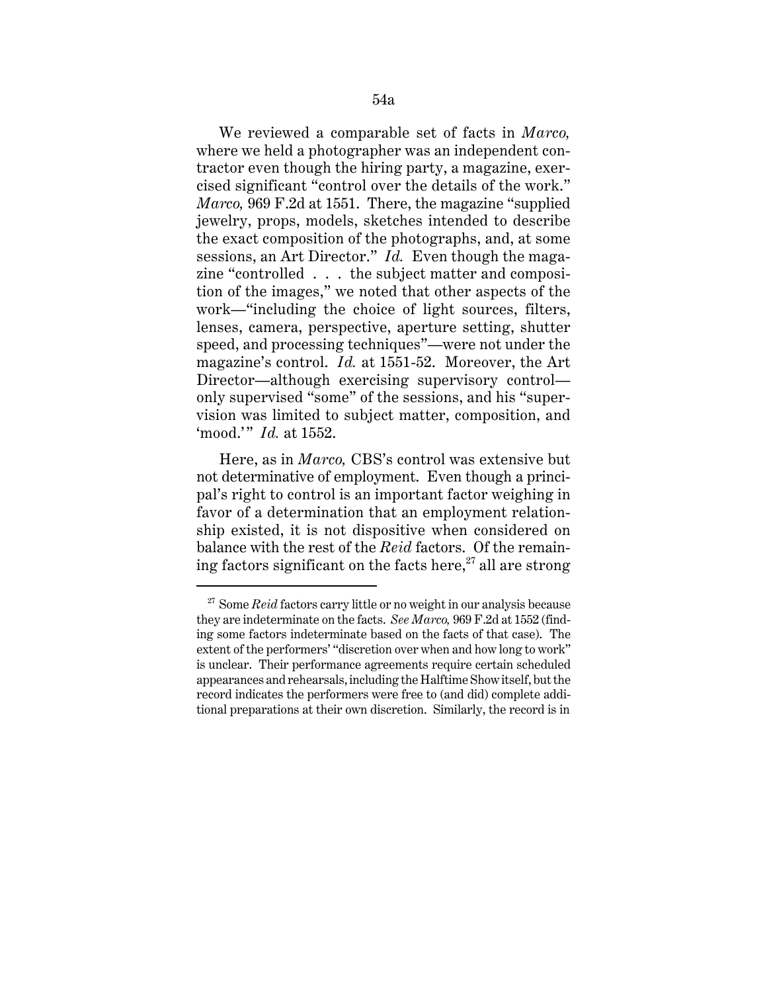We reviewed a comparable set of facts in *Marco,* where we held a photographer was an independent contractor even though the hiring party, a magazine, exercised significant "control over the details of the work." *Marco,* 969 F.2d at 1551. There, the magazine "supplied jewelry, props, models, sketches intended to describe the exact composition of the photographs, and, at some sessions, an Art Director." *Id.* Even though the magazine "controlled . . . the subject matter and composition of the images," we noted that other aspects of the work—"including the choice of light sources, filters, lenses, camera, perspective, aperture setting, shutter speed, and processing techniques"—were not under the magazine's control. *Id.* at 1551-52. Moreover, the Art Director—although exercising supervisory control only supervised "some" of the sessions, and his "supervision was limited to subject matter, composition, and 'mood.'" *Id.* at 1552.

Here, as in *Marco,* CBS's control was extensive but not determinative of employment. Even though a principal's right to control is an important factor weighing in favor of a determination that an employment relationship existed, it is not dispositive when considered on balance with the rest of the *Reid* factors. Of the remaining factors significant on the facts here,<sup>27</sup> all are strong

<sup>&</sup>lt;sup>27</sup> Some *Reid* factors carry little or no weight in our analysis because they are indeterminate on the facts. *See Marco,* 969 F.2d at 1552 (finding some factors indeterminate based on the facts of that case). The extent of the performers' "discretion over when and how long to work" is unclear. Their performance agreements require certain scheduled appearances and rehearsals, including the Halftime Show itself, but the record indicates the performers were free to (and did) complete additional preparations at their own discretion. Similarly, the record is in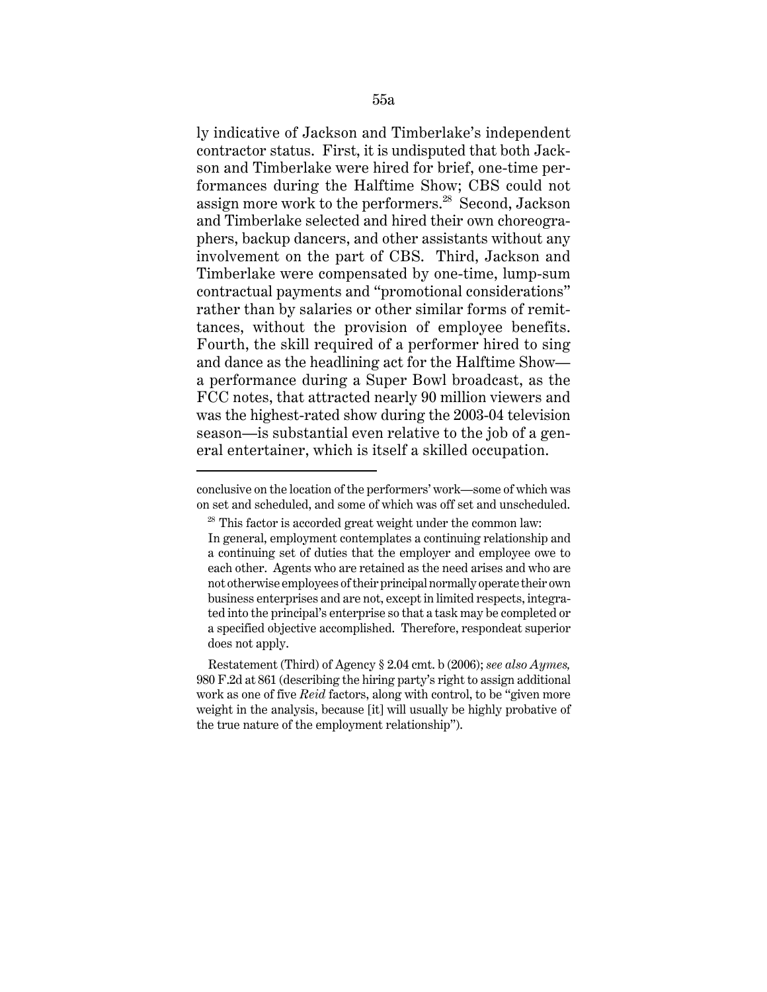ly indicative of Jackson and Timberlake's independent contractor status. First, it is undisputed that both Jackson and Timberlake were hired for brief, one-time performances during the Halftime Show; CBS could not assign more work to the performers.<sup>28</sup> Second, Jackson and Timberlake selected and hired their own choreographers, backup dancers, and other assistants without any involvement on the part of CBS. Third, Jackson and Timberlake were compensated by one-time, lump-sum contractual payments and "promotional considerations" rather than by salaries or other similar forms of remittances, without the provision of employee benefits. Fourth, the skill required of a performer hired to sing and dance as the headlining act for the Halftime Show a performance during a Super Bowl broadcast, as the FCC notes, that attracted nearly 90 million viewers and was the highest-rated show during the 2003-04 television season—is substantial even relative to the job of a general entertainer, which is itself a skilled occupation.

conclusive on the location of the performers' work—some of which was on set and scheduled, and some of which was off set and unscheduled.

 $28$  This factor is accorded great weight under the common law:

In general, employment contemplates a continuing relationship and a continuing set of duties that the employer and employee owe to each other. Agents who are retained as the need arises and who are not otherwise employees of their principal normally operate their own business enterprises and are not, except in limited respects, integrated into the principal's enterprise so that a task may be completed or a specified objective accomplished. Therefore, respondeat superior does not apply.

Restatement (Third) of Agency § 2.04 cmt. b (2006); *see also Aymes,* 980 F.2d at 861 (describing the hiring party's right to assign additional work as one of five *Reid* factors, along with control, to be "given more weight in the analysis, because [it] will usually be highly probative of the true nature of the employment relationship").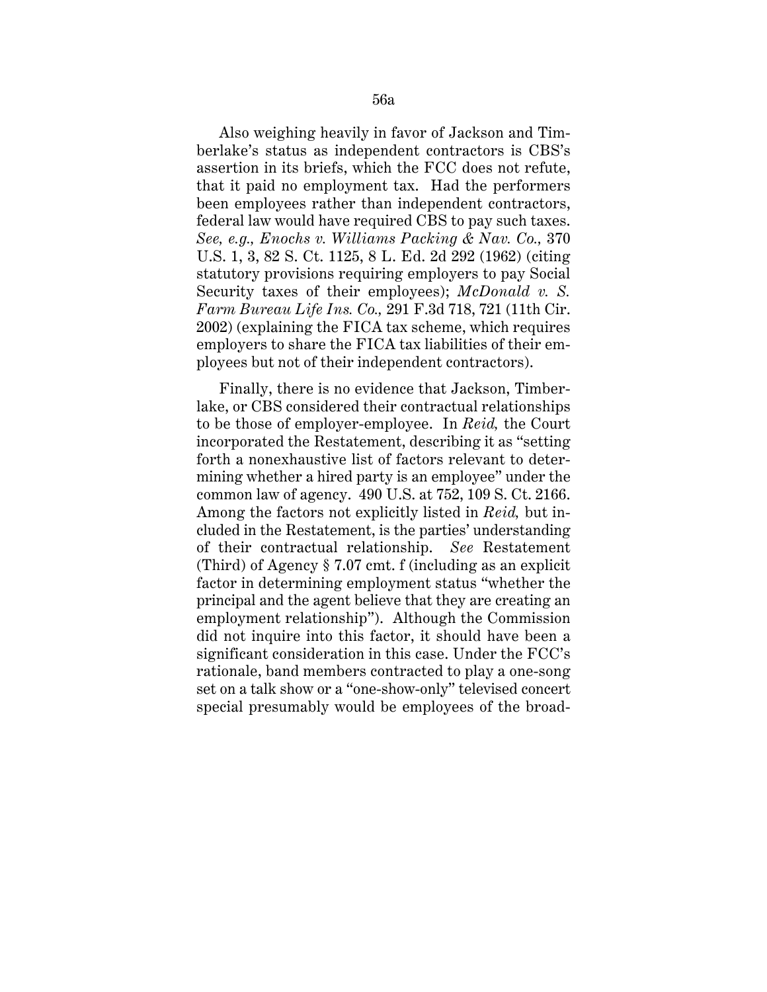Also weighing heavily in favor of Jackson and Timberlake's status as independent contractors is CBS's assertion in its briefs, which the FCC does not refute, that it paid no employment tax. Had the performers been employees rather than independent contractors, federal law would have required CBS to pay such taxes. *See, e.g., Enochs v. Williams Packing & Nav. Co.,* 370 U.S. 1, 3, 82 S. Ct. 1125, 8 L. Ed. 2d 292 (1962) (citing statutory provisions requiring employers to pay Social Security taxes of their employees); *McDonald v. S. Farm Bureau Life Ins. Co.,* 291 F.3d 718, 721 (11th Cir. 2002) (explaining the FICA tax scheme, which requires employers to share the FICA tax liabilities of their employees but not of their independent contractors).

Finally, there is no evidence that Jackson, Timberlake, or CBS considered their contractual relationships to be those of employer-employee. In *Reid,* the Court incorporated the Restatement, describing it as "setting forth a nonexhaustive list of factors relevant to determining whether a hired party is an employee" under the common law of agency. 490 U.S. at 752, 109 S. Ct. 2166. Among the factors not explicitly listed in *Reid,* but included in the Restatement, is the parties' understanding of their contractual relationship. *See* Restatement (Third) of Agency § 7.07 cmt. f (including as an explicit factor in determining employment status "whether the principal and the agent believe that they are creating an employment relationship"). Although the Commission did not inquire into this factor, it should have been a significant consideration in this case. Under the FCC's rationale, band members contracted to play a one-song set on a talk show or a "one-show-only" televised concert special presumably would be employees of the broad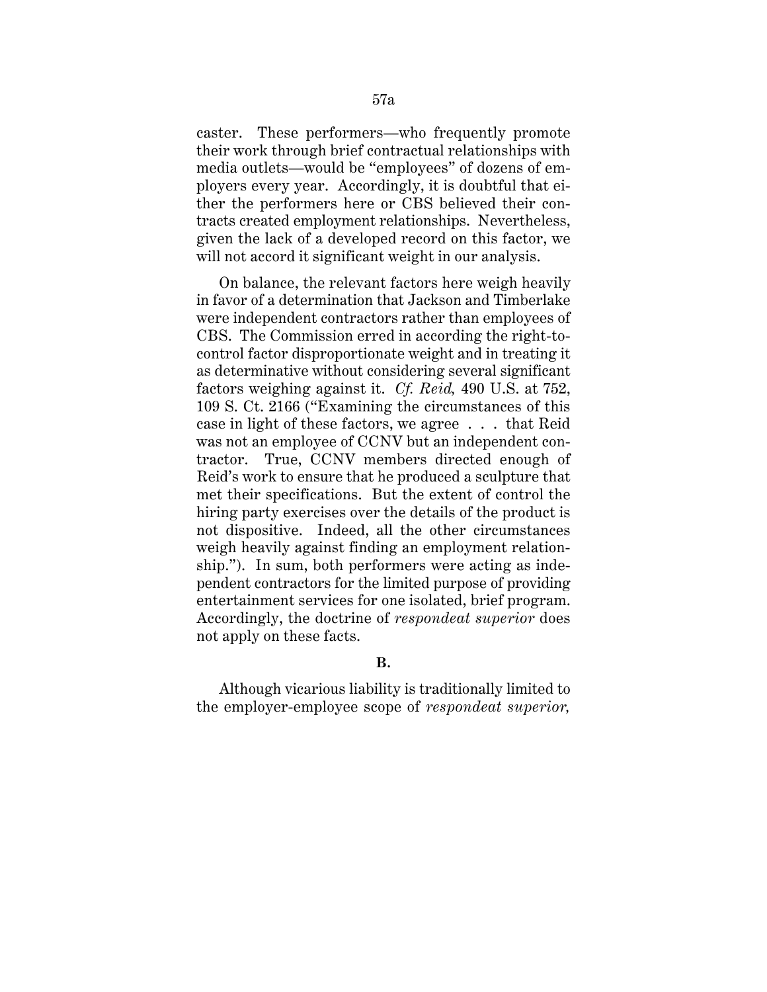caster. These performers—who frequently promote their work through brief contractual relationships with media outlets—would be "employees" of dozens of employers every year. Accordingly, it is doubtful that either the performers here or CBS believed their contracts created employment relationships. Nevertheless, given the lack of a developed record on this factor, we will not accord it significant weight in our analysis.

On balance, the relevant factors here weigh heavily in favor of a determination that Jackson and Timberlake were independent contractors rather than employees of CBS. The Commission erred in according the right-tocontrol factor disproportionate weight and in treating it as determinative without considering several significant factors weighing against it. *Cf. Reid,* 490 U.S. at 752, 109 S. Ct. 2166 ("Examining the circumstances of this case in light of these factors, we agree . . . that Reid was not an employee of CCNV but an independent contractor. True, CCNV members directed enough of Reid's work to ensure that he produced a sculpture that met their specifications. But the extent of control the hiring party exercises over the details of the product is not dispositive. Indeed, all the other circumstances weigh heavily against finding an employment relationship."). In sum, both performers were acting as independent contractors for the limited purpose of providing entertainment services for one isolated, brief program. Accordingly, the doctrine of *respondeat superior* does not apply on these facts.

## **B.**

Although vicarious liability is traditionally limited to the employer-employee scope of *respondeat superior,*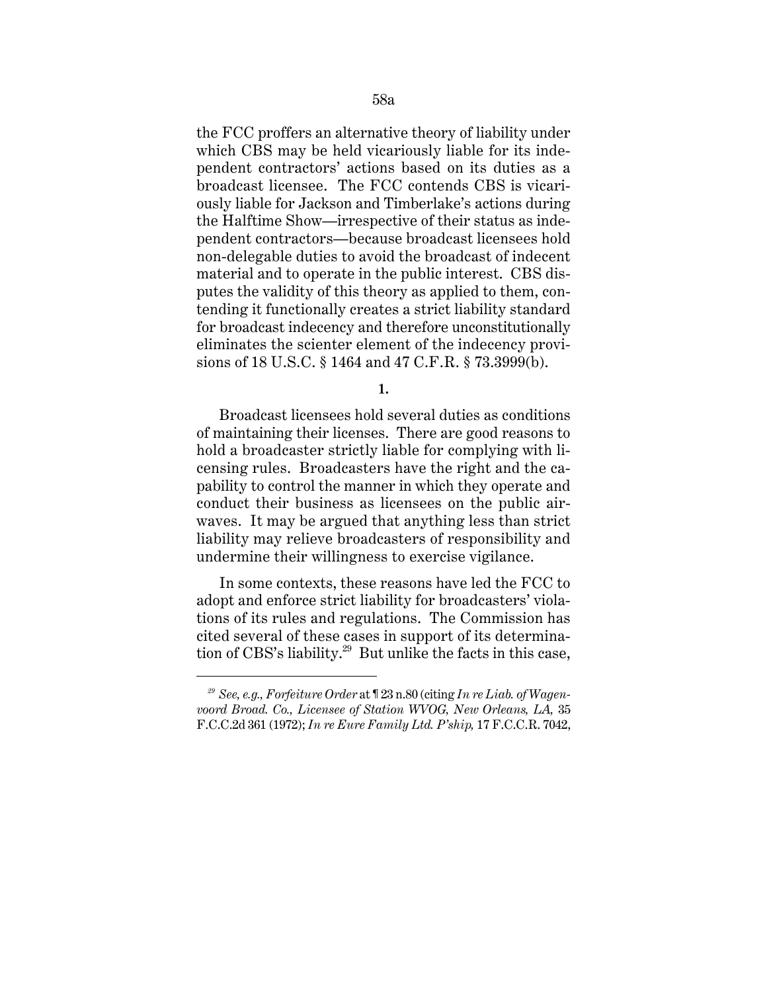the FCC proffers an alternative theory of liability under which CBS may be held vicariously liable for its independent contractors' actions based on its duties as a broadcast licensee. The FCC contends CBS is vicariously liable for Jackson and Timberlake's actions during the Halftime Show—irrespective of their status as independent contractors—because broadcast licensees hold non-delegable duties to avoid the broadcast of indecent material and to operate in the public interest. CBS disputes the validity of this theory as applied to them, contending it functionally creates a strict liability standard for broadcast indecency and therefore unconstitutionally eliminates the scienter element of the indecency provisions of 18 U.S.C. § 1464 and 47 C.F.R. § 73.3999(b).

**1.**

Broadcast licensees hold several duties as conditions of maintaining their licenses. There are good reasons to hold a broadcaster strictly liable for complying with licensing rules. Broadcasters have the right and the capability to control the manner in which they operate and conduct their business as licensees on the public airwaves. It may be argued that anything less than strict liability may relieve broadcasters of responsibility and undermine their willingness to exercise vigilance.

In some contexts, these reasons have led the FCC to adopt and enforce strict liability for broadcasters' violations of its rules and regulations. The Commission has cited several of these cases in support of its determination of CBS's liability.<sup>29</sup> But unlike the facts in this case,

*<sup>29</sup> See, e.g., Forfeiture Order* at ¶ 23 n.80 (citing *In re Liab. of Wagenvoord Broad. Co., Licensee of Station WVOG, New Orleans, LA,* 35 F.C.C.2d 361 (1972); *In re Eure Family Ltd. P'ship,* 17 F.C.C.R. 7042,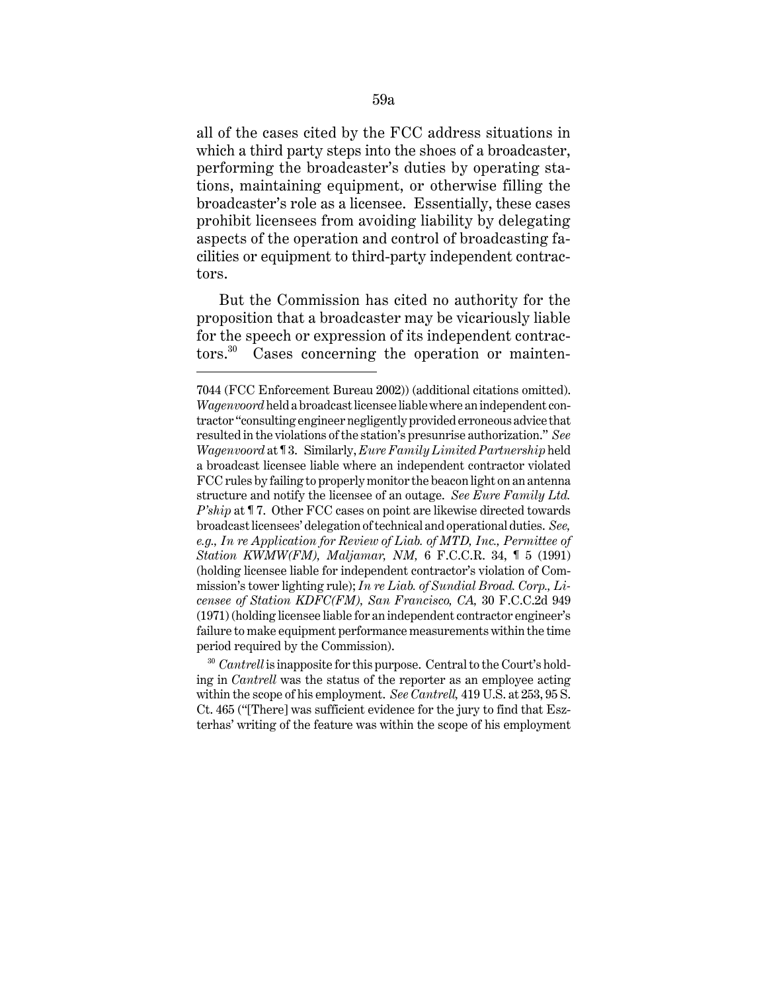all of the cases cited by the FCC address situations in which a third party steps into the shoes of a broadcaster, performing the broadcaster's duties by operating stations, maintaining equipment, or otherwise filling the broadcaster's role as a licensee. Essentially, these cases prohibit licensees from avoiding liability by delegating aspects of the operation and control of broadcasting facilities or equipment to third-party independent contractors.

But the Commission has cited no authority for the proposition that a broadcaster may be vicariously liable for the speech or expression of its independent contractors.30 Cases concerning the operation or mainten-

<sup>7044 (</sup>FCC Enforcement Bureau 2002)) (additional citations omitted). *Wagenvoord* held a broadcast licensee liable where an independent contractor "consulting engineer negligently provided erroneous advice that resulted in the violations of the station's presunrise authorization." *See Wagenvoord* at ¶ 3. Similarly, *Eure Family Limited Partnership* held a broadcast licensee liable where an independent contractor violated FCC rules by failing to properly monitor the beacon light on an antenna structure and notify the licensee of an outage. *See Eure Family Ltd. P'ship* at ¶ 7. Other FCC cases on point are likewise directed towards broadcast licensees' delegation of technical and operational duties. *See, e.g., In re Application for Review of Liab. of MTD, Inc., Permittee of Station KWMW(FM), Maljamar, NM,* 6 F.C.C.R. 34, ¶ 5 (1991) (holding licensee liable for independent contractor's violation of Commission's tower lighting rule); *In re Liab. of Sundial Broad. Corp., Licensee of Station KDFC(FM), San Francisco, CA,* 30 F.C.C.2d 949 (1971) (holding licensee liable for an independent contractor engineer's failure to make equipment performance measurements within the time period required by the Commission).

<sup>&</sup>lt;sup>30</sup> *Cantrell* is inapposite for this purpose. Central to the Court's holding in *Cantrell* was the status of the reporter as an employee acting within the scope of his employment. *See Cantrell,* 419 U.S. at 253, 95 S. Ct. 465 ("[There] was sufficient evidence for the jury to find that Eszterhas' writing of the feature was within the scope of his employment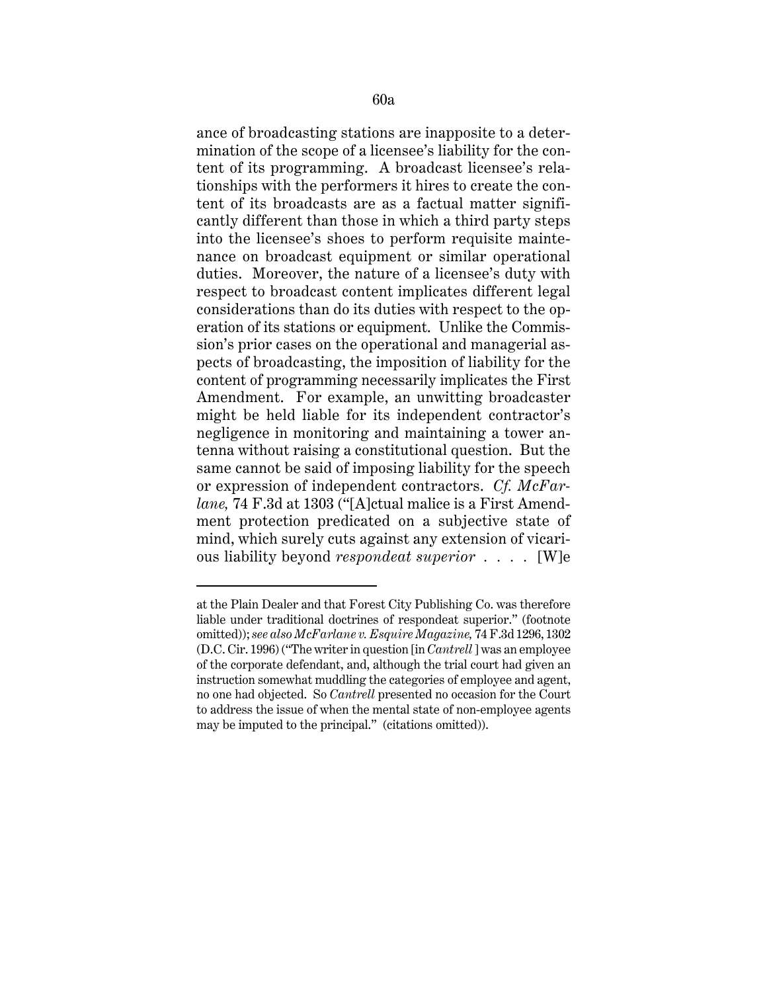ance of broadcasting stations are inapposite to a determination of the scope of a licensee's liability for the content of its programming. A broadcast licensee's relationships with the performers it hires to create the content of its broadcasts are as a factual matter significantly different than those in which a third party steps into the licensee's shoes to perform requisite maintenance on broadcast equipment or similar operational duties. Moreover, the nature of a licensee's duty with respect to broadcast content implicates different legal considerations than do its duties with respect to the operation of its stations or equipment. Unlike the Commission's prior cases on the operational and managerial aspects of broadcasting, the imposition of liability for the content of programming necessarily implicates the First Amendment. For example, an unwitting broadcaster might be held liable for its independent contractor's negligence in monitoring and maintaining a tower antenna without raising a constitutional question. But the same cannot be said of imposing liability for the speech or expression of independent contractors. *Cf. McFarlane,* 74 F.3d at 1303 ("[A]ctual malice is a First Amendment protection predicated on a subjective state of mind, which surely cuts against any extension of vicarious liability beyond *respondeat superior . . . .* [W]e

at the Plain Dealer and that Forest City Publishing Co. was therefore liable under traditional doctrines of respondeat superior." (footnote omitted)); *see also McFarlane v. Esquire Magazine,* 74 F.3d 1296, 1302 (D.C. Cir. 1996) ("The writer in question [in *Cantrell* ] was an employee of the corporate defendant, and, although the trial court had given an instruction somewhat muddling the categories of employee and agent, no one had objected. So *Cantrell* presented no occasion for the Court to address the issue of when the mental state of non-employee agents may be imputed to the principal." (citations omitted)).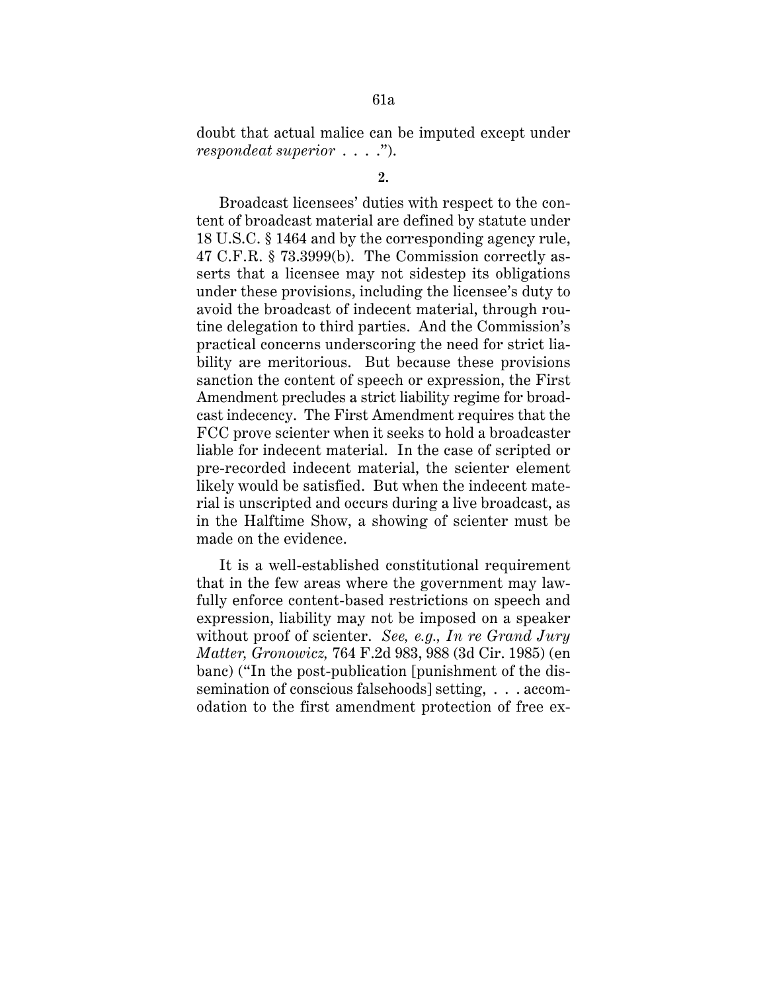doubt that actual malice can be imputed except under *respondeat superior* . . . .").

Broadcast licensees' duties with respect to the content of broadcast material are defined by statute under 18 U.S.C. § 1464 and by the corresponding agency rule, 47 C.F.R. § 73.3999(b). The Commission correctly asserts that a licensee may not sidestep its obligations under these provisions, including the licensee's duty to avoid the broadcast of indecent material, through routine delegation to third parties. And the Commission's practical concerns underscoring the need for strict liability are meritorious. But because these provisions sanction the content of speech or expression, the First Amendment precludes a strict liability regime for broadcast indecency. The First Amendment requires that the FCC prove scienter when it seeks to hold a broadcaster liable for indecent material. In the case of scripted or pre-recorded indecent material, the scienter element likely would be satisfied. But when the indecent material is unscripted and occurs during a live broadcast, as in the Halftime Show, a showing of scienter must be made on the evidence.

It is a well-established constitutional requirement that in the few areas where the government may lawfully enforce content-based restrictions on speech and expression, liability may not be imposed on a speaker without proof of scienter. *See, e.g., In re Grand Jury Matter, Gronowicz,* 764 F.2d 983, 988 (3d Cir. 1985) (en banc) ("In the post-publication [punishment of the dissemination of conscious falsehoods] setting, . . . accomodation to the first amendment protection of free ex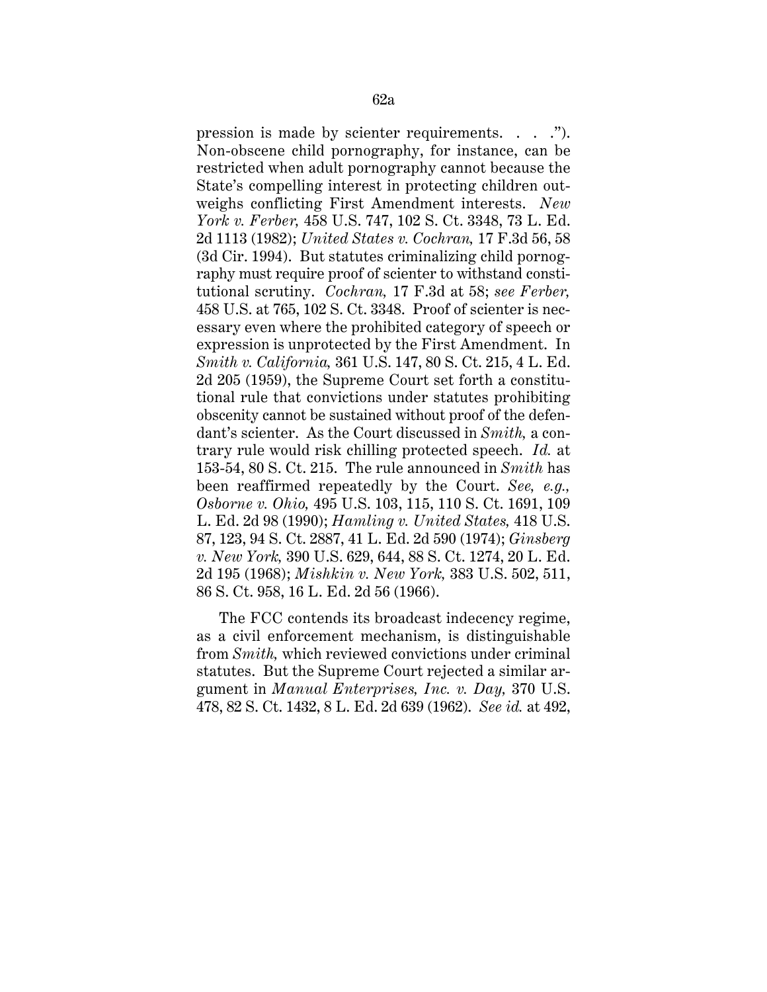pression is made by scienter requirements. . . ."). Non-obscene child pornography, for instance, can be restricted when adult pornography cannot because the State's compelling interest in protecting children outweighs conflicting First Amendment interests. *New York v. Ferber,* 458 U.S. 747, 102 S. Ct. 3348, 73 L. Ed. 2d 1113 (1982); *United States v. Cochran,* 17 F.3d 56, 58 (3d Cir. 1994). But statutes criminalizing child pornography must require proof of scienter to withstand constitutional scrutiny. *Cochran,* 17 F.3d at 58; *see Ferber,* 458 U.S. at 765, 102 S. Ct. 3348. Proof of scienter is necessary even where the prohibited category of speech or expression is unprotected by the First Amendment. In *Smith v. California,* 361 U.S. 147, 80 S. Ct. 215, 4 L. Ed. 2d 205 (1959), the Supreme Court set forth a constitutional rule that convictions under statutes prohibiting obscenity cannot be sustained without proof of the defendant's scienter. As the Court discussed in *Smith,* a contrary rule would risk chilling protected speech. *Id.* at 153-54, 80 S. Ct. 215. The rule announced in *Smith* has been reaffirmed repeatedly by the Court. *See, e.g., Osborne v. Ohio,* 495 U.S. 103, 115, 110 S. Ct. 1691, 109 L. Ed. 2d 98 (1990); *Hamling v. United States,* 418 U.S. 87, 123, 94 S. Ct. 2887, 41 L. Ed. 2d 590 (1974); *Ginsberg v. New York,* 390 U.S. 629, 644, 88 S. Ct. 1274, 20 L. Ed. 2d 195 (1968); *Mishkin v. New York,* 383 U.S. 502, 511, 86 S. Ct. 958, 16 L. Ed. 2d 56 (1966).

The FCC contends its broadcast indecency regime, as a civil enforcement mechanism, is distinguishable from *Smith,* which reviewed convictions under criminal statutes. But the Supreme Court rejected a similar argument in *Manual Enterprises, Inc. v. Day,* 370 U.S. 478, 82 S. Ct. 1432, 8 L. Ed. 2d 639 (1962). *See id.* at 492,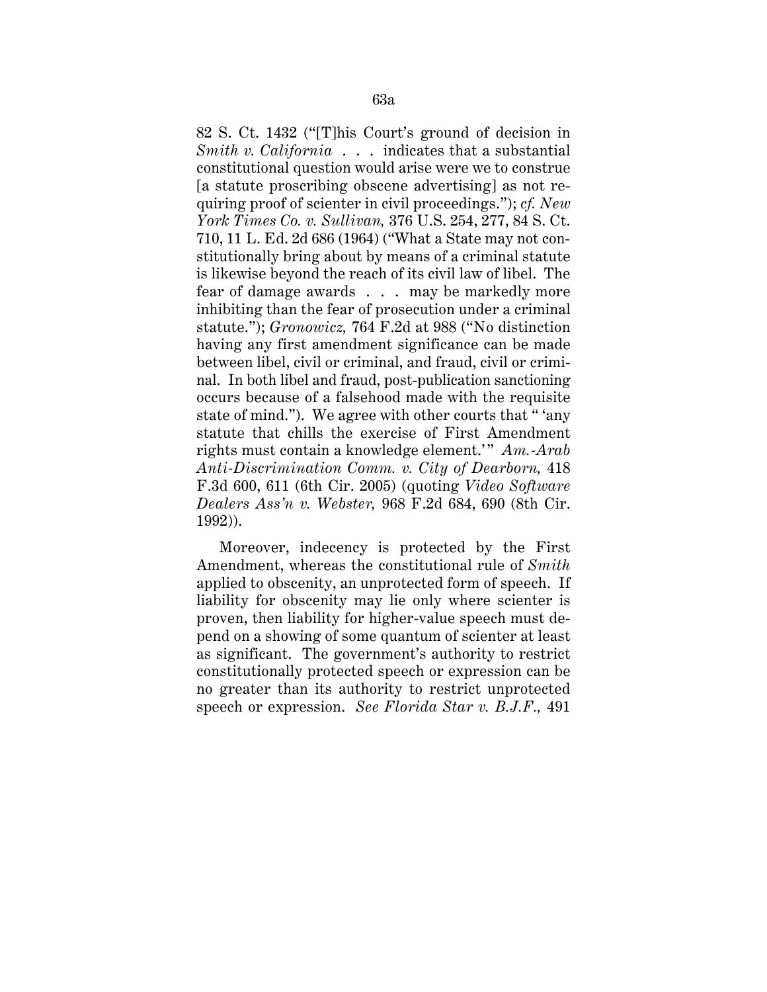82 S. Ct. 1432 ("[T]his Court's ground of decision in *Smith v. California* . . . indicates that a substantial constitutional question would arise were we to construe [a statute proscribing obscene advertising] as not requiring proof of scienter in civil proceedings."); *cf. New York Times Co. v. Sullivan,* 376 U.S. 254, 277, 84 S. Ct. 710, 11 L. Ed. 2d 686 (1964) ("What a State may not constitutionally bring about by means of a criminal statute is likewise beyond the reach of its civil law of libel. The fear of damage awards . . . may be markedly more inhibiting than the fear of prosecution under a criminal statute."); *Gronowicz,* 764 F.2d at 988 ("No distinction having any first amendment significance can be made between libel, civil or criminal, and fraud, civil or criminal. In both libel and fraud, post-publication sanctioning occurs because of a falsehood made with the requisite state of mind."). We agree with other courts that " 'any statute that chills the exercise of First Amendment rights must contain a knowledge element.'" *Am.-Arab Anti-Discrimination Comm. v. City of Dearborn,* 418 F.3d 600, 611 (6th Cir. 2005) (quoting *Video Software Dealers Ass'n v. Webster,* 968 F.2d 684, 690 (8th Cir. 1992)).

Moreover, indecency is protected by the First Amendment, whereas the constitutional rule of *Smith* applied to obscenity, an unprotected form of speech. If liability for obscenity may lie only where scienter is proven, then liability for higher-value speech must depend on a showing of some quantum of scienter at least as significant. The government's authority to restrict constitutionally protected speech or expression can be no greater than its authority to restrict unprotected speech or expression. *See Florida Star v. B.J.F.,* 491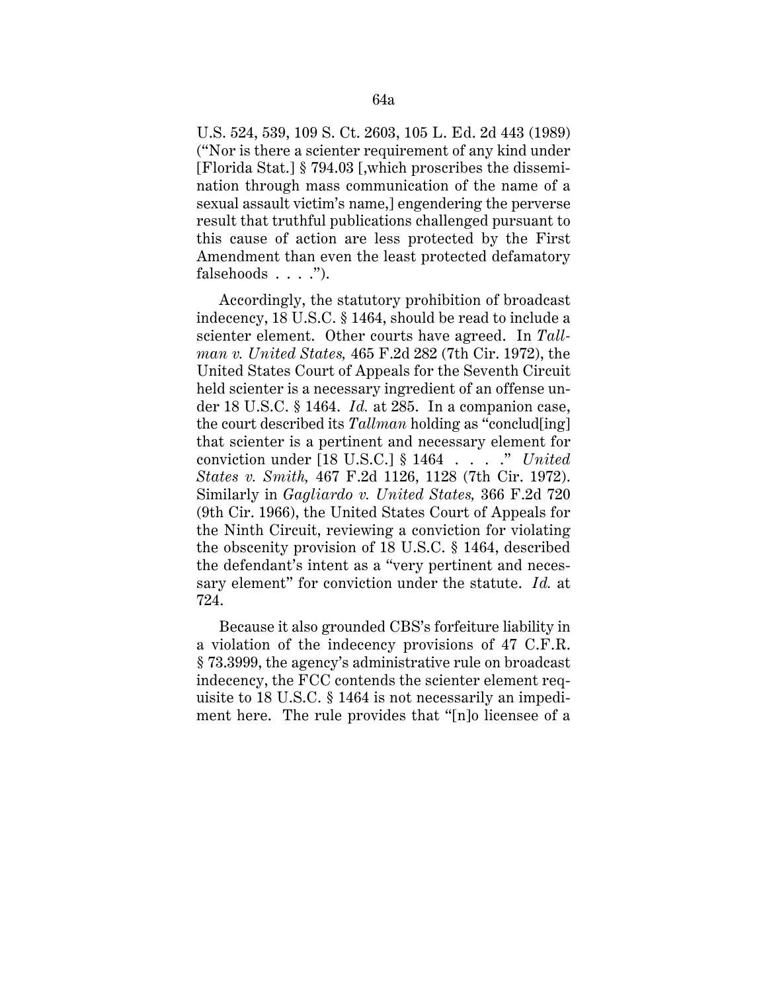U.S. 524, 539, 109 S. Ct. 2603, 105 L. Ed. 2d 443 (1989) ("Nor is there a scienter requirement of any kind under [Florida Stat.] § 794.03 [,which proscribes the dissemination through mass communication of the name of a sexual assault victim's name,] engendering the perverse result that truthful publications challenged pursuant to this cause of action are less protected by the First Amendment than even the least protected defamatory falsehoods . . . .").

Accordingly, the statutory prohibition of broadcast indecency, 18 U.S.C. § 1464, should be read to include a scienter element. Other courts have agreed. In *Tallman v. United States,* 465 F.2d 282 (7th Cir. 1972), the United States Court of Appeals for the Seventh Circuit held scienter is a necessary ingredient of an offense under 18 U.S.C. § 1464. *Id.* at 285. In a companion case, the court described its *Tallman* holding as "conclud[ing] that scienter is a pertinent and necessary element for conviction under [18 U.S.C.] § 1464 . . . ." *United States v. Smith,* 467 F.2d 1126, 1128 (7th Cir. 1972). Similarly in *Gagliardo v. United States,* 366 F.2d 720 (9th Cir. 1966), the United States Court of Appeals for the Ninth Circuit, reviewing a conviction for violating the obscenity provision of 18 U.S.C. § 1464, described the defendant's intent as a "very pertinent and necessary element" for conviction under the statute. *Id.* at 724.

Because it also grounded CBS's forfeiture liability in a violation of the indecency provisions of 47 C.F.R. § 73.3999, the agency's administrative rule on broadcast indecency, the FCC contends the scienter element requisite to 18 U.S.C. § 1464 is not necessarily an impediment here. The rule provides that "[n]o licensee of a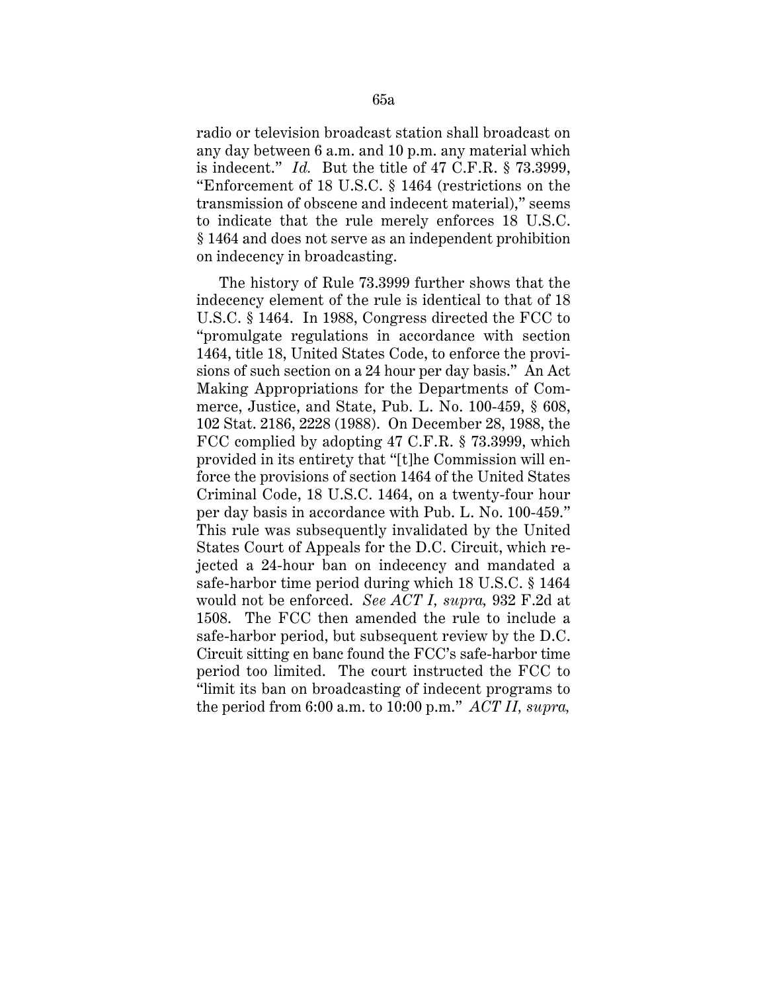radio or television broadcast station shall broadcast on any day between 6 a.m. and 10 p.m. any material which is indecent." *Id.* But the title of 47 C.F.R. § 73.3999, "Enforcement of 18 U.S.C. § 1464 (restrictions on the transmission of obscene and indecent material)," seems to indicate that the rule merely enforces 18 U.S.C. § 1464 and does not serve as an independent prohibition on indecency in broadcasting.

The history of Rule 73.3999 further shows that the indecency element of the rule is identical to that of 18 U.S.C. § 1464. In 1988, Congress directed the FCC to "promulgate regulations in accordance with section 1464, title 18, United States Code, to enforce the provisions of such section on a 24 hour per day basis." An Act Making Appropriations for the Departments of Commerce, Justice, and State, Pub. L. No. 100-459, § 608, 102 Stat. 2186, 2228 (1988). On December 28, 1988, the FCC complied by adopting 47 C.F.R. § 73.3999, which provided in its entirety that "[t]he Commission will enforce the provisions of section 1464 of the United States Criminal Code, 18 U.S.C. 1464, on a twenty-four hour per day basis in accordance with Pub. L. No. 100-459." This rule was subsequently invalidated by the United States Court of Appeals for the D.C. Circuit, which rejected a 24-hour ban on indecency and mandated a safe-harbor time period during which 18 U.S.C. § 1464 would not be enforced. *See ACT I, supra,* 932 F.2d at 1508. The FCC then amended the rule to include a safe-harbor period, but subsequent review by the D.C. Circuit sitting en banc found the FCC's safe-harbor time period too limited. The court instructed the FCC to "limit its ban on broadcasting of indecent programs to the period from 6:00 a.m. to 10:00 p.m." *ACT II, supra,*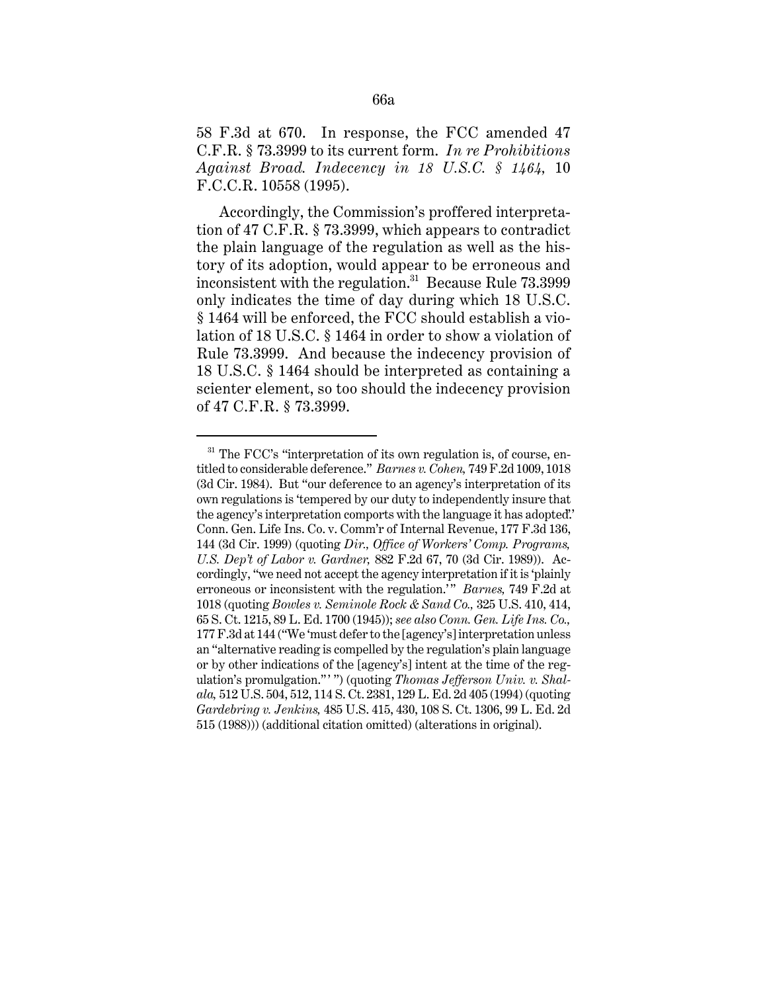58 F.3d at 670. In response, the FCC amended 47 C.F.R. § 73.3999 to its current form. *In re Prohibitions Against Broad. Indecency in 18 U.S.C. § 1464,* 10 F.C.C.R. 10558 (1995).

Accordingly, the Commission's proffered interpretation of 47 C.F.R. § 73.3999, which appears to contradict the plain language of the regulation as well as the history of its adoption, would appear to be erroneous and inconsistent with the regulation.<sup>31</sup> Because Rule 73.3999 only indicates the time of day during which 18 U.S.C. § 1464 will be enforced, the FCC should establish a violation of 18 U.S.C. § 1464 in order to show a violation of Rule 73.3999. And because the indecency provision of 18 U.S.C. § 1464 should be interpreted as containing a scienter element, so too should the indecency provision of 47 C.F.R. § 73.3999.

 $31$  The FCC's "interpretation of its own regulation is, of course, entitled to considerable deference." *Barnes v. Cohen,* 749 F.2d 1009, 1018 (3d Cir. 1984). But "our deference to an agency's interpretation of its own regulations is 'tempered by our duty to independently insure that the agency's interpretation comports with the language it has adopted.' " Conn. Gen. Life Ins. Co. v. Comm'r of Internal Revenue, 177 F.3d 136, 144 (3d Cir. 1999) (quoting *Dir., Office of Workers' Comp. Programs, U.S. Dep't of Labor v. Gardner,* 882 F.2d 67, 70 (3d Cir. 1989)). Accordingly, "we need not accept the agency interpretation if it is 'plainly erroneous or inconsistent with the regulation.'" *Barnes,* 749 F.2d at 1018 (quoting *Bowles v. Seminole Rock & Sand Co.,* 325 U.S. 410, 414, 65 S. Ct. 1215, 89 L. Ed. 1700 (1945)); *see also Conn. Gen. Life Ins. Co.,* 177 F.3d at 144 ("We 'must defer to the [agency's] interpretation unless an "alternative reading is compelled by the regulation's plain language or by other indications of the [agency's] intent at the time of the regulation's promulgation."' ") (quoting *Thomas Jefferson Univ. v. Shalala,* 512 U.S. 504, 512, 114 S. Ct. 2381, 129 L. Ed. 2d 405 (1994) (quoting *Gardebring v. Jenkins,* 485 U.S. 415, 430, 108 S. Ct. 1306, 99 L. Ed. 2d 515 (1988))) (additional citation omitted) (alterations in original).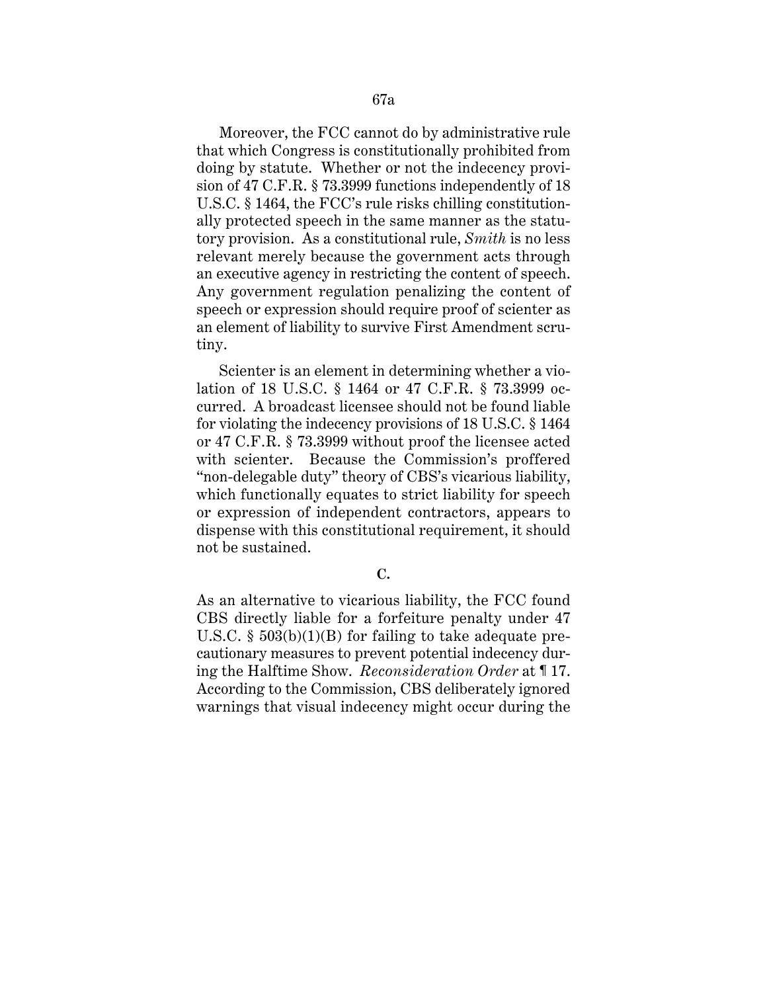Moreover, the FCC cannot do by administrative rule that which Congress is constitutionally prohibited from doing by statute. Whether or not the indecency provision of 47 C.F.R. § 73.3999 functions independently of 18 U.S.C. § 1464, the FCC's rule risks chilling constitutionally protected speech in the same manner as the statutory provision. As a constitutional rule, *Smith* is no less relevant merely because the government acts through an executive agency in restricting the content of speech. Any government regulation penalizing the content of speech or expression should require proof of scienter as an element of liability to survive First Amendment scrutiny.

Scienter is an element in determining whether a violation of 18 U.S.C. § 1464 or 47 C.F.R. § 73.3999 occurred. A broadcast licensee should not be found liable for violating the indecency provisions of 18 U.S.C. § 1464 or 47 C.F.R. § 73.3999 without proof the licensee acted with scienter. Because the Commission's proffered "non-delegable duty" theory of CBS's vicarious liability, which functionally equates to strict liability for speech or expression of independent contractors, appears to dispense with this constitutional requirement, it should not be sustained.

**C.**

As an alternative to vicarious liability, the FCC found CBS directly liable for a forfeiture penalty under 47 U.S.C.  $\S$  503(b)(1)(B) for failing to take adequate precautionary measures to prevent potential indecency during the Halftime Show. *Reconsideration Order* at ¶ 17. According to the Commission, CBS deliberately ignored warnings that visual indecency might occur during the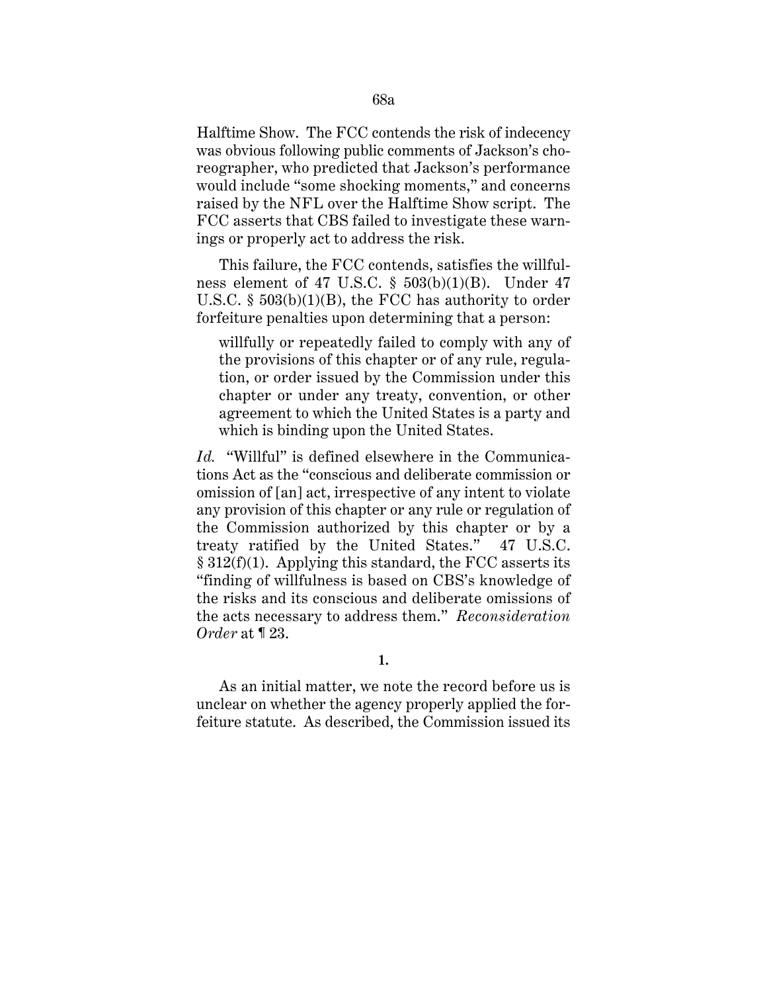Halftime Show. The FCC contends the risk of indecency was obvious following public comments of Jackson's choreographer, who predicted that Jackson's performance would include "some shocking moments," and concerns raised by the NFL over the Halftime Show script. The FCC asserts that CBS failed to investigate these warnings or properly act to address the risk.

This failure, the FCC contends, satisfies the willfulness element of 47 U.S.C. § 503(b)(1)(B). Under 47 U.S.C.  $\S$  503(b)(1)(B), the FCC has authority to order forfeiture penalties upon determining that a person:

willfully or repeatedly failed to comply with any of the provisions of this chapter or of any rule, regulation, or order issued by the Commission under this chapter or under any treaty, convention, or other agreement to which the United States is a party and which is binding upon the United States.

*Id.* "Willful" is defined elsewhere in the Communications Act as the "conscious and deliberate commission or omission of [an] act, irrespective of any intent to violate any provision of this chapter or any rule or regulation of the Commission authorized by this chapter or by a treaty ratified by the United States." 47 U.S.C. § 312(f)(1). Applying this standard, the FCC asserts its "finding of willfulness is based on CBS's knowledge of the risks and its conscious and deliberate omissions of the acts necessary to address them." *Reconsideration Order* at ¶ 23.

**1.**

As an initial matter, we note the record before us is unclear on whether the agency properly applied the forfeiture statute. As described, the Commission issued its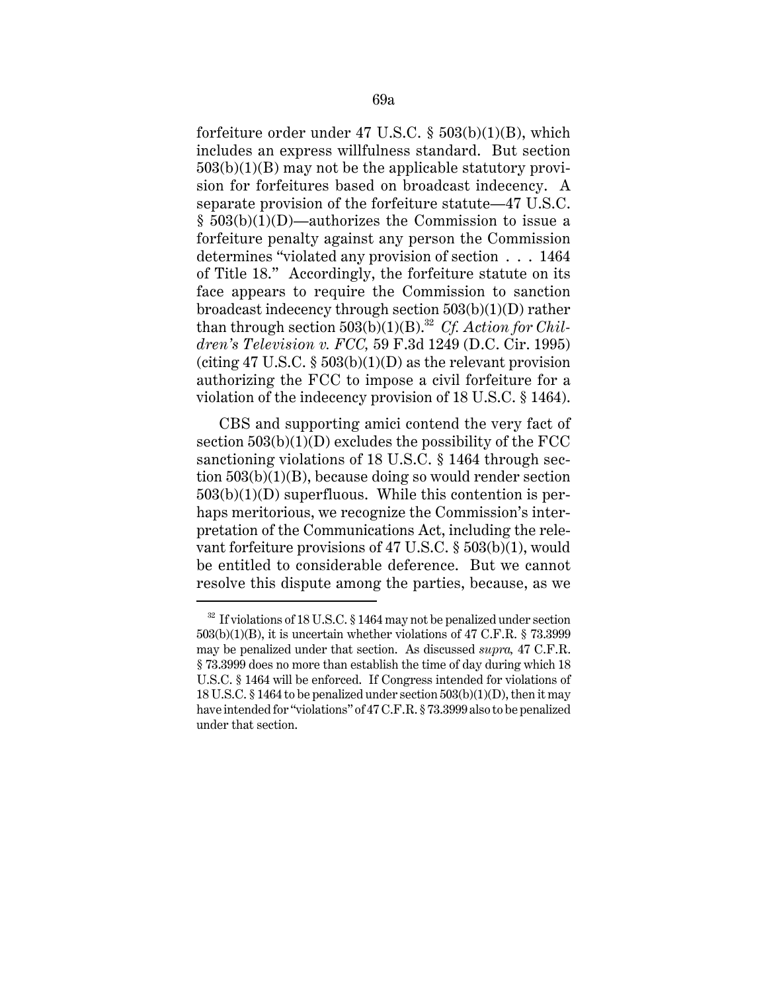forfeiture order under 47 U.S.C.  $\S$  503(b)(1)(B), which includes an express willfulness standard. But section  $503(b)(1)(B)$  may not be the applicable statutory provision for forfeitures based on broadcast indecency. A separate provision of the forfeiture statute—47 U.S.C. § 503(b)(1)(D)—authorizes the Commission to issue a forfeiture penalty against any person the Commission determines "violated any provision of section . . . 1464 of Title 18." Accordingly, the forfeiture statute on its face appears to require the Commission to sanction broadcast indecency through section 503(b)(1)(D) rather than through section  $503(b)(1)(B).$ <sup>32</sup> Cf. Action for Chil*dren's Television v. FCC,* 59 F.3d 1249 (D.C. Cir. 1995) (citing 47 U.S.C.  $\S 503(b)(1)(D)$  as the relevant provision authorizing the FCC to impose a civil forfeiture for a violation of the indecency provision of 18 U.S.C. § 1464).

CBS and supporting amici contend the very fact of section  $503(b)(1)(D)$  excludes the possibility of the FCC sanctioning violations of 18 U.S.C. § 1464 through section 503(b)(1)(B), because doing so would render section  $503(b)(1)(D)$  superfluous. While this contention is perhaps meritorious, we recognize the Commission's interpretation of the Communications Act, including the relevant forfeiture provisions of 47 U.S.C. § 503(b)(1), would be entitled to considerable deference. But we cannot resolve this dispute among the parties, because, as we

 $32$  If violations of 18 U.S.C. § 1464 may not be penalized under section  $503(b)(1)(B)$ , it is uncertain whether violations of 47 C.F.R. § 73.3999 may be penalized under that section. As discussed *supra,* 47 C.F.R. § 73.3999 does no more than establish the time of day during which 18 U.S.C. § 1464 will be enforced. If Congress intended for violations of 18 U.S.C. § 1464 to be penalized under section 503(b)(1)(D), then it may have intended for "violations" of 47 C.F.R. § 73.3999 also to be penalized under that section.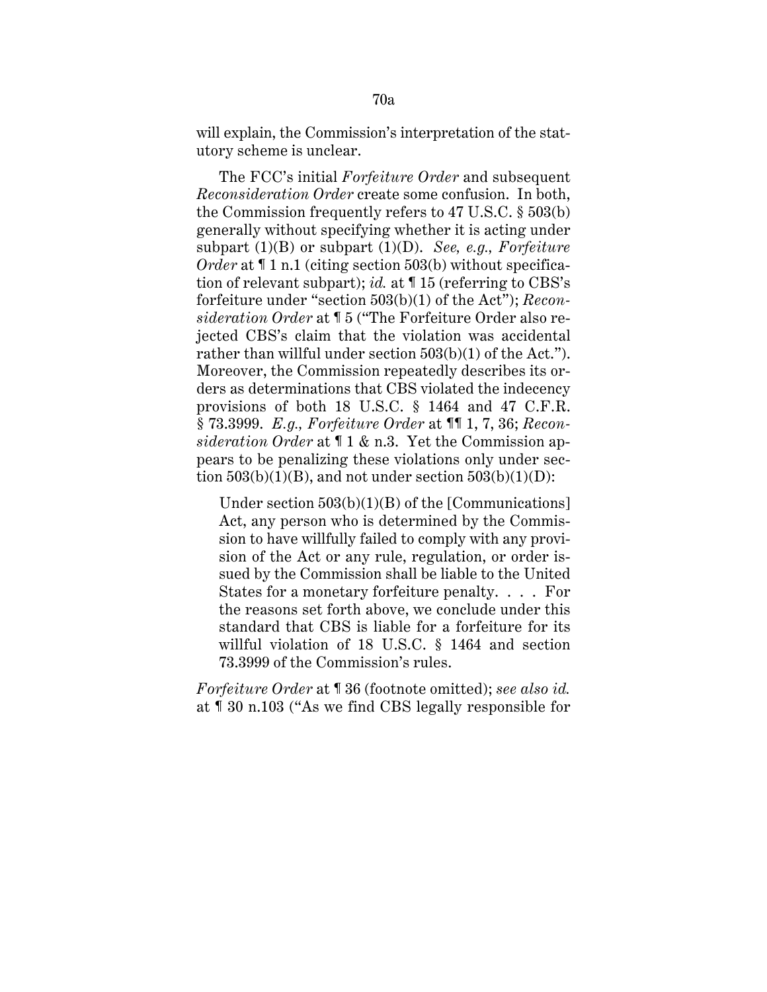will explain, the Commission's interpretation of the statutory scheme is unclear.

The FCC's initial *Forfeiture Order* and subsequent *Reconsideration Order* create some confusion. In both, the Commission frequently refers to 47 U.S.C. § 503(b) generally without specifying whether it is acting under subpart (1)(B) or subpart (1)(D). *See, e.g., Forfeiture Order* at ¶ 1 n.1 (citing section 503(b) without specification of relevant subpart); *id.* at ¶ 15 (referring to CBS's forfeiture under "section 503(b)(1) of the Act"); *Reconsideration Order* at ¶ 5 ("The Forfeiture Order also rejected CBS's claim that the violation was accidental rather than willful under section 503(b)(1) of the Act."). Moreover, the Commission repeatedly describes its orders as determinations that CBS violated the indecency provisions of both 18 U.S.C. § 1464 and 47 C.F.R. § 73.3999. *E.g., Forfeiture Order* at ¶¶ 1, 7, 36; *Reconsideration Order* at ¶ 1 & n.3. Yet the Commission appears to be penalizing these violations only under section  $503(b)(1)(B)$ , and not under section  $503(b)(1)(D)$ :

Under section 503(b)(1)(B) of the [Communications] Act, any person who is determined by the Commission to have willfully failed to comply with any provision of the Act or any rule, regulation, or order issued by the Commission shall be liable to the United States for a monetary forfeiture penalty. . . . For the reasons set forth above, we conclude under this standard that CBS is liable for a forfeiture for its willful violation of 18 U.S.C. § 1464 and section 73.3999 of the Commission's rules.

*Forfeiture Order* at ¶ 36 (footnote omitted); *see also id.* at ¶ 30 n.103 ("As we find CBS legally responsible for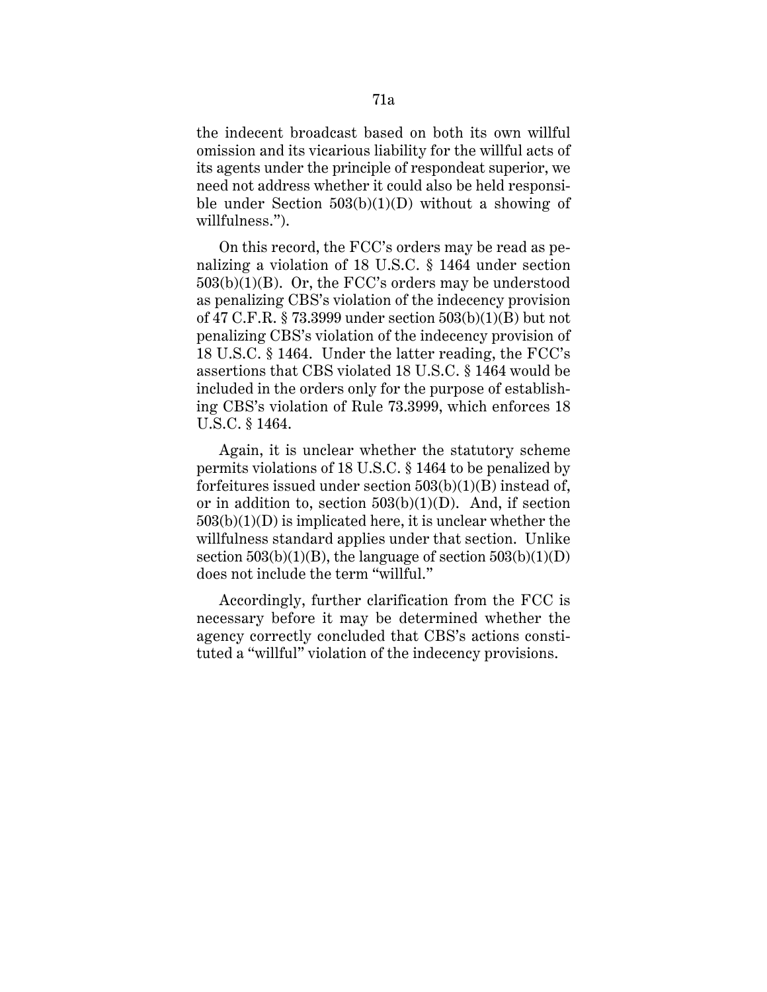the indecent broadcast based on both its own willful omission and its vicarious liability for the willful acts of its agents under the principle of respondeat superior, we need not address whether it could also be held responsible under Section  $503(b)(1)(D)$  without a showing of willfulness.").

On this record, the FCC's orders may be read as penalizing a violation of 18 U.S.C. § 1464 under section 503(b)(1)(B). Or, the FCC's orders may be understood as penalizing CBS's violation of the indecency provision of 47 C.F.R. § 73.3999 under section 503(b)(1)(B) but not penalizing CBS's violation of the indecency provision of 18 U.S.C. § 1464. Under the latter reading, the FCC's assertions that CBS violated 18 U.S.C. § 1464 would be included in the orders only for the purpose of establishing CBS's violation of Rule 73.3999, which enforces 18 U.S.C. § 1464.

Again, it is unclear whether the statutory scheme permits violations of 18 U.S.C. § 1464 to be penalized by forfeitures issued under section  $503(b)(1)(B)$  instead of, or in addition to, section  $503(b)(1)(D)$ . And, if section  $503(b)(1)(D)$  is implicated here, it is unclear whether the willfulness standard applies under that section. Unlike section  $503(b)(1)(B)$ , the language of section  $503(b)(1)(D)$ does not include the term "willful."

Accordingly, further clarification from the FCC is necessary before it may be determined whether the agency correctly concluded that CBS's actions constituted a "willful" violation of the indecency provisions.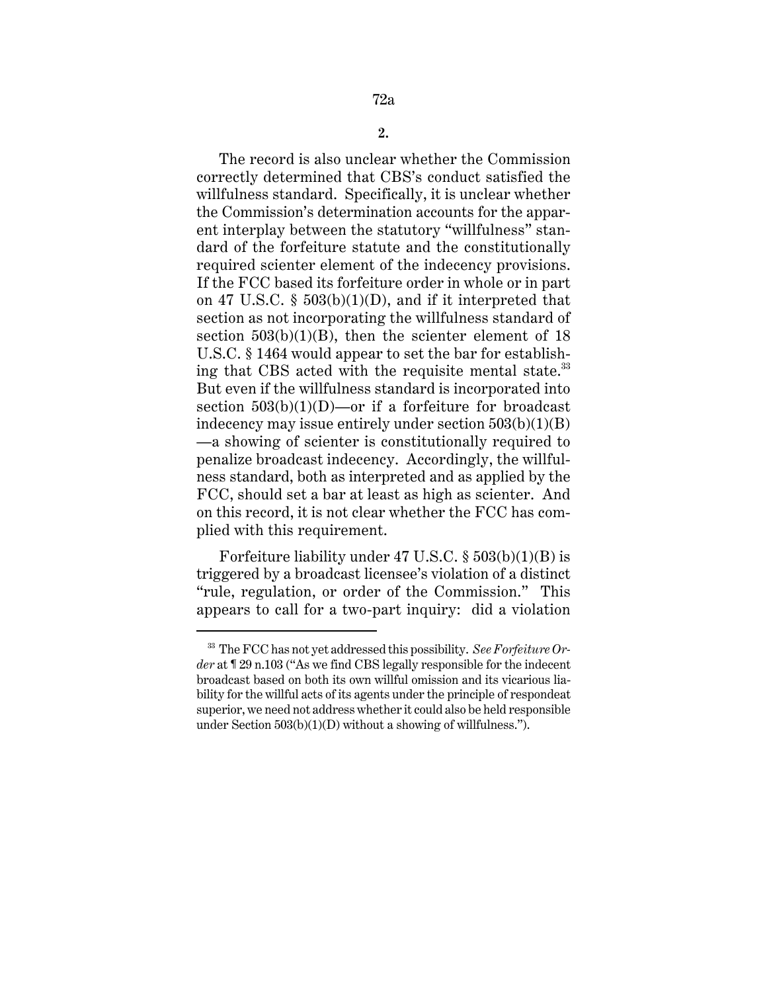The record is also unclear whether the Commission correctly determined that CBS's conduct satisfied the willfulness standard. Specifically, it is unclear whether the Commission's determination accounts for the apparent interplay between the statutory "willfulness" standard of the forfeiture statute and the constitutionally required scienter element of the indecency provisions. If the FCC based its forfeiture order in whole or in part on 47 U.S.C.  $\S$  503(b)(1)(D), and if it interpreted that section as not incorporating the willfulness standard of section  $503(b)(1)(B)$ , then the scienter element of 18 U.S.C. § 1464 would appear to set the bar for establishing that CBS acted with the requisite mental state.<sup>33</sup> But even if the willfulness standard is incorporated into section  $503(b)(1)(D)$ —or if a forfeiture for broadcast indecency may issue entirely under section  $503(b)(1)(B)$ —a showing of scienter is constitutionally required to penalize broadcast indecency. Accordingly, the willfulness standard, both as interpreted and as applied by the FCC, should set a bar at least as high as scienter. And on this record, it is not clear whether the FCC has complied with this requirement.

Forfeiture liability under 47 U.S.C. § 503(b)(1)(B) is triggered by a broadcast licensee's violation of a distinct "rule, regulation, or order of the Commission." This appears to call for a two-part inquiry: did a violation

<sup>33</sup> The FCC has not yet addressed this possibility. *See Forfeiture Order* at ¶ 29 n.103 ("As we find CBS legally responsible for the indecent broadcast based on both its own willful omission and its vicarious liability for the willful acts of its agents under the principle of respondeat superior, we need not address whether it could also be held responsible under Section 503(b)(1)(D) without a showing of willfulness.").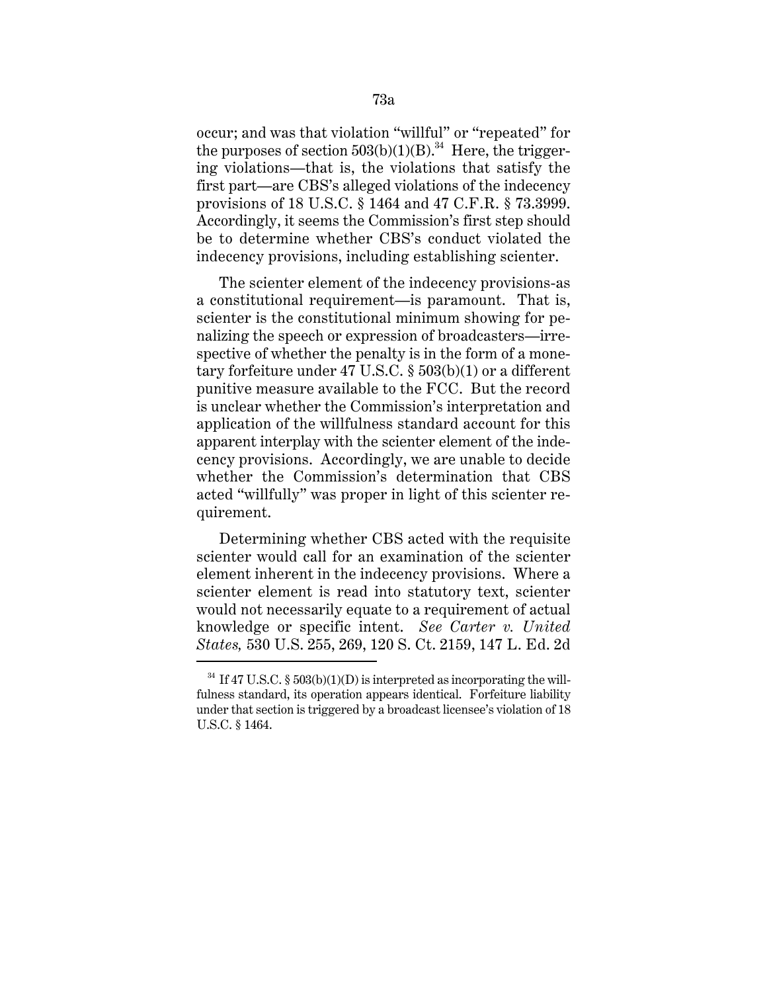occur; and was that violation "willful" or "repeated" for the purposes of section  $503(b)(1)(B)$ .<sup>34</sup> Here, the triggering violations—that is, the violations that satisfy the first part—are CBS's alleged violations of the indecency provisions of 18 U.S.C. § 1464 and 47 C.F.R. § 73.3999. Accordingly, it seems the Commission's first step should be to determine whether CBS's conduct violated the indecency provisions, including establishing scienter.

The scienter element of the indecency provisions-as a constitutional requirement—is paramount. That is, scienter is the constitutional minimum showing for penalizing the speech or expression of broadcasters—irrespective of whether the penalty is in the form of a monetary forfeiture under 47 U.S.C. § 503(b)(1) or a different punitive measure available to the FCC. But the record is unclear whether the Commission's interpretation and application of the willfulness standard account for this apparent interplay with the scienter element of the indecency provisions. Accordingly, we are unable to decide whether the Commission's determination that CBS acted "willfully" was proper in light of this scienter requirement.

Determining whether CBS acted with the requisite scienter would call for an examination of the scienter element inherent in the indecency provisions. Where a scienter element is read into statutory text, scienter would not necessarily equate to a requirement of actual knowledge or specific intent. *See Carter v. United States,* 530 U.S. 255, 269, 120 S. Ct. 2159, 147 L. Ed. 2d

<sup>&</sup>lt;sup>34</sup> If 47 U.S.C. § 503(b)(1)(D) is interpreted as incorporating the willfulness standard, its operation appears identical. Forfeiture liability under that section is triggered by a broadcast licensee's violation of 18 U.S.C. § 1464.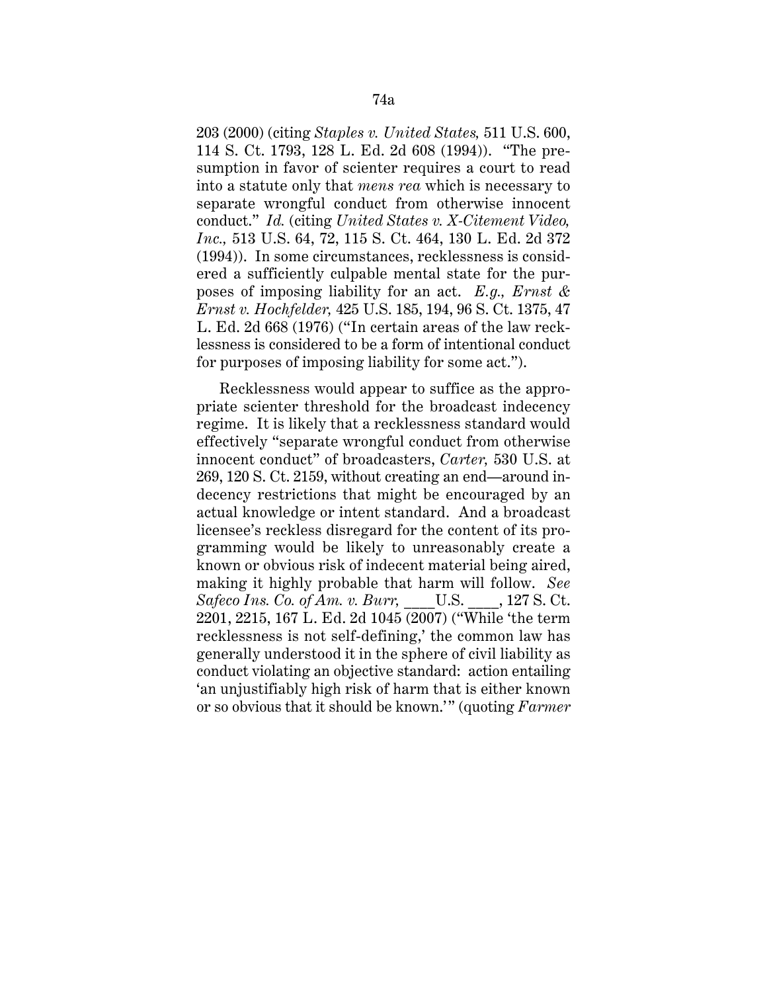203 (2000) (citing *Staples v. United States,* 511 U.S. 600, 114 S. Ct. 1793, 128 L. Ed. 2d 608 (1994)). "The presumption in favor of scienter requires a court to read into a statute only that *mens rea* which is necessary to separate wrongful conduct from otherwise innocent conduct." *Id.* (citing *United States v. X-Citement Video, Inc.,* 513 U.S. 64, 72, 115 S. Ct. 464, 130 L. Ed. 2d 372 (1994)). In some circumstances, recklessness is considered a sufficiently culpable mental state for the purposes of imposing liability for an act. *E.g., Ernst & Ernst v. Hochfelder,* 425 U.S. 185, 194, 96 S. Ct. 1375, 47 L. Ed. 2d 668 (1976) ("In certain areas of the law recklessness is considered to be a form of intentional conduct for purposes of imposing liability for some act.").

Recklessness would appear to suffice as the appropriate scienter threshold for the broadcast indecency regime. It is likely that a recklessness standard would effectively "separate wrongful conduct from otherwise innocent conduct" of broadcasters, *Carter,* 530 U.S. at 269, 120 S. Ct. 2159, without creating an end—around indecency restrictions that might be encouraged by an actual knowledge or intent standard. And a broadcast licensee's reckless disregard for the content of its programming would be likely to unreasonably create a known or obvious risk of indecent material being aired, making it highly probable that harm will follow. *See Safeco Ins. Co. of Am. v. Burr,* \_\_\_\_U.S. \_\_\_\_, 127 S. Ct. 2201, 2215, 167 L. Ed. 2d 1045 (2007) ("While 'the term recklessness is not self-defining,' the common law has generally understood it in the sphere of civil liability as conduct violating an objective standard: action entailing 'an unjustifiably high risk of harm that is either known or so obvious that it should be known.'" (quoting *Farmer*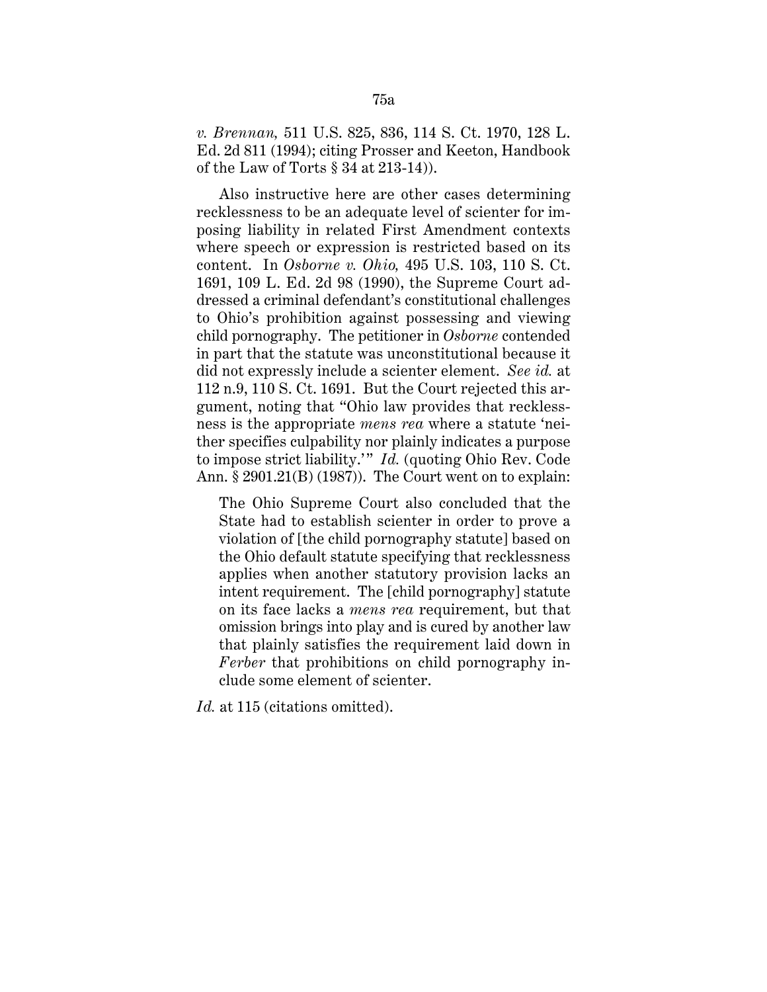*v. Brennan,* 511 U.S. 825, 836, 114 S. Ct. 1970, 128 L. Ed. 2d 811 (1994); citing Prosser and Keeton, Handbook of the Law of Torts § 34 at 213-14)).

Also instructive here are other cases determining recklessness to be an adequate level of scienter for imposing liability in related First Amendment contexts where speech or expression is restricted based on its content. In *Osborne v. Ohio,* 495 U.S. 103, 110 S. Ct. 1691, 109 L. Ed. 2d 98 (1990), the Supreme Court addressed a criminal defendant's constitutional challenges to Ohio's prohibition against possessing and viewing child pornography. The petitioner in *Osborne* contended in part that the statute was unconstitutional because it did not expressly include a scienter element. *See id.* at 112 n.9, 110 S. Ct. 1691. But the Court rejected this argument, noting that "Ohio law provides that recklessness is the appropriate *mens rea* where a statute 'neither specifies culpability nor plainly indicates a purpose to impose strict liability.'" *Id.* (quoting Ohio Rev. Code Ann. § 2901.21(B) (1987)). The Court went on to explain:

The Ohio Supreme Court also concluded that the State had to establish scienter in order to prove a violation of [the child pornography statute] based on the Ohio default statute specifying that recklessness applies when another statutory provision lacks an intent requirement. The [child pornography] statute on its face lacks a *mens rea* requirement, but that omission brings into play and is cured by another law that plainly satisfies the requirement laid down in *Ferber* that prohibitions on child pornography include some element of scienter.

*Id.* at 115 (citations omitted).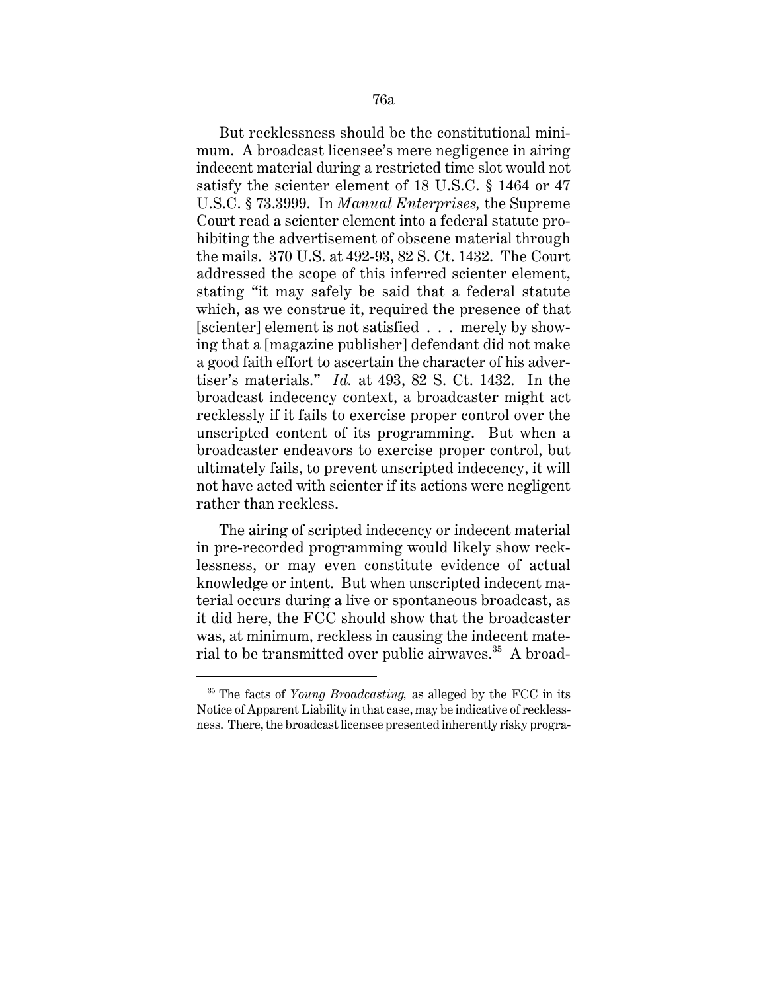But recklessness should be the constitutional minimum. A broadcast licensee's mere negligence in airing indecent material during a restricted time slot would not satisfy the scienter element of 18 U.S.C. § 1464 or 47 U.S.C. § 73.3999. In *Manual Enterprises,* the Supreme Court read a scienter element into a federal statute prohibiting the advertisement of obscene material through the mails. 370 U.S. at 492-93, 82 S. Ct. 1432. The Court addressed the scope of this inferred scienter element, stating "it may safely be said that a federal statute which, as we construe it, required the presence of that [scienter] element is not satisfied . . . merely by showing that a [magazine publisher] defendant did not make a good faith effort to ascertain the character of his advertiser's materials." *Id.* at 493, 82 S. Ct. 1432. In the broadcast indecency context, a broadcaster might act recklessly if it fails to exercise proper control over the unscripted content of its programming. But when a broadcaster endeavors to exercise proper control, but ultimately fails, to prevent unscripted indecency, it will not have acted with scienter if its actions were negligent rather than reckless.

The airing of scripted indecency or indecent material in pre-recorded programming would likely show recklessness, or may even constitute evidence of actual knowledge or intent. But when unscripted indecent material occurs during a live or spontaneous broadcast, as it did here, the FCC should show that the broadcaster was, at minimum, reckless in causing the indecent material to be transmitted over public airwaves.<sup>35</sup> A broad-

<sup>35</sup> The facts of *Young Broadcasting,* as alleged by the FCC in its Notice of Apparent Liability in that case, may be indicative of recklessness. There, the broadcast licensee presented inherently risky progra-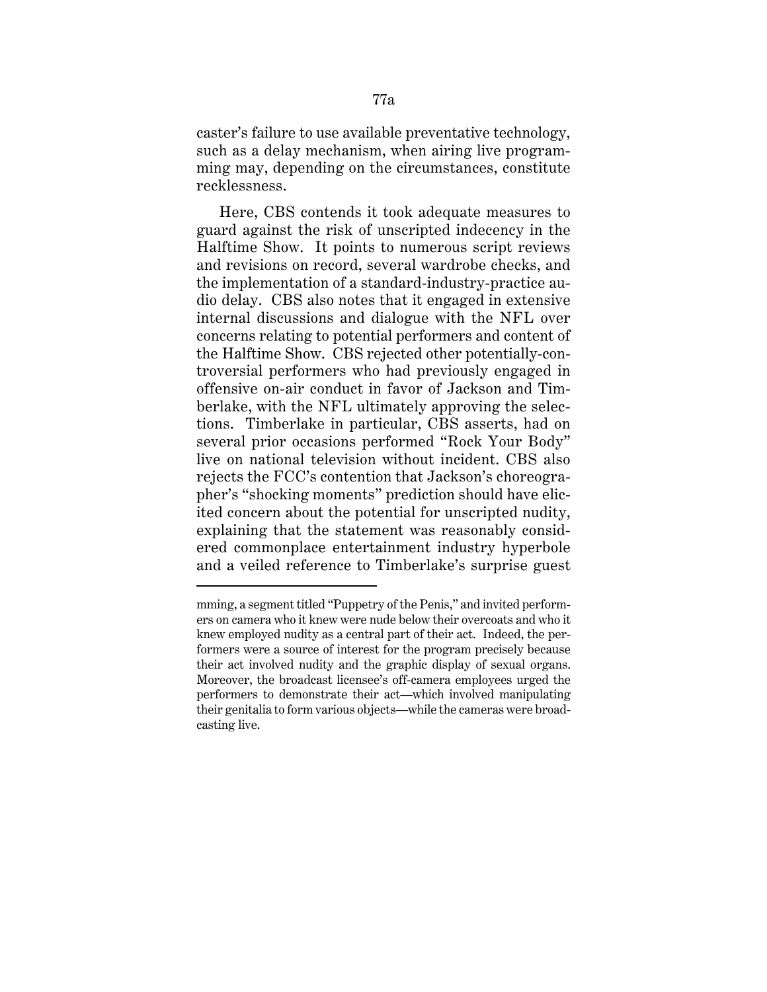caster's failure to use available preventative technology, such as a delay mechanism, when airing live programming may, depending on the circumstances, constitute recklessness.

Here, CBS contends it took adequate measures to guard against the risk of unscripted indecency in the Halftime Show. It points to numerous script reviews and revisions on record, several wardrobe checks, and the implementation of a standard-industry-practice audio delay. CBS also notes that it engaged in extensive internal discussions and dialogue with the NFL over concerns relating to potential performers and content of the Halftime Show. CBS rejected other potentially-controversial performers who had previously engaged in offensive on-air conduct in favor of Jackson and Timberlake, with the NFL ultimately approving the selections. Timberlake in particular, CBS asserts, had on several prior occasions performed "Rock Your Body" live on national television without incident. CBS also rejects the FCC's contention that Jackson's choreographer's "shocking moments" prediction should have elicited concern about the potential for unscripted nudity, explaining that the statement was reasonably considered commonplace entertainment industry hyperbole and a veiled reference to Timberlake's surprise guest

mming, a segment titled "Puppetry of the Penis," and invited performers on camera who it knew were nude below their overcoats and who it knew employed nudity as a central part of their act. Indeed, the performers were a source of interest for the program precisely because their act involved nudity and the graphic display of sexual organs. Moreover, the broadcast licensee's off-camera employees urged the performers to demonstrate their act—which involved manipulating their genitalia to form various objects—while the cameras were broadcasting live.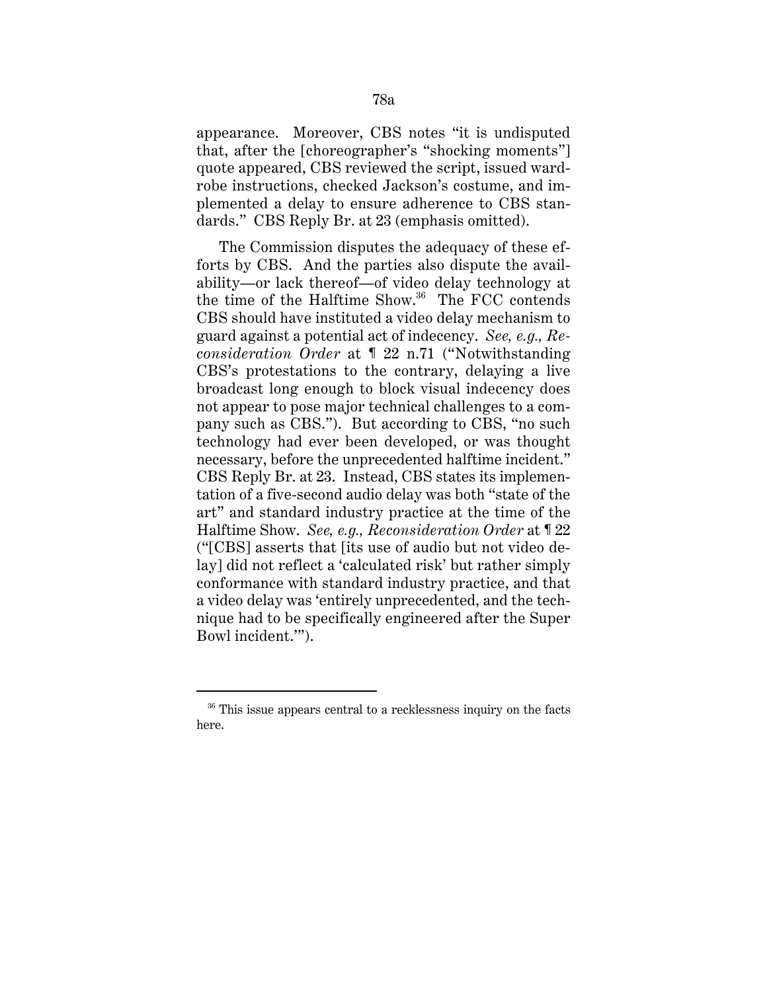appearance. Moreover, CBS notes "it is undisputed that, after the [choreographer's "shocking moments"] quote appeared, CBS reviewed the script, issued wardrobe instructions, checked Jackson's costume, and implemented a delay to ensure adherence to CBS standards." CBS Reply Br. at 23 (emphasis omitted).

The Commission disputes the adequacy of these efforts by CBS. And the parties also dispute the availability—or lack thereof—of video delay technology at the time of the Halftime Show. $36$  The FCC contends CBS should have instituted a video delay mechanism to guard against a potential act of indecency. *See, e.g., Reconsideration Order* at ¶ 22 n.71 ("Notwithstanding CBS's protestations to the contrary, delaying a live broadcast long enough to block visual indecency does not appear to pose major technical challenges to a company such as CBS."). But according to CBS, "no such technology had ever been developed, or was thought necessary, before the unprecedented halftime incident." CBS Reply Br. at 23. Instead, CBS states its implementation of a five-second audio delay was both "state of the art" and standard industry practice at the time of the Halftime Show. *See, e.g., Reconsideration Order* at ¶ 22 ("[CBS] asserts that [its use of audio but not video delay] did not reflect a 'calculated risk' but rather simply conformance with standard industry practice, and that a video delay was 'entirely unprecedented, and the technique had to be specifically engineered after the Super Bowl incident.'").

<sup>&</sup>lt;sup>36</sup> This issue appears central to a recklessness inquiry on the facts here.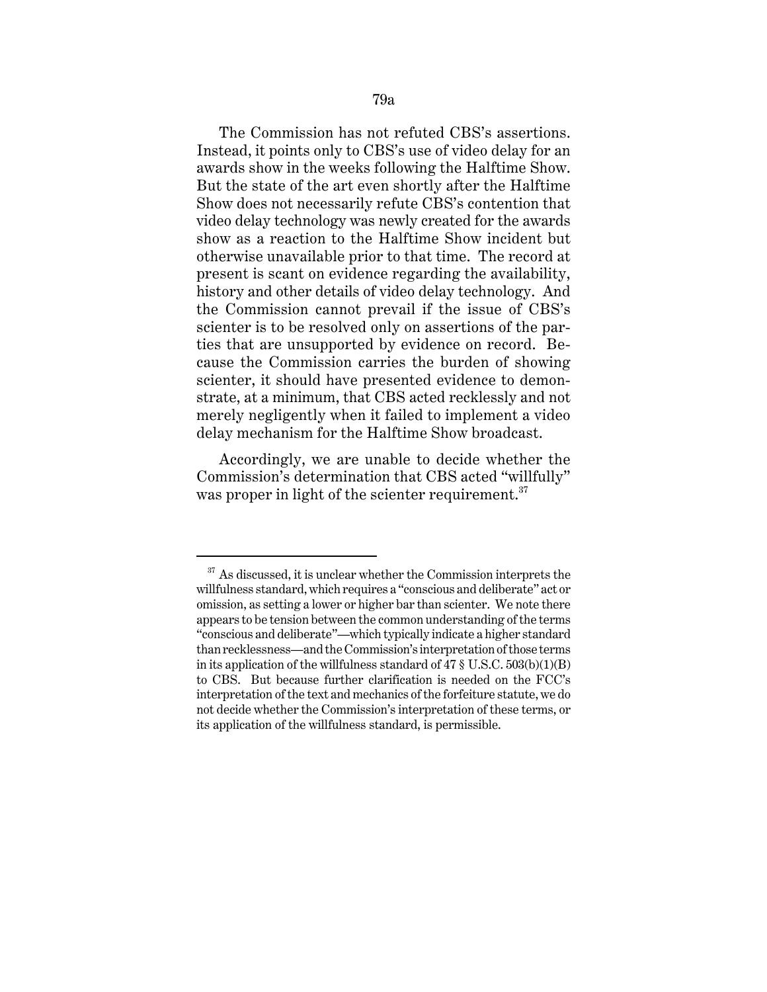The Commission has not refuted CBS's assertions. Instead, it points only to CBS's use of video delay for an awards show in the weeks following the Halftime Show. But the state of the art even shortly after the Halftime Show does not necessarily refute CBS's contention that video delay technology was newly created for the awards show as a reaction to the Halftime Show incident but otherwise unavailable prior to that time. The record at present is scant on evidence regarding the availability, history and other details of video delay technology. And the Commission cannot prevail if the issue of CBS's scienter is to be resolved only on assertions of the parties that are unsupported by evidence on record. Because the Commission carries the burden of showing scienter, it should have presented evidence to demonstrate, at a minimum, that CBS acted recklessly and not merely negligently when it failed to implement a video delay mechanism for the Halftime Show broadcast.

Accordingly, we are unable to decide whether the Commission's determination that CBS acted "willfully" was proper in light of the scienter requirement. $37$ 

 $37$  As discussed, it is unclear whether the Commission interprets the willfulness standard, which requires a "conscious and deliberate" act or omission, as setting a lower or higher bar than scienter. We note there appears to be tension between the common understanding of the terms "conscious and deliberate"—which typically indicate a higher standard than recklessness—and the Commission's interpretation of those terms in its application of the willfulness standard of  $47 \text{ } 8 \text{ } U.S.C. 503(b)(1)(B)$ to CBS. But because further clarification is needed on the FCC's interpretation of the text and mechanics of the forfeiture statute, we do not decide whether the Commission's interpretation of these terms, or its application of the willfulness standard, is permissible.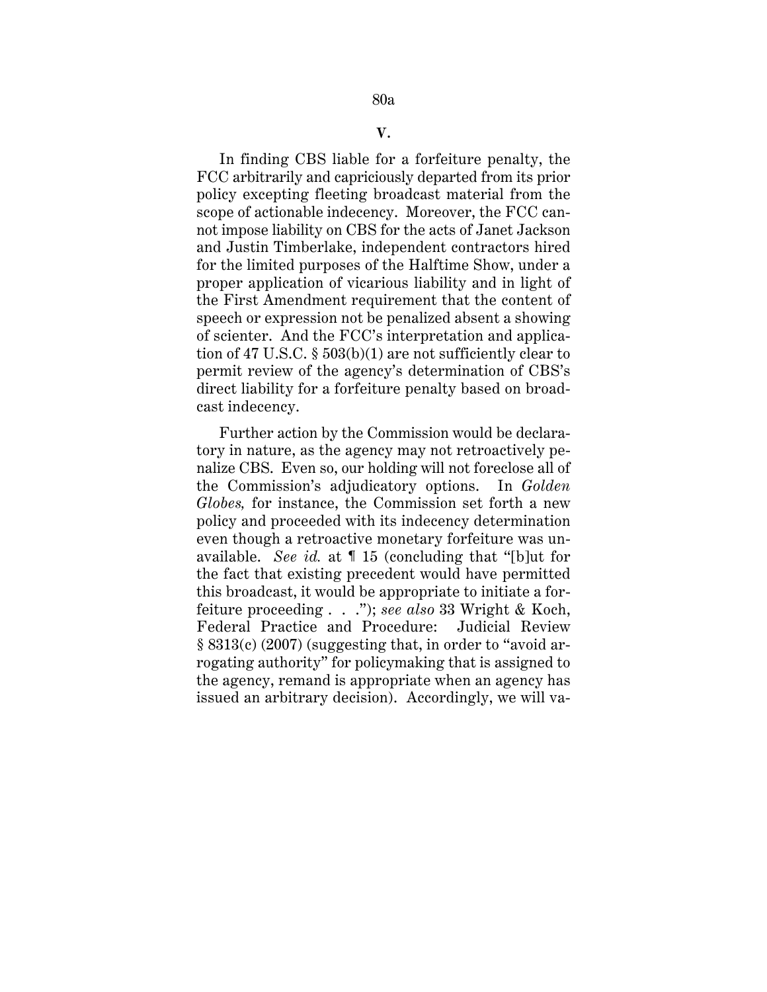In finding CBS liable for a forfeiture penalty, the FCC arbitrarily and capriciously departed from its prior policy excepting fleeting broadcast material from the scope of actionable indecency. Moreover, the FCC cannot impose liability on CBS for the acts of Janet Jackson and Justin Timberlake, independent contractors hired for the limited purposes of the Halftime Show, under a proper application of vicarious liability and in light of the First Amendment requirement that the content of speech or expression not be penalized absent a showing of scienter. And the FCC's interpretation and application of 47 U.S.C. § 503(b)(1) are not sufficiently clear to permit review of the agency's determination of CBS's direct liability for a forfeiture penalty based on broadcast indecency.

Further action by the Commission would be declaratory in nature, as the agency may not retroactively penalize CBS. Even so, our holding will not foreclose all of the Commission's adjudicatory options. In *Golden Globes,* for instance, the Commission set forth a new policy and proceeded with its indecency determination even though a retroactive monetary forfeiture was unavailable. *See id.* at ¶ 15 (concluding that "[b]ut for the fact that existing precedent would have permitted this broadcast, it would be appropriate to initiate a forfeiture proceeding . . ."); *see also* 33 Wright & Koch, Federal Practice and Procedure: Judicial Review § 8313(c) (2007) (suggesting that, in order to "avoid arrogating authority" for policymaking that is assigned to the agency, remand is appropriate when an agency has issued an arbitrary decision). Accordingly, we will va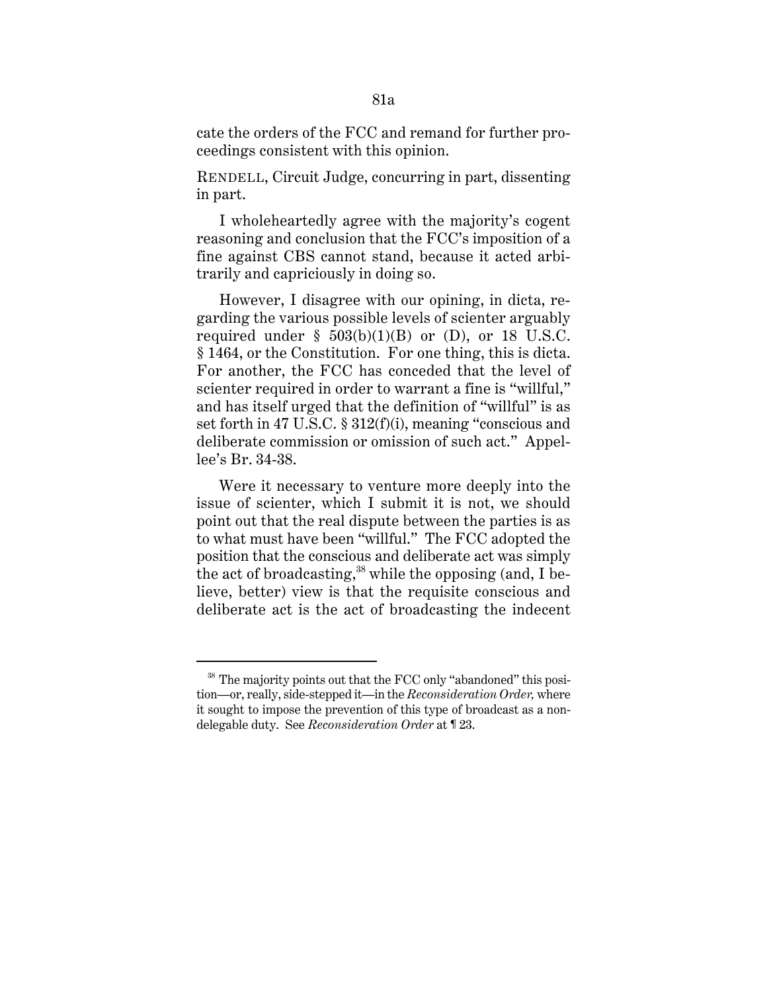cate the orders of the FCC and remand for further proceedings consistent with this opinion.

RENDELL, Circuit Judge, concurring in part, dissenting in part.

I wholeheartedly agree with the majority's cogent reasoning and conclusion that the FCC's imposition of a fine against CBS cannot stand, because it acted arbitrarily and capriciously in doing so.

However, I disagree with our opining, in dicta, regarding the various possible levels of scienter arguably required under  $\S$  503(b)(1)(B) or (D), or 18 U.S.C. § 1464, or the Constitution. For one thing, this is dicta. For another, the FCC has conceded that the level of scienter required in order to warrant a fine is "willful," and has itself urged that the definition of "willful" is as set forth in 47 U.S.C. § 312(f)(i), meaning "conscious and deliberate commission or omission of such act." Appellee's Br. 34-38.

Were it necessary to venture more deeply into the issue of scienter, which I submit it is not, we should point out that the real dispute between the parties is as to what must have been "willful." The FCC adopted the position that the conscious and deliberate act was simply the act of broadcasting,<sup>38</sup> while the opposing (and, I believe, better) view is that the requisite conscious and deliberate act is the act of broadcasting the indecent

<sup>&</sup>lt;sup>38</sup> The majority points out that the FCC only "abandoned" this position—or, really, side-stepped it—in the *Reconsideration Order,* where it sought to impose the prevention of this type of broadcast as a nondelegable duty. See *Reconsideration Order* at ¶ 23.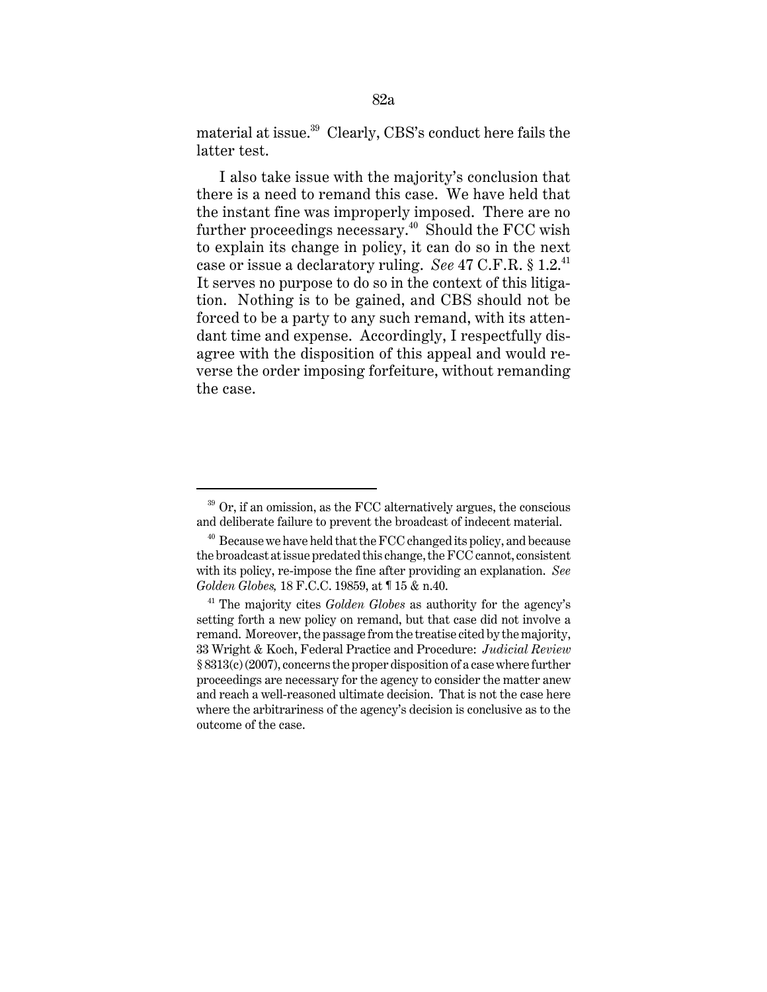material at issue.39 Clearly, CBS's conduct here fails the latter test.

I also take issue with the majority's conclusion that there is a need to remand this case. We have held that the instant fine was improperly imposed. There are no further proceedings necessary.<sup>40</sup> Should the FCC wish to explain its change in policy, it can do so in the next case or issue a declaratory ruling. *See* 47 C.F.R. § 1.2.<sup>41</sup> It serves no purpose to do so in the context of this litigation. Nothing is to be gained, and CBS should not be forced to be a party to any such remand, with its attendant time and expense. Accordingly, I respectfully disagree with the disposition of this appeal and would reverse the order imposing forfeiture, without remanding the case.

 $39$  Or, if an omission, as the FCC alternatively argues, the conscious and deliberate failure to prevent the broadcast of indecent material.

 $40$  Because we have held that the FCC changed its policy, and because the broadcast at issue predated this change, the FCC cannot, consistent with its policy, re-impose the fine after providing an explanation. *See Golden Globes,* 18 F.C.C. 19859, at ¶ 15 & n.40.

<sup>41</sup> The majority cites *Golden Globes* as authority for the agency's setting forth a new policy on remand, but that case did not involve a remand. Moreover, the passage from the treatise cited by the majority, 33 Wright & Koch, Federal Practice and Procedure: *Judicial Review* § 8313(c) (2007), concerns the proper disposition of a case where further proceedings are necessary for the agency to consider the matter anew and reach a well-reasoned ultimate decision. That is not the case here where the arbitrariness of the agency's decision is conclusive as to the outcome of the case.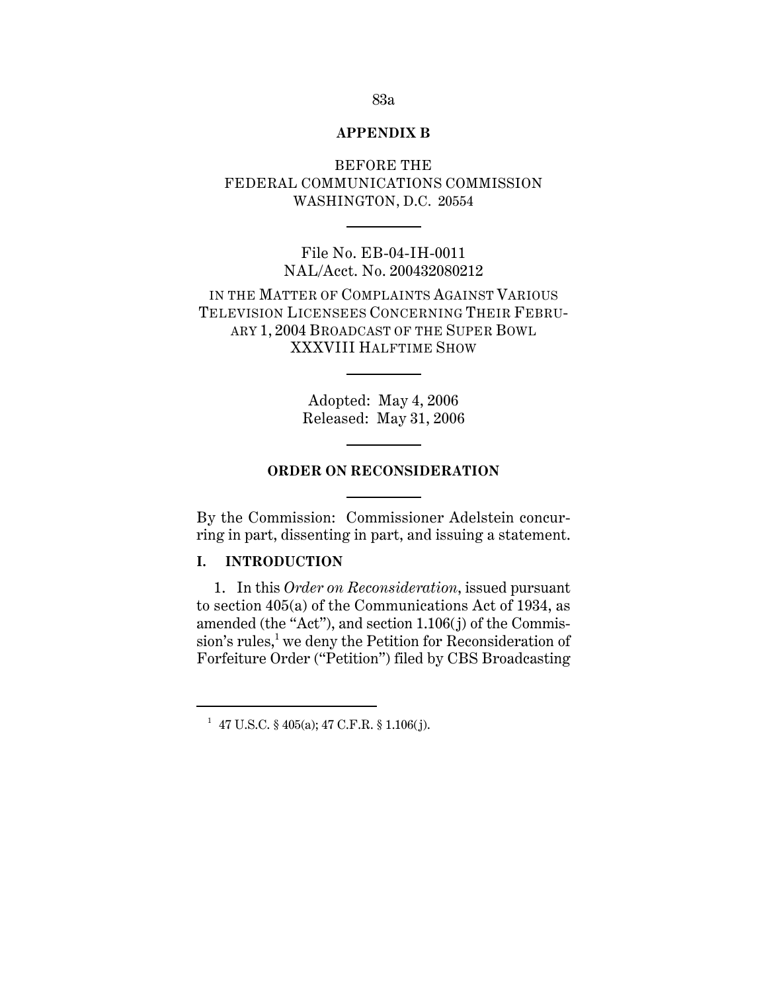83a

## **APPENDIX B**

BEFORE THE FEDERAL COMMUNICATIONS COMMISSION WASHINGTON, D.C. 20554

File No. EB-04-IH-0011 NAL/Acct. No. 200432080212 IN THE MATTER OF COMPLAINTS AGAINST VARIOUS TELEVISION LICENSEES CONCERNING THEIR FEBRU-ARY 1, 2004 BROADCAST OF THE SUPER BOWL XXXVIII HALFTIME SHOW

> Adopted: May 4, 2006 Released: May 31, 2006

### **ORDER ON RECONSIDERATION**

By the Commission: Commissioner Adelstein concurring in part, dissenting in part, and issuing a statement.

### **I. INTRODUCTION**

1. In this *Order on Reconsideration*, issued pursuant to section 405(a) of the Communications Act of 1934, as amended (the "Act"), and section 1.106(j) of the Commission's rules,<sup>1</sup> we deny the Petition for Reconsideration of Forfeiture Order ("Petition") filed by CBS Broadcasting

<sup>&</sup>lt;sup>1</sup> 47 U.S.C. § 405(a); 47 C.F.R. § 1.106(j).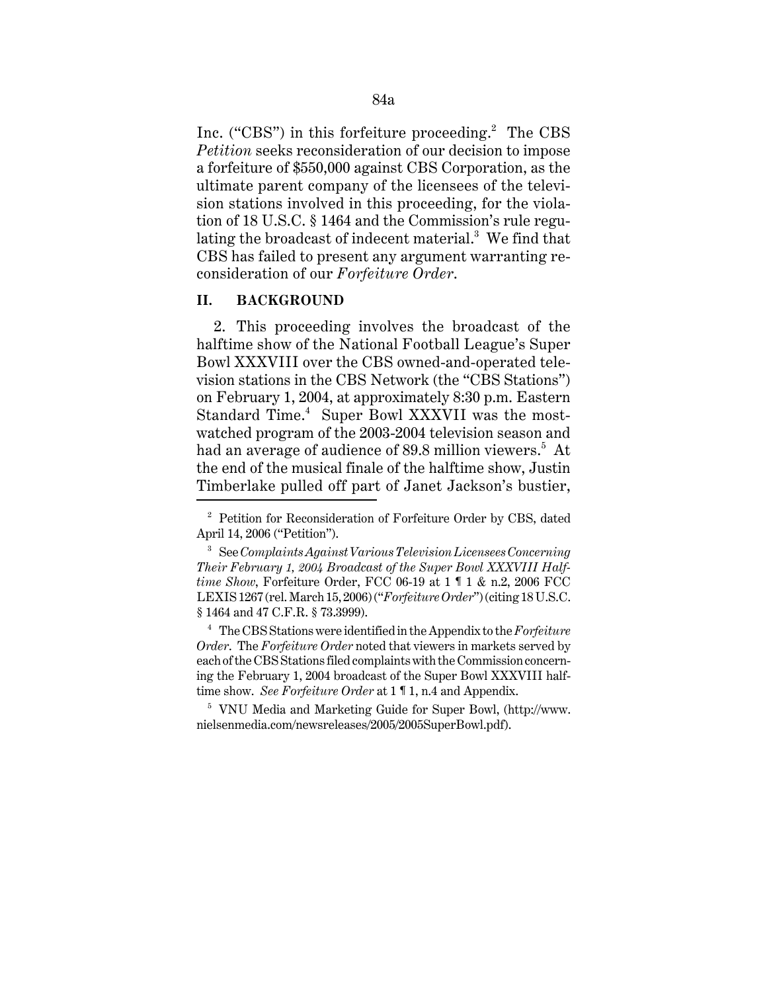Inc. ("CBS") in this forfeiture proceeding.<sup>2</sup> The CBS *Petition* seeks reconsideration of our decision to impose a forfeiture of \$550,000 against CBS Corporation, as the ultimate parent company of the licensees of the television stations involved in this proceeding, for the violation of 18 U.S.C. § 1464 and the Commission's rule regulating the broadcast of indecent material. $^3\,$  We find that CBS has failed to present any argument warranting reconsideration of our *Forfeiture Order*.

#### **II. BACKGROUND**

2. This proceeding involves the broadcast of the halftime show of the National Football League's Super Bowl XXXVIII over the CBS owned-and-operated television stations in the CBS Network (the "CBS Stations") on February 1, 2004, at approximately 8:30 p.m. Eastern Standard Time.<sup>4</sup> Super Bowl XXXVII was the mostwatched program of the 2003-2004 television season and had an average of audience of 89.8 million viewers.<sup>5</sup> At the end of the musical finale of the halftime show, Justin Timberlake pulled off part of Janet Jackson's bustier,

<sup>4</sup> The CBS Stations were identified in the Appendix to the *Forfeiture Order*. The *Forfeiture Order* noted that viewers in markets served by each of the CBS Stations filed complaints with the Commission concerning the February 1, 2004 broadcast of the Super Bowl XXXVIII halftime show. *See Forfeiture Order* at 1 ¶ 1, n.4 and Appendix.

<sup>&</sup>lt;sup>2</sup> Petition for Reconsideration of Forfeiture Order by CBS, dated April 14, 2006 ("Petition").

<sup>3</sup> See *Complaints Against Various Television Licensees Concerning Their February 1, 2004 Broadcast of the Super Bowl XXXVIII Halftime Show*, Forfeiture Order, FCC 06-19 at 1 ¶ 1 & n.2, 2006 FCC LEXIS 1267 (rel. March 15, 2006) ("*Forfeiture Order*") (citing 18 U.S.C. § 1464 and 47 C.F.R. § 73.3999).

<sup>5</sup> VNU Media and Marketing Guide for Super Bowl, (http://www. nielsenmedia.com/newsreleases/2005/2005SuperBowl.pdf).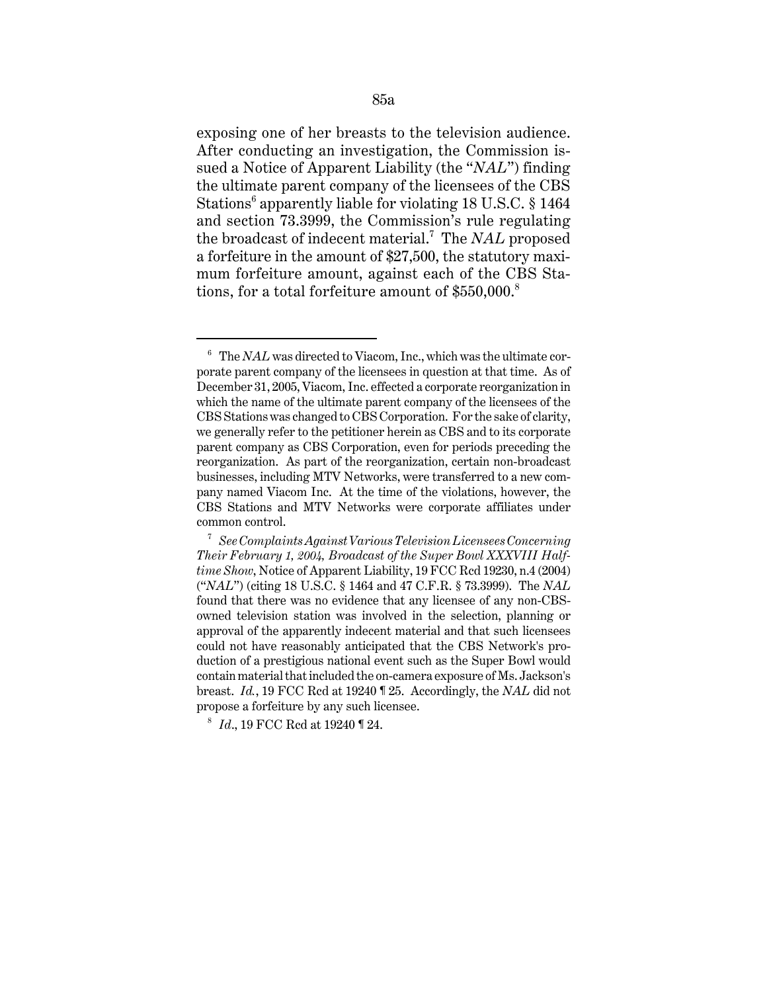exposing one of her breasts to the television audience. After conducting an investigation, the Commission issued a Notice of Apparent Liability (the "*NAL*") finding the ultimate parent company of the licensees of the CBS Stations<sup>6</sup> apparently liable for violating 18 U.S.C. § 1464 and section 73.3999, the Commission's rule regulating the broadcast of indecent material.<sup>7</sup> The *NAL* proposed a forfeiture in the amount of \$27,500, the statutory maximum forfeiture amount, against each of the CBS Stations, for a total forfeiture amount of  $$550,000$ .<sup>8</sup>

<sup>6</sup> The *NAL* was directed to Viacom, Inc., which was the ultimate corporate parent company of the licensees in question at that time. As of December 31, 2005, Viacom, Inc. effected a corporate reorganization in which the name of the ultimate parent company of the licensees of the CBS Stations was changed to CBS Corporation. For the sake of clarity, we generally refer to the petitioner herein as CBS and to its corporate parent company as CBS Corporation, even for periods preceding the reorganization. As part of the reorganization, certain non-broadcast businesses, including MTV Networks, were transferred to a new company named Viacom Inc. At the time of the violations, however, the CBS Stations and MTV Networks were corporate affiliates under common control.

<sup>7</sup> *See Complaints Against Various Television Licensees Concerning Their February 1, 2004, Broadcast of the Super Bowl XXXVIII Halftime Show*, Notice of Apparent Liability, 19 FCC Rcd 19230, n.4 (2004) ("*NAL*") (citing 18 U.S.C. § 1464 and 47 C.F.R. § 73.3999). The *NAL* found that there was no evidence that any licensee of any non-CBSowned television station was involved in the selection, planning or approval of the apparently indecent material and that such licensees could not have reasonably anticipated that the CBS Network's production of a prestigious national event such as the Super Bowl would contain material that included the on-camera exposure of Ms. Jackson's breast. *Id.*, 19 FCC Rcd at 19240 ¶ 25. Accordingly, the *NAL* did not propose a forfeiture by any such licensee.

<sup>8</sup> *Id*., 19 FCC Rcd at 19240 ¶ 24.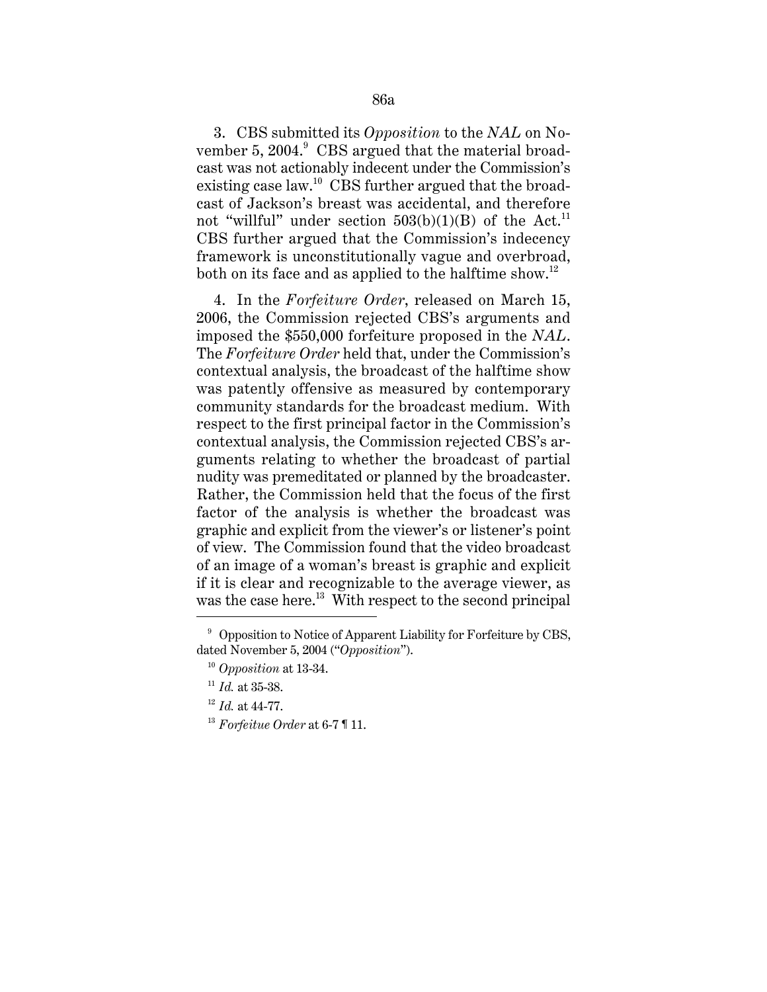3. CBS submitted its *Opposition* to the *NAL* on November 5, 2004. $^9$  CBS argued that the material broadcast was not actionably indecent under the Commission's existing case law. $^{10}$  CBS further argued that the broadcast of Jackson's breast was accidental, and therefore not "willful" under section  $503(b)(1)(B)$  of the Act.<sup>11</sup> CBS further argued that the Commission's indecency framework is unconstitutionally vague and overbroad, both on its face and as applied to the halftime show.<sup>12</sup>

4. In the *Forfeiture Order*, released on March 15, 2006, the Commission rejected CBS's arguments and imposed the \$550,000 forfeiture proposed in the *NAL*. The *Forfeiture Order* held that, under the Commission's contextual analysis, the broadcast of the halftime show was patently offensive as measured by contemporary community standards for the broadcast medium. With respect to the first principal factor in the Commission's contextual analysis, the Commission rejected CBS's arguments relating to whether the broadcast of partial nudity was premeditated or planned by the broadcaster. Rather, the Commission held that the focus of the first factor of the analysis is whether the broadcast was graphic and explicit from the viewer's or listener's point of view. The Commission found that the video broadcast of an image of a woman's breast is graphic and explicit if it is clear and recognizable to the average viewer, as was the case here.<sup>13</sup> With respect to the second principal

<sup>&</sup>lt;sup>9</sup> Opposition to Notice of Apparent Liability for Forfeiture by CBS, dated November 5, 2004 ("*Opposition*").

<sup>10</sup> *Opposition* at 13-34.

<sup>11</sup> *Id.* at 35-38.

<sup>12</sup> *Id.* at 44-77.

<sup>13</sup> *Forfeitue Order* at 6-7 ¶ 11.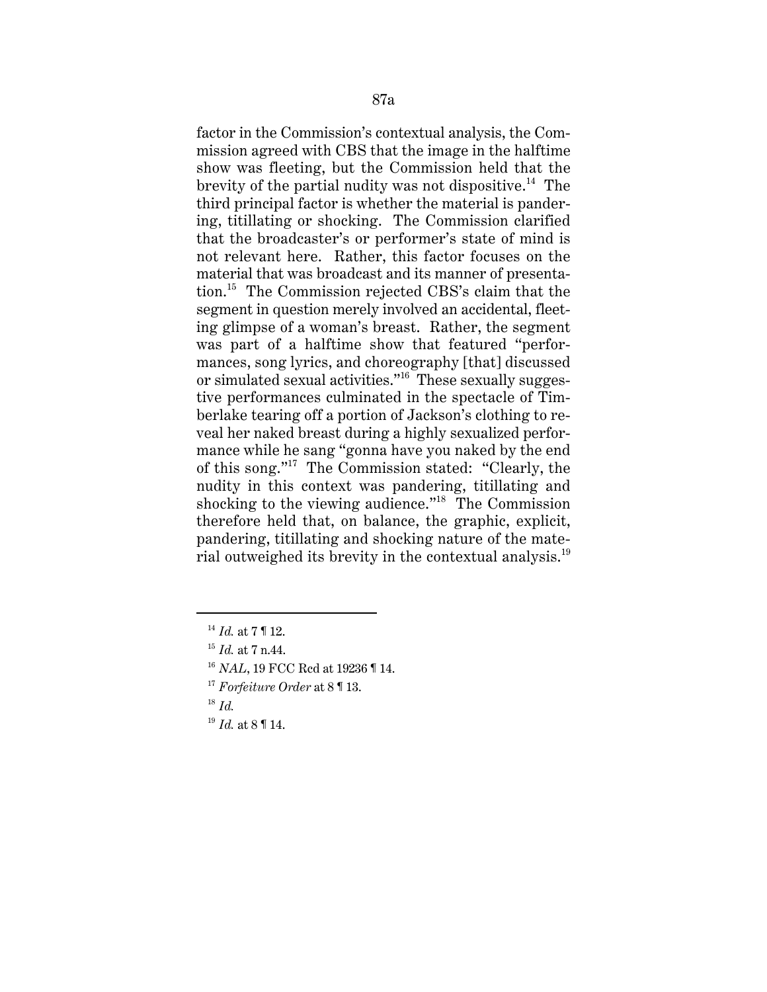factor in the Commission's contextual analysis, the Commission agreed with CBS that the image in the halftime show was fleeting, but the Commission held that the brevity of the partial nudity was not dispositive.<sup>14</sup> The third principal factor is whether the material is pandering, titillating or shocking. The Commission clarified that the broadcaster's or performer's state of mind is not relevant here. Rather, this factor focuses on the material that was broadcast and its manner of presentation.15 The Commission rejected CBS's claim that the segment in question merely involved an accidental, fleeting glimpse of a woman's breast. Rather, the segment was part of a halftime show that featured "performances, song lyrics, and choreography [that] discussed or simulated sexual activities."16 These sexually suggestive performances culminated in the spectacle of Timberlake tearing off a portion of Jackson's clothing to reveal her naked breast during a highly sexualized performance while he sang "gonna have you naked by the end of this song."17 The Commission stated: "Clearly, the nudity in this context was pandering, titillating and shocking to the viewing audience."<sup>18</sup> The Commission therefore held that, on balance, the graphic, explicit, pandering, titillating and shocking nature of the material outweighed its brevity in the contextual analysis.<sup>19</sup>

<sup>19</sup> *Id.* at 8 ¶ 14.

<sup>14</sup> *Id.* at 7 ¶ 12.

<sup>15</sup> *Id.* at 7 n.44.

<sup>&</sup>lt;sup>16</sup> *NAL*, 19 FCC Rcd at 19236 ¶ 14.

<sup>17</sup> *Forfeiture Order* at 8 ¶ 13.

<sup>18</sup> *Id.*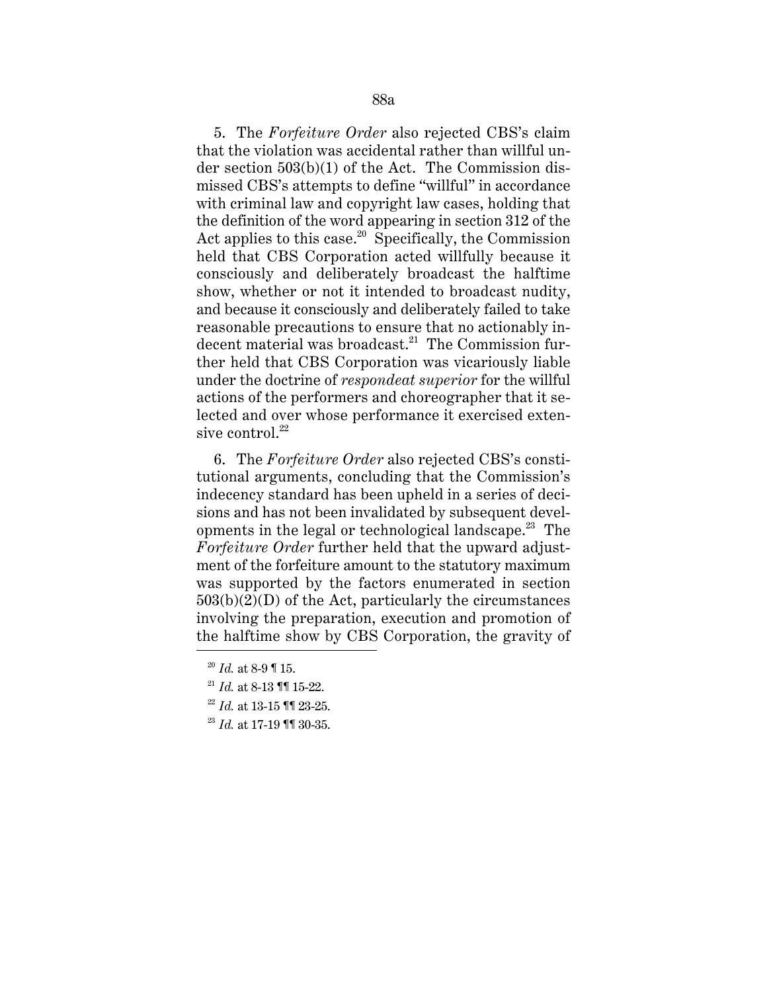5. The *Forfeiture Order* also rejected CBS's claim that the violation was accidental rather than willful under section 503(b)(1) of the Act. The Commission dismissed CBS's attempts to define "willful" in accordance with criminal law and copyright law cases, holding that the definition of the word appearing in section 312 of the Act applies to this case.<sup>20</sup> Specifically, the Commission held that CBS Corporation acted willfully because it consciously and deliberately broadcast the halftime show, whether or not it intended to broadcast nudity, and because it consciously and deliberately failed to take reasonable precautions to ensure that no actionably indecent material was broadcast.<sup>21</sup> The Commission further held that CBS Corporation was vicariously liable under the doctrine of *respondeat superior* for the willful actions of the performers and choreographer that it selected and over whose performance it exercised extensive control. $^{22}$ 

6. The *Forfeiture Order* also rejected CBS's constitutional arguments, concluding that the Commission's indecency standard has been upheld in a series of decisions and has not been invalidated by subsequent developments in the legal or technological landscape.<sup>23</sup> The *Forfeiture Order* further held that the upward adjustment of the forfeiture amount to the statutory maximum was supported by the factors enumerated in section  $503(b)(2)(D)$  of the Act, particularly the circumstances involving the preparation, execution and promotion of the halftime show by CBS Corporation, the gravity of

<sup>20</sup> *Id.* at 8-9 ¶ 15.

 $21$  *Id.* at 8-13 **[1]** 15-22.

<sup>22</sup> *Id.* at 13-15 ¶¶ 23-25.

<sup>23</sup> *Id.* at 17-19 ¶¶ 30-35.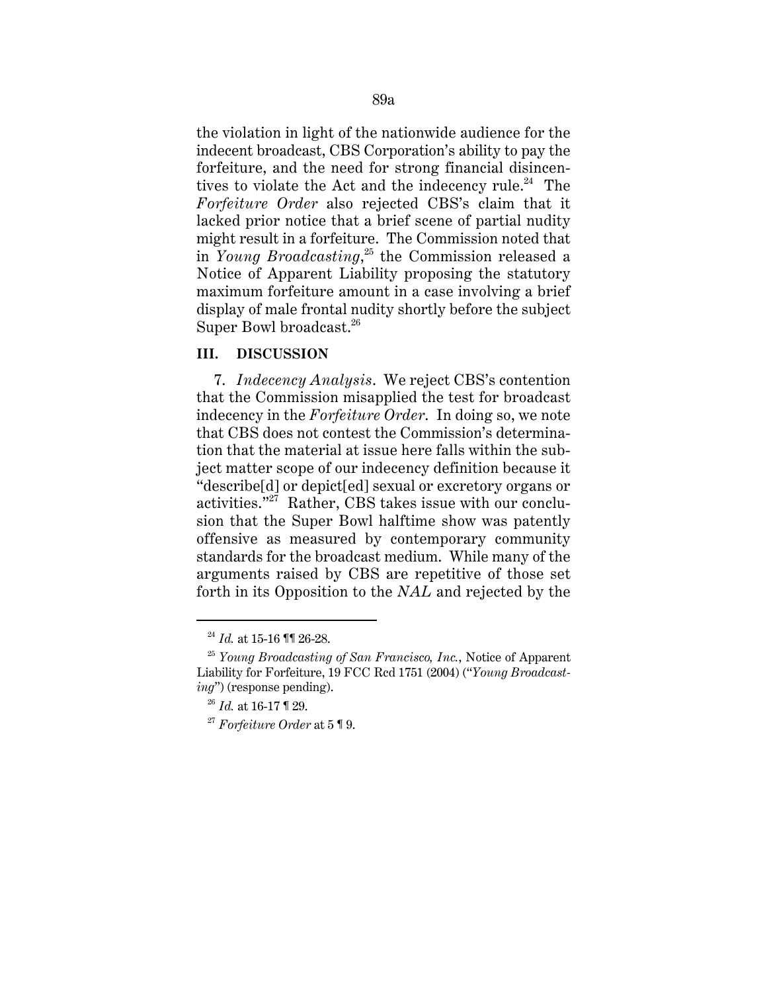the violation in light of the nationwide audience for the indecent broadcast, CBS Corporation's ability to pay the forfeiture, and the need for strong financial disincentives to violate the Act and the indecency rule.<sup>24</sup> The *Forfeiture Order* also rejected CBS's claim that it lacked prior notice that a brief scene of partial nudity might result in a forfeiture. The Commission noted that in *Young Broadcasting*, 25 the Commission released a Notice of Apparent Liability proposing the statutory maximum forfeiture amount in a case involving a brief display of male frontal nudity shortly before the subject Super Bowl broadcast.<sup>26</sup>

### **III. DISCUSSION**

7. *Indecency Analysis*. We reject CBS's contention that the Commission misapplied the test for broadcast indecency in the *Forfeiture Order*. In doing so, we note that CBS does not contest the Commission's determination that the material at issue here falls within the subject matter scope of our indecency definition because it "describe[d] or depict[ed] sexual or excretory organs or activities."27 Rather, CBS takes issue with our conclusion that the Super Bowl halftime show was patently offensive as measured by contemporary community standards for the broadcast medium. While many of the arguments raised by CBS are repetitive of those set forth in its Opposition to the *NAL* and rejected by the

<sup>24</sup> *Id.* at 15-16 ¶¶ 26-28.

<sup>25</sup> *Young Broadcasting of San Francisco, Inc.*, Notice of Apparent Liability for Forfeiture, 19 FCC Rcd 1751 (2004) ("*Young Broadcasting*") (response pending).

<sup>26</sup> *Id.* at 16-17 ¶ 29.

<sup>27</sup> *Forfeiture Order* at 5 ¶ 9.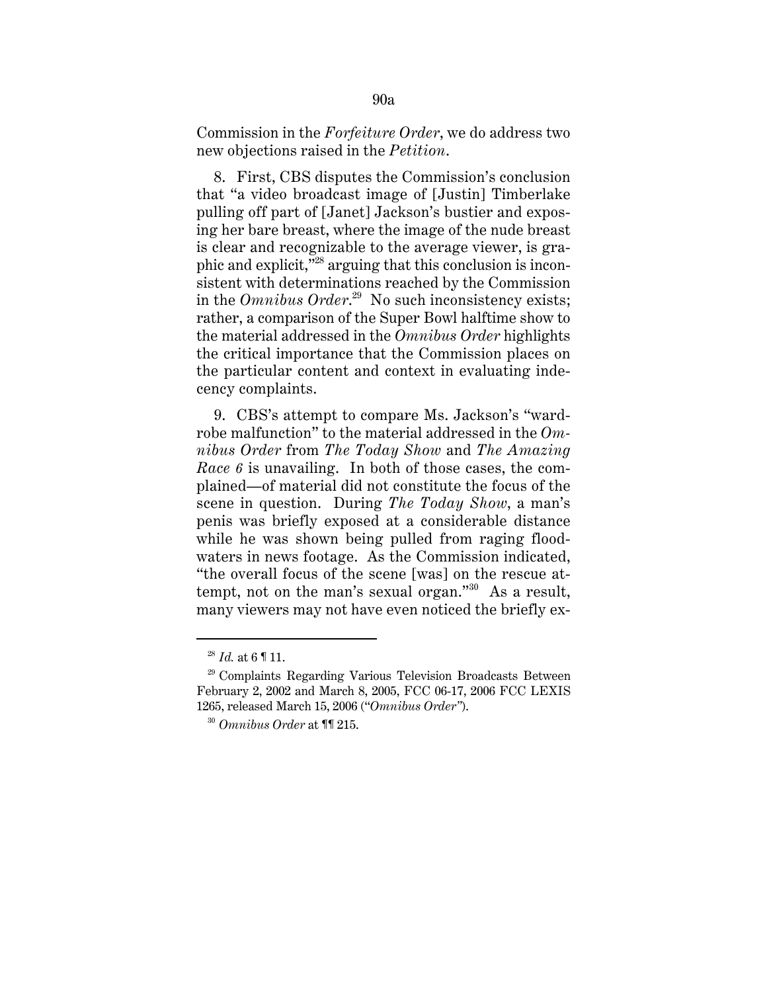Commission in the *Forfeiture Order*, we do address two new objections raised in the *Petition*.

8. First, CBS disputes the Commission's conclusion that "a video broadcast image of [Justin] Timberlake pulling off part of [Janet] Jackson's bustier and exposing her bare breast, where the image of the nude breast is clear and recognizable to the average viewer, is graphic and explicit,"28 arguing that this conclusion is inconsistent with determinations reached by the Commission in the *Omnibus Order*. 29 No such inconsistency exists; rather, a comparison of the Super Bowl halftime show to the material addressed in the *Omnibus Order* highlights the critical importance that the Commission places on the particular content and context in evaluating indecency complaints.

9. CBS's attempt to compare Ms. Jackson's "wardrobe malfunction" to the material addressed in the *Omnibus Order* from *The Today Show* and *The Amazing Race 6* is unavailing. In both of those cases, the complained—of material did not constitute the focus of the scene in question. During *The Today Show*, a man's penis was briefly exposed at a considerable distance while he was shown being pulled from raging floodwaters in news footage. As the Commission indicated, "the overall focus of the scene [was] on the rescue attempt, not on the man's sexual organ."<sup>30</sup> As a result, many viewers may not have even noticed the briefly ex-

 $^{28}$  *Id.* at 6 ¶ 11.

<sup>&</sup>lt;sup>29</sup> Complaints Regarding Various Television Broadcasts Between February 2, 2002 and March 8, 2005, FCC 06-17, 2006 FCC LEXIS 1265, released March 15, 2006 ("*Omnibus Order"*).

<sup>30</sup> *Omnibus Order* at ¶¶ 215.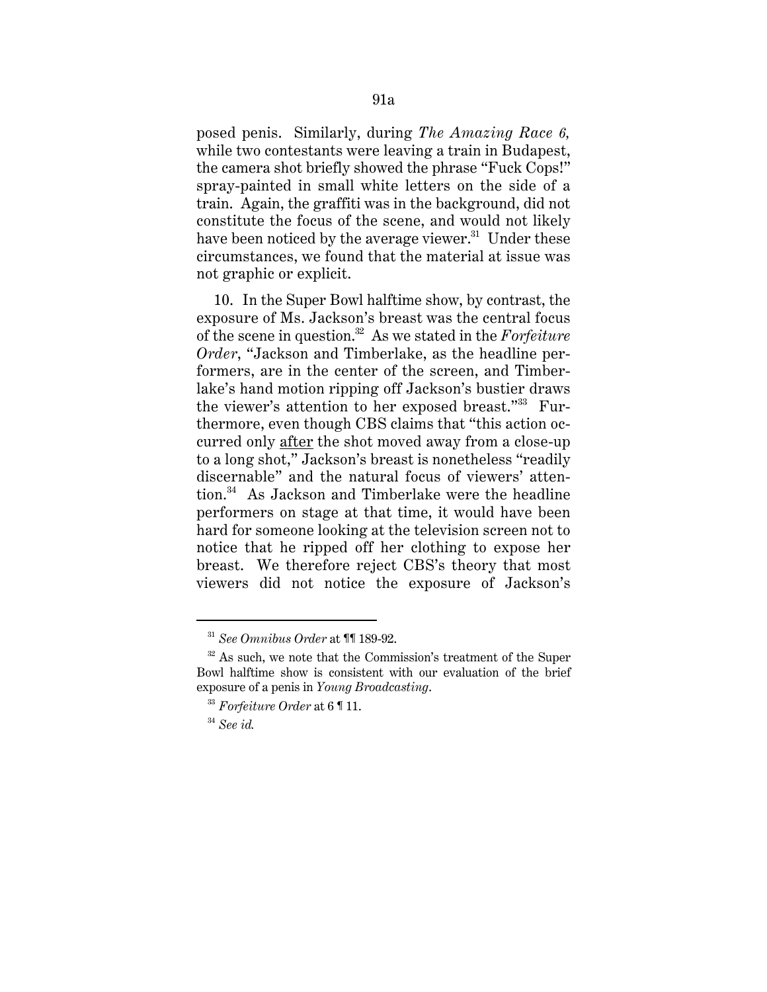posed penis. Similarly, during *The Amazing Race 6,* while two contestants were leaving a train in Budapest, the camera shot briefly showed the phrase "Fuck Cops!" spray-painted in small white letters on the side of a train. Again, the graffiti was in the background, did not constitute the focus of the scene, and would not likely have been noticed by the average viewer.<sup>31</sup> Under these circumstances, we found that the material at issue was not graphic or explicit.

10. In the Super Bowl halftime show, by contrast, the exposure of Ms. Jackson's breast was the central focus of the scene in question.32 As we stated in the *Forfeiture Order*, "Jackson and Timberlake, as the headline performers, are in the center of the screen, and Timberlake's hand motion ripping off Jackson's bustier draws the viewer's attention to her exposed breast."<sup>33</sup> Furthermore, even though CBS claims that "this action occurred only after the shot moved away from a close-up to a long shot," Jackson's breast is nonetheless "readily discernable" and the natural focus of viewers' attention.34 As Jackson and Timberlake were the headline performers on stage at that time, it would have been hard for someone looking at the television screen not to notice that he ripped off her clothing to expose her breast. We therefore reject CBS's theory that most viewers did not notice the exposure of Jackson's

<sup>31</sup> *See Omnibus Order* at ¶¶ 189-92.

 $32$  As such, we note that the Commission's treatment of the Super Bowl halftime show is consistent with our evaluation of the brief exposure of a penis in *Young Broadcasting*.

<sup>33</sup> *Forfeiture Order* at 6 ¶ 11.

<sup>34</sup> *See id.*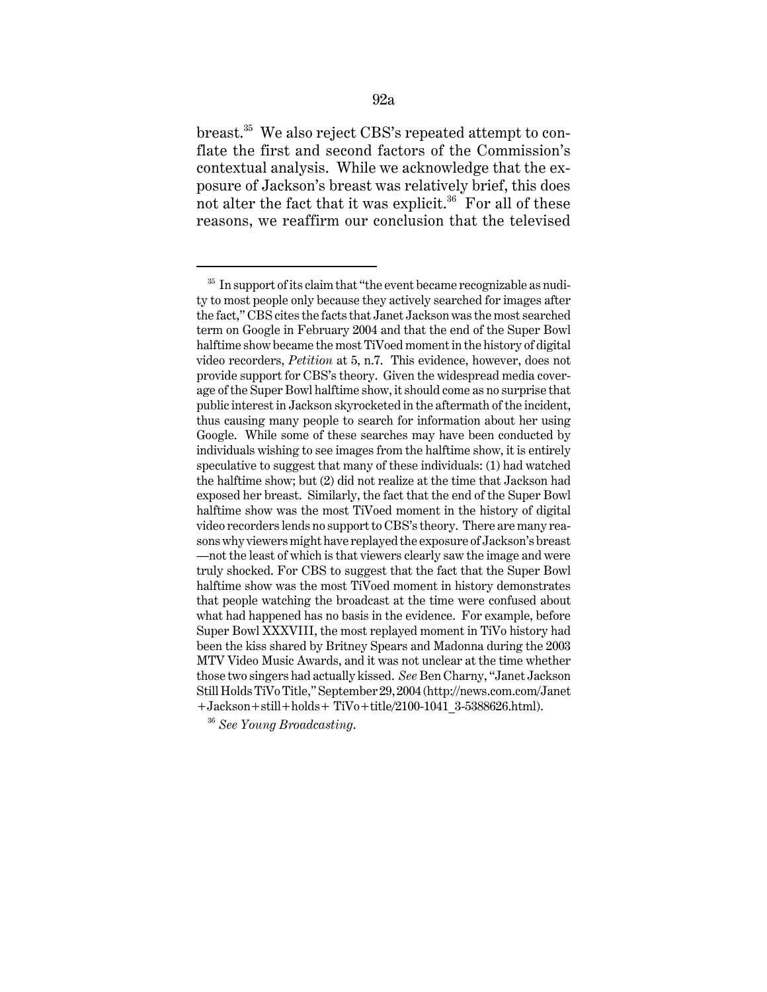breast.<sup>35</sup> We also reject CBS's repeated attempt to conflate the first and second factors of the Commission's contextual analysis. While we acknowledge that the exposure of Jackson's breast was relatively brief, this does not alter the fact that it was explicit. $36$  For all of these reasons, we reaffirm our conclusion that the televised

<sup>36</sup> *See Young Broadcasting*.

 $35$  In support of its claim that "the event became recognizable as nudity to most people only because they actively searched for images after the fact," CBS cites the facts that Janet Jackson was the most searched term on Google in February 2004 and that the end of the Super Bowl halftime show became the most TiVoed moment in the history of digital video recorders, *Petition* at 5, n.7. This evidence, however, does not provide support for CBS's theory. Given the widespread media coverage of the Super Bowl halftime show, it should come as no surprise that public interest in Jackson skyrocketed in the aftermath of the incident, thus causing many people to search for information about her using Google. While some of these searches may have been conducted by individuals wishing to see images from the halftime show, it is entirely speculative to suggest that many of these individuals: (1) had watched the halftime show; but (2) did not realize at the time that Jackson had exposed her breast. Similarly, the fact that the end of the Super Bowl halftime show was the most TiVoed moment in the history of digital video recorders lends no support to CBS's theory. There are many reasons why viewers might have replayed the exposure of Jackson's breast —not the least of which is that viewers clearly saw the image and were truly shocked. For CBS to suggest that the fact that the Super Bowl halftime show was the most TiVoed moment in history demonstrates that people watching the broadcast at the time were confused about what had happened has no basis in the evidence. For example, before Super Bowl XXXVIII, the most replayed moment in TiVo history had been the kiss shared by Britney Spears and Madonna during the 2003 MTV Video Music Awards, and it was not unclear at the time whether those two singers had actually kissed. *See* Ben Charny, "Janet Jackson Still Holds TiVo Title," September 29, 2004 (http://news.com.com/Janet  $+$ Jackson + still + holds + TiVo + title/2100-1041 3-5388626.html).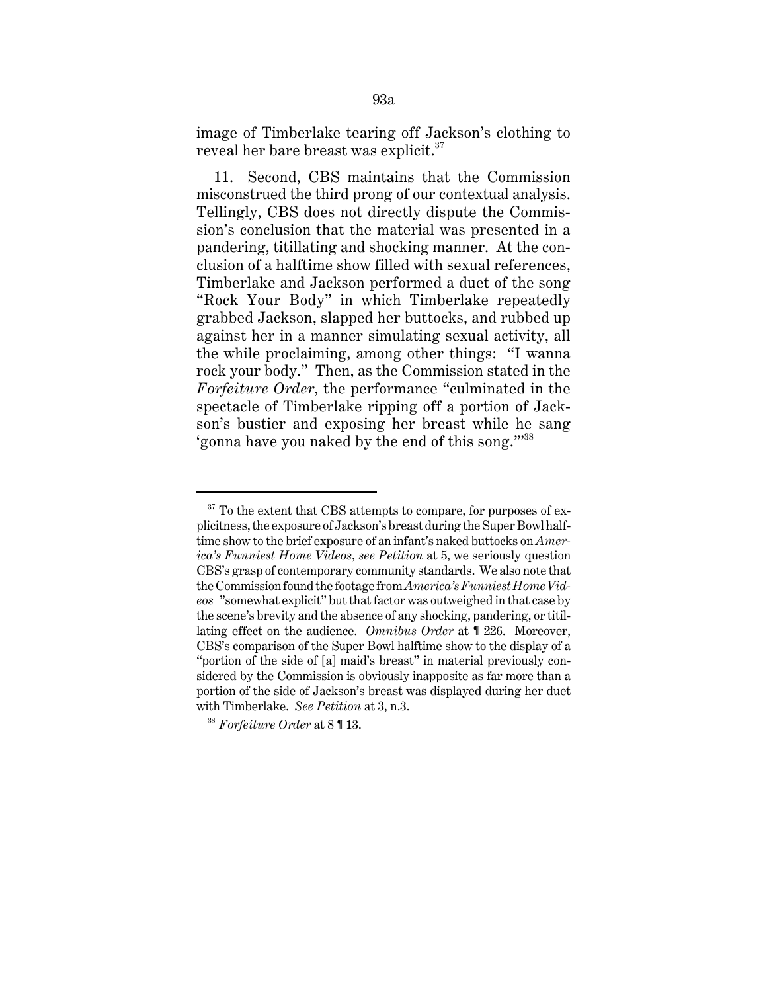image of Timberlake tearing off Jackson's clothing to reveal her bare breast was explicit.<sup>37</sup>

11. Second, CBS maintains that the Commission misconstrued the third prong of our contextual analysis. Tellingly, CBS does not directly dispute the Commission's conclusion that the material was presented in a pandering, titillating and shocking manner. At the conclusion of a halftime show filled with sexual references, Timberlake and Jackson performed a duet of the song "Rock Your Body" in which Timberlake repeatedly grabbed Jackson, slapped her buttocks, and rubbed up against her in a manner simulating sexual activity, all the while proclaiming, among other things: "I wanna rock your body." Then, as the Commission stated in the *Forfeiture Order*, the performance "culminated in the spectacle of Timberlake ripping off a portion of Jackson's bustier and exposing her breast while he sang 'gonna have you naked by the end of this song."'<sup>38</sup>

<sup>&</sup>lt;sup>37</sup> To the extent that CBS attempts to compare, for purposes of explicitness, the exposure of Jackson's breast during the Super Bowl halftime show to the brief exposure of an infant's naked buttocks on *America's Funniest Home Videos*, *see Petition* at 5, we seriously question CBS's grasp of contemporary community standards. We also note that the Commission found the footage from *America's Funniest Home Videos* "somewhat explicit" but that factor was outweighed in that case by the scene's brevity and the absence of any shocking, pandering, or titillating effect on the audience. *Omnibus Order* at ¶ 226. Moreover, CBS's comparison of the Super Bowl halftime show to the display of a "portion of the side of [a] maid's breast" in material previously considered by the Commission is obviously inapposite as far more than a portion of the side of Jackson's breast was displayed during her duet with Timberlake. *See Petition* at 3, n.3.

<sup>38</sup> *Forfeiture Order* at 8 ¶ 13.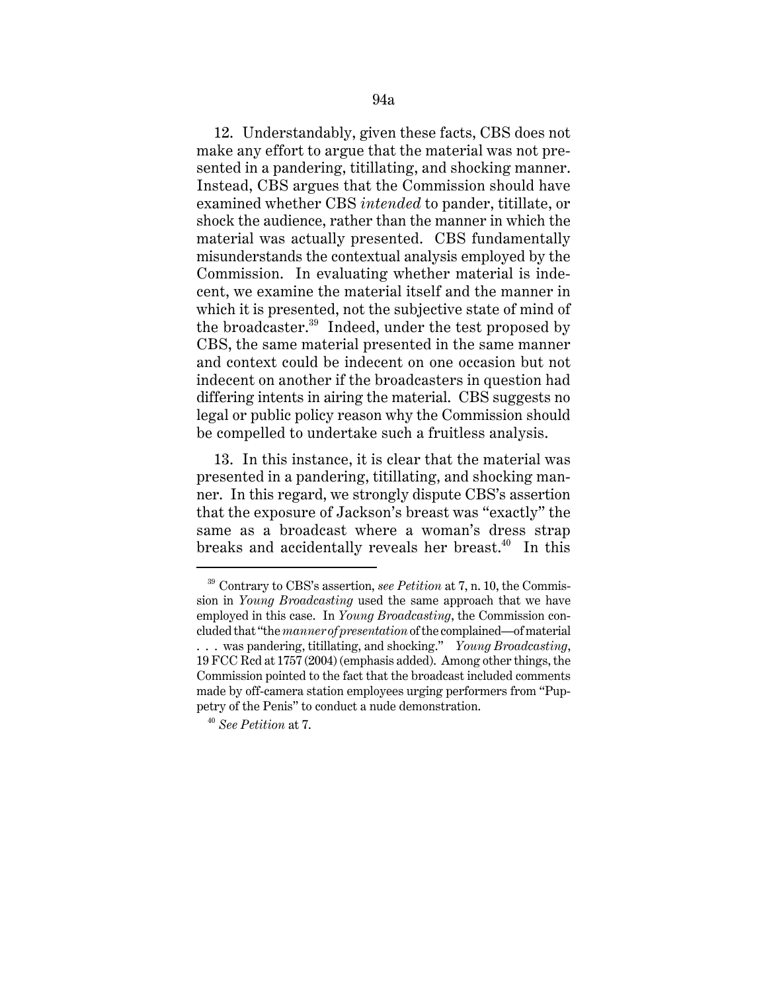12. Understandably, given these facts, CBS does not make any effort to argue that the material was not presented in a pandering, titillating, and shocking manner. Instead, CBS argues that the Commission should have examined whether CBS *intended* to pander, titillate, or shock the audience, rather than the manner in which the material was actually presented. CBS fundamentally misunderstands the contextual analysis employed by the Commission. In evaluating whether material is indecent, we examine the material itself and the manner in which it is presented, not the subjective state of mind of the broadcaster.<sup>39</sup> Indeed, under the test proposed by CBS, the same material presented in the same manner and context could be indecent on one occasion but not indecent on another if the broadcasters in question had differing intents in airing the material. CBS suggests no legal or public policy reason why the Commission should be compelled to undertake such a fruitless analysis.

13. In this instance, it is clear that the material was presented in a pandering, titillating, and shocking manner. In this regard, we strongly dispute CBS's assertion that the exposure of Jackson's breast was "exactly" the same as a broadcast where a woman's dress strap breaks and accidentally reveals her breast. $40$  In this

<sup>39</sup> Contrary to CBS's assertion, *see Petition* at 7, n. 10, the Commission in *Young Broadcasting* used the same approach that we have employed in this case. In *Young Broadcasting*, the Commission concluded that "the *manner of presentation* of the complained—of material . . . was pandering, titillating, and shocking." *Young Broadcasting*, 19 FCC Rcd at 1757 (2004) (emphasis added). Among other things, the Commission pointed to the fact that the broadcast included comments made by off-camera station employees urging performers from "Puppetry of the Penis" to conduct a nude demonstration.

<sup>40</sup> *See Petition* at 7.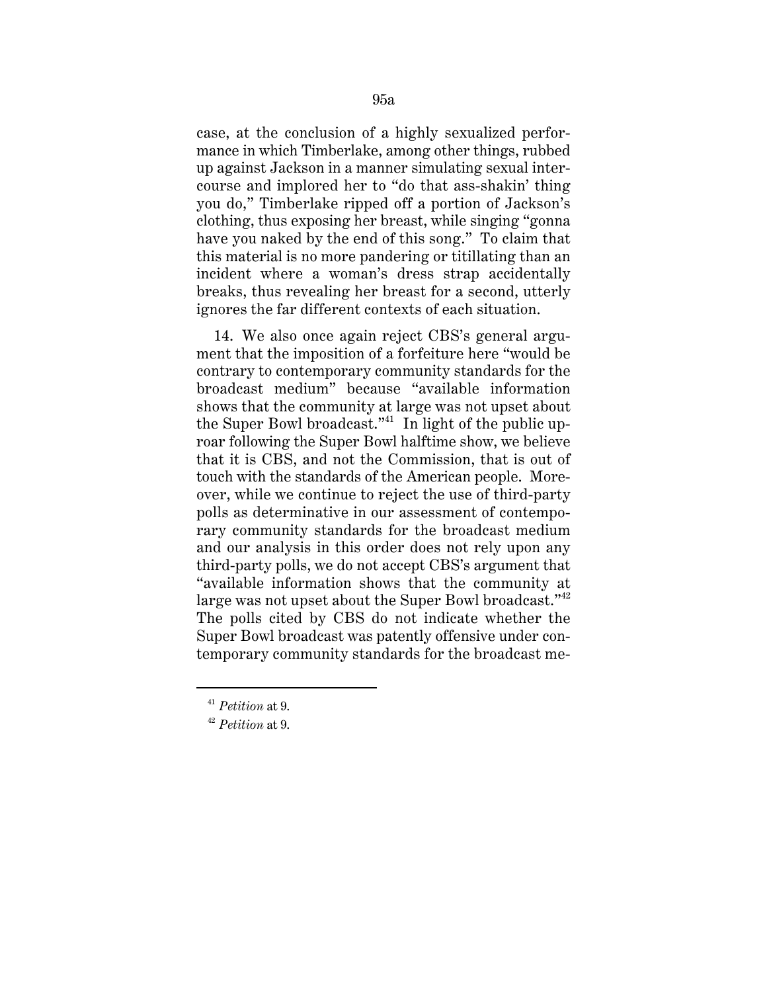case, at the conclusion of a highly sexualized performance in which Timberlake, among other things, rubbed up against Jackson in a manner simulating sexual intercourse and implored her to "do that ass-shakin' thing you do," Timberlake ripped off a portion of Jackson's clothing, thus exposing her breast, while singing "gonna have you naked by the end of this song." To claim that this material is no more pandering or titillating than an incident where a woman's dress strap accidentally breaks, thus revealing her breast for a second, utterly ignores the far different contexts of each situation.

14. We also once again reject CBS's general argument that the imposition of a forfeiture here "would be contrary to contemporary community standards for the broadcast medium" because "available information shows that the community at large was not upset about the Super Bowl broadcast." $^{41}$  In light of the public uproar following the Super Bowl halftime show, we believe that it is CBS, and not the Commission, that is out of touch with the standards of the American people. Moreover, while we continue to reject the use of third-party polls as determinative in our assessment of contemporary community standards for the broadcast medium and our analysis in this order does not rely upon any third-party polls, we do not accept CBS's argument that "available information shows that the community at large was not upset about the Super Bowl broadcast."<sup>42</sup> The polls cited by CBS do not indicate whether the Super Bowl broadcast was patently offensive under contemporary community standards for the broadcast me-

<sup>41</sup> *Petition* at 9.

<sup>42</sup> *Petition* at 9.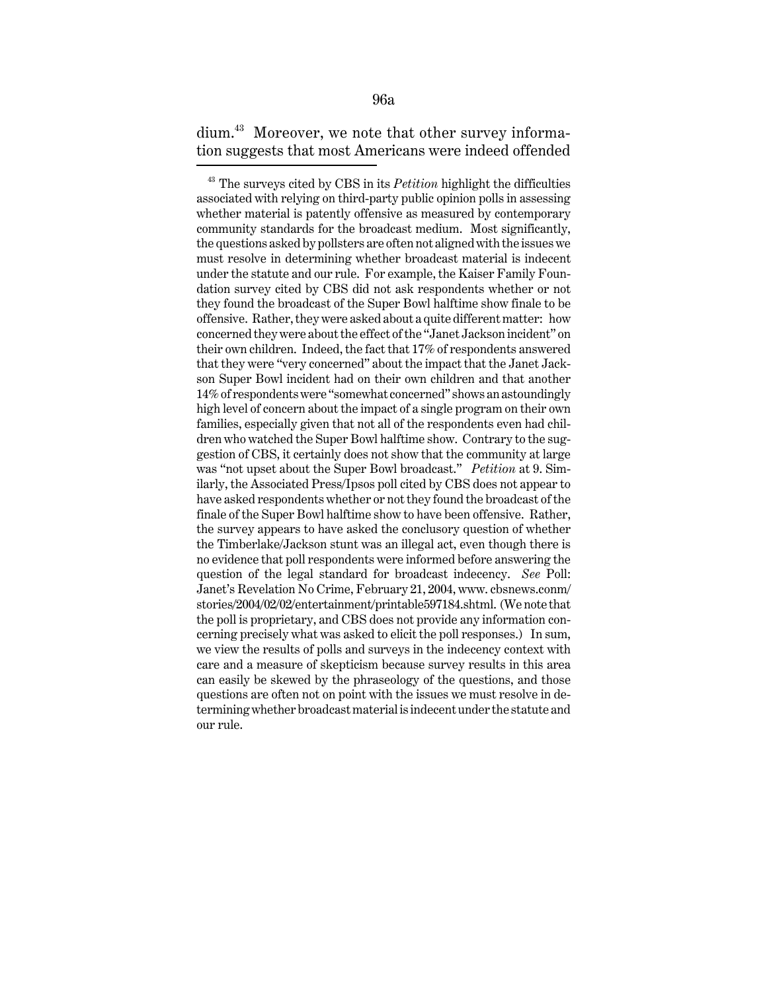# dium.<sup>43</sup> Moreover, we note that other survey information suggests that most Americans were indeed offended

<sup>43</sup> The surveys cited by CBS in its *Petition* highlight the difficulties associated with relying on third-party public opinion polls in assessing whether material is patently offensive as measured by contemporary community standards for the broadcast medium. Most significantly, the questions asked by pollsters are often not aligned with the issues we must resolve in determining whether broadcast material is indecent under the statute and our rule. For example, the Kaiser Family Foundation survey cited by CBS did not ask respondents whether or not they found the broadcast of the Super Bowl halftime show finale to be offensive. Rather, they were asked about a quite different matter: how concerned they were about the effect of the "Janet Jackson incident" on their own children. Indeed, the fact that 17% of respondents answered that they were "very concerned" about the impact that the Janet Jackson Super Bowl incident had on their own children and that another 14% of respondents were "somewhat concerned" shows an astoundingly high level of concern about the impact of a single program on their own families, especially given that not all of the respondents even had children who watched the Super Bowl halftime show. Contrary to the suggestion of CBS, it certainly does not show that the community at large was "not upset about the Super Bowl broadcast." *Petition* at 9. Similarly, the Associated Press/Ipsos poll cited by CBS does not appear to have asked respondents whether or not they found the broadcast of the finale of the Super Bowl halftime show to have been offensive. Rather, the survey appears to have asked the conclusory question of whether the Timberlake/Jackson stunt was an illegal act, even though there is no evidence that poll respondents were informed before answering the question of the legal standard for broadcast indecency. *See* Poll: Janet's Revelation No Crime, February 21, 2004, www. cbsnews.conm/ stories/2004/02/02/entertainment/printable597184.shtml. (We note that the poll is proprietary, and CBS does not provide any information concerning precisely what was asked to elicit the poll responses.) In sum, we view the results of polls and surveys in the indecency context with care and a measure of skepticism because survey results in this area can easily be skewed by the phraseology of the questions, and those questions are often not on point with the issues we must resolve in determining whether broadcast material is indecent under the statute and our rule.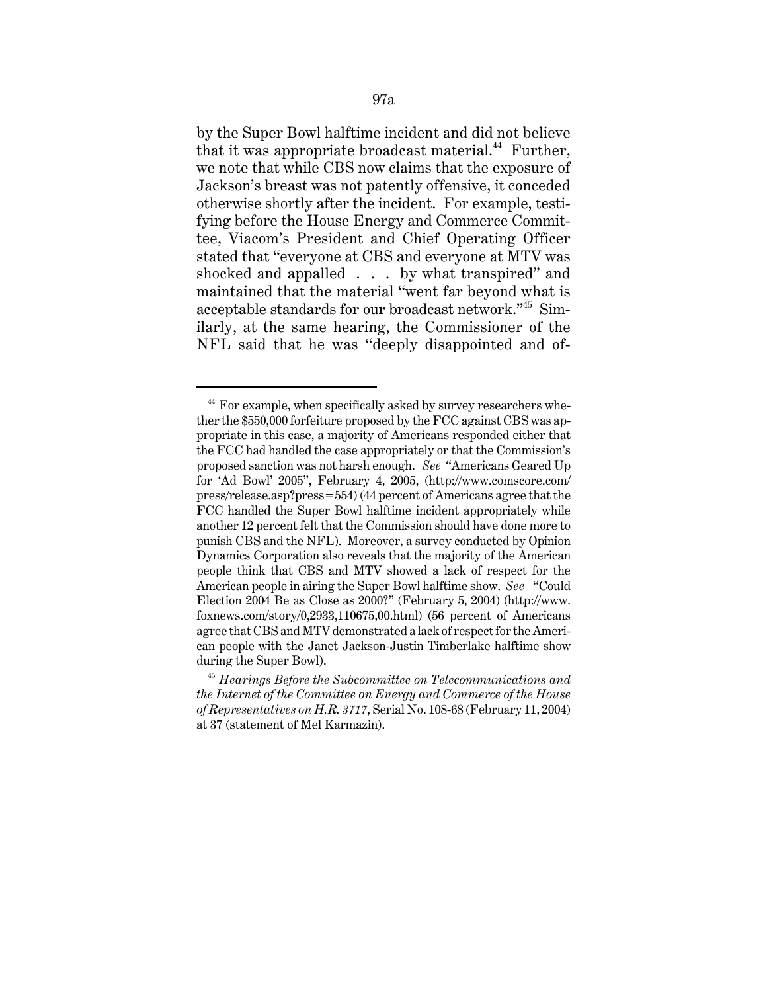by the Super Bowl halftime incident and did not believe that it was appropriate broadcast material. $44$  Further, we note that while CBS now claims that the exposure of Jackson's breast was not patently offensive, it conceded otherwise shortly after the incident. For example, testifying before the House Energy and Commerce Committee, Viacom's President and Chief Operating Officer stated that "everyone at CBS and everyone at MTV was shocked and appalled . . . by what transpired" and maintained that the material "went far beyond what is acceptable standards for our broadcast network."45 Similarly, at the same hearing, the Commissioner of the NFL said that he was "deeply disappointed and of-

<sup>&</sup>lt;sup>44</sup> For example, when specifically asked by survey researchers whether the \$550,000 forfeiture proposed by the FCC against CBS was appropriate in this case, a majority of Americans responded either that the FCC had handled the case appropriately or that the Commission's proposed sanction was not harsh enough. *See* "Americans Geared Up for 'Ad Bowl' 2005", February 4, 2005, (http://www.comscore.com/ press/release.asp?press=554) (44 percent of Americans agree that the FCC handled the Super Bowl halftime incident appropriately while another 12 percent felt that the Commission should have done more to punish CBS and the NFL). Moreover, a survey conducted by Opinion Dynamics Corporation also reveals that the majority of the American people think that CBS and MTV showed a lack of respect for the American people in airing the Super Bowl halftime show. *See* "Could Election 2004 Be as Close as 2000?" (February 5, 2004) (http://www. foxnews.com/story/0,2933,110675,00.html) (56 percent of Americans agree that CBS and MTV demonstrated a lack of respect for the American people with the Janet Jackson-Justin Timberlake halftime show during the Super Bowl).

<sup>45</sup> *Hearings Before the Subcommittee on Telecommunications and the Internet of the Committee on Energy and Commerce of the House of Representatives on H.R. 3717*, Serial No. 108-68 (February 11, 2004) at 37 (statement of Mel Karmazin).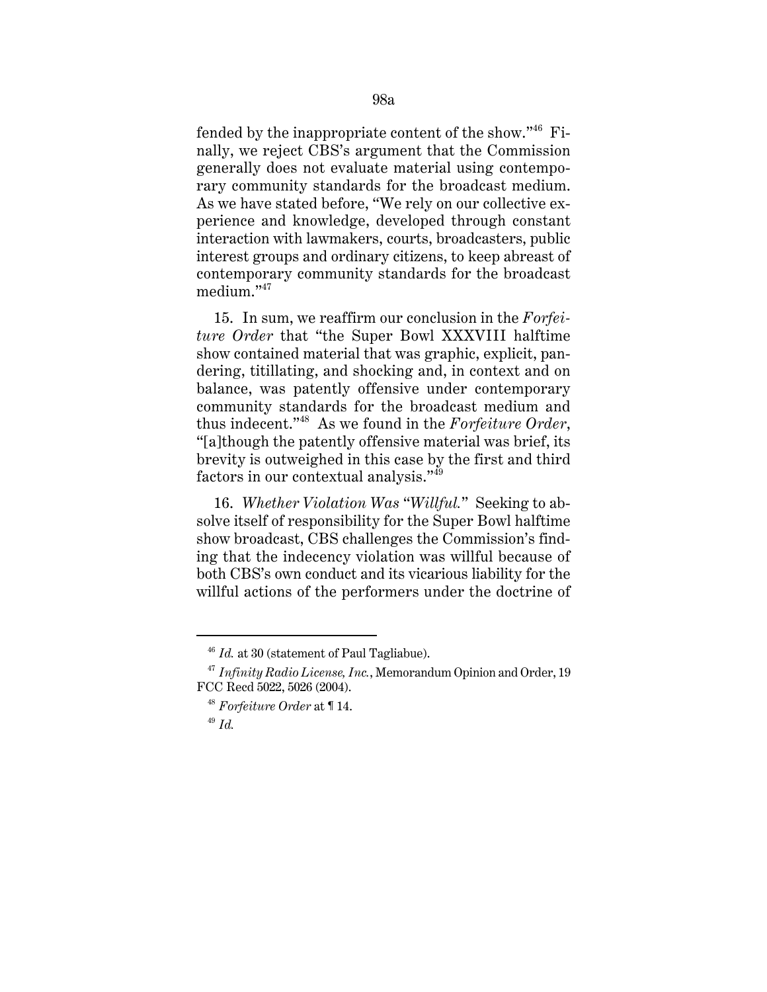fended by the inappropriate content of the show."46 Finally, we reject CBS's argument that the Commission generally does not evaluate material using contemporary community standards for the broadcast medium. As we have stated before, "We rely on our collective experience and knowledge, developed through constant interaction with lawmakers, courts, broadcasters, public interest groups and ordinary citizens, to keep abreast of contemporary community standards for the broadcast  $medium.^{"47"}$ 

15. In sum, we reaffirm our conclusion in the *Forfeiture Order* that "the Super Bowl XXXVIII halftime show contained material that was graphic, explicit, pandering, titillating, and shocking and, in context and on balance, was patently offensive under contemporary community standards for the broadcast medium and thus indecent."48 As we found in the *Forfeiture Order*, "[a]though the patently offensive material was brief, its brevity is outweighed in this case by the first and third factors in our contextual analysis." $49$ 

16. *Whether Violation Was* "*Willful.*" Seeking to absolve itself of responsibility for the Super Bowl halftime show broadcast, CBS challenges the Commission's finding that the indecency violation was willful because of both CBS's own conduct and its vicarious liability for the willful actions of the performers under the doctrine of

<sup>46</sup> *Id.* at 30 (statement of Paul Tagliabue).

<sup>47</sup> *Infinity Radio License, Inc.*, Memorandum Opinion and Order, 19 FCC Recd 5022, 5026 (2004).

<sup>48</sup> *Forfeiture Order* at ¶ 14.

<sup>49</sup> *Id.*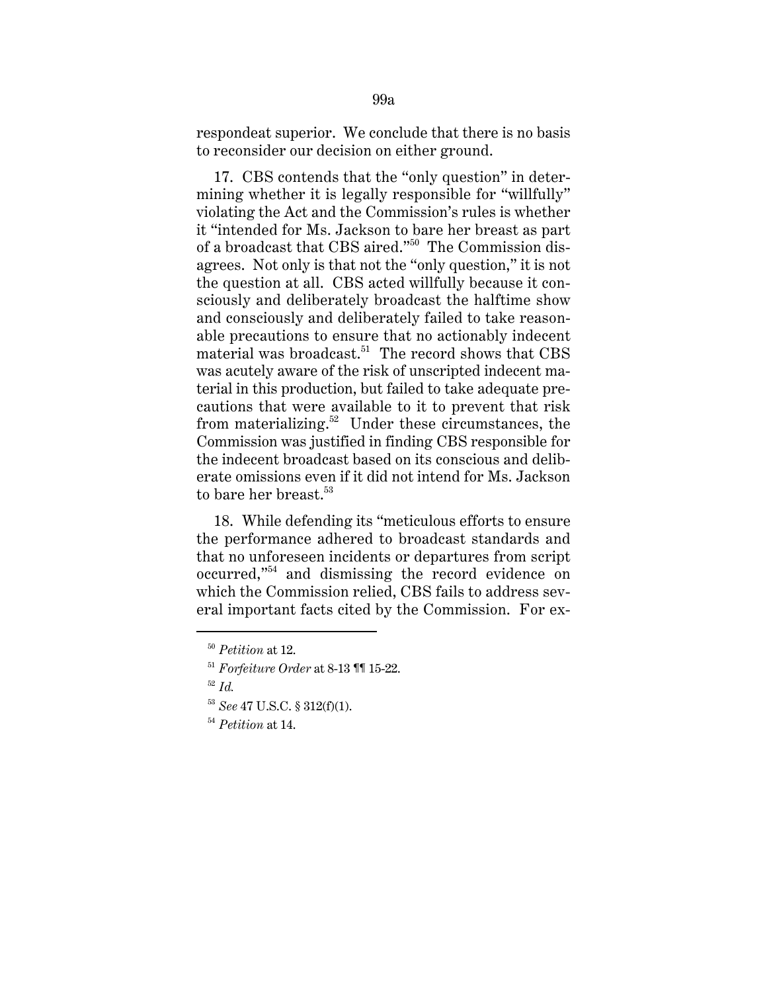respondeat superior. We conclude that there is no basis to reconsider our decision on either ground.

17. CBS contends that the "only question" in determining whether it is legally responsible for "willfully" violating the Act and the Commission's rules is whether it "intended for Ms. Jackson to bare her breast as part of a broadcast that CBS aired."<sup>50</sup> The Commission disagrees. Not only is that not the "only question," it is not the question at all. CBS acted willfully because it consciously and deliberately broadcast the halftime show and consciously and deliberately failed to take reasonable precautions to ensure that no actionably indecent material was broadcast.<sup>51</sup> The record shows that CBS was acutely aware of the risk of unscripted indecent material in this production, but failed to take adequate precautions that were available to it to prevent that risk from materializing.<sup>52</sup> Under these circumstances, the Commission was justified in finding CBS responsible for the indecent broadcast based on its conscious and deliberate omissions even if it did not intend for Ms. Jackson to bare her breast.<sup>53</sup>

18. While defending its "meticulous efforts to ensure the performance adhered to broadcast standards and that no unforeseen incidents or departures from script occurred,"54 and dismissing the record evidence on which the Commission relied, CBS fails to address several important facts cited by the Commission. For ex-

<sup>50</sup> *Petition* at 12.

<sup>51</sup> *Forfeiture Order* at 8-13 ¶¶ 15-22.

<sup>52</sup> *Id.*

<sup>53</sup> *See* 47 U.S.C. § 312(f)(1).

<sup>54</sup> *Petition* at 14.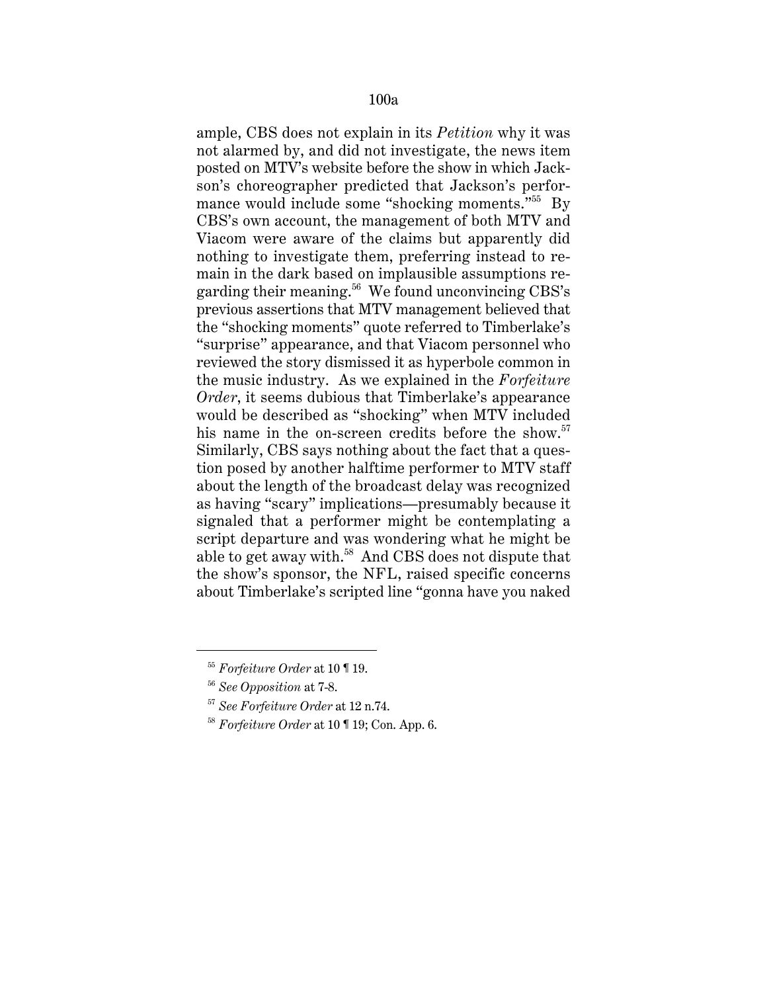100a

ample, CBS does not explain in its *Petition* why it was not alarmed by, and did not investigate, the news item posted on MTV's website before the show in which Jackson's choreographer predicted that Jackson's performance would include some "shocking moments."<sup>55</sup> By CBS's own account, the management of both MTV and Viacom were aware of the claims but apparently did nothing to investigate them, preferring instead to remain in the dark based on implausible assumptions regarding their meaning.<sup>56</sup> We found unconvincing CBS's previous assertions that MTV management believed that the "shocking moments" quote referred to Timberlake's "surprise" appearance, and that Viacom personnel who reviewed the story dismissed it as hyperbole common in the music industry. As we explained in the *Forfeiture Order*, it seems dubious that Timberlake's appearance would be described as "shocking" when MTV included his name in the on-screen credits before the show. $57$ Similarly, CBS says nothing about the fact that a question posed by another halftime performer to MTV staff about the length of the broadcast delay was recognized as having "scary" implications—presumably because it signaled that a performer might be contemplating a script departure and was wondering what he might be able to get away with.<sup>58</sup> And CBS does not dispute that the show's sponsor, the NFL, raised specific concerns about Timberlake's scripted line "gonna have you naked

<sup>55</sup> *Forfeiture Order* at 10 ¶ 19.

<sup>56</sup> *See Opposition* at 7-8.

<sup>57</sup> *See Forfeiture Order* at 12 n.74.

<sup>58</sup> *Forfeiture Order* at 10 ¶ 19; Con. App. 6.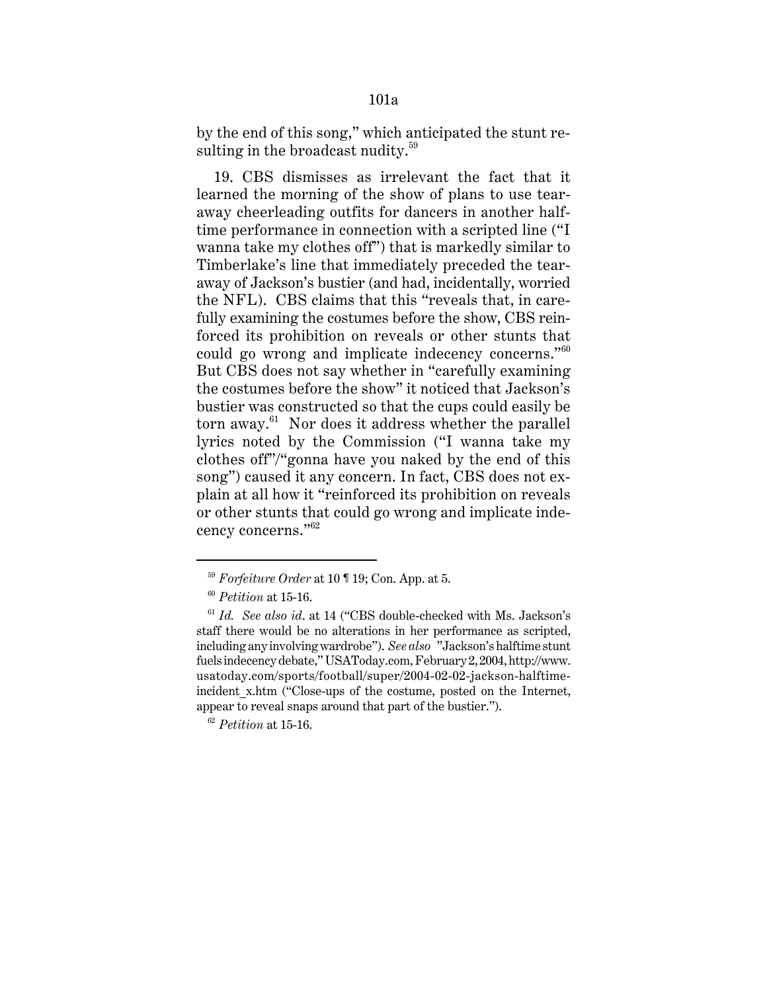by the end of this song," which anticipated the stunt resulting in the broadcast nudity. $59$ 

19. CBS dismisses as irrelevant the fact that it learned the morning of the show of plans to use tearaway cheerleading outfits for dancers in another halftime performance in connection with a scripted line ("I wanna take my clothes off") that is markedly similar to Timberlake's line that immediately preceded the tearaway of Jackson's bustier (and had, incidentally, worried the NFL). CBS claims that this "reveals that, in carefully examining the costumes before the show, CBS reinforced its prohibition on reveals or other stunts that could go wrong and implicate indecency concerns."<sup>60</sup> But CBS does not say whether in "carefully examining the costumes before the show" it noticed that Jackson's bustier was constructed so that the cups could easily be torn away. $61$  Nor does it address whether the parallel lyrics noted by the Commission ("I wanna take my clothes off"/"gonna have you naked by the end of this song") caused it any concern. In fact, CBS does not explain at all how it "reinforced its prohibition on reveals or other stunts that could go wrong and implicate indecency concerns."<sup>62</sup>

<sup>59</sup> *Forfeiture Order* at 10 ¶ 19; Con. App. at 5.

<sup>60</sup> *Petition* at 15-16.

<sup>61</sup> *Id. See also id*. at 14 ("CBS double-checked with Ms. Jackson's staff there would be no alterations in her performance as scripted, including any involving wardrobe"). *See also* "Jackson's halftime stunt fuels indecency debate," USAToday.com, February 2, 2004, http://www. usatoday.com/sports/football/super/2004-02-02-jackson-halftimeincident x.htm ("Close-ups of the costume, posted on the Internet, appear to reveal snaps around that part of the bustier.").

<sup>62</sup> *Petition* at 15-16.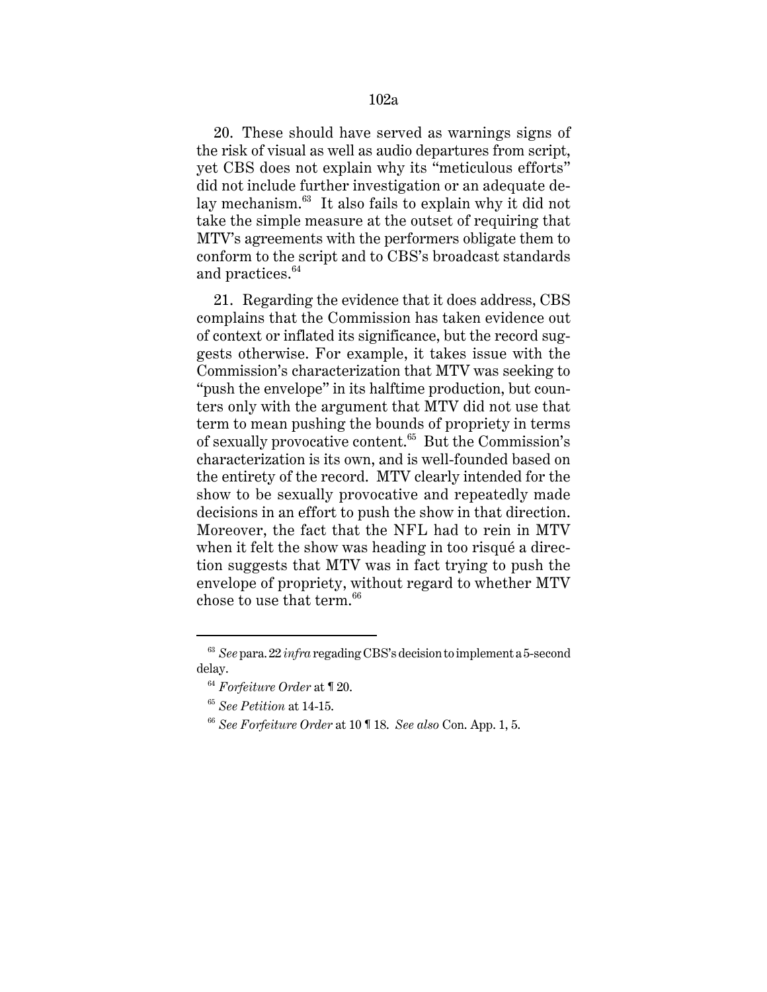20. These should have served as warnings signs of the risk of visual as well as audio departures from script, yet CBS does not explain why its "meticulous efforts" did not include further investigation or an adequate delay mechanism.63 It also fails to explain why it did not take the simple measure at the outset of requiring that MTV's agreements with the performers obligate them to conform to the script and to CBS's broadcast standards and practices.<sup>64</sup>

21. Regarding the evidence that it does address, CBS complains that the Commission has taken evidence out of context or inflated its significance, but the record suggests otherwise. For example, it takes issue with the Commission's characterization that MTV was seeking to "push the envelope" in its halftime production, but counters only with the argument that MTV did not use that term to mean pushing the bounds of propriety in terms of sexually provocative content.<sup>65</sup> But the Commission's characterization is its own, and is well-founded based on the entirety of the record. MTV clearly intended for the show to be sexually provocative and repeatedly made decisions in an effort to push the show in that direction. Moreover, the fact that the NFL had to rein in MTV when it felt the show was heading in too risqué a direction suggests that MTV was in fact trying to push the envelope of propriety, without regard to whether MTV chose to use that term.<sup>66</sup>

<sup>63</sup> *See* para. 22 *infra* regading CBS's decision to implement a 5-second delay.

<sup>64</sup> *Forfeiture Order* at ¶ 20.

<sup>65</sup> *See Petition* at 14-15.

<sup>66</sup> *See Forfeiture Order* at 10 ¶ 18. *See also* Con. App. 1, 5.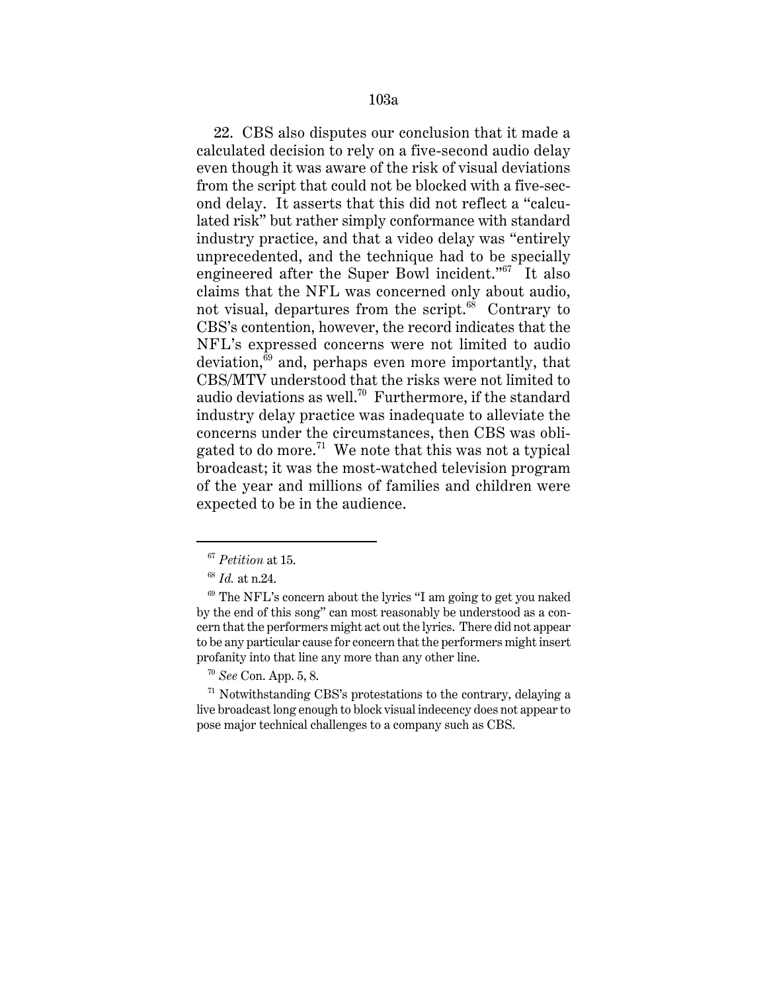22. CBS also disputes our conclusion that it made a calculated decision to rely on a five-second audio delay even though it was aware of the risk of visual deviations from the script that could not be blocked with a five-second delay. It asserts that this did not reflect a "calculated risk" but rather simply conformance with standard industry practice, and that a video delay was "entirely unprecedented, and the technique had to be specially engineered after the Super Bowl incident."67 It also claims that the NFL was concerned only about audio, not visual, departures from the script. $68$  Contrary to CBS's contention, however, the record indicates that the NFL's expressed concerns were not limited to audio deviation, $69$  and, perhaps even more importantly, that CBS/MTV understood that the risks were not limited to audio deviations as well.<sup>70</sup> Furthermore, if the standard industry delay practice was inadequate to alleviate the concerns under the circumstances, then CBS was obligated to do more.<sup>71</sup> We note that this was not a typical broadcast; it was the most-watched television program of the year and millions of families and children were expected to be in the audience.

<sup>67</sup> *Petition* at 15.

<sup>68</sup> *Id.* at n.24.

 $69$  The NFL's concern about the lyrics "I am going to get you naked by the end of this song" can most reasonably be understood as a concern that the performers might act out the lyrics. There did not appear to be any particular cause for concern that the performers might insert profanity into that line any more than any other line.

<sup>70</sup> *See* Con. App. 5, 8.

 $71$  Notwithstanding CBS's protestations to the contrary, delaying a live broadcast long enough to block visual indecency does not appear to pose major technical challenges to a company such as CBS.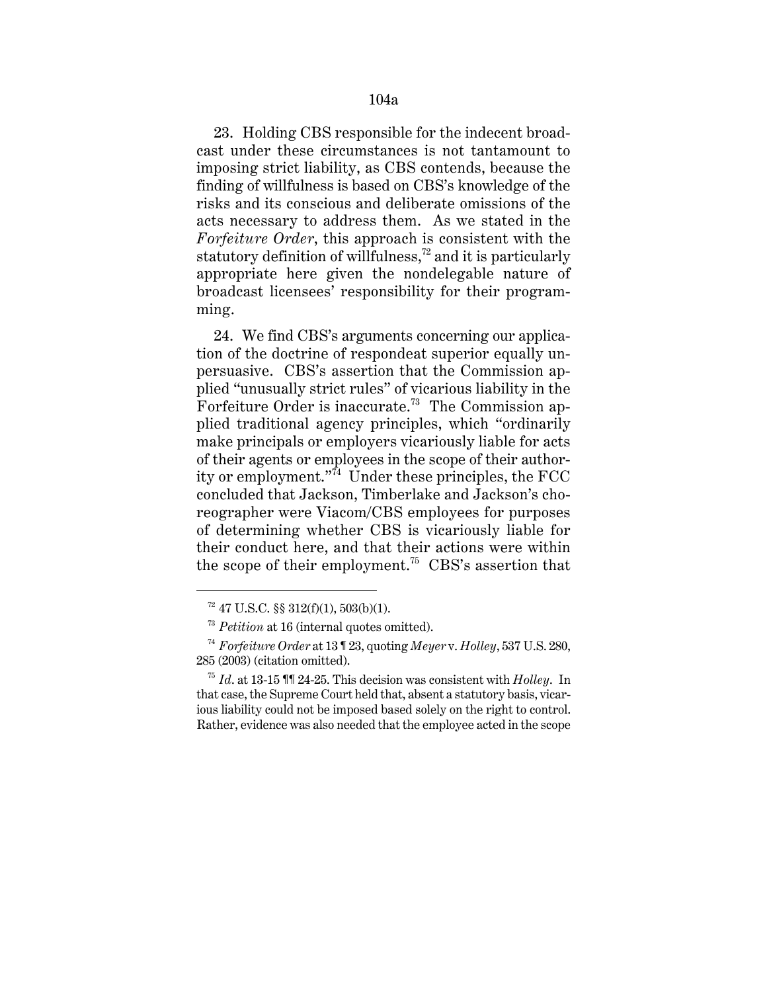23. Holding CBS responsible for the indecent broadcast under these circumstances is not tantamount to imposing strict liability, as CBS contends, because the finding of willfulness is based on CBS's knowledge of the risks and its conscious and deliberate omissions of the acts necessary to address them. As we stated in the *Forfeiture Order*, this approach is consistent with the statutory definition of willfulness, $72$  and it is particularly appropriate here given the nondelegable nature of broadcast licensees' responsibility for their programming.

24. We find CBS's arguments concerning our application of the doctrine of respondeat superior equally unpersuasive. CBS's assertion that the Commission applied "unusually strict rules" of vicarious liability in the Forfeiture Order is inaccurate.<sup>73</sup> The Commission applied traditional agency principles, which "ordinarily make principals or employers vicariously liable for acts of their agents or employees in the scope of their authority or employment." $\vec{A}$  Under these principles, the FCC concluded that Jackson, Timberlake and Jackson's choreographer were Viacom/CBS employees for purposes of determining whether CBS is vicariously liable for their conduct here, and that their actions were within the scope of their employment.<sup>75</sup> CBS's assertion that

 $72$  47 U.S.C. §§ 312(f)(1), 503(b)(1).

<sup>73</sup> *Petition* at 16 (internal quotes omitted).

<sup>74</sup> *Forfeiture Order* at 13 ¶ 23, quoting *Meyer* v. *Holley*, 537 U.S. 280, 285 (2003) (citation omitted).

<sup>75</sup> *Id*. at 13-15 ¶¶ 24-25. This decision was consistent with *Holley*. In that case, the Supreme Court held that, absent a statutory basis, vicarious liability could not be imposed based solely on the right to control. Rather, evidence was also needed that the employee acted in the scope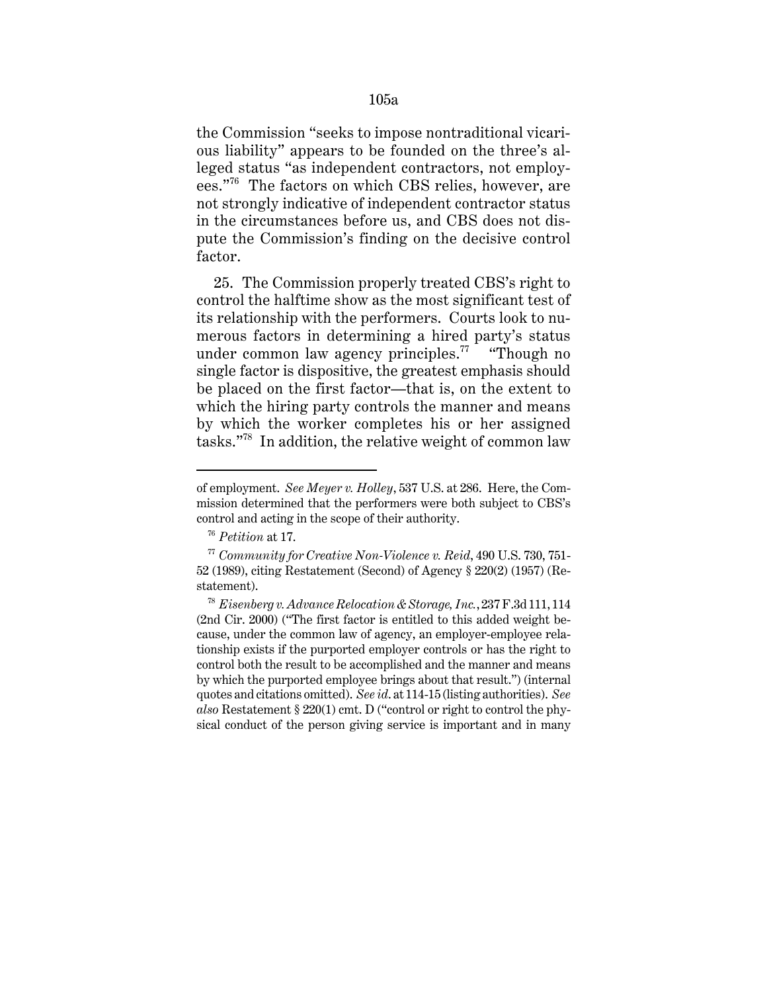the Commission "seeks to impose nontraditional vicarious liability" appears to be founded on the three's alleged status "as independent contractors, not employees."76 The factors on which CBS relies, however, are not strongly indicative of independent contractor status in the circumstances before us, and CBS does not dispute the Commission's finding on the decisive control factor.

25. The Commission properly treated CBS's right to control the halftime show as the most significant test of its relationship with the performers. Courts look to numerous factors in determining a hired party's status under common law agency principles.<sup>77</sup> "Though no single factor is dispositive, the greatest emphasis should be placed on the first factor—that is, on the extent to which the hiring party controls the manner and means by which the worker completes his or her assigned tasks."78 In addition, the relative weight of common law

of employment. *See Meyer v. Holley*, 537 U.S. at 286. Here, the Commission determined that the performers were both subject to CBS's control and acting in the scope of their authority.

<sup>76</sup> *Petition* at 17.

<sup>77</sup> *Community for Creative Non-Violence v. Reid*, 490 U.S. 730, 751- 52 (1989), citing Restatement (Second) of Agency § 220(2) (1957) (Restatement).

<sup>78</sup> *Eisenberg v. Advance Relocation & Storage, Inc.*, 237 F.3d 111, 114 (2nd Cir. 2000) ("The first factor is entitled to this added weight because, under the common law of agency, an employer-employee relationship exists if the purported employer controls or has the right to control both the result to be accomplished and the manner and means by which the purported employee brings about that result.") (internal quotes and citations omitted). *See id*. at 114-15 (listing authorities). *See also* Restatement § 220(1) cmt. D ("control or right to control the physical conduct of the person giving service is important and in many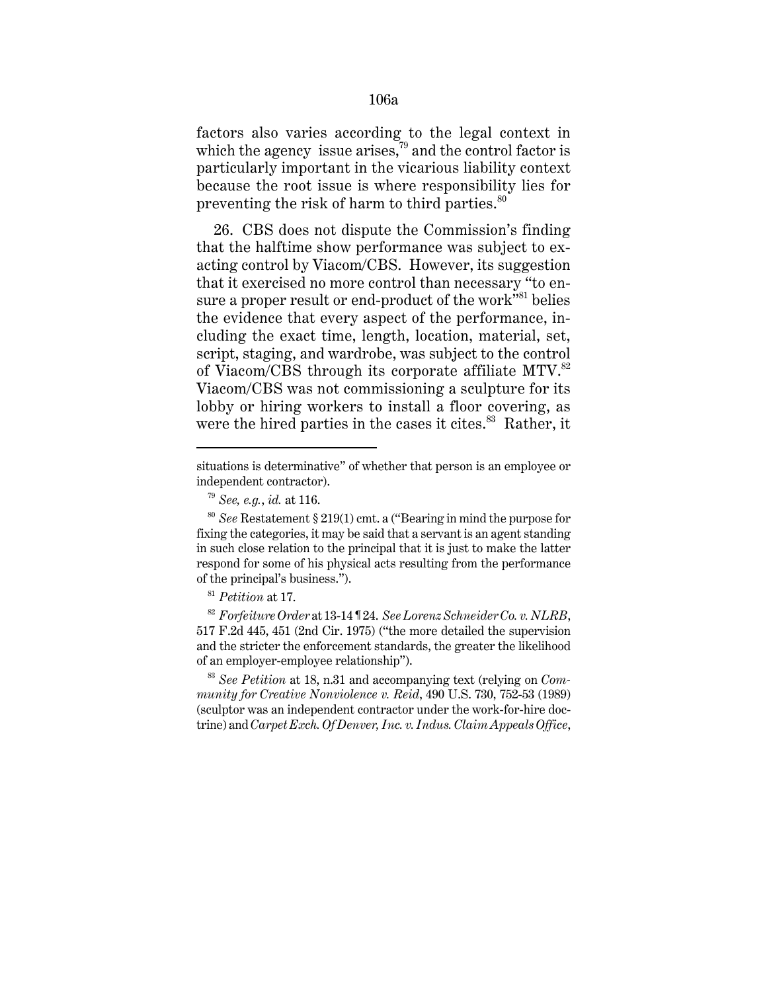factors also varies according to the legal context in which the agency issue arises, $\frac{79}{9}$  and the control factor is particularly important in the vicarious liability context because the root issue is where responsibility lies for preventing the risk of harm to third parties.<sup>80</sup>

26. CBS does not dispute the Commission's finding that the halftime show performance was subject to exacting control by Viacom/CBS. However, its suggestion that it exercised no more control than necessary "to ensure a proper result or end-product of the work<sup>"81</sup> belies the evidence that every aspect of the performance, including the exact time, length, location, material, set, script, staging, and wardrobe, was subject to the control of Viacom/CBS through its corporate affiliate MTV.<sup>82</sup> Viacom/CBS was not commissioning a sculpture for its lobby or hiring workers to install a floor covering, as were the hired parties in the cases it cites.<sup>83</sup> Rather, it

situations is determinative" of whether that person is an employee or independent contractor).

<sup>79</sup> *See, e.g.*, *id.* at 116.

<sup>80</sup> *See* Restatement § 219(1) cmt. a ("Bearing in mind the purpose for fixing the categories, it may be said that a servant is an agent standing in such close relation to the principal that it is just to make the latter respond for some of his physical acts resulting from the performance of the principal's business.").

<sup>81</sup> *Petition* at 17.

<sup>82</sup> *Forfeiture Order* at 13-14 ¶ 24. *See Lorenz Schneider Co. v. NLRB*, 517 F.2d 445, 451 (2nd Cir. 1975) ("the more detailed the supervision and the stricter the enforcement standards, the greater the likelihood of an employer-employee relationship").

<sup>83</sup> *See Petition* at 18, n.31 and accompanying text (relying on *Community for Creative Nonviolence v. Reid*, 490 U.S. 730, 752-53 (1989) (sculptor was an independent contractor under the work-for-hire doctrine) and *Carpet Exch. Of Denver, Inc. v. Indus. Claim Appeals Office*,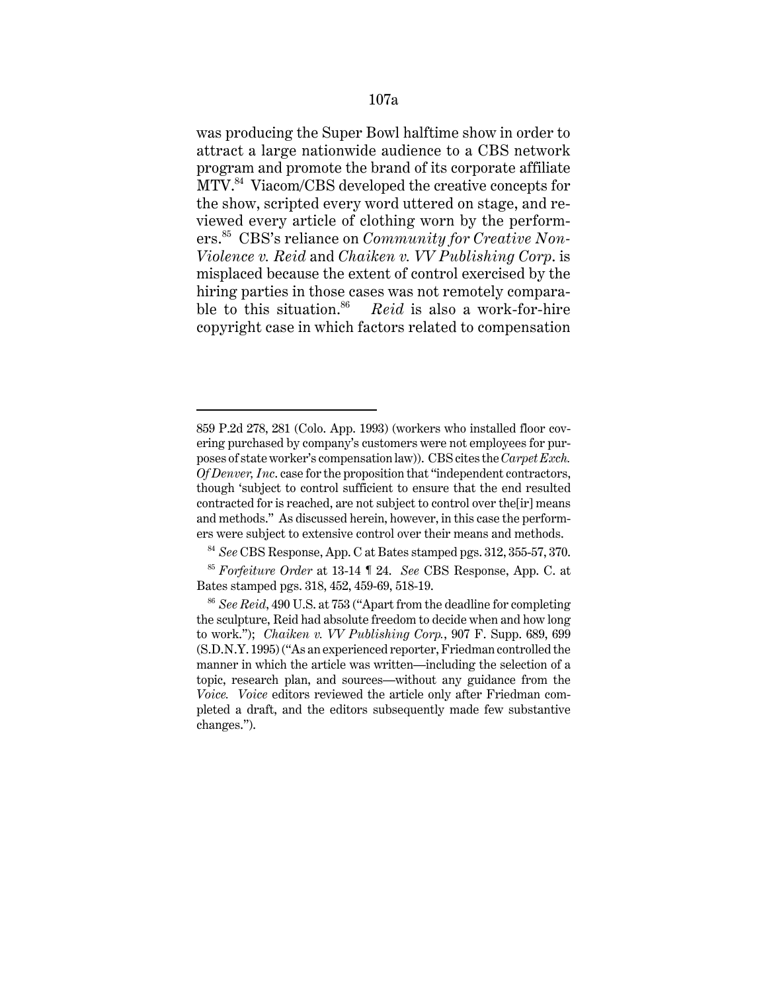was producing the Super Bowl halftime show in order to attract a large nationwide audience to a CBS network program and promote the brand of its corporate affiliate MTV.<sup>84</sup> Viacom/CBS developed the creative concepts for the show, scripted every word uttered on stage, and reviewed every article of clothing worn by the performers.85 CBS's reliance on *Community for Creative Non-Violence v. Reid* and *Chaiken v. VV Publishing Corp*. is misplaced because the extent of control exercised by the hiring parties in those cases was not remotely comparable to this situation.<sup>86</sup> *Reid* is also a work-for-hire copyright case in which factors related to compensation

<sup>859</sup> P.2d 278, 281 (Colo. App. 1993) (workers who installed floor covering purchased by company's customers were not employees for purposes of state worker's compensation law)). CBS cites the *Carpet Exch. Of Denver, Inc*. case for the proposition that "independent contractors, though 'subject to control sufficient to ensure that the end resulted contracted for is reached, are not subject to control over the[ir] means and methods." As discussed herein, however, in this case the performers were subject to extensive control over their means and methods.

<sup>84</sup> *See* CBS Response, App. C at Bates stamped pgs. 312, 355-57, 370.

<sup>85</sup> *Forfeiture Order* at 13-14 ¶ 24. *See* CBS Response, App. C. at Bates stamped pgs. 318, 452, 459-69, 518-19.

<sup>86</sup> *See Reid*, 490 U.S. at 753 ("Apart from the deadline for completing the sculpture, Reid had absolute freedom to decide when and how long to work."); *Chaiken v. VV Publishing Corp.*, 907 F. Supp. 689, 699 (S.D.N.Y. 1995) ("As an experienced reporter, Friedman controlled the manner in which the article was written—including the selection of a topic, research plan, and sources—without any guidance from the *Voice. Voice* editors reviewed the article only after Friedman completed a draft, and the editors subsequently made few substantive changes.").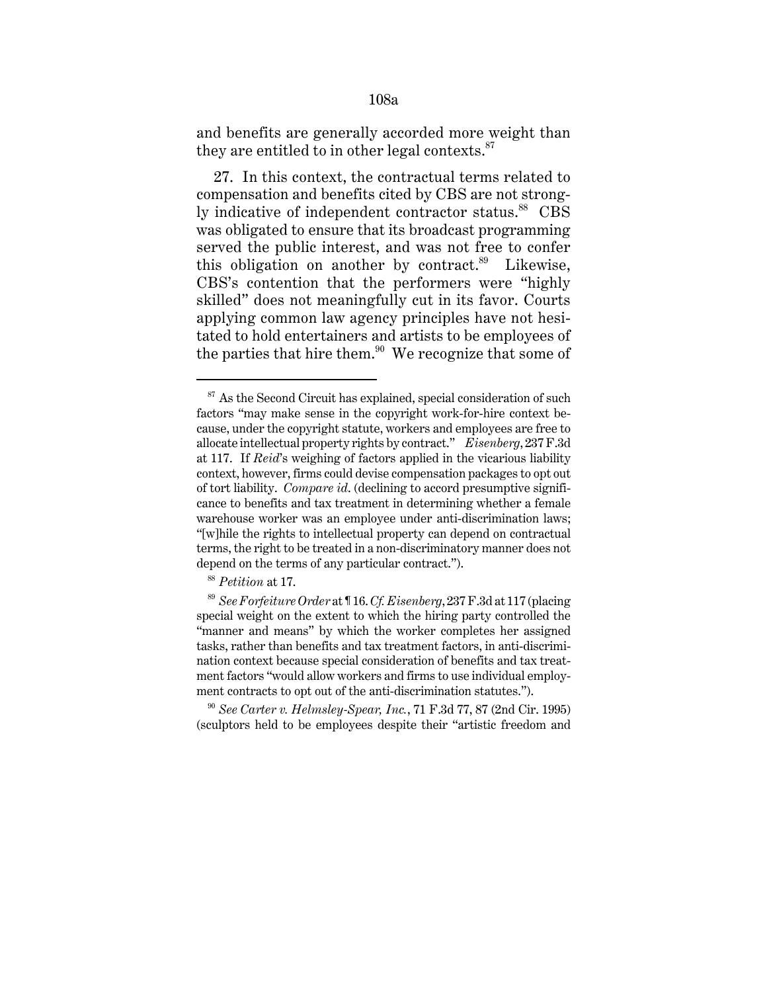#### 108a

and benefits are generally accorded more weight than they are entitled to in other legal contexts. $87$ 

27. In this context, the contractual terms related to compensation and benefits cited by CBS are not strongly indicative of independent contractor status.<sup>88</sup> CBS was obligated to ensure that its broadcast programming served the public interest, and was not free to confer this obligation on another by contract.<sup>89</sup> Likewise, CBS's contention that the performers were "highly skilled" does not meaningfully cut in its favor. Courts applying common law agency principles have not hesitated to hold entertainers and artists to be employees of the parties that hire them. $90$  We recognize that some of

 $87$  As the Second Circuit has explained, special consideration of such factors "may make sense in the copyright work-for-hire context because, under the copyright statute, workers and employees are free to allocate intellectual property rights by contract." *Eisenberg*, 237 F.3d at 117. If *Reid*'s weighing of factors applied in the vicarious liability context, however, firms could devise compensation packages to opt out of tort liability. *Compare id*. (declining to accord presumptive significance to benefits and tax treatment in determining whether a female warehouse worker was an employee under anti-discrimination laws; "[w]hile the rights to intellectual property can depend on contractual terms, the right to be treated in a non-discriminatory manner does not depend on the terms of any particular contract.").

<sup>88</sup> *Petition* at 17.

<sup>89</sup> *See Forfeiture Order* at ¶ 16. *Cf. Eisenberg*, 237 F.3d at 117 (placing special weight on the extent to which the hiring party controlled the "manner and means" by which the worker completes her assigned tasks, rather than benefits and tax treatment factors, in anti-discrimination context because special consideration of benefits and tax treatment factors "would allow workers and firms to use individual employment contracts to opt out of the anti-discrimination statutes.").

<sup>90</sup> *See Carter v. Helmsley-Spear, Inc.*, 71 F.3d 77, 87 (2nd Cir. 1995) (sculptors held to be employees despite their "artistic freedom and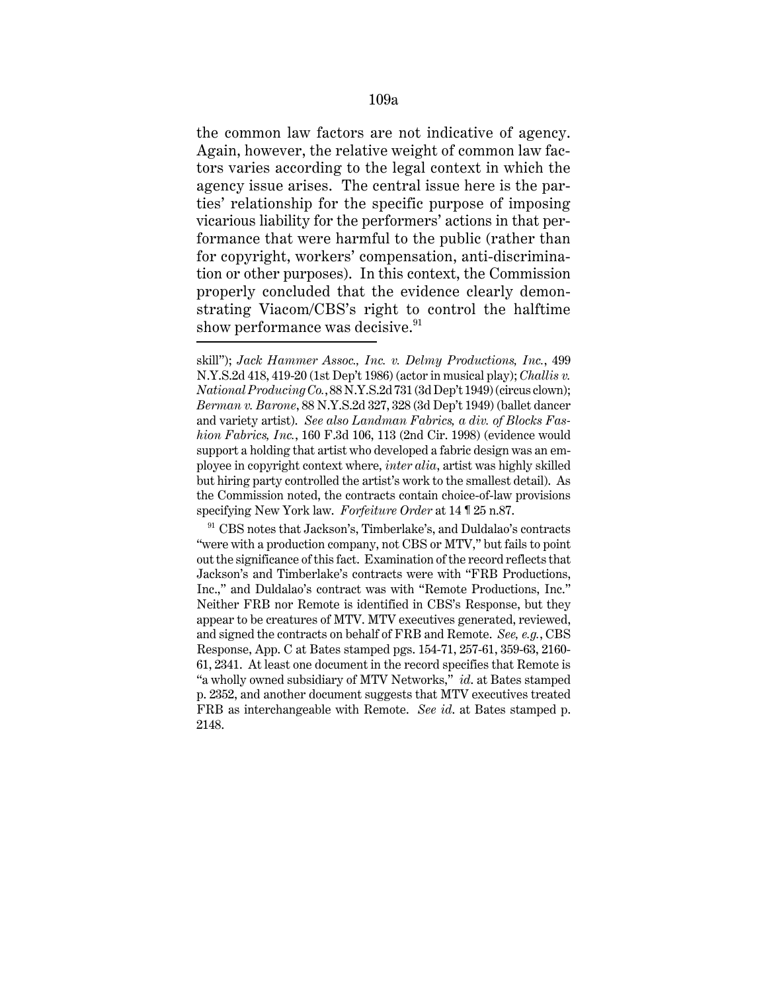the common law factors are not indicative of agency. Again, however, the relative weight of common law factors varies according to the legal context in which the agency issue arises. The central issue here is the parties' relationship for the specific purpose of imposing vicarious liability for the performers' actions in that performance that were harmful to the public (rather than for copyright, workers' compensation, anti-discrimination or other purposes). In this context, the Commission properly concluded that the evidence clearly demonstrating Viacom/CBS's right to control the halftime show performance was decisive.<sup>91</sup>

skill"); *Jack Hammer Assoc., Inc. v. Delmy Productions, Inc.*, 499 N.Y.S.2d 418, 419-20 (1st Dep't 1986) (actor in musical play); *Challis v. National Producing Co.*, 88 N.Y.S.2d 731 (3d Dep't 1949) (circus clown); *Berman v. Barone*, 88 N.Y.S.2d 327, 328 (3d Dep't 1949) (ballet dancer and variety artist). *See also Landman Fabrics, a div. of Blocks Fashion Fabrics, Inc.*, 160 F.3d 106, 113 (2nd Cir. 1998) (evidence would support a holding that artist who developed a fabric design was an employee in copyright context where, *inter alia*, artist was highly skilled but hiring party controlled the artist's work to the smallest detail). As the Commission noted, the contracts contain choice-of-law provisions specifying New York law. *Forfeiture Order* at 14 ¶ 25 n.87.

<sup>&</sup>lt;sup>91</sup> CBS notes that Jackson's, Timberlake's, and Duldalao's contracts "were with a production company, not CBS or MTV," but fails to point out the significance of this fact. Examination of the record reflects that Jackson's and Timberlake's contracts were with "FRB Productions, Inc.," and Duldalao's contract was with "Remote Productions, Inc." Neither FRB nor Remote is identified in CBS's Response, but they appear to be creatures of MTV. MTV executives generated, reviewed, and signed the contracts on behalf of FRB and Remote. *See, e.g.*, CBS Response, App. C at Bates stamped pgs. 154-71, 257-61, 359-63, 2160- 61, 2341. At least one document in the record specifies that Remote is "a wholly owned subsidiary of MTV Networks," *id*. at Bates stamped p. 2352, and another document suggests that MTV executives treated FRB as interchangeable with Remote. *See id*. at Bates stamped p. 2148.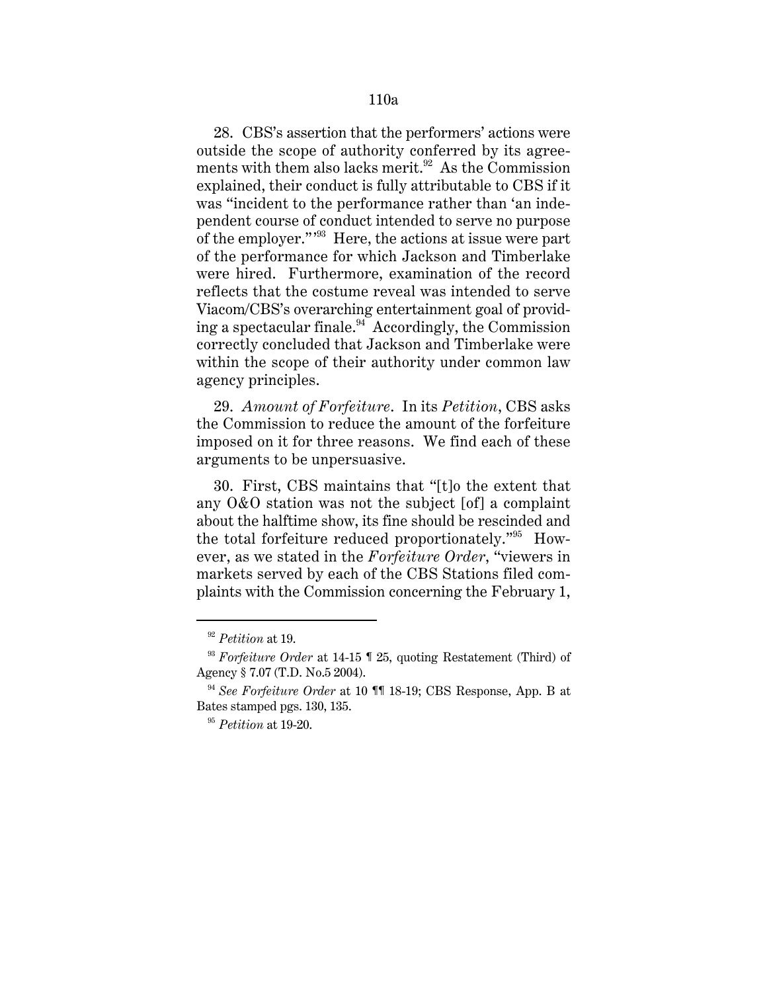28. CBS's assertion that the performers' actions were outside the scope of authority conferred by its agreements with them also lacks merit.<sup>92</sup> As the Commission explained, their conduct is fully attributable to CBS if it was "incident to the performance rather than 'an independent course of conduct intended to serve no purpose of the employer."<sup>33</sup> Here, the actions at issue were part of the performance for which Jackson and Timberlake were hired. Furthermore, examination of the record reflects that the costume reveal was intended to serve Viacom/CBS's overarching entertainment goal of providing a spectacular finale. $^{94}$  Accordingly, the Commission correctly concluded that Jackson and Timberlake were within the scope of their authority under common law agency principles.

29. *Amount of Forfeiture*. In its *Petition*, CBS asks the Commission to reduce the amount of the forfeiture imposed on it for three reasons. We find each of these arguments to be unpersuasive.

30. First, CBS maintains that "[t]o the extent that any O&O station was not the subject [of] a complaint about the halftime show, its fine should be rescinded and the total forfeiture reduced proportionately."95 However, as we stated in the *Forfeiture Order*, "viewers in markets served by each of the CBS Stations filed complaints with the Commission concerning the February 1,

<sup>92</sup> *Petition* at 19.

<sup>93</sup> *Forfeiture Order* at 14-15 ¶ 25, quoting Restatement (Third) of Agency § 7.07 (T.D. No.5 2004).

<sup>94</sup> *See Forfeiture Order* at 10 ¶¶ 18-19; CBS Response, App. B at Bates stamped pgs. 130, 135.

<sup>95</sup> *Petition* at 19-20.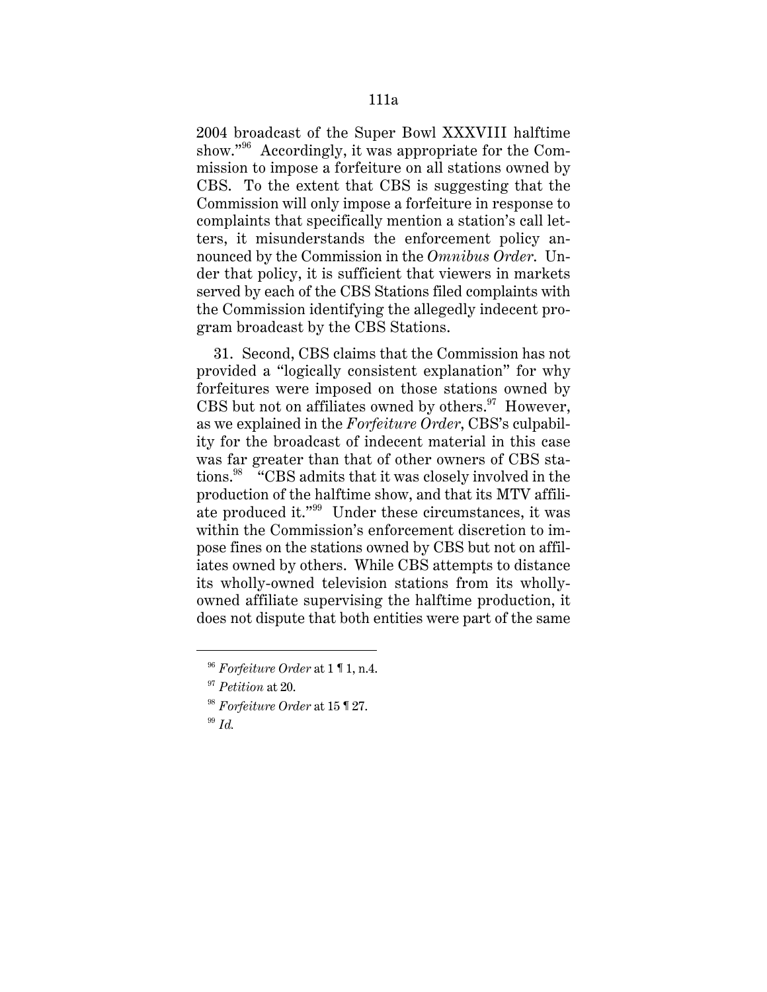2004 broadcast of the Super Bowl XXXVIII halftime show."96 Accordingly, it was appropriate for the Commission to impose a forfeiture on all stations owned by CBS. To the extent that CBS is suggesting that the Commission will only impose a forfeiture in response to complaints that specifically mention a station's call letters, it misunderstands the enforcement policy announced by the Commission in the *Omnibus Order*. Under that policy, it is sufficient that viewers in markets served by each of the CBS Stations filed complaints with the Commission identifying the allegedly indecent program broadcast by the CBS Stations.

31. Second, CBS claims that the Commission has not provided a "logically consistent explanation" for why forfeitures were imposed on those stations owned by CBS but not on affiliates owned by others. $97$  However, as we explained in the *Forfeiture Order*, CBS's culpability for the broadcast of indecent material in this case was far greater than that of other owners of CBS stations.<sup>98</sup> "CBS admits that it was closely involved in the production of the halftime show, and that its MTV affiliate produced it."99 Under these circumstances, it was within the Commission's enforcement discretion to impose fines on the stations owned by CBS but not on affiliates owned by others. While CBS attempts to distance its wholly-owned television stations from its whollyowned affiliate supervising the halftime production, it does not dispute that both entities were part of the same

<sup>96</sup> *Forfeiture Order* at 1 ¶ 1, n.4.

<sup>97</sup> *Petition* at 20.

<sup>98</sup> *Forfeiture Order* at 15 ¶ 27.

<sup>99</sup> *Id.*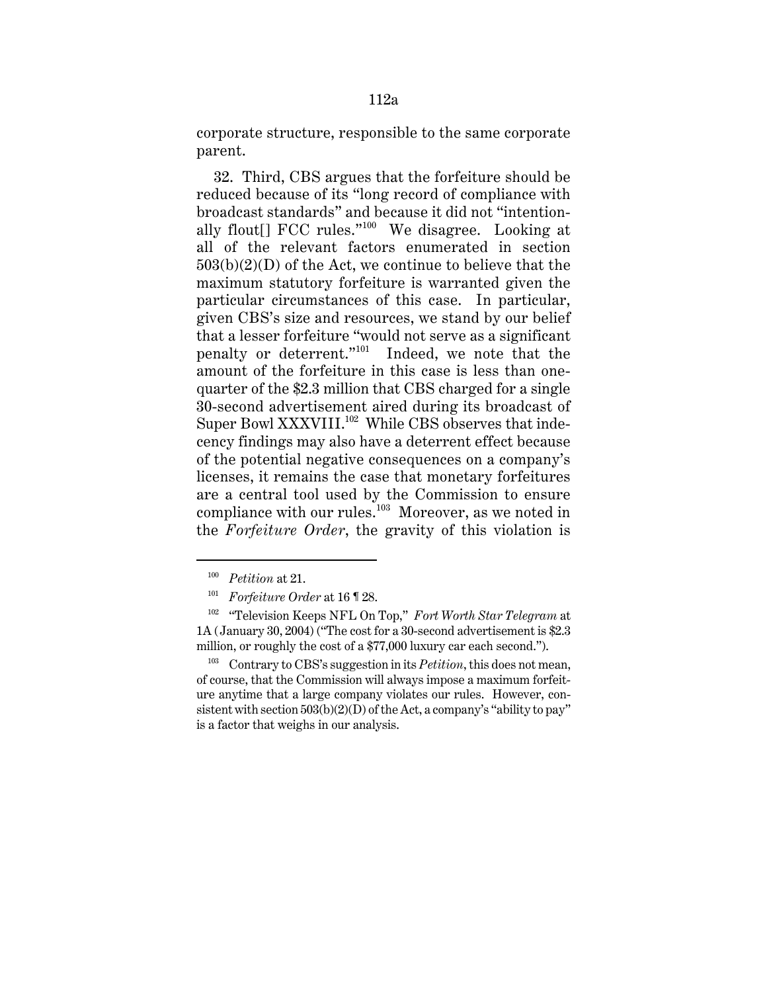corporate structure, responsible to the same corporate parent.

32. Third, CBS argues that the forfeiture should be reduced because of its "long record of compliance with broadcast standards" and because it did not "intentionally flout[] FCC rules."100 We disagree. Looking at all of the relevant factors enumerated in section  $503(b)(2)(D)$  of the Act, we continue to believe that the maximum statutory forfeiture is warranted given the particular circumstances of this case. In particular, given CBS's size and resources, we stand by our belief that a lesser forfeiture "would not serve as a significant penalty or deterrent."<sup>101</sup> Indeed, we note that the amount of the forfeiture in this case is less than onequarter of the \$2.3 million that CBS charged for a single 30-second advertisement aired during its broadcast of Super Bowl XXXVIII.<sup>102</sup> While CBS observes that indecency findings may also have a deterrent effect because of the potential negative consequences on a company's licenses, it remains the case that monetary forfeitures are a central tool used by the Commission to ensure compliance with our rules.<sup>103</sup> Moreover, as we noted in the *Forfeiture Order*, the gravity of this violation is

<sup>100</sup> *Petition* at 21.

<sup>101</sup> *Forfeiture Order* at 16 ¶ 28.

<sup>102</sup> "Television Keeps NFL On Top," *Fort Worth Star Telegram* at 1A (January 30, 2004) ("The cost for a 30-second advertisement is \$2.3 million, or roughly the cost of a \$77,000 luxury car each second.").

<sup>&</sup>lt;sup>103</sup> Contrary to CBS's suggestion in its  $Petition$ , this does not mean, of course, that the Commission will always impose a maximum forfeiture anytime that a large company violates our rules. However, consistent with section 503(b)(2)(D) of the Act, a company's "ability to pay" is a factor that weighs in our analysis.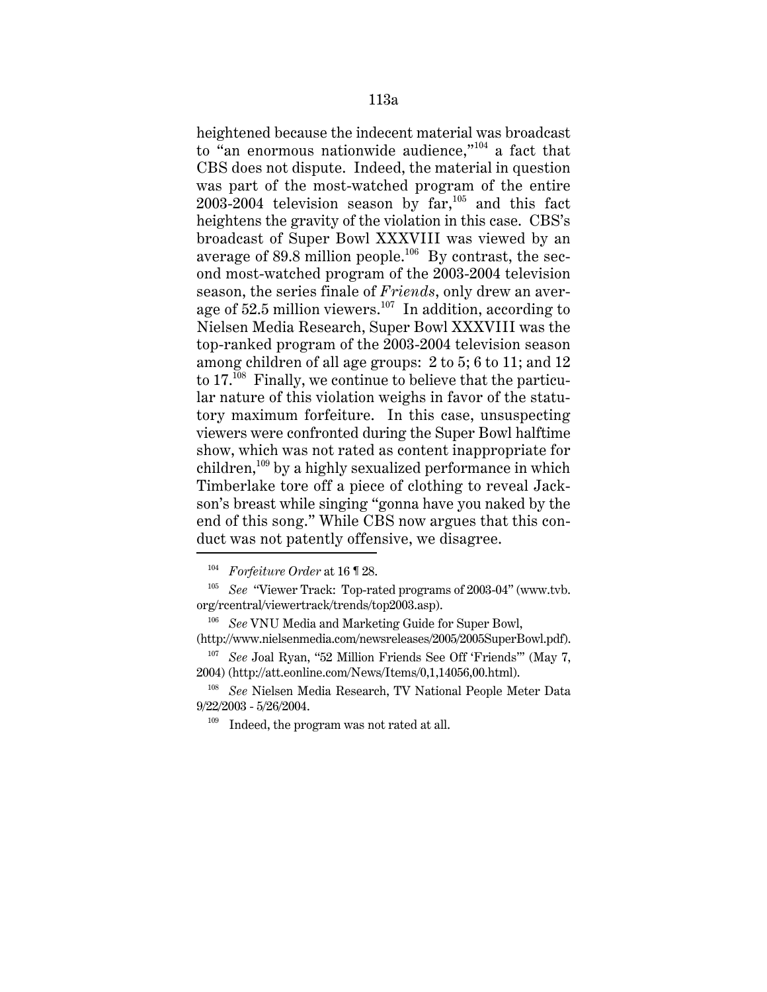heightened because the indecent material was broadcast to "an enormous nationwide audience,"<sup>104</sup> a fact that CBS does not dispute. Indeed, the material in question was part of the most-watched program of the entire  $2003-2004$  television season by  $far, <sup>105</sup>$  and this fact heightens the gravity of the violation in this case. CBS's broadcast of Super Bowl XXXVIII was viewed by an average of 89.8 million people.<sup>106</sup> By contrast, the second most-watched program of the 2003-2004 television season, the series finale of *Friends*, only drew an average of  $52.5$  million viewers.<sup>107</sup> In addition, according to Nielsen Media Research, Super Bowl XXXVIII was the top-ranked program of the 2003-2004 television season among children of all age groups: 2 to 5; 6 to 11; and 12 to  $17.^{\overline{108}}$  Finally, we continue to believe that the particular nature of this violation weighs in favor of the statutory maximum forfeiture. In this case, unsuspecting viewers were confronted during the Super Bowl halftime show, which was not rated as content inappropriate for children,<sup>109</sup> by a highly sexualized performance in which Timberlake tore off a piece of clothing to reveal Jackson's breast while singing "gonna have you naked by the end of this song." While CBS now argues that this conduct was not patently offensive, we disagree.

<sup>104</sup> *Forfeiture Order* at 16 ¶ 28.

<sup>105</sup> *See* "Viewer Track: Top-rated programs of 2003-04" (www.tvb. org/rcentral/viewertrack/trends/top2003.asp).

<sup>106</sup> *See* VNU Media and Marketing Guide for Super Bowl, (http://www.nielsenmedia.com/newsreleases/2005/2005SuperBowl.pdf).

<sup>107</sup> *See* Joal Ryan, "52 Million Friends See Off 'Friends"' (May 7, 2004) (http://att.eonline.com/News/Items/0,1,14056,00.html).

<sup>108</sup> *See* Nielsen Media Research, TV National People Meter Data 9/22/2003 - 5/26/2004.

<sup>&</sup>lt;sup>109</sup> Indeed, the program was not rated at all.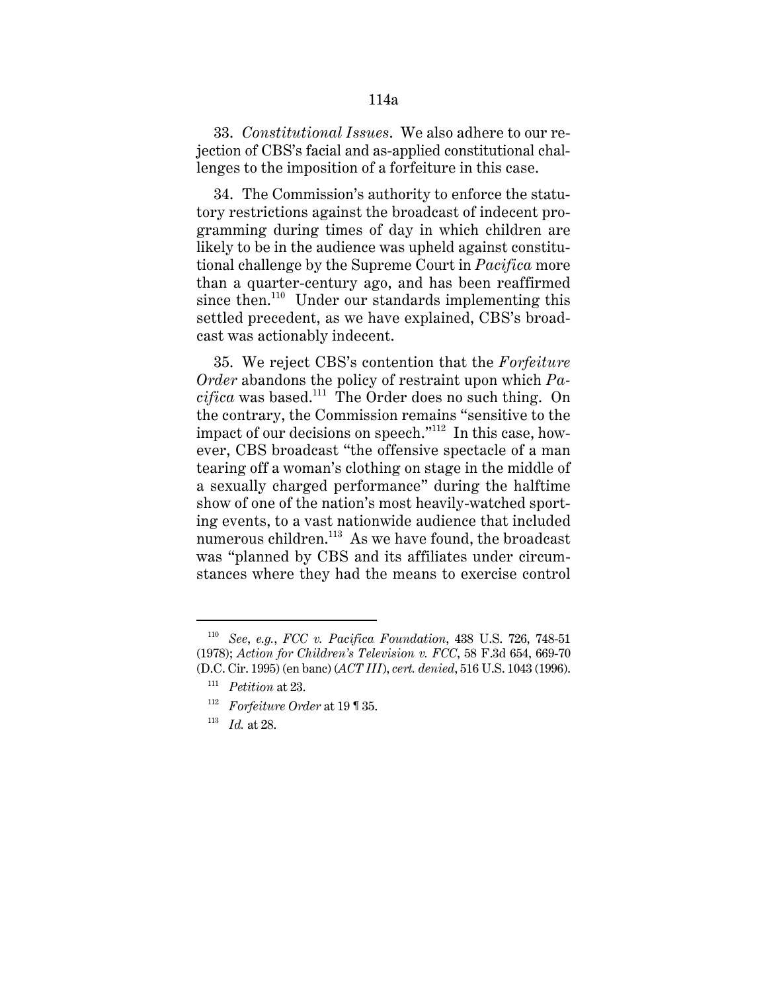33. *Constitutional Issues*. We also adhere to our rejection of CBS's facial and as-applied constitutional challenges to the imposition of a forfeiture in this case.

34. The Commission's authority to enforce the statutory restrictions against the broadcast of indecent programming during times of day in which children are likely to be in the audience was upheld against constitutional challenge by the Supreme Court in *Pacifica* more than a quarter-century ago, and has been reaffirmed since then.<sup>110</sup> Under our standards implementing this settled precedent, as we have explained, CBS's broadcast was actionably indecent.

35. We reject CBS's contention that the *Forfeiture Order* abandons the policy of restraint upon which *Pacifica* was based.111 The Order does no such thing. On the contrary, the Commission remains "sensitive to the impact of our decisions on speech."<sup>112</sup> In this case, however, CBS broadcast "the offensive spectacle of a man tearing off a woman's clothing on stage in the middle of a sexually charged performance" during the halftime show of one of the nation's most heavily-watched sporting events, to a vast nationwide audience that included numerous children.<sup>113</sup> As we have found, the broadcast was "planned by CBS and its affiliates under circumstances where they had the means to exercise control

<sup>110</sup> *See*, *e.g.*, *FCC v. Pacifica Foundation*, 438 U.S. 726, 748-51 (1978); *Action for Children's Television v. FCC*, 58 F.3d 654, 669-70 (D.C. Cir. 1995) (en banc) (*ACT III*), *cert. denied*, 516 U.S. 1043 (1996).

<sup>111</sup> *Petition* at 23.

<sup>112</sup> *Forfeiture Order* at 19 ¶ 35.

<sup>113</sup> *Id.* at 28.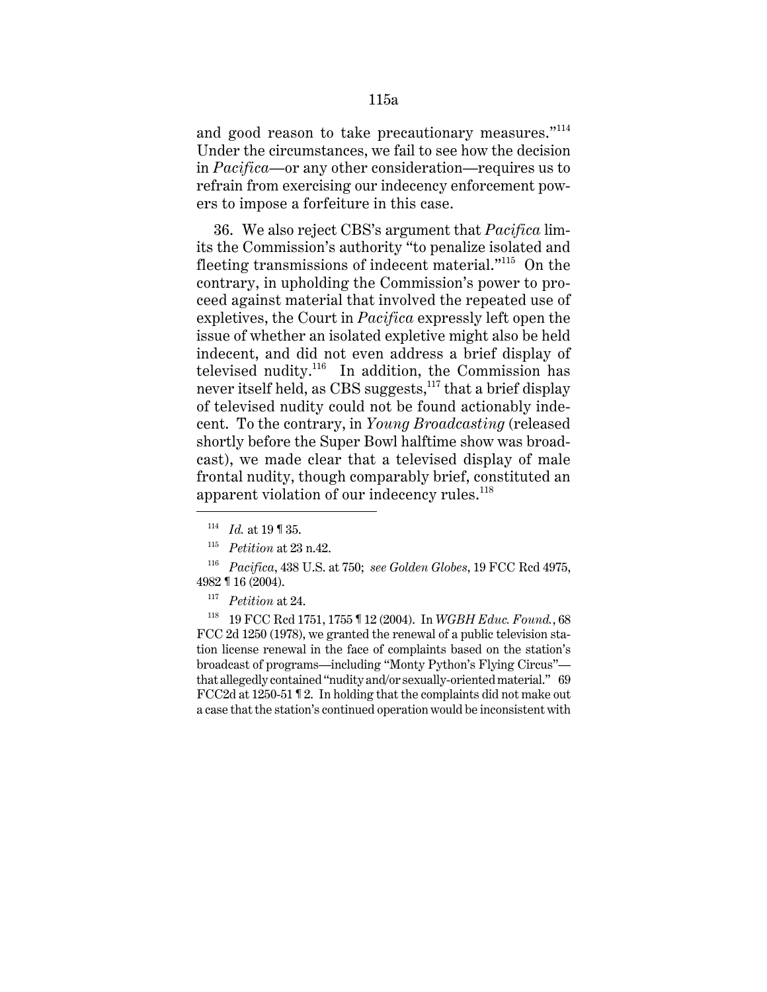and good reason to take precautionary measures."<sup>114</sup> Under the circumstances, we fail to see how the decision in *Pacifica*—or any other consideration—requires us to refrain from exercising our indecency enforcement powers to impose a forfeiture in this case.

36. We also reject CBS's argument that *Pacifica* limits the Commission's authority "to penalize isolated and fleeting transmissions of indecent material."115 On the contrary, in upholding the Commission's power to proceed against material that involved the repeated use of expletives, the Court in *Pacifica* expressly left open the issue of whether an isolated expletive might also be held indecent, and did not even address a brief display of televised nudity.<sup>116</sup> In addition, the Commission has never itself held, as CBS suggests, $117$  that a brief display of televised nudity could not be found actionably indecent. To the contrary, in *Young Broadcasting* (released shortly before the Super Bowl halftime show was broadcast), we made clear that a televised display of male frontal nudity, though comparably brief, constituted an apparent violation of our indecency rules. $^{118}$ 

<sup>118</sup> 19 FCC Rcd 1751, 1755 ¶ 12 (2004). In *WGBH Educ. Found.*, 68 FCC 2d 1250 (1978), we granted the renewal of a public television station license renewal in the face of complaints based on the station's broadcast of programs—including "Monty Python's Flying Circus" that allegedly contained "nudity and/or sexually-oriented material." 69 FCC2d at 1250-51 ¶ 2. In holding that the complaints did not make out a case that the station's continued operation would be inconsistent with

<sup>114</sup> *Id.* at 19 ¶ 35.

<sup>115</sup> *Petition* at 23 n.42.

<sup>116</sup> *Pacifica*, 438 U.S. at 750; *see Golden Globes*, 19 FCC Rcd 4975, 4982 ¶ 16 (2004).

<sup>117</sup> *Petition* at 24.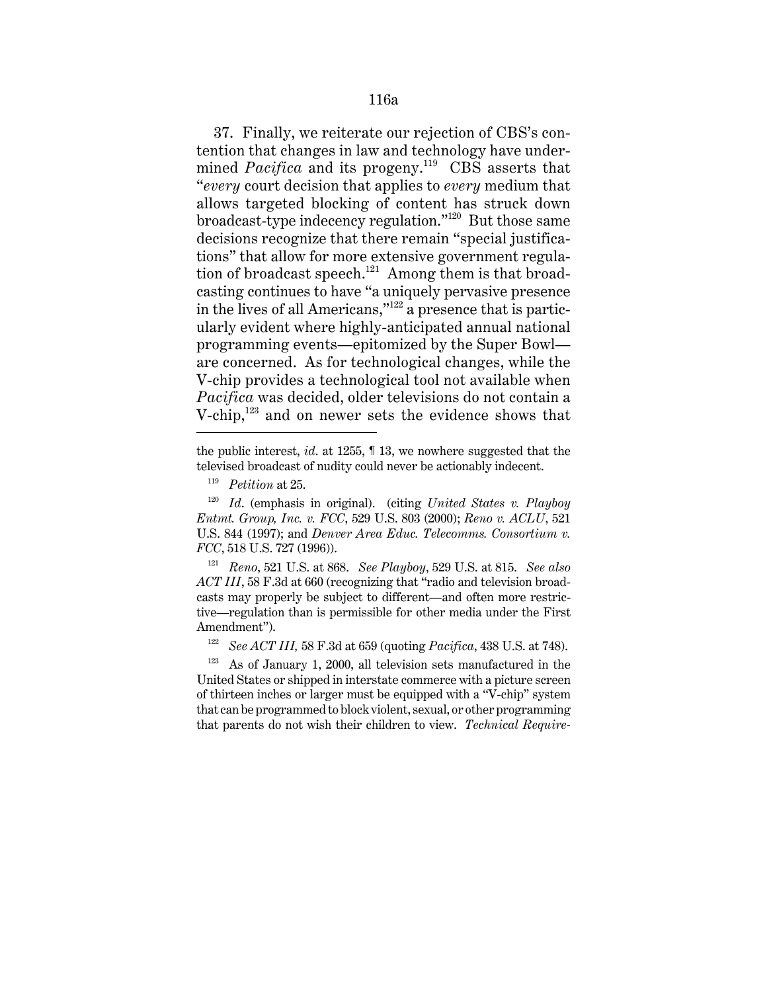37. Finally, we reiterate our rejection of CBS's contention that changes in law and technology have undermined *Pacifica* and its progeny.<sup>119</sup> CBS asserts that "*every* court decision that applies to *every* medium that allows targeted blocking of content has struck down broadcast-type indecency regulation."120 But those same decisions recognize that there remain "special justifications" that allow for more extensive government regulation of broadcast speech.<sup>121</sup> Among them is that broadcasting continues to have "a uniquely pervasive presence in the lives of all Americans,"122 a presence that is particularly evident where highly-anticipated annual national programming events—epitomized by the Super Bowl are concerned. As for technological changes, while the V-chip provides a technological tool not available when *Pacifica* was decided, older televisions do not contain a V-chip, $123$  and on newer sets the evidence shows that

the public interest, *id*. at 1255, ¶ 13, we nowhere suggested that the televised broadcast of nudity could never be actionably indecent.

<sup>119</sup> *Petition* at 25.

<sup>120</sup> *Id*. (emphasis in original). (citing *United States v. Playboy Entmt. Group, Inc. v. FCC*, 529 U.S. 803 (2000); *Reno v. ACLU*, 521 U.S. 844 (1997); and *Denver Area Educ. Telecomms. Consortium v. FCC*, 518 U.S. 727 (1996)).

<sup>121</sup> *Reno*, 521 U.S. at 868. *See Playboy*, 529 U.S. at 815. *See also ACT III*, 58 F.3d at 660 (recognizing that "radio and television broadcasts may properly be subject to different—and often more restrictive—regulation than is permissible for other media under the First Amendment").

<sup>122</sup> *See ACT III,* 58 F.3d at 659 (quoting *Pacifica*, 438 U.S. at 748).

 $123$  As of January 1, 2000, all television sets manufactured in the United States or shipped in interstate commerce with a picture screen of thirteen inches or larger must be equipped with a "V-chip" system that can be programmed to block violent, sexual, or other programming that parents do not wish their children to view. *Technical Require-*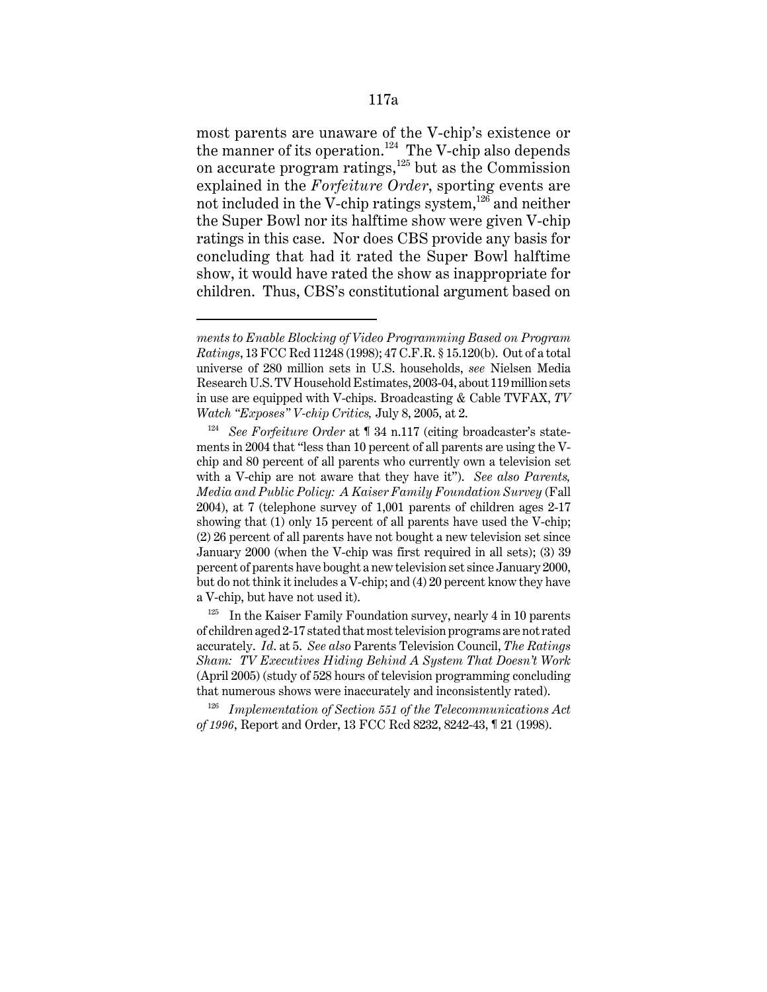most parents are unaware of the V-chip's existence or the manner of its operation.<sup>124</sup> The V-chip also depends on accurate program ratings,  $125$  but as the Commission explained in the *Forfeiture Order*, sporting events are not included in the V-chip ratings system, $126$  and neither the Super Bowl nor its halftime show were given V-chip ratings in this case. Nor does CBS provide any basis for concluding that had it rated the Super Bowl halftime show, it would have rated the show as inappropriate for children. Thus, CBS's constitutional argument based on

<sup>125</sup> In the Kaiser Family Foundation survey, nearly 4 in 10 parents of children aged 2-17 stated that most television programs are not rated accurately. *Id*. at 5. *See also* Parents Television Council, *The Ratings Sham: TV Executives Hiding Behind A System That Doesn't Work* (April 2005) (study of 528 hours of television programming concluding that numerous shows were inaccurately and inconsistently rated).

<sup>126</sup> *Implementation of Section 551 of the Telecommunications Act of 1996*, Report and Order, 13 FCC Rcd 8232, 8242-43, ¶ 21 (1998).

*ments to Enable Blocking of Video Programming Based on Program Ratings*, 13 FCC Rcd 11248 (1998); 47 C.F.R. § 15.120(b). Out of a total universe of 280 million sets in U.S. households, *see* Nielsen Media Research U.S. TV Household Estimates, 2003-04, about 119 million sets in use are equipped with V-chips. Broadcasting & Cable TVFAX, *TV Watch "Exposes" V-chip Critics,* July 8, 2005, at 2.

<sup>124</sup> *See Forfeiture Order* at ¶ 34 n.117 (citing broadcaster's statements in 2004 that "less than 10 percent of all parents are using the Vchip and 80 percent of all parents who currently own a television set with a V-chip are not aware that they have it"). *See also Parents, Media and Public Policy: A Kaiser Family Foundation Survey* (Fall 2004), at 7 (telephone survey of 1,001 parents of children ages 2-17 showing that (1) only 15 percent of all parents have used the V-chip; (2) 26 percent of all parents have not bought a new television set since January 2000 (when the V-chip was first required in all sets); (3) 39 percent of parents have bought a new television set since January 2000, but do not think it includes a V-chip; and (4) 20 percent know they have a V-chip, but have not used it).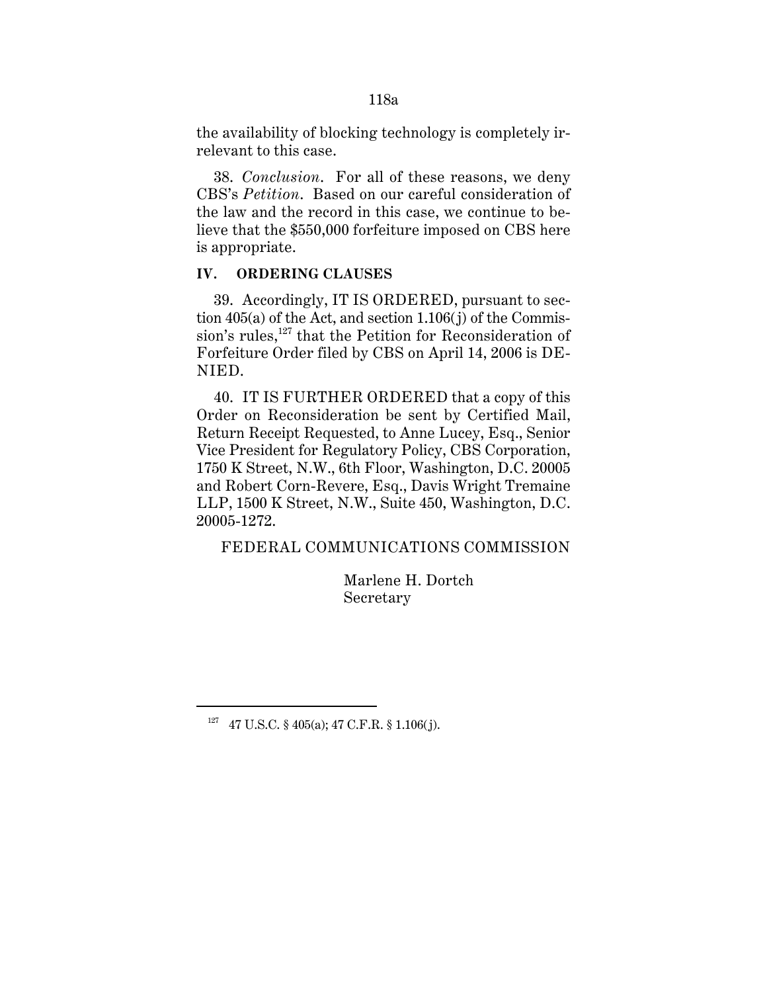the availability of blocking technology is completely irrelevant to this case.

38. *Conclusion*. For all of these reasons, we deny CBS's *Petition*. Based on our careful consideration of the law and the record in this case, we continue to believe that the \$550,000 forfeiture imposed on CBS here is appropriate.

## **IV. ORDERING CLAUSES**

39. Accordingly, IT IS ORDERED, pursuant to section  $405(a)$  of the Act, and section  $1.106(j)$  of the Commission's rules,<sup>127</sup> that the Petition for Reconsideration of Forfeiture Order filed by CBS on April 14, 2006 is DE-NIED.

40. IT IS FURTHER ORDERED that a copy of this Order on Reconsideration be sent by Certified Mail, Return Receipt Requested, to Anne Lucey, Esq., Senior Vice President for Regulatory Policy, CBS Corporation, 1750 K Street, N.W., 6th Floor, Washington, D.C. 20005 and Robert Corn-Revere, Esq., Davis Wright Tremaine LLP, 1500 K Street, N.W., Suite 450, Washington, D.C. 20005-1272.

# FEDERAL COMMUNICATIONS COMMISSION

Marlene H. Dortch Secretary

 $127$  47 U.S.C. § 405(a); 47 C.F.R. § 1.106(j).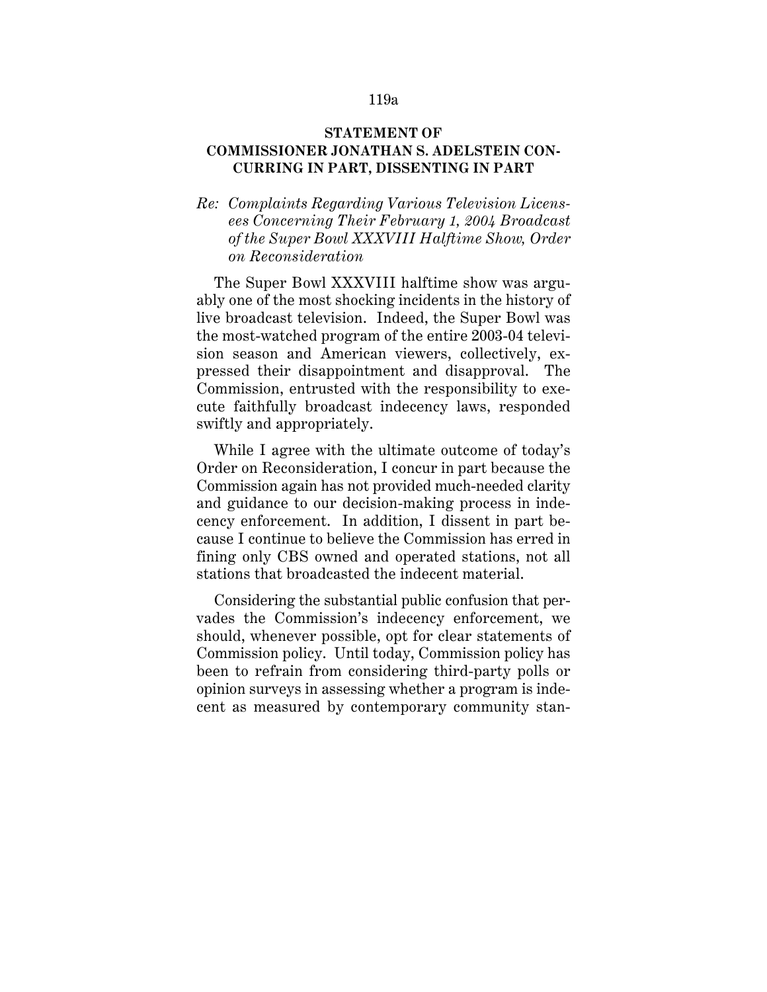### 119a

# **STATEMENT OF COMMISSIONER JONATHAN S. ADELSTEIN CON-CURRING IN PART, DISSENTING IN PART**

*Re: Complaints Regarding Various Television Licensees Concerning Their February 1, 2004 Broadcast of the Super Bowl XXXVIII Halftime Show, Order on Reconsideration*

The Super Bowl XXXVIII halftime show was arguably one of the most shocking incidents in the history of live broadcast television. Indeed, the Super Bowl was the most-watched program of the entire 2003-04 television season and American viewers, collectively, expressed their disappointment and disapproval. The Commission, entrusted with the responsibility to execute faithfully broadcast indecency laws, responded swiftly and appropriately.

While I agree with the ultimate outcome of today's Order on Reconsideration, I concur in part because the Commission again has not provided much-needed clarity and guidance to our decision-making process in indecency enforcement. In addition, I dissent in part because I continue to believe the Commission has erred in fining only CBS owned and operated stations, not all stations that broadcasted the indecent material.

Considering the substantial public confusion that pervades the Commission's indecency enforcement, we should, whenever possible, opt for clear statements of Commission policy. Until today, Commission policy has been to refrain from considering third-party polls or opinion surveys in assessing whether a program is indecent as measured by contemporary community stan-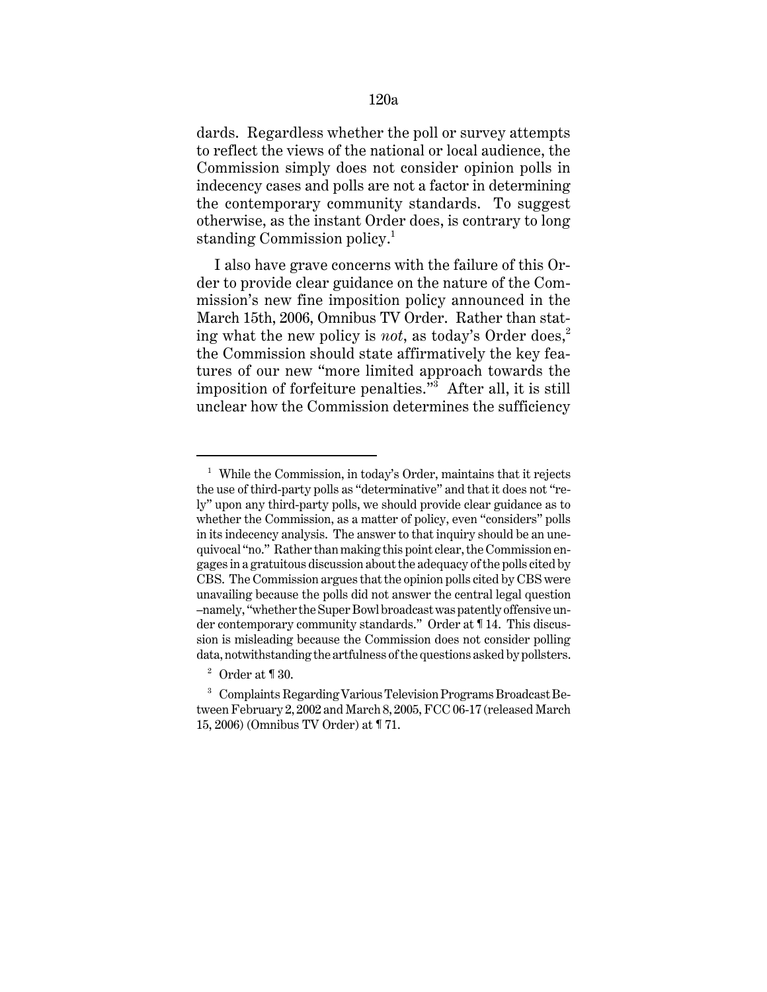dards. Regardless whether the poll or survey attempts to reflect the views of the national or local audience, the Commission simply does not consider opinion polls in indecency cases and polls are not a factor in determining the contemporary community standards. To suggest otherwise, as the instant Order does, is contrary to long standing Commission policy.<sup>1</sup>

I also have grave concerns with the failure of this Order to provide clear guidance on the nature of the Commission's new fine imposition policy announced in the March 15th, 2006, Omnibus TV Order. Rather than stating what the new policy is *not*, as today's Order does,<sup>2</sup> the Commission should state affirmatively the key features of our new "more limited approach towards the imposition of forfeiture penalties."<sup>3</sup> After all, it is still unclear how the Commission determines the sufficiency

<sup>&</sup>lt;sup>1</sup> While the Commission, in today's Order, maintains that it rejects the use of third-party polls as "determinative" and that it does not "rely" upon any third-party polls, we should provide clear guidance as to whether the Commission, as a matter of policy, even "considers" polls in its indecency analysis. The answer to that inquiry should be an unequivocal "no." Rather than making this point clear, the Commission engages in a gratuitous discussion about the adequacy of the polls cited by CBS. The Commission argues that the opinion polls cited by CBS were unavailing because the polls did not answer the central legal question –namely, "whether the Super Bowl broadcast was patently offensive under contemporary community standards." Order at ¶ 14. This discussion is misleading because the Commission does not consider polling data, notwithstanding the artfulness of the questions asked by pollsters.

 $2$  Order at ¶ 30.

<sup>3</sup> Complaints Regarding Various Television Programs Broadcast Between February 2, 2002 and March 8, 2005, FCC 06-17 (released March 15, 2006) (Omnibus TV Order) at ¶ 71.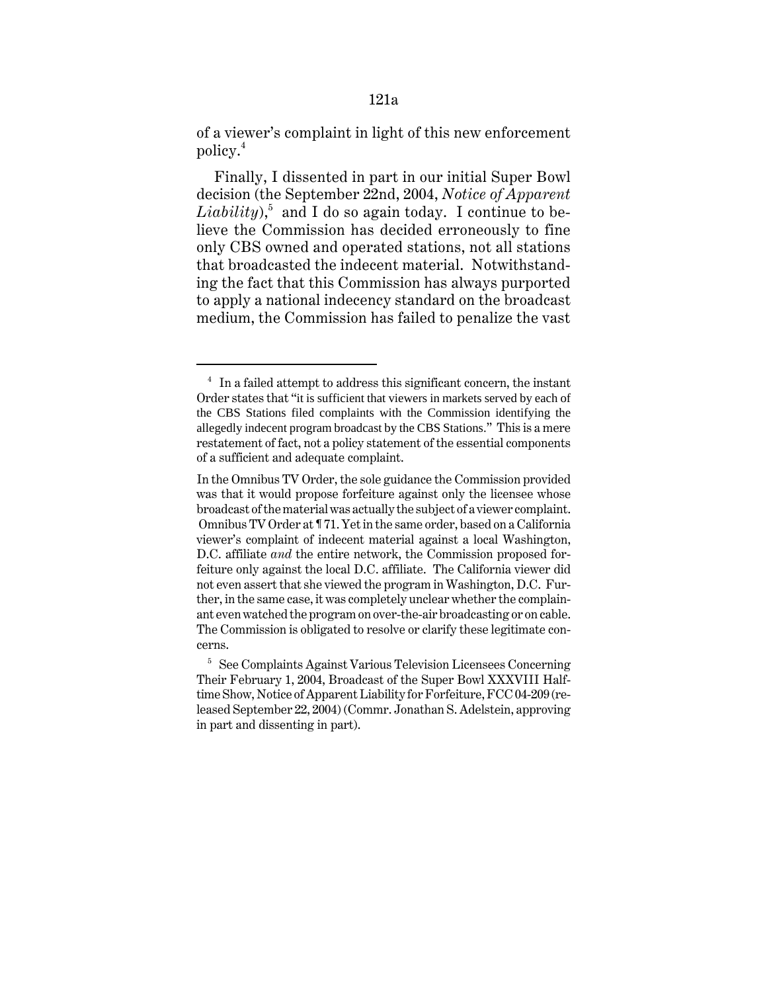of a viewer's complaint in light of this new enforcement policy.<sup>4</sup>

Finally, I dissented in part in our initial Super Bowl decision (the September 22nd, 2004, *Notice of Apparent*  $Liability$ <sup>5</sup>, and I do so again today. I continue to believe the Commission has decided erroneously to fine only CBS owned and operated stations, not all stations that broadcasted the indecent material. Notwithstanding the fact that this Commission has always purported to apply a national indecency standard on the broadcast medium, the Commission has failed to penalize the vast

<sup>&</sup>lt;sup>4</sup> In a failed attempt to address this significant concern, the instant Order states that "it is sufficient that viewers in markets served by each of the CBS Stations filed complaints with the Commission identifying the allegedly indecent program broadcast by the CBS Stations." This is a mere restatement of fact, not a policy statement of the essential components of a sufficient and adequate complaint.

In the Omnibus TV Order, the sole guidance the Commission provided was that it would propose forfeiture against only the licensee whose broadcast of the material was actually the subject of a viewer complaint. Omnibus TV Order at ¶ 71. Yet in the same order, based on a California viewer's complaint of indecent material against a local Washington, D.C. affiliate *and* the entire network, the Commission proposed forfeiture only against the local D.C. affiliate. The California viewer did not even assert that she viewed the program in Washington, D.C. Further, in the same case, it was completely unclear whether the complainant even watched the program on over-the-air broadcasting or on cable. The Commission is obligated to resolve or clarify these legitimate concerns.

<sup>&</sup>lt;sup>5</sup> See Complaints Against Various Television Licensees Concerning Their February 1, 2004, Broadcast of the Super Bowl XXXVIII Halftime Show, Notice of Apparent Liability for Forfeiture, FCC 04-209 (released September 22, 2004) (Commr. Jonathan S. Adelstein, approving in part and dissenting in part).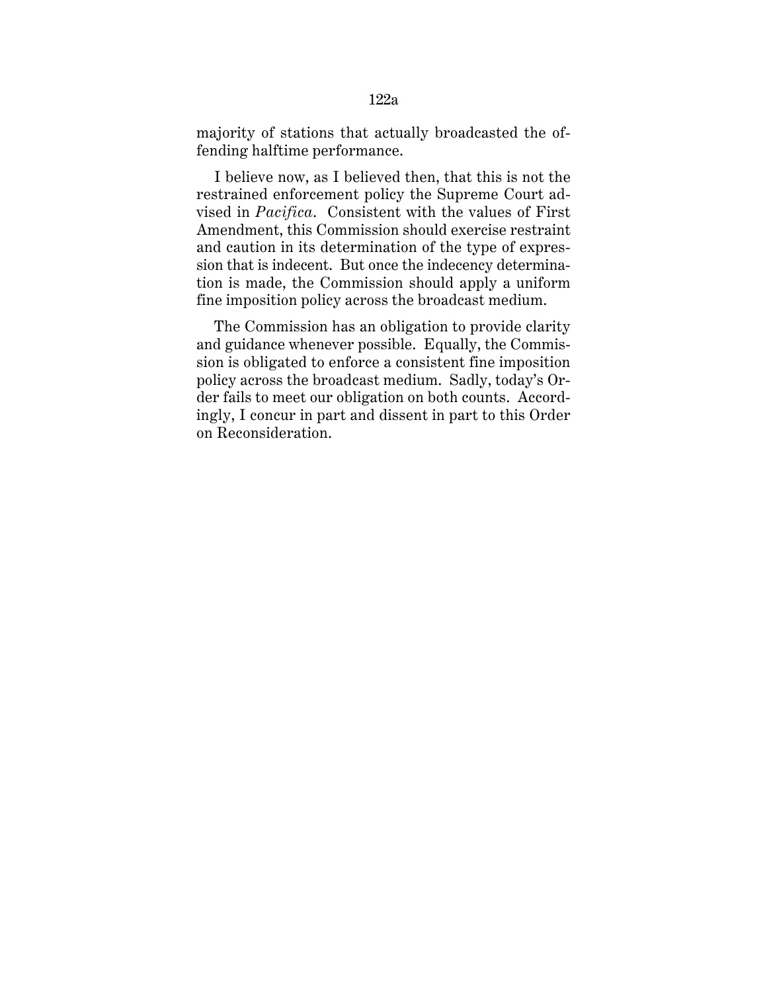majority of stations that actually broadcasted the offending halftime performance.

I believe now, as I believed then, that this is not the restrained enforcement policy the Supreme Court advised in *Pacifica*. Consistent with the values of First Amendment, this Commission should exercise restraint and caution in its determination of the type of expression that is indecent. But once the indecency determination is made, the Commission should apply a uniform fine imposition policy across the broadcast medium.

The Commission has an obligation to provide clarity and guidance whenever possible. Equally, the Commission is obligated to enforce a consistent fine imposition policy across the broadcast medium. Sadly, today's Order fails to meet our obligation on both counts. Accordingly, I concur in part and dissent in part to this Order on Reconsideration.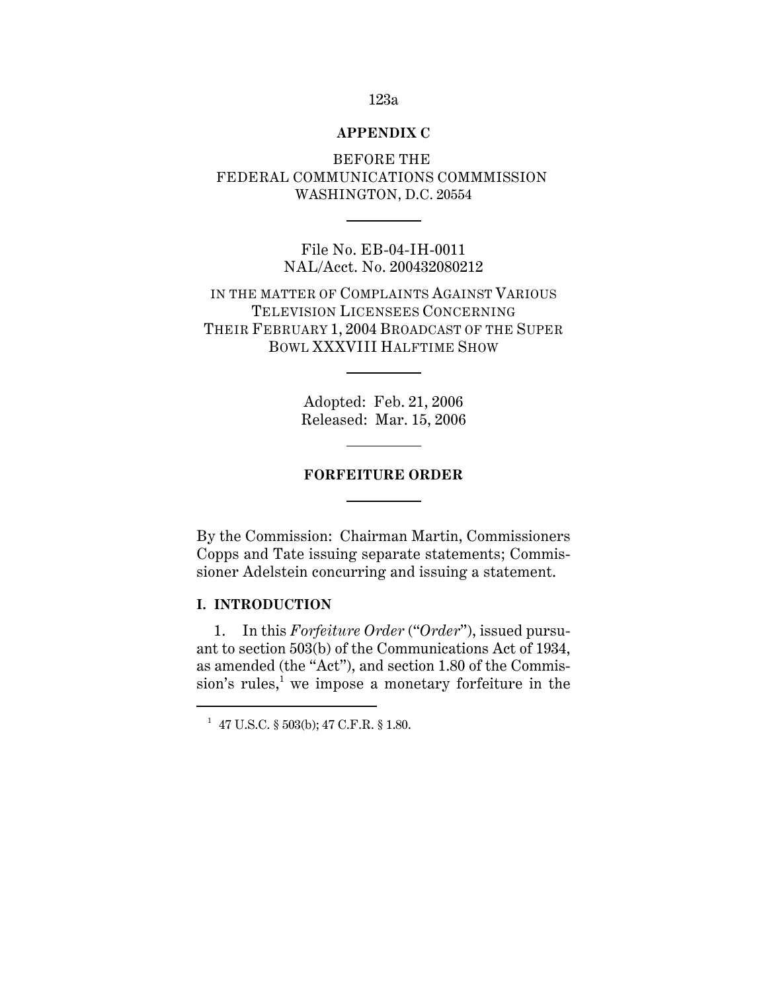123a

# **APPENDIX C**

BEFORE THE FEDERAL COMMUNICATIONS COMMMISSION WASHINGTON, D.C. 20554

> File No. EB-04-IH-0011 NAL/Acct. No. 200432080212

IN THE MATTER OF COMPLAINTS AGAINST VARIOUS TELEVISION LICENSEES CONCERNING THEIR FEBRUARY 1, 2004 BROADCAST OF THE SUPER BOWL XXXVIII HALFTIME SHOW

> Adopted: Feb. 21, 2006 Released: Mar. 15, 2006

# **FORFEITURE ORDER**

By the Commission: Chairman Martin, Commissioners Copps and Tate issuing separate statements; Commissioner Adelstein concurring and issuing a statement.

## **I. INTRODUCTION**

1. In this *Forfeiture Order* ("*Order*"), issued pursuant to section 503(b) of the Communications Act of 1934, as amended (the "Act"), and section 1.80 of the Commission's rules,<sup>1</sup> we impose a monetary forfeiture in the

<sup>&</sup>lt;sup>1</sup> 47 U.S.C. § 503(b); 47 C.F.R. § 1.80.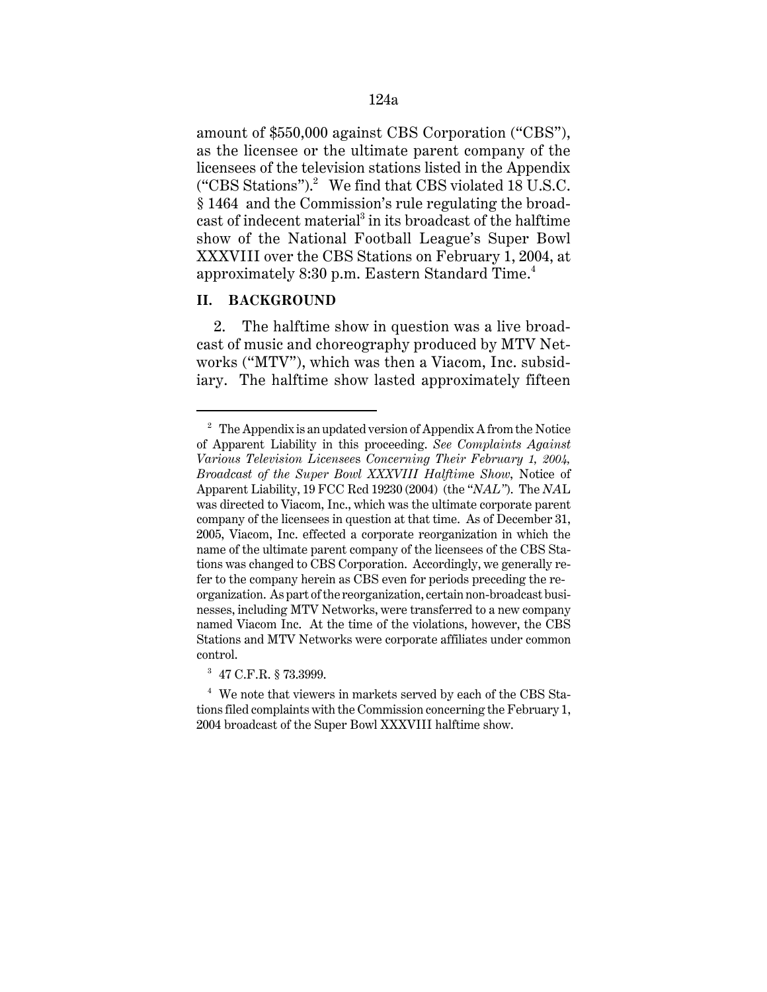amount of \$550,000 against CBS Corporation ("CBS"), as the licensee or the ultimate parent company of the licensees of the television stations listed in the Appendix ("CBS Stations").<sup>2</sup> We find that CBS violated 18 U.S.C. § 1464 and the Commission's rule regulating the broadcast of indecent material<sup>3</sup> in its broadcast of the halftime show of the National Football League's Super Bowl XXXVIII over the CBS Stations on February 1, 2004, at approximately 8:30 p.m. Eastern Standard Time.<sup>4</sup>

### **II. BACKGROUND**

2. The halftime show in question was a live broadcast of music and choreography produced by MTV Networks ("MTV"), which was then a Viacom, Inc. subsidiary. The halftime show lasted approximately fifteen

<sup>&</sup>lt;sup>2</sup> The Appendix is an updated version of Appendix A from the Notice of Apparent Liability in this proceeding. *See Complaints Against Various Television Licensee*s *Concerning Their February 1, 2004, Broadcast of the Super Bowl XXXVIII Halftim*e *Show*, Notice of Apparent Liability, 19 FCC Rcd 19230 (2004) (the "*NAL"*). The *NA*L was directed to Viacom, Inc., which was the ultimate corporate parent company of the licensees in question at that time. As of December 31, 2005, Viacom, Inc. effected a corporate reorganization in which the name of the ultimate parent company of the licensees of the CBS Stations was changed to CBS Corporation. Accordingly, we generally refer to the company herein as CBS even for periods preceding the reorganization. As part of the reorganization, certain non-broadcast businesses, including MTV Networks, were transferred to a new company named Viacom Inc. At the time of the violations, however, the CBS Stations and MTV Networks were corporate affiliates under common control.

<sup>3</sup> 47 C.F.R. § 73.3999.

<sup>&</sup>lt;sup>4</sup> We note that viewers in markets served by each of the CBS Stations filed complaints with the Commission concerning the February 1, 2004 broadcast of the Super Bowl XXXVIII halftime show.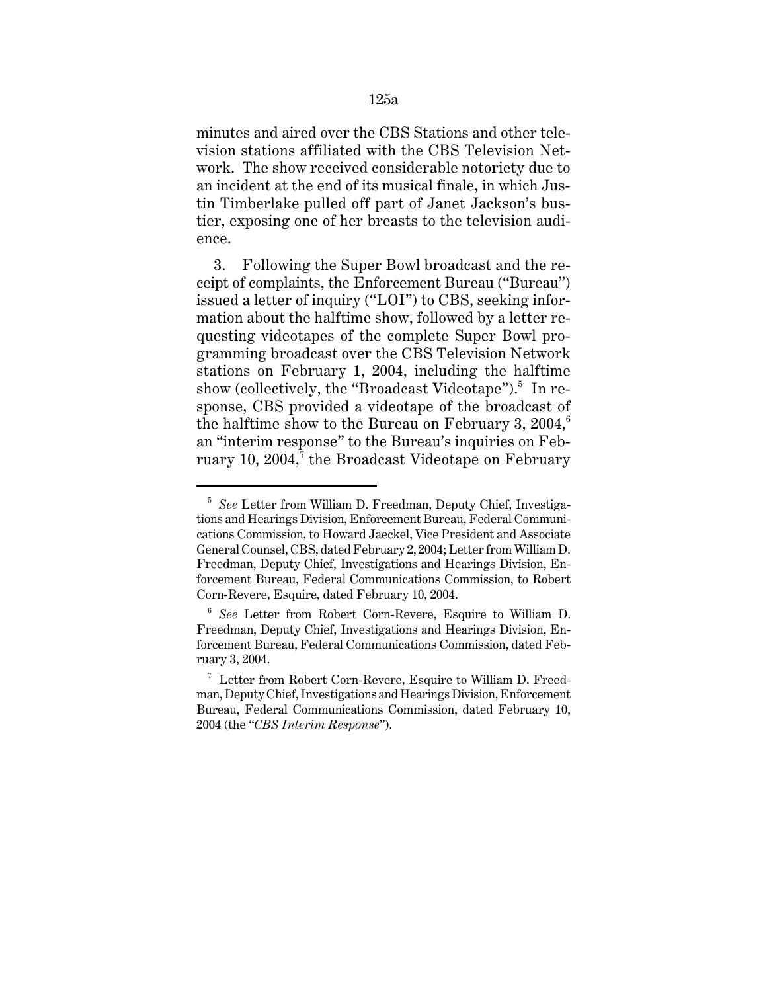minutes and aired over the CBS Stations and other television stations affiliated with the CBS Television Network. The show received considerable notoriety due to an incident at the end of its musical finale, in which Justin Timberlake pulled off part of Janet Jackson's bustier, exposing one of her breasts to the television audience.

3. Following the Super Bowl broadcast and the receipt of complaints, the Enforcement Bureau ("Bureau") issued a letter of inquiry ("LOI") to CBS, seeking information about the halftime show, followed by a letter requesting videotapes of the complete Super Bowl programming broadcast over the CBS Television Network stations on February 1, 2004, including the halftime show (collectively, the "Broadcast Videotape").<sup>5</sup> In response, CBS provided a videotape of the broadcast of the halftime show to the Bureau on February 3,  $2004<sup>6</sup>$ an "interim response" to the Bureau's inquiries on February 10, 2004, $^7$  the Broadcast Videotape on February

<sup>5</sup> *See* Letter from William D. Freedman, Deputy Chief, Investigations and Hearings Division, Enforcement Bureau, Federal Communications Commission, to Howard Jaeckel, Vice President and Associate General Counsel, CBS, dated February 2, 2004; Letter from William D. Freedman, Deputy Chief, Investigations and Hearings Division, Enforcement Bureau, Federal Communications Commission, to Robert Corn-Revere, Esquire, dated February 10, 2004.

<sup>6</sup> *See* Letter from Robert Corn-Revere, Esquire to William D. Freedman, Deputy Chief, Investigations and Hearings Division, Enforcement Bureau, Federal Communications Commission, dated February 3, 2004.

<sup>7</sup> Letter from Robert Corn-Revere, Esquire to William D. Freedman, Deputy Chief, Investigations and Hearings Division, Enforcement Bureau, Federal Communications Commission, dated February 10, 2004 (the "*CBS Interim Response*").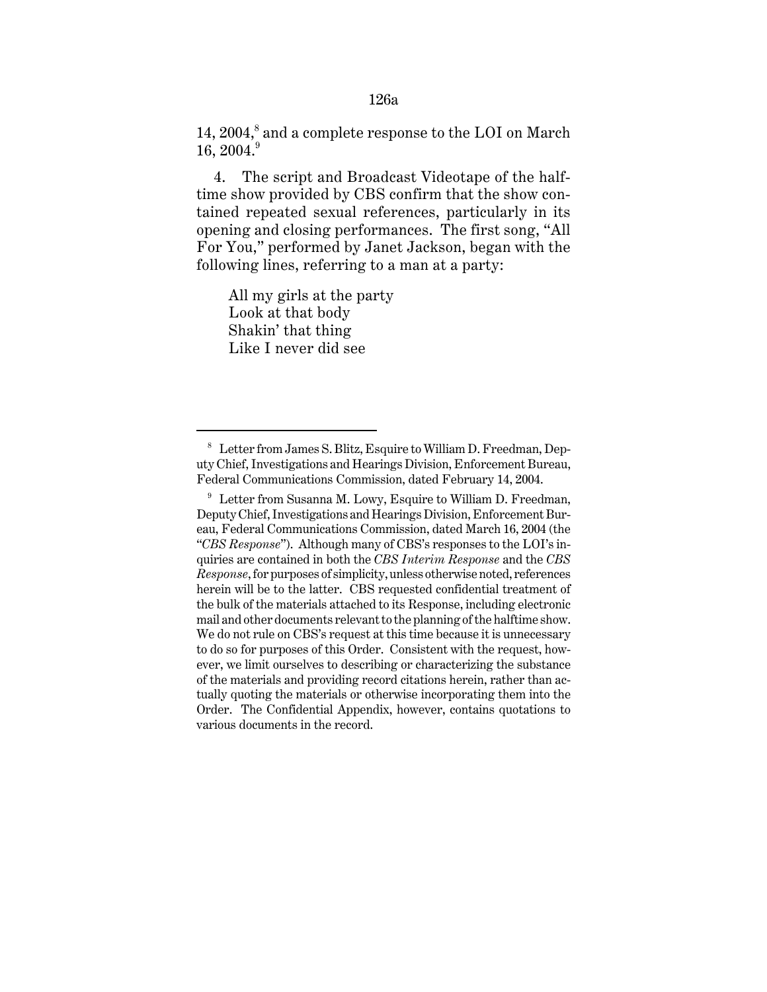## 126a

14, 2004,<sup>8</sup> and a complete response to the LOI on March  $16, 2004.<sup>9</sup>$ 

4. The script and Broadcast Videotape of the halftime show provided by CBS confirm that the show contained repeated sexual references, particularly in its opening and closing performances. The first song, "All For You," performed by Janet Jackson, began with the following lines, referring to a man at a party:

All my girls at the party Look at that body Shakin' that thing Like I never did see

<sup>8</sup> Letter from James S. Blitz, Esquire to William D. Freedman, Deputy Chief, Investigations and Hearings Division, Enforcement Bureau, Federal Communications Commission, dated February 14, 2004.

 $9$  Letter from Susanna M. Lowy, Esquire to William D. Freedman, Deputy Chief, Investigations and Hearings Division, Enforcement Bureau, Federal Communications Commission, dated March 16, 2004 (the "*CBS Response*"). Although many of CBS's responses to the LOI's inquiries are contained in both the *CBS Interim Response* and the *CBS Response*, for purposes of simplicity, unless otherwise noted, references herein will be to the latter. CBS requested confidential treatment of the bulk of the materials attached to its Response, including electronic mail and other documents relevant to the planning of the halftime show. We do not rule on CBS's request at this time because it is unnecessary to do so for purposes of this Order. Consistent with the request, however, we limit ourselves to describing or characterizing the substance of the materials and providing record citations herein, rather than actually quoting the materials or otherwise incorporating them into the Order. The Confidential Appendix, however, contains quotations to various documents in the record.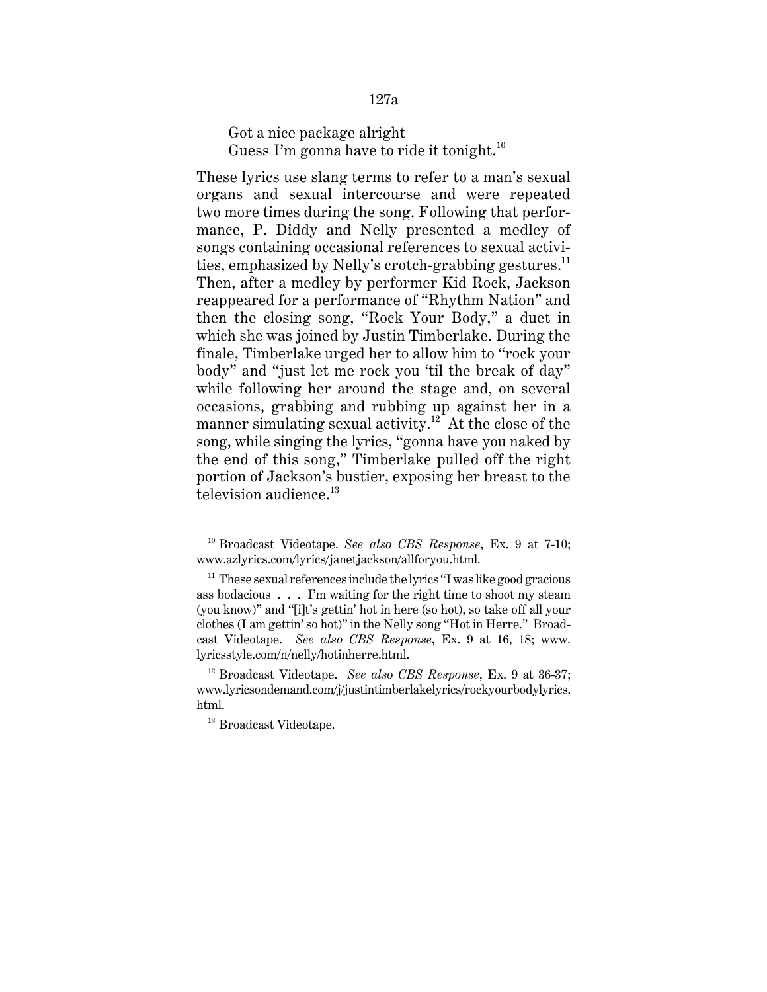Got a nice package alright Guess I'm gonna have to ride it tonight.<sup>10</sup>

These lyrics use slang terms to refer to a man's sexual organs and sexual intercourse and were repeated two more times during the song. Following that performance, P. Diddy and Nelly presented a medley of songs containing occasional references to sexual activities, emphasized by Nelly's crotch-grabbing gestures. $<sup>11</sup>$ </sup> Then, after a medley by performer Kid Rock, Jackson reappeared for a performance of "Rhythm Nation" and then the closing song, "Rock Your Body," a duet in which she was joined by Justin Timberlake. During the finale, Timberlake urged her to allow him to "rock your body" and "just let me rock you 'til the break of day" while following her around the stage and, on several occasions, grabbing and rubbing up against her in a manner simulating sexual activity.<sup>12</sup> At the close of the song, while singing the lyrics, "gonna have you naked by the end of this song," Timberlake pulled off the right portion of Jackson's bustier, exposing her breast to the television audience.<sup>13</sup>

<sup>10</sup> Broadcast Videotape. *See also CBS Response*, Ex. 9 at 7-10; www.azlyrics.com/lyrics/janetjackson/allforyou.html.

 $11$  These sexual references include the lyrics "I was like good gracious ass bodacious . . . I'm waiting for the right time to shoot my steam (you know)" and "[i]t's gettin' hot in here (so hot), so take off all your clothes (I am gettin' so hot)" in the Nelly song "Hot in Herre." Broadcast Videotape. *See also CBS Response*, Ex. 9 at 16, 18; www. lyricsstyle.com/n/nelly/hotinherre.html.

<sup>12</sup> Broadcast Videotape. *See also CBS Response*, Ex. 9 at 36-37; www.lyricsondemand.com/j/justintimberlakelyrics/rockyourbodylyrics. html.

<sup>&</sup>lt;sup>13</sup> Broadcast Videotape.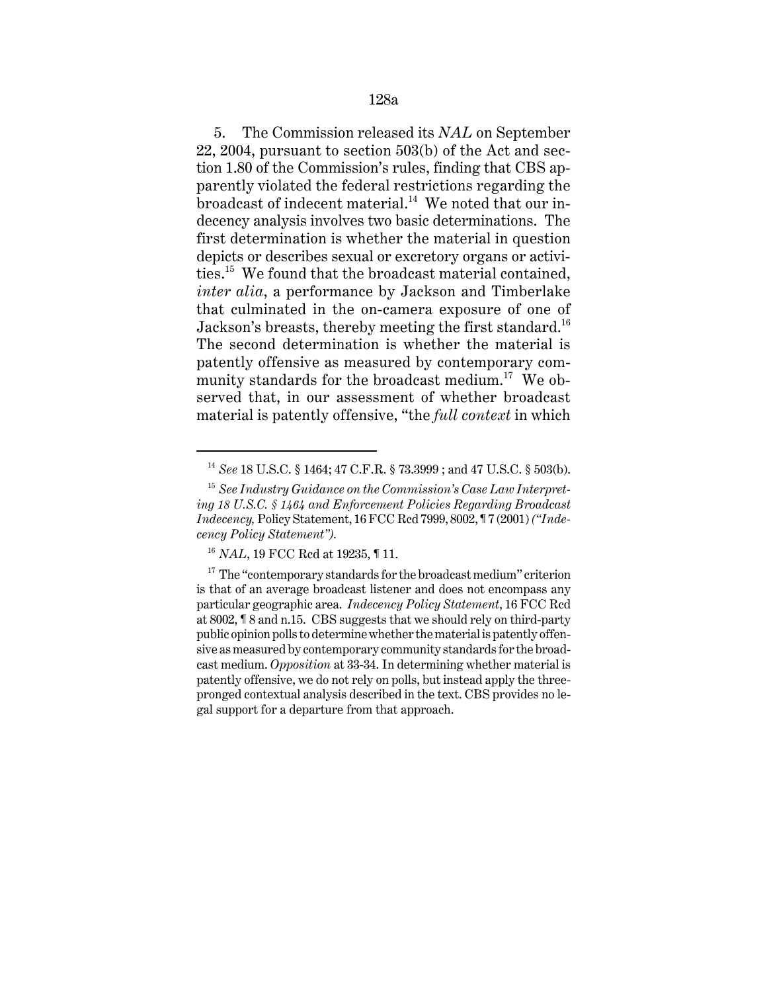5. The Commission released its *NAL* on September 22, 2004, pursuant to section 503(b) of the Act and section 1.80 of the Commission's rules, finding that CBS apparently violated the federal restrictions regarding the broadcast of indecent material.<sup>14</sup> We noted that our indecency analysis involves two basic determinations. The first determination is whether the material in question depicts or describes sexual or excretory organs or activities.15 We found that the broadcast material contained, *inter alia*, a performance by Jackson and Timberlake that culminated in the on-camera exposure of one of Jackson's breasts, thereby meeting the first standard.<sup>16</sup> The second determination is whether the material is patently offensive as measured by contemporary community standards for the broadcast medium.<sup>17</sup> We observed that, in our assessment of whether broadcast material is patently offensive, "the *full context* in which

<sup>14</sup> *See* 18 U.S.C. § 1464; 47 C.F.R. § 73.3999 ; and 47 U.S.C. § 503(b).

<sup>15</sup> *See Industry Guidance on the Commission's Case Law Interpreting 18 U.S.C. § 1464 and Enforcement Policies Regarding Broadcast Indecency,* Policy Statement, 16 FCC Rcd 7999, 8002, ¶ 7 (2001) *("Indecency Policy Statement").*

<sup>&</sup>lt;sup>16</sup> *NAL*, 19 FCC Rcd at 19235, ¶ 11.

 $17$  The "contemporary standards for the broadcast medium" criterion is that of an average broadcast listener and does not encompass any particular geographic area. *Indecency Policy Statement*, 16 FCC Rcd at 8002, ¶ 8 and n.15. CBS suggests that we should rely on third-party public opinion polls to determine whether the material is patently offensive as measured by contemporary community standards for the broadcast medium. *Opposition* at 33-34. In determining whether material is patently offensive, we do not rely on polls, but instead apply the threepronged contextual analysis described in the text. CBS provides no legal support for a departure from that approach.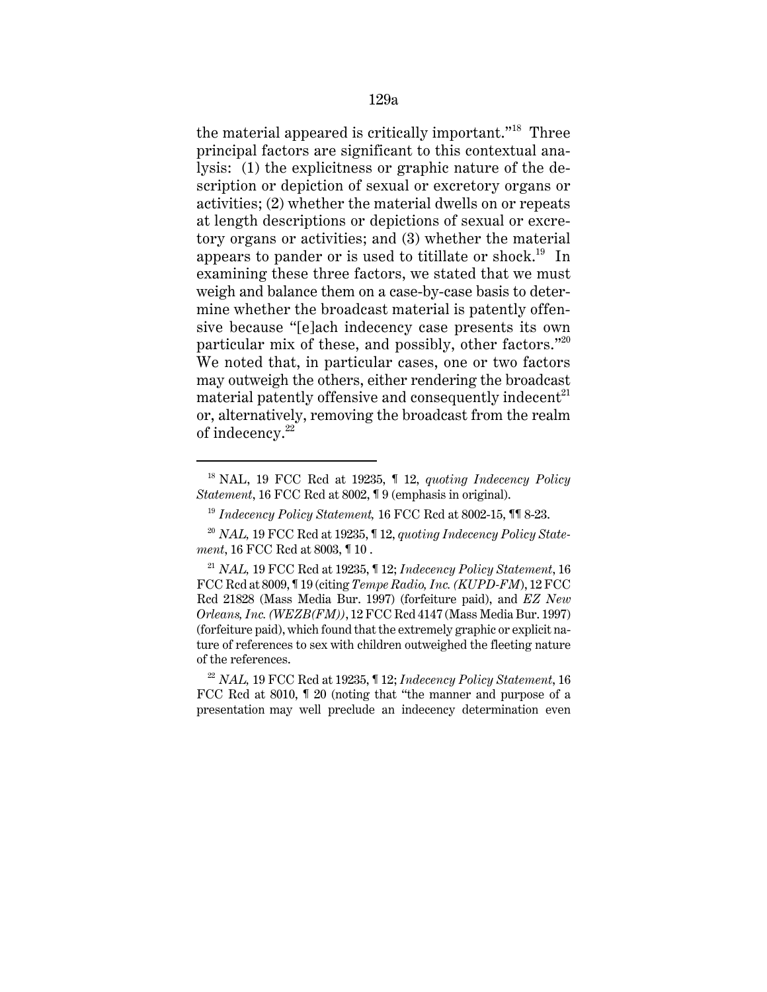the material appeared is critically important."18 Three principal factors are significant to this contextual analysis: (1) the explicitness or graphic nature of the description or depiction of sexual or excretory organs or activities; (2) whether the material dwells on or repeats at length descriptions or depictions of sexual or excretory organs or activities; and (3) whether the material appears to pander or is used to titillate or shock.<sup>19</sup> In examining these three factors, we stated that we must weigh and balance them on a case-by-case basis to determine whether the broadcast material is patently offensive because "[e]ach indecency case presents its own particular mix of these, and possibly, other factors."<sup>20</sup> We noted that, in particular cases, one or two factors may outweigh the others, either rendering the broadcast material patently offensive and consequently indecent<sup>21</sup> or, alternatively, removing the broadcast from the realm of indecency.<sup>22</sup>

<sup>18</sup> NAL, 19 FCC Rcd at 19235, ¶ 12, *quoting Indecency Policy Statement*, 16 FCC Rcd at 8002, ¶ 9 (emphasis in original).

<sup>19</sup> *Indecency Policy Statement,* 16 FCC Rcd at 8002-15, ¶¶ 8-23.

<sup>20</sup> *NAL,* 19 FCC Rcd at 19235, ¶ 12, *quoting Indecency Policy Statement*, 16 FCC Rcd at 8003, ¶ 10 .

<sup>21</sup> *NAL,* 19 FCC Rcd at 19235, ¶ 12; *Indecency Policy Statement*, 16 FCC Rcd at 8009, ¶ 19 (citing *Tempe Radio, Inc. (KUPD-FM*), 12 FCC Rcd 21828 (Mass Media Bur. 1997) (forfeiture paid), and *EZ New Orleans, Inc. (WEZB(FM))*, 12 FCC Rcd 4147 (Mass Media Bur. 1997) (forfeiture paid), which found that the extremely graphic or explicit nature of references to sex with children outweighed the fleeting nature of the references.

<sup>22</sup> *NAL,* 19 FCC Rcd at 19235, ¶ 12; *Indecency Policy Statement*, 16 FCC Rcd at 8010,  $\P$  20 (noting that "the manner and purpose of a presentation may well preclude an indecency determination even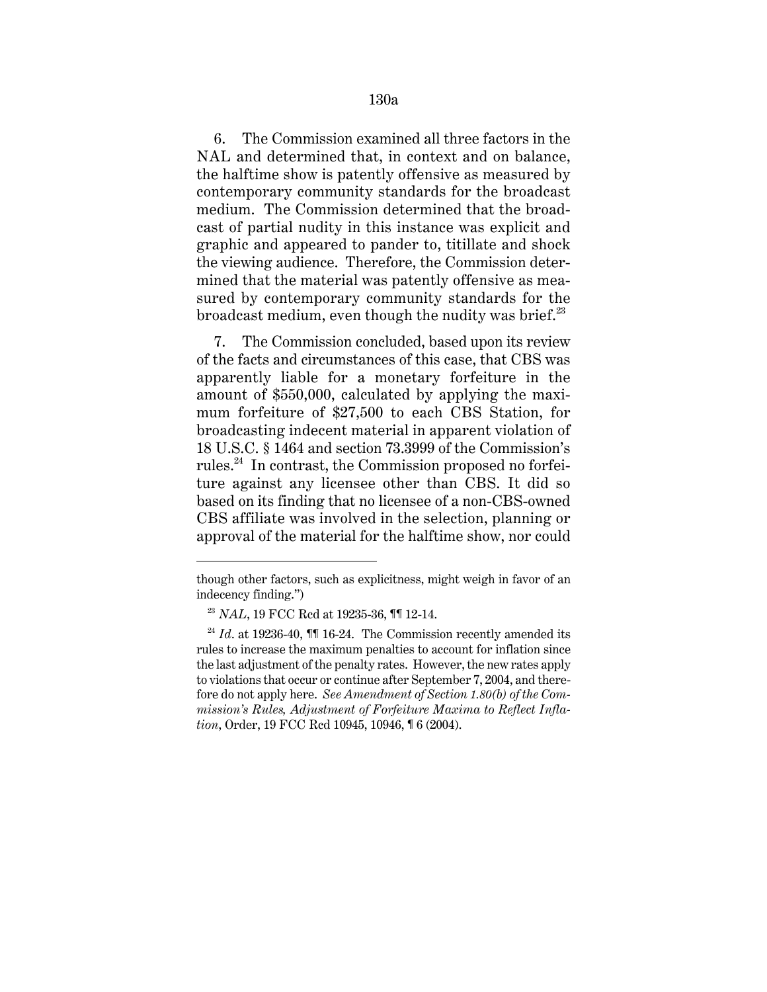6. The Commission examined all three factors in the NAL and determined that, in context and on balance, the halftime show is patently offensive as measured by contemporary community standards for the broadcast medium. The Commission determined that the broadcast of partial nudity in this instance was explicit and graphic and appeared to pander to, titillate and shock the viewing audience. Therefore, the Commission determined that the material was patently offensive as measured by contemporary community standards for the broadcast medium, even though the nudity was brief.<sup>23</sup>

7. The Commission concluded, based upon its review of the facts and circumstances of this case, that CBS was apparently liable for a monetary forfeiture in the amount of \$550,000, calculated by applying the maximum forfeiture of \$27,500 to each CBS Station, for broadcasting indecent material in apparent violation of 18 U.S.C. § 1464 and section 73.3999 of the Commission's rules.24 In contrast, the Commission proposed no forfeiture against any licensee other than CBS. It did so based on its finding that no licensee of a non-CBS-owned CBS affiliate was involved in the selection, planning or approval of the material for the halftime show, nor could

though other factors, such as explicitness, might weigh in favor of an indecency finding.")

<sup>23</sup> *NAL*, 19 FCC Rcd at 19235-36, ¶¶ 12-14.

 $^{24}$  *Id.* at 19236-40,  $\P$  16-24. The Commission recently amended its rules to increase the maximum penalties to account for inflation since the last adjustment of the penalty rates. However, the new rates apply to violations that occur or continue after September 7, 2004, and therefore do not apply here. *See Amendment of Section 1.80(b) of the Commission's Rules, Adjustment of Forfeiture Maxima to Reflect Inflation*, Order, 19 FCC Rcd 10945, 10946, ¶ 6 (2004).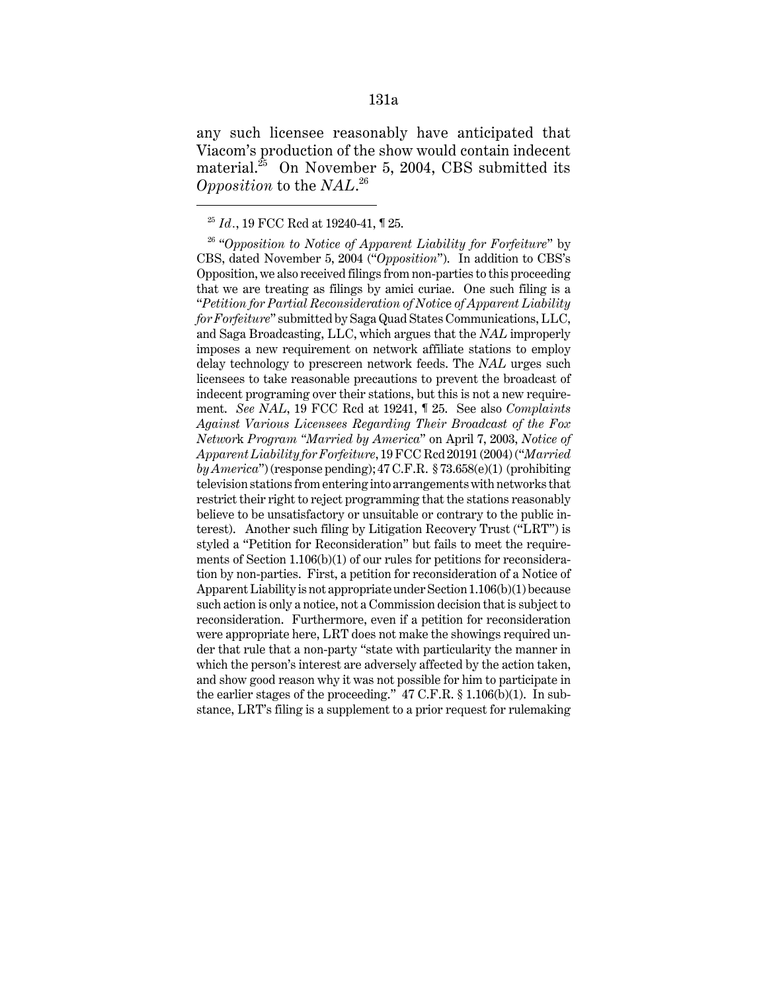any such licensee reasonably have anticipated that Viacom's production of the show would contain indecent material.<sup>25</sup> On November 5, 2004, CBS submitted its *Opposition* to the *NAL*. 26

<sup>25</sup> *Id.*, 19 FCC Rcd at 19240-41, ¶ 25.

<sup>26</sup> "*Opposition to Notice of Apparent Liability for Forfeiture*" by CBS, dated November 5, 2004 ("*Opposition*"). In addition to CBS's Opposition, we also received filings from non-parties to this proceeding that we are treating as filings by amici curiae. One such filing is a "*Petition for Partial Reconsideration of Notic*e *of Apparent Liability for Forfeiture*" submitted by Saga Quad States Communications, LLC, and Saga Broadcasting, LLC, which argues that the *NAL* improperly imposes a new requirement on network affiliate stations to employ delay technology to prescreen network feeds. The *NAL* urges such licensees to take reasonable precautions to prevent the broadcast of indecent programing over their stations, but this is not a new requirement. *See NAL*, 19 FCC Rcd at 19241, ¶ 25. See also *Complaints Against Various Licensees Regarding Their Broadcast of the Fox Networ*k *Program "Married by America*" on April 7, 2003, *Notice of Apparent Liability for Forfeiture*, 19 FCC Rcd 20191 (2004) ("*Married by America*") (response pending); 47 C.F.R. § 73.658(e)(1) (prohibiting television stations from entering into arrangements with networks that restrict their right to reject programming that the stations reasonably believe to be unsatisfactory or unsuitable or contrary to the public interest). Another such filing by Litigation Recovery Trust ("LRT") is styled a "Petition for Reconsideration" but fails to meet the requirements of Section 1.106(b)(1) of our rules for petitions for reconsideration by non-parties. First, a petition for reconsideration of a Notice of Apparent Liability is not appropriate under Section 1.106(b)(1) because such action is only a notice, not a Commission decision that is subject to reconsideration. Furthermore, even if a petition for reconsideration were appropriate here, LRT does not make the showings required under that rule that a non-party "state with particularity the manner in which the person's interest are adversely affected by the action taken, and show good reason why it was not possible for him to participate in the earlier stages of the proceeding." 47 C.F.R. § 1.106(b)(1). In substance, LRT's filing is a supplement to a prior request for rulemaking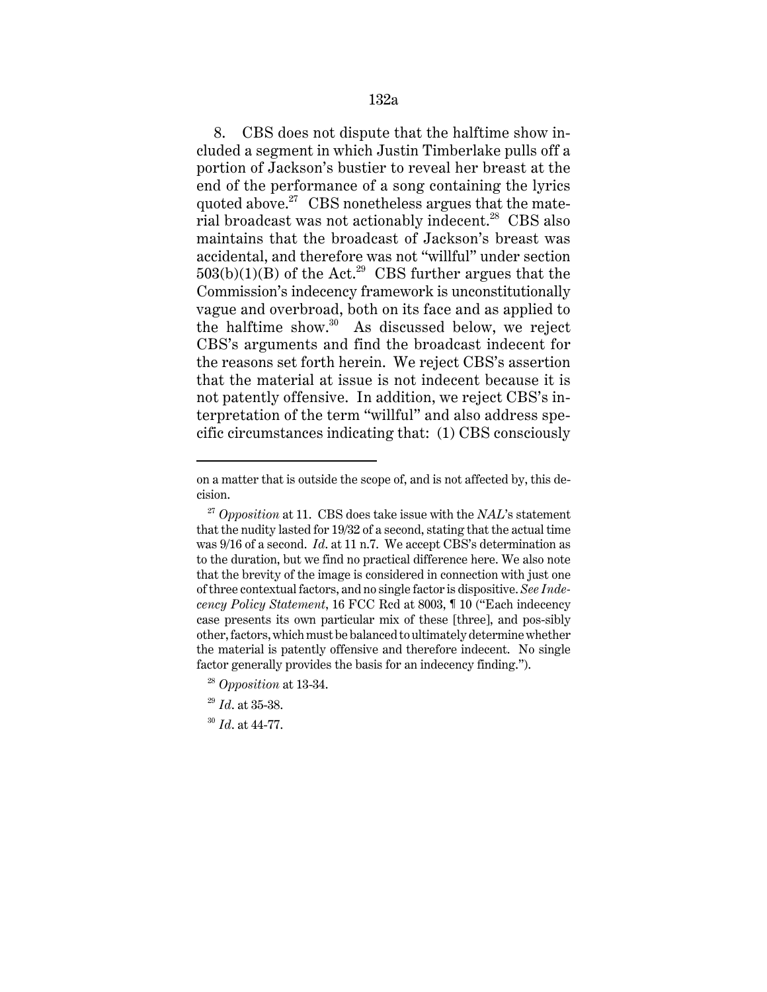8. CBS does not dispute that the halftime show included a segment in which Justin Timberlake pulls off a portion of Jackson's bustier to reveal her breast at the end of the performance of a song containing the lyrics quoted above.<sup>27</sup> CBS nonetheless argues that the material broadcast was not actionably indecent.<sup>28</sup> CBS also maintains that the broadcast of Jackson's breast was accidental, and therefore was not "willful" under section  $503(b)(1)(B)$  of the Act.<sup>29</sup> CBS further argues that the Commission's indecency framework is unconstitutionally vague and overbroad, both on its face and as applied to the halftime show. $30^{30}$  As discussed below, we reject CBS's arguments and find the broadcast indecent for the reasons set forth herein. We reject CBS's assertion that the material at issue is not indecent because it is not patently offensive. In addition, we reject CBS's interpretation of the term "willful" and also address specific circumstances indicating that: (1) CBS consciously

on a matter that is outside the scope of, and is not affected by, this decision.

<sup>27</sup> *Opposition* at 11. CBS does take issue with the *NAL*'s statement that the nudity lasted for 19/32 of a second, stating that the actual time was 9/16 of a second. *Id*. at 11 n.7. We accept CBS's determination as to the duration, but we find no practical difference here. We also note that the brevity of the image is considered in connection with just one of three contextual factors, and no single factor is dispositive. *See Indecency Policy Statement*, 16 FCC Rcd at 8003, ¶ 10 ("Each indecency case presents its own particular mix of these [three], and pos-sibly other, factors, which must be balanced to ultimately determine whether the material is patently offensive and therefore indecent. No single factor generally provides the basis for an indecency finding.").

<sup>28</sup> *Opposition* at 13-34.

<sup>29</sup> *Id*. at 35-38.

<sup>30</sup> *Id*. at 44-77.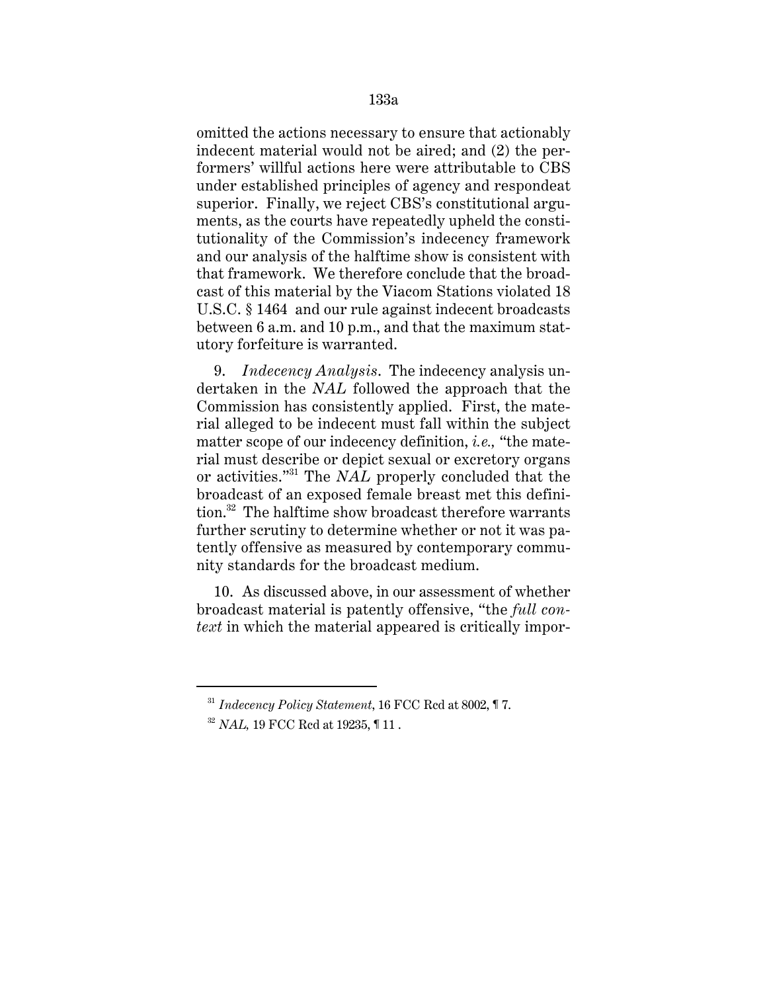omitted the actions necessary to ensure that actionably indecent material would not be aired; and (2) the performers' willful actions here were attributable to CBS under established principles of agency and respondeat superior. Finally, we reject CBS's constitutional arguments, as the courts have repeatedly upheld the constitutionality of the Commission's indecency framework and our analysis of the halftime show is consistent with that framework. We therefore conclude that the broadcast of this material by the Viacom Stations violated 18 U.S.C. § 1464 and our rule against indecent broadcasts between 6 a.m. and 10 p.m., and that the maximum statutory forfeiture is warranted.

9. *Indecency Analysis*. The indecency analysis undertaken in the *NAL* followed the approach that the Commission has consistently applied. First, the material alleged to be indecent must fall within the subject matter scope of our indecency definition, *i.e.,* "the material must describe or depict sexual or excretory organs or activities."31 The *NAL* properly concluded that the broadcast of an exposed female breast met this definition.<sup>32</sup> The halftime show broadcast therefore warrants further scrutiny to determine whether or not it was patently offensive as measured by contemporary community standards for the broadcast medium.

10. As discussed above, in our assessment of whether broadcast material is patently offensive, "the *full context* in which the material appeared is critically impor-

<sup>31</sup> *Indecency Policy Statement*, 16 FCC Rcd at 8002, ¶ 7.

<sup>32</sup> *NAL,* 19 FCC Rcd at 19235, ¶ 11 .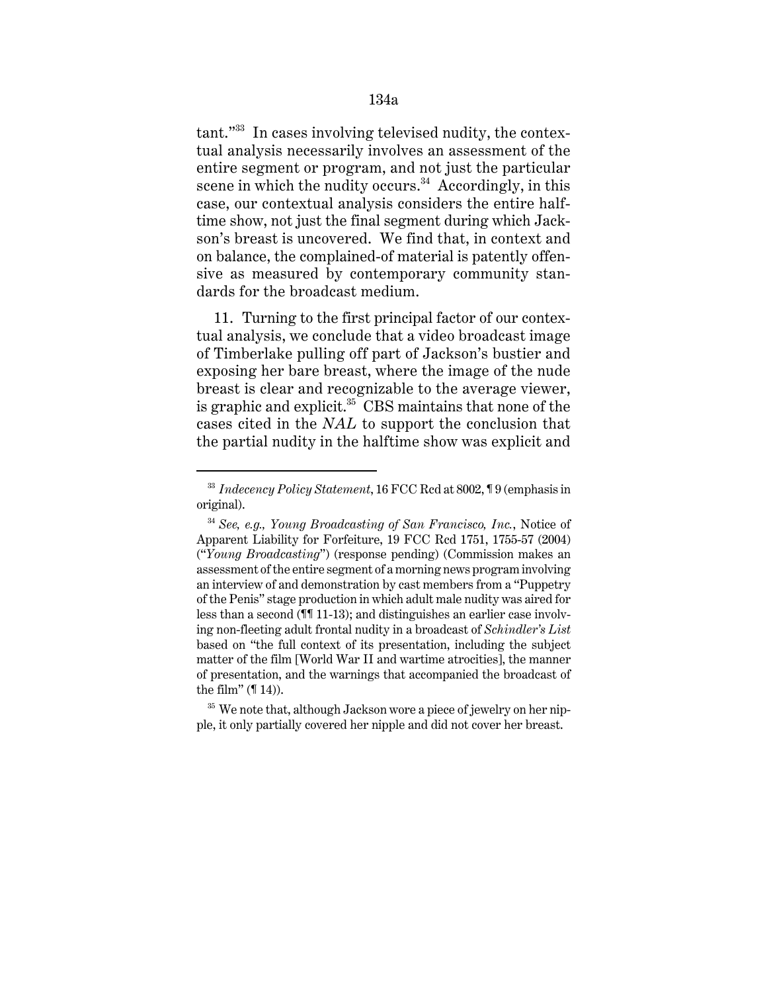tant."33 In cases involving televised nudity, the contextual analysis necessarily involves an assessment of the entire segment or program, and not just the particular scene in which the nudity occurs.<sup>34</sup> Accordingly, in this case, our contextual analysis considers the entire halftime show, not just the final segment during which Jackson's breast is uncovered. We find that, in context and on balance, the complained-of material is patently offensive as measured by contemporary community standards for the broadcast medium.

11. Turning to the first principal factor of our contextual analysis, we conclude that a video broadcast image of Timberlake pulling off part of Jackson's bustier and exposing her bare breast, where the image of the nude breast is clear and recognizable to the average viewer, is graphic and explicit. $35$  CBS maintains that none of the cases cited in the *NAL* to support the conclusion that the partial nudity in the halftime show was explicit and

<sup>33</sup> *Indecency Policy Statement*, 16 FCC Rcd at 8002, ¶ 9 (emphasis in original).

<sup>34</sup> *See, e.g., Young Broadcasting of San Francisco, Inc.*, Notice of Apparent Liability for Forfeiture, 19 FCC Rcd 1751, 1755-57 (2004) ("*Young Broadcasting*") (response pending) (Commission makes an assessment of the entire segment of a morning news program involving an interview of and demonstration by cast members from a "Puppetry of the Penis" stage production in which adult male nudity was aired for less than a second (¶¶ 11-13); and distinguishes an earlier case involving non-fleeting adult frontal nudity in a broadcast of *Schindler's List* based on "the full context of its presentation, including the subject matter of the film [World War II and wartime atrocities], the manner of presentation, and the warnings that accompanied the broadcast of the film"  $(\P 14)$ ).

<sup>&</sup>lt;sup>35</sup> We note that, although Jackson wore a piece of jewelry on her nipple, it only partially covered her nipple and did not cover her breast.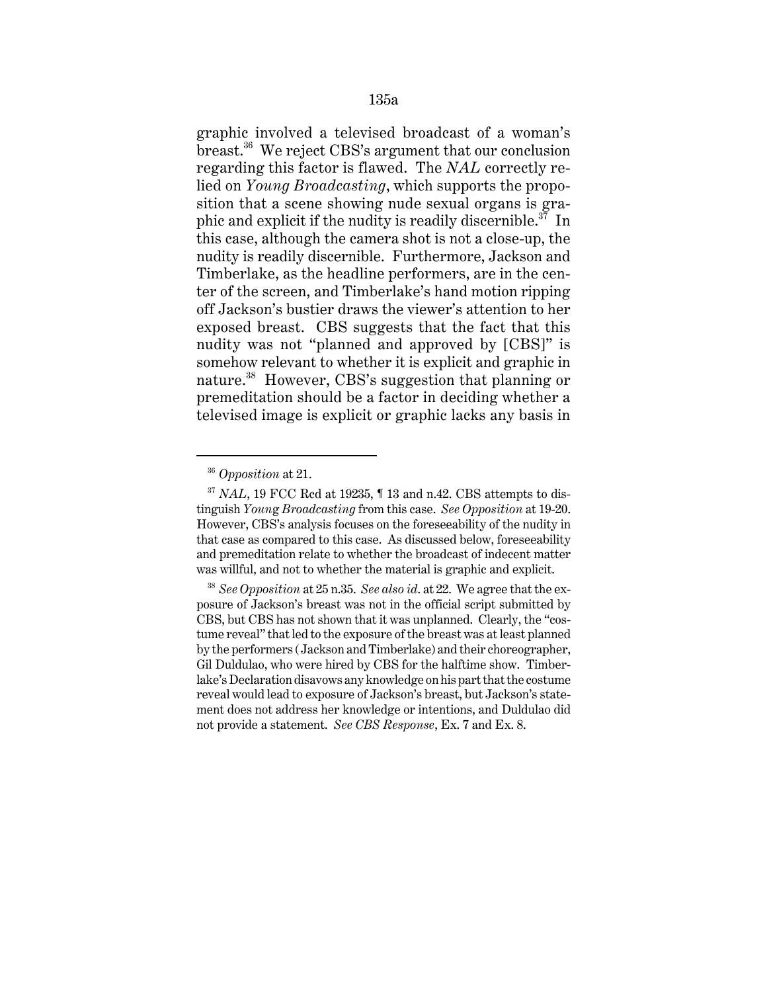graphic involved a televised broadcast of a woman's breast.36 We reject CBS's argument that our conclusion regarding this factor is flawed. The *NAL* correctly relied on *Young Broadcasting*, which supports the proposition that a scene showing nude sexual organs is graphic and explicit if the nudity is readily discernible.<sup>37</sup> In this case, although the camera shot is not a close-up, the nudity is readily discernible. Furthermore, Jackson and Timberlake, as the headline performers, are in the center of the screen, and Timberlake's hand motion ripping off Jackson's bustier draws the viewer's attention to her exposed breast. CBS suggests that the fact that this nudity was not "planned and approved by [CBS]" is somehow relevant to whether it is explicit and graphic in nature.<sup>38</sup> However, CBS's suggestion that planning or premeditation should be a factor in deciding whether a televised image is explicit or graphic lacks any basis in

<sup>36</sup> *Opposition* at 21.

<sup>&</sup>lt;sup>37</sup> *NAL*, 19 FCC Rcd at 19235, 1 13 and n.42. CBS attempts to distinguish *Youn*g *Broadcasting* from this case. *See Opposition* at 19-20. However, CBS's analysis focuses on the foreseeability of the nudity in that case as compared to this case. As discussed below, foreseeability and premeditation relate to whether the broadcast of indecent matter was willful, and not to whether the material is graphic and explicit.

<sup>38</sup> *See Opposition* at 25 n.35. *See also id*. at 22. We agree that the exposure of Jackson's breast was not in the official script submitted by CBS, but CBS has not shown that it was unplanned. Clearly, the "costume reveal" that led to the exposure of the breast was at least planned by the performers (Jackson and Timberlake) and their choreographer, Gil Duldulao, who were hired by CBS for the halftime show. Timberlake's Declaration disavows any knowledge on his part that the costume reveal would lead to exposure of Jackson's breast, but Jackson's statement does not address her knowledge or intentions, and Duldulao did not provide a statement. *See CBS Response*, Ex. 7 and Ex. 8.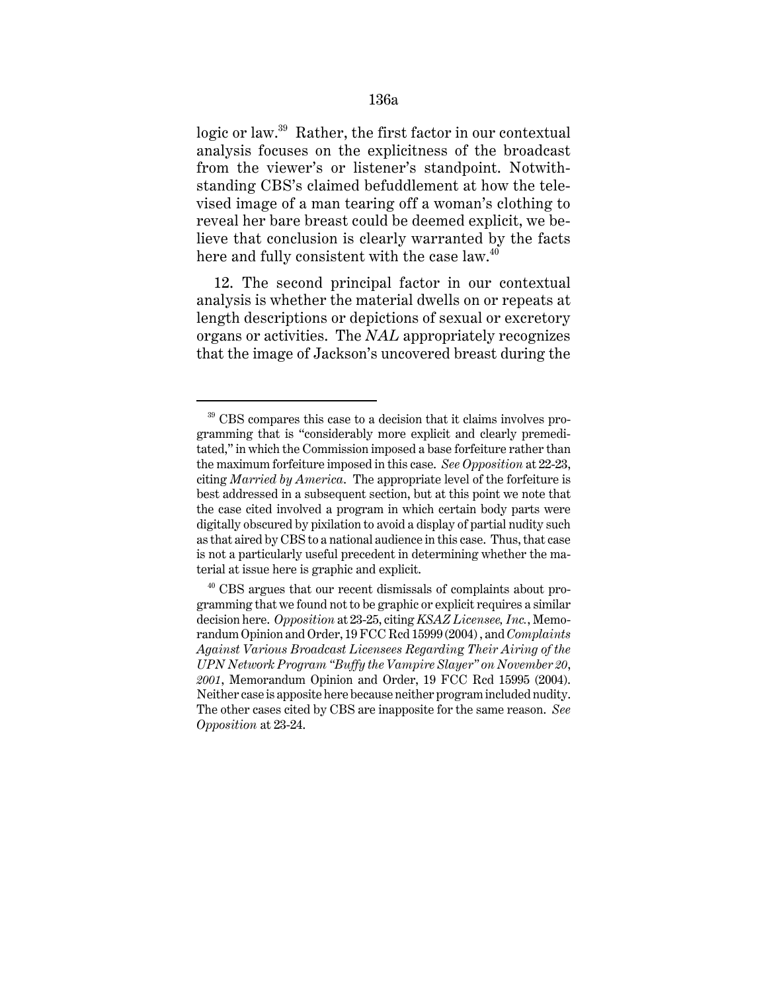logic or law.<sup>39</sup> Rather, the first factor in our contextual analysis focuses on the explicitness of the broadcast from the viewer's or listener's standpoint. Notwithstanding CBS's claimed befuddlement at how the televised image of a man tearing off a woman's clothing to reveal her bare breast could be deemed explicit, we believe that conclusion is clearly warranted by the facts here and fully consistent with the case law.<sup>40</sup>

12. The second principal factor in our contextual analysis is whether the material dwells on or repeats at length descriptions or depictions of sexual or excretory organs or activities. The *NAL* appropriately recognizes that the image of Jackson's uncovered breast during the

<sup>&</sup>lt;sup>39</sup> CBS compares this case to a decision that it claims involves programming that is "considerably more explicit and clearly premeditated," in which the Commission imposed a base forfeiture rather than the maximum forfeiture imposed in this case. *See Opposition* at 22-23, citing *Married by America*. The appropriate level of the forfeiture is best addressed in a subsequent section, but at this point we note that the case cited involved a program in which certain body parts were digitally obscured by pixilation to avoid a display of partial nudity such as that aired by CBS to a national audience in this case. Thus, that case is not a particularly useful precedent in determining whether the material at issue here is graphic and explicit.

<sup>40</sup> CBS argues that our recent dismissals of complaints about programming that we found not to be graphic or explicit requires a similar decision here. *Opposition* at 23-25, citing *KSAZ Licensee, Inc.*, Memorandum Opinion and Order, 19 FCC Rcd 15999 (2004) , and *Complaints Against Various Broadcast Licensees Regardin*g *Their Airing of the UPN Network Program "Buffy the Vampire Slayer" on November 20*, *2001*, Memorandum Opinion and Order, 19 FCC Rcd 15995 (2004). Neither case is apposite here because neither program included nudity. The other cases cited by CBS are inapposite for the same reason. *See Opposition* at 23-24.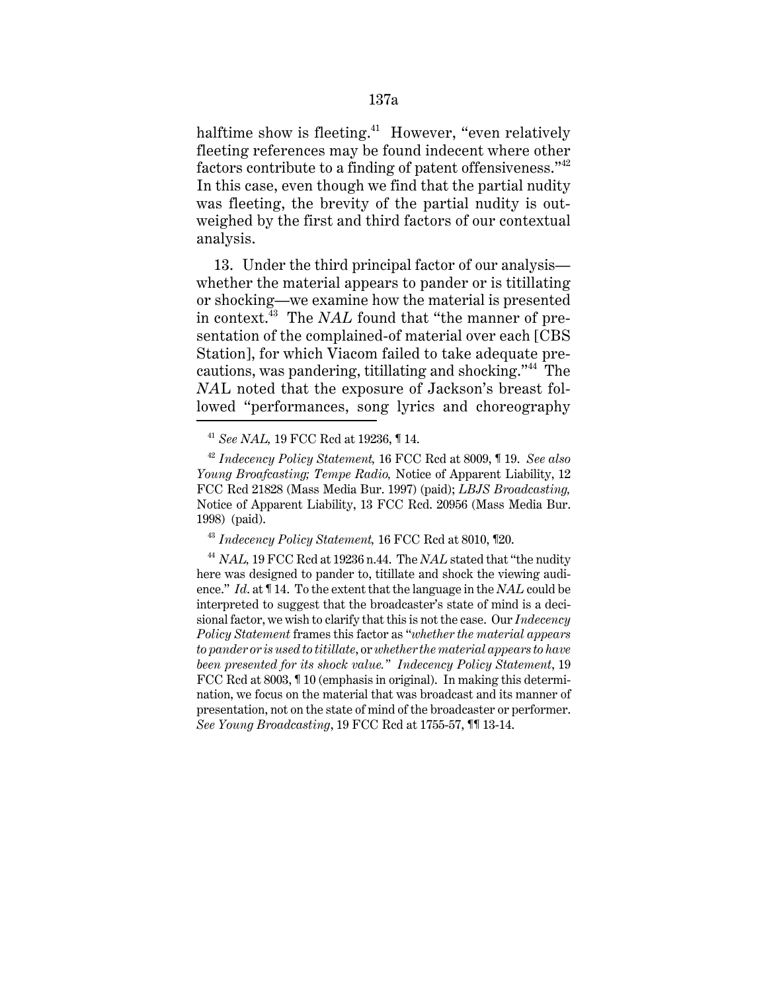halftime show is fleeting. $41$  However, "even relatively fleeting references may be found indecent where other factors contribute to a finding of patent offensiveness."<sup>42</sup> In this case, even though we find that the partial nudity was fleeting, the brevity of the partial nudity is outweighed by the first and third factors of our contextual analysis.

13. Under the third principal factor of our analysis whether the material appears to pander or is titillating or shocking—we examine how the material is presented in context.<sup>43</sup> The *NAL* found that "the manner of presentation of the complained-of material over each [CBS Station], for which Viacom failed to take adequate precautions, was pandering, titillating and shocking."44 The *NA*L noted that the exposure of Jackson's breast followed "performances, song lyrics and choreography

<sup>41</sup> *See NAL,* 19 FCC Rcd at 19236, ¶ 14.

<sup>42</sup> *Indecency Policy Statement,* 16 FCC Rcd at 8009, ¶ 19. *See also Young Broafcasting; Tempe Radio,* Notice of Apparent Liability, 12 FCC Rcd 21828 (Mass Media Bur. 1997) (paid); *LBJS Broadcasting,* Notice of Apparent Liability, 13 FCC Rcd. 20956 (Mass Media Bur. 1998) (paid).

<sup>43</sup> *Indecency Policy Statement,* 16 FCC Rcd at 8010, ¶20.

<sup>44</sup> *NAL,* 19 FCC Rcd at 19236 n.44. The *NAL* stated that "the nudity here was designed to pander to, titillate and shock the viewing audience." *Id*. at ¶ 14. To the extent that the language in the *NAL* could be interpreted to suggest that the broadcaster's state of mind is a decisional factor, we wish to clarify that this is not the case. Our *Indecency Policy Statement* frames this factor as "*whether the material appears to pander or is used to titillate*, or *whether the material appears to have been presented for its shock value." Indecency Policy Statement*, 19 FCC Rcd at 8003, ¶ 10 (emphasis in original). In making this determination, we focus on the material that was broadcast and its manner of presentation, not on the state of mind of the broadcaster or performer. *See Young Broadcasting*, 19 FCC Rcd at 1755-57, ¶¶ 13-14.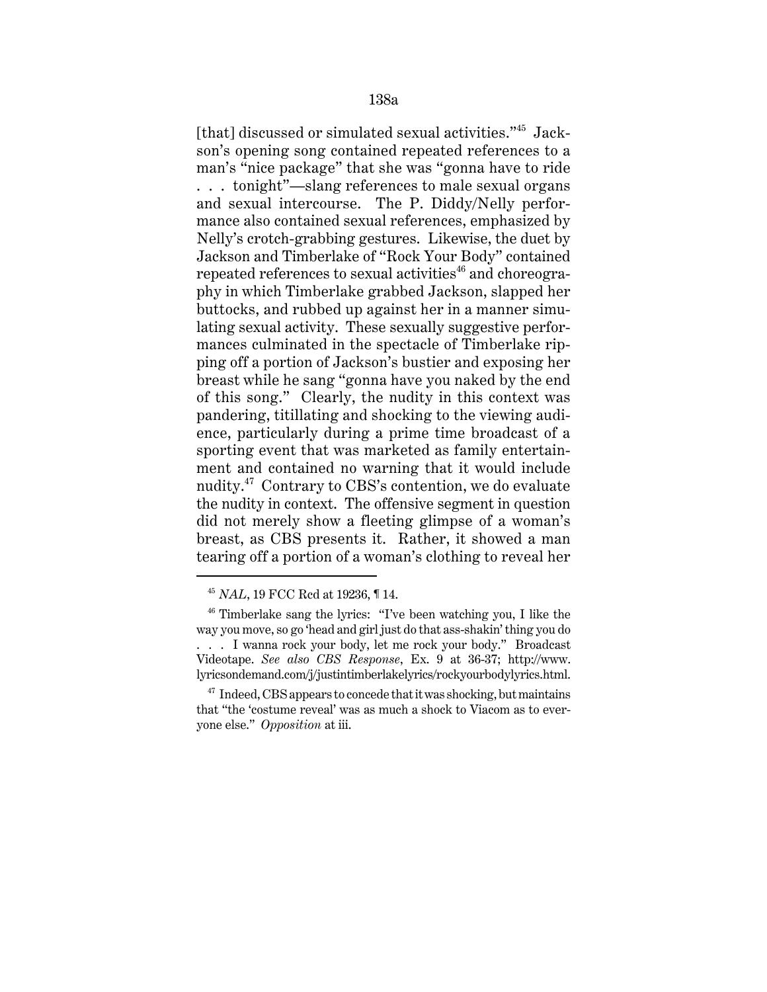[that] discussed or simulated sexual activities."<sup>45</sup> Jackson's opening song contained repeated references to a man's "nice package" that she was "gonna have to ride . . . tonight"—slang references to male sexual organs and sexual intercourse. The P. Diddy/Nelly performance also contained sexual references, emphasized by Nelly's crotch-grabbing gestures. Likewise, the duet by Jackson and Timberlake of "Rock Your Body" contained repeated references to sexual activities<sup>46</sup> and choreography in which Timberlake grabbed Jackson, slapped her buttocks, and rubbed up against her in a manner simulating sexual activity. These sexually suggestive perfor-

mances culminated in the spectacle of Timberlake ripping off a portion of Jackson's bustier and exposing her breast while he sang "gonna have you naked by the end of this song." Clearly, the nudity in this context was pandering, titillating and shocking to the viewing audience, particularly during a prime time broadcast of a sporting event that was marketed as family entertainment and contained no warning that it would include nudity.47 Contrary to CBS's contention, we do evaluate the nudity in context. The offensive segment in question did not merely show a fleeting glimpse of a woman's breast, as CBS presents it. Rather, it showed a man tearing off a portion of a woman's clothing to reveal her

<sup>45</sup> *NAL*, 19 FCC Rcd at 19236, ¶ 14.

<sup>46</sup> Timberlake sang the lyrics: "I've been watching you, I like the way you move, so go 'head and girl just do that ass-shakin' thing you do . . . I wanna rock your body, let me rock your body." Broadcast Videotape. *See also CBS Response*, Ex. 9 at 36-37; http://www. lyricsondemand.com/j/justintimberlakelyrics/rockyourbodylyrics.html.

 $47$  Indeed, CBS appears to concede that it was shocking, but maintains that "the 'costume reveal' was as much a shock to Viacom as to everyone else." *Opposition* at iii.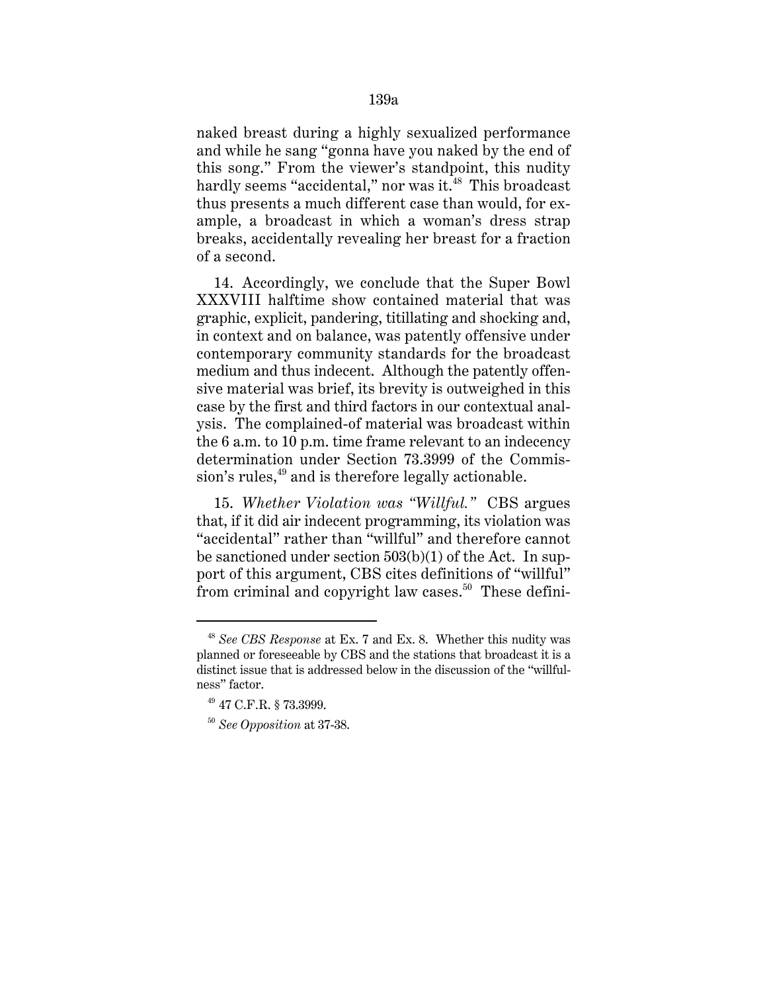naked breast during a highly sexualized performance and while he sang "gonna have you naked by the end of this song." From the viewer's standpoint, this nudity hardly seems "accidental," nor was it.<sup>48</sup> This broadcast thus presents a much different case than would, for example, a broadcast in which a woman's dress strap breaks, accidentally revealing her breast for a fraction of a second.

14. Accordingly, we conclude that the Super Bowl XXXVIII halftime show contained material that was graphic, explicit, pandering, titillating and shocking and, in context and on balance, was patently offensive under contemporary community standards for the broadcast medium and thus indecent. Although the patently offensive material was brief, its brevity is outweighed in this case by the first and third factors in our contextual analysis. The complained-of material was broadcast within the 6 a.m. to 10 p.m. time frame relevant to an indecency determination under Section 73.3999 of the Commission's rules, $49$  and is therefore legally actionable.

15. *Whether Violation was "Willful."* CBS argues that, if it did air indecent programming, its violation was "accidental" rather than "willful" and therefore cannot be sanctioned under section 503(b)(1) of the Act. In support of this argument, CBS cites definitions of "willful" from criminal and copyright law cases. $50$  These defini-

<sup>48</sup> *See CBS Response* at Ex. 7 and Ex. 8. Whether this nudity was planned or foreseeable by CBS and the stations that broadcast it is a distinct issue that is addressed below in the discussion of the "willfulness" factor.

<sup>49</sup> 47 C.F.R. § 73.3999.

<sup>50</sup> *See Opposition* at 37-38.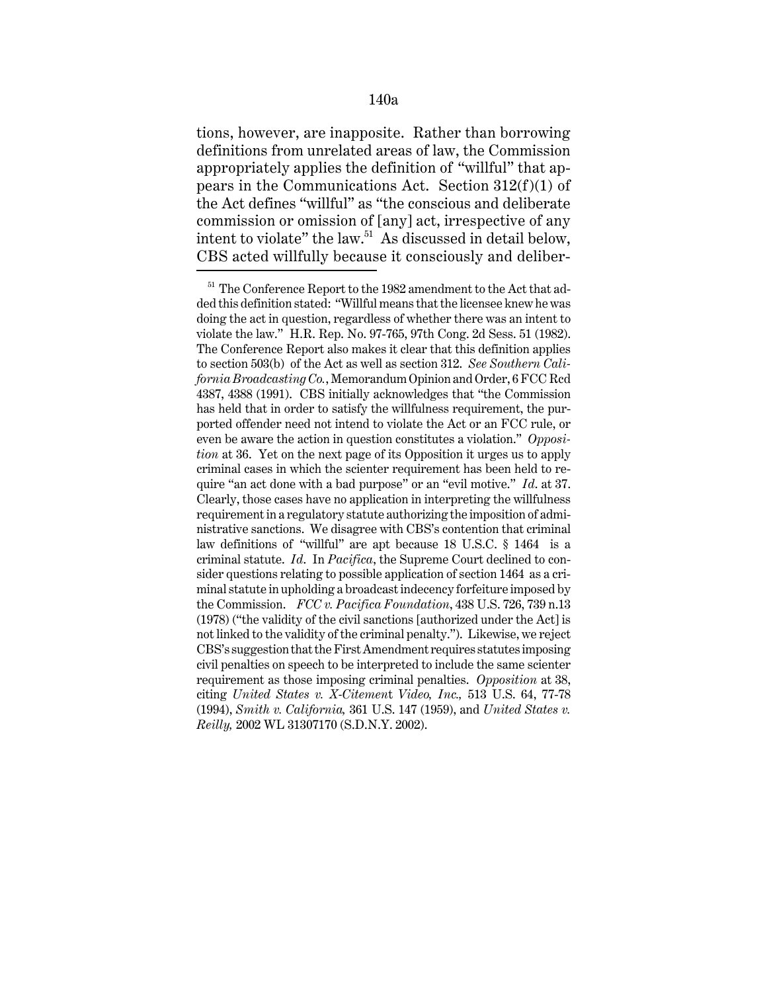tions, however, are inapposite. Rather than borrowing definitions from unrelated areas of law, the Commission appropriately applies the definition of "willful" that appears in the Communications Act. Section 312(f)(1) of the Act defines "willful" as "the conscious and deliberate commission or omission of [any] act, irrespective of any intent to violate" the law.<sup>51</sup> As discussed in detail below, CBS acted willfully because it consciously and deliber-

<sup>&</sup>lt;sup>51</sup> The Conference Report to the 1982 amendment to the Act that added this definition stated: "Willful means that the licensee knew he was doing the act in question, regardless of whether there was an intent to violate the law." H.R. Rep. No. 97-765, 97th Cong. 2d Sess. 51 (1982). The Conference Report also makes it clear that this definition applies to section 503(b) of the Act as well as section 312. *See Southern California Broadcasting Co.*, Memorandum Opinion and Order, 6 FCC Rcd 4387, 4388 (1991). CBS initially acknowledges that "the Commission has held that in order to satisfy the willfulness requirement, the purported offender need not intend to violate the Act or an FCC rule, or even be aware the action in question constitutes a violation." *Opposition* at 36. Yet on the next page of its Opposition it urges us to apply criminal cases in which the scienter requirement has been held to require "an act done with a bad purpose" or an "evil motive." *Id*. at 37. Clearly, those cases have no application in interpreting the willfulness requirement in a regulatory statute authorizing the imposition of administrative sanctions. We disagree with CBS's contention that criminal law definitions of "willful" are apt because 18 U.S.C. § 1464 is a criminal statute. *Id*. In *Pacifica*, the Supreme Court declined to consider questions relating to possible application of section 1464 as a criminal statute in upholding a broadcast indecency forfeiture imposed by the Commission. *FCC v. Pacifica Foundation*, 438 U.S. 726, 739 n.13 (1978) ("the validity of the civil sanctions [authorized under the Act] is not linked to the validity of the criminal penalty."). Likewise, we reject CBS's suggestion that the First Amendment requires statutes imposing civil penalties on speech to be interpreted to include the same scienter requirement as those imposing criminal penalties. *Opposition* at 38, citing *United States v. X-Citemen*t *Video, Inc.,* 513 U.S. 64, 77-78 (1994), *Smith v. California,* 361 U.S. 147 (1959), and *United States v. Reilly,* 2002 WL 31307170 (S.D.N.Y. 2002).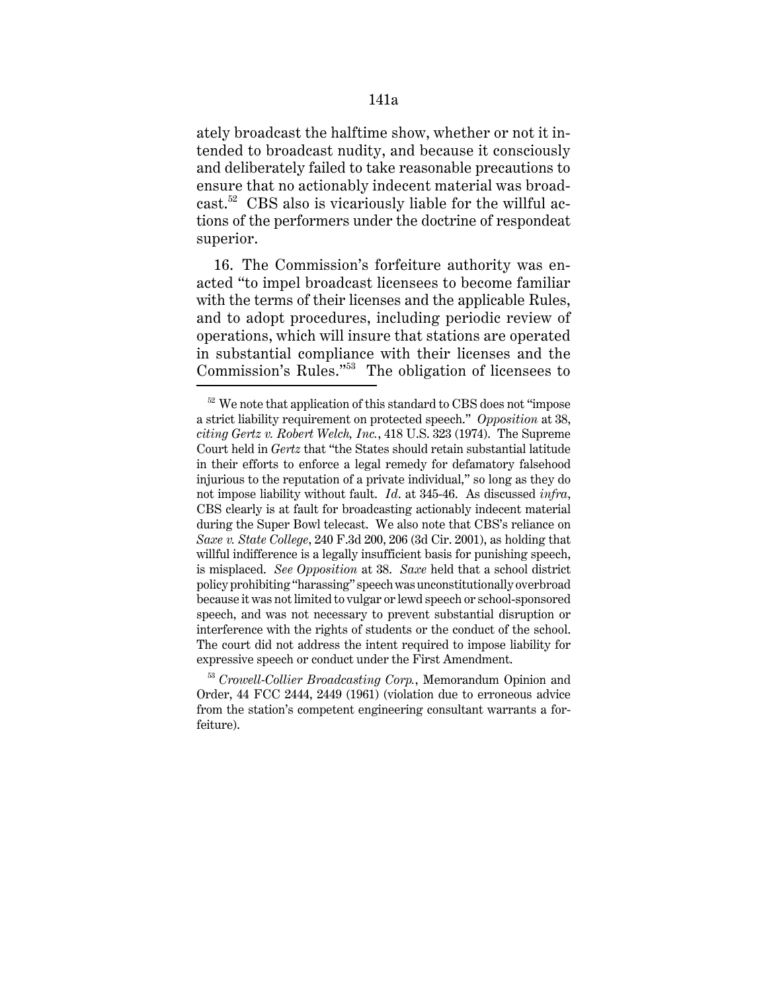ately broadcast the halftime show, whether or not it intended to broadcast nudity, and because it consciously and deliberately failed to take reasonable precautions to ensure that no actionably indecent material was broad $cast.<sup>52</sup> CBS also is vicariously liable for the willful ac$ tions of the performers under the doctrine of respondeat superior.

16. The Commission's forfeiture authority was enacted "to impel broadcast licensees to become familiar with the terms of their licenses and the applicable Rules, and to adopt procedures, including periodic review of operations, which will insure that stations are operated in substantial compliance with their licenses and the Commission's Rules."53 The obligation of licensees to

<sup>&</sup>lt;sup>52</sup> We note that application of this standard to CBS does not "impose a strict liability requirement on protected speech." *Opposition* at 38, *citing Gertz v. Robert Welch, Inc.*, 418 U.S. 323 (1974). The Supreme Court held in *Gertz* that "the States should retain substantial latitude in their efforts to enforce a legal remedy for defamatory falsehood injurious to the reputation of a private individual," so long as they do not impose liability without fault. *Id*. at 345-46. As discussed *infra*, CBS clearly is at fault for broadcasting actionably indecent material during the Super Bowl telecast. We also note that CBS's reliance on *Saxe v. State College*, 240 F.3d 200, 206 (3d Cir. 2001), as holding that willful indifference is a legally insufficient basis for punishing speech, is misplaced. *See Opposition* at 38. *Saxe* held that a school district policy prohibiting "harassing" speech was unconstitutionally overbroad because it was not limited to vulgar or lewd speech or school-sponsored speech, and was not necessary to prevent substantial disruption or interference with the rights of students or the conduct of the school. The court did not address the intent required to impose liability for expressive speech or conduct under the First Amendment.

<sup>53</sup> *Crowell-Collier Broadcasting Corp.*, Memorandum Opinion and Order, 44 FCC 2444, 2449 (1961) (violation due to erroneous advice from the station's competent engineering consultant warrants a forfeiture).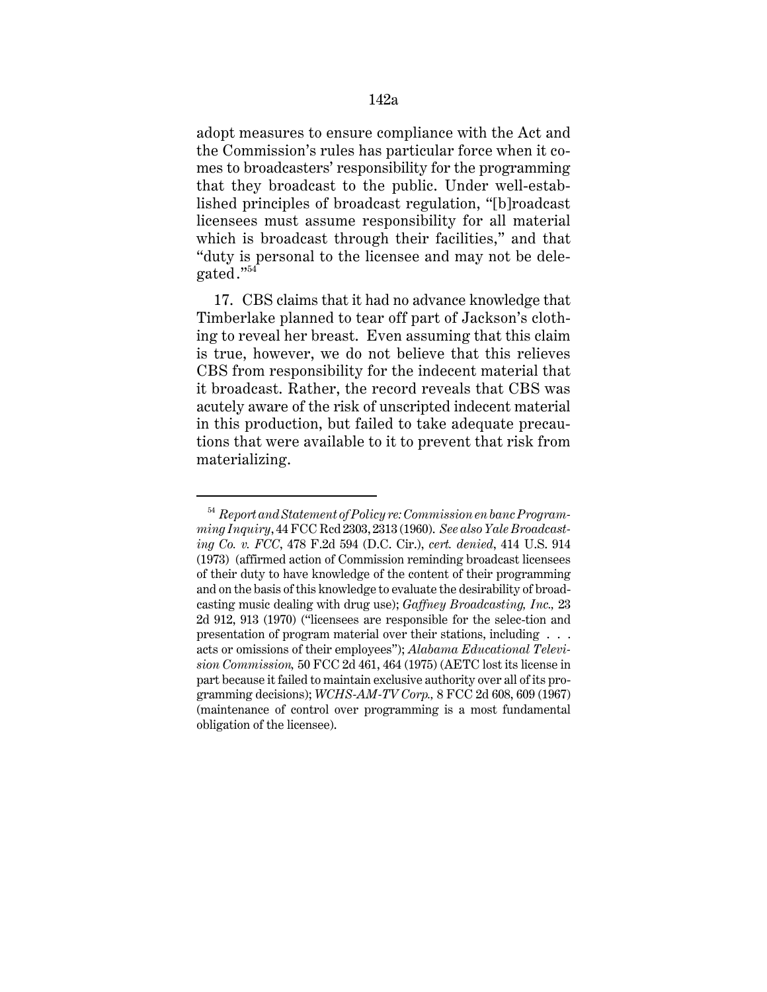adopt measures to ensure compliance with the Act and the Commission's rules has particular force when it comes to broadcasters' responsibility for the programming that they broadcast to the public. Under well-established principles of broadcast regulation, "[b]roadcast licensees must assume responsibility for all material which is broadcast through their facilities," and that "duty is personal to the licensee and may not be delegated."<sup>54</sup>

17. CBS claims that it had no advance knowledge that Timberlake planned to tear off part of Jackson's clothing to reveal her breast. Even assuming that this claim is true, however, we do not believe that this relieves CBS from responsibility for the indecent material that it broadcast. Rather, the record reveals that CBS was acutely aware of the risk of unscripted indecent material in this production, but failed to take adequate precautions that were available to it to prevent that risk from materializing.

<sup>54</sup> *Report and Statement of Policy re: Commission en banc Programming Inquiry*, 44 FCC Rcd 2303, 2313 (1960). *See also Yale Broadcasting Co. v. FCC*, 478 F.2d 594 (D.C. Cir.), *cert. denied*, 414 U.S. 914 (1973) (affirmed action of Commission reminding broadcast licensees of their duty to have knowledge of the content of their programming and on the basis of this knowledge to evaluate the desirability of broadcasting music dealing with drug use); *Gaffney Broadcasting, Inc.,* 23 2d 912, 913 (1970) ("licensees are responsible for the selec-tion and presentation of program material over their stations, including . . . acts or omissions of their employees"); *Alabama Educational Television Commission,* 50 FCC 2d 461, 464 (1975) (AETC lost its license in part because it failed to maintain exclusive authority over all of its programming decisions); *WCHS-AM-TV Corp.,* 8 FCC 2d 608, 609 (1967) (maintenance of control over programming is a most fundamental obligation of the licensee).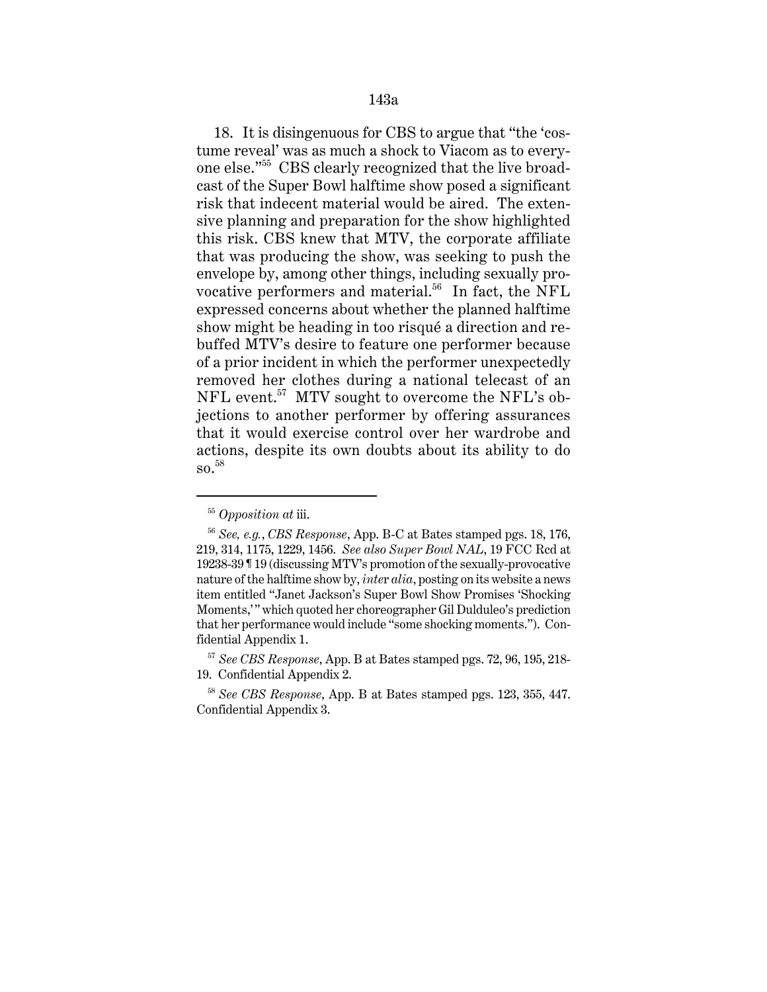18. It is disingenuous for CBS to argue that "the 'costume reveal' was as much a shock to Viacom as to everyone else."55 CBS clearly recognized that the live broadcast of the Super Bowl halftime show posed a significant risk that indecent material would be aired. The extensive planning and preparation for the show highlighted this risk. CBS knew that MTV, the corporate affiliate that was producing the show, was seeking to push the envelope by, among other things, including sexually provocative performers and material.<sup>56</sup> In fact, the NFL expressed concerns about whether the planned halftime show might be heading in too risqué a direction and rebuffed MTV's desire to feature one performer because of a prior incident in which the performer unexpectedly removed her clothes during a national telecast of an NFL event.<sup>57</sup> MTV sought to overcome the NFL's objections to another performer by offering assurances that it would exercise control over her wardrobe and actions, despite its own doubts about its ability to do so.<sup>58</sup>

<sup>55</sup> *Opposition at* iii.

<sup>56</sup> *See, e.g.*, *CBS Response*, App. B-C at Bates stamped pgs. 18, 176, 219, 314, 1175, 1229, 1456. *See also Super Bowl NAL*, 19 FCC Rcd at 19238-39 ¶ 19 (discussing MTV's promotion of the sexually-provocative nature of the halftime show by, *inte*r *alia*, posting on its website a news item entitled "Janet Jackson's Super Bowl Show Promises 'Shocking Moments,'" which quoted her choreographer Gil Dulduleo's prediction that her performance would include "some shocking moments."). Confidential Appendix 1.

<sup>57</sup> *See CBS Response*, App. B at Bates stamped pgs. 72, 96, 195, 218- 19. Confidential Appendix 2.

<sup>58</sup> *See CBS Response*, App. B at Bates stamped pgs. 123, 355, 447. Confidential Appendix 3.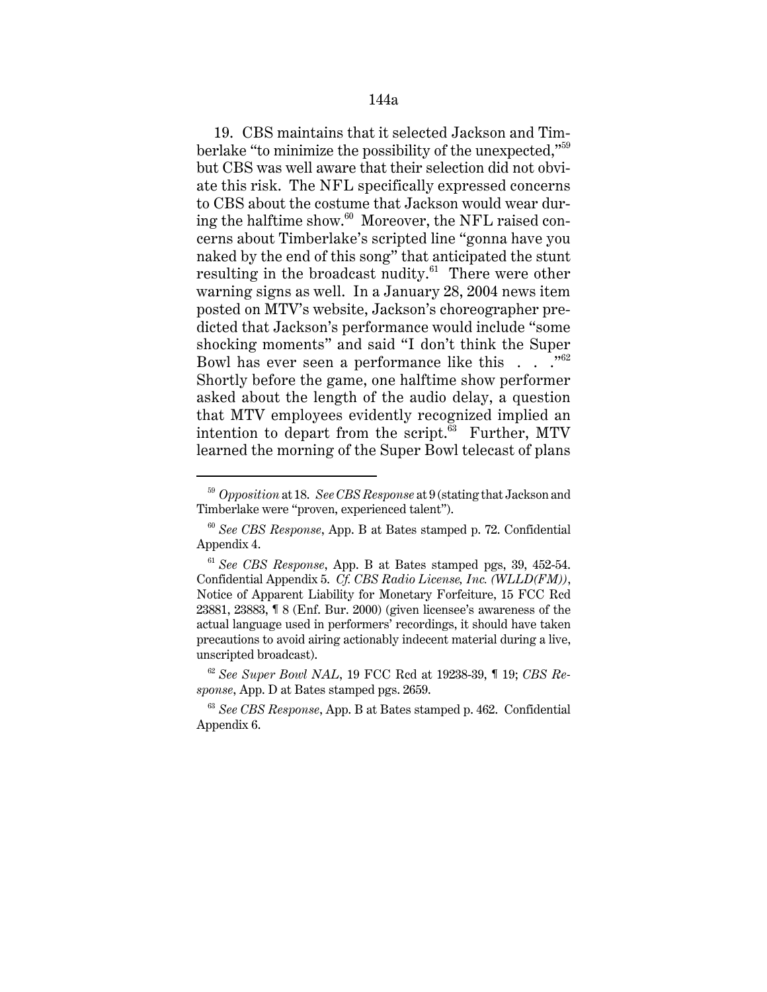19. CBS maintains that it selected Jackson and Timberlake "to minimize the possibility of the unexpected,"<sup>59</sup> but CBS was well aware that their selection did not obviate this risk. The NFL specifically expressed concerns to CBS about the costume that Jackson would wear during the halftime show. $60$  Moreover, the NFL raised concerns about Timberlake's scripted line "gonna have you naked by the end of this song" that anticipated the stunt resulting in the broadcast nudity.<sup>61</sup> There were other warning signs as well. In a January 28, 2004 news item posted on MTV's website, Jackson's choreographer predicted that Jackson's performance would include "some shocking moments" and said "I don't think the Super Bowl has ever seen a performance like this  $\ldots$  ."<sup>62</sup> Shortly before the game, one halftime show performer asked about the length of the audio delay, a question that MTV employees evidently recognized implied an intention to depart from the script. $63$  Further, MTV learned the morning of the Super Bowl telecast of plans

<sup>59</sup> *Opposition* at 18. *See CBS Response* at 9 (stating that Jackson and Timberlake were "proven, experienced talent").

<sup>60</sup> *See CBS Response*, App. B at Bates stamped p. 72. Confidential Appendix 4.

<sup>61</sup> *See CBS Response*, App. B at Bates stamped pgs, 39, 452-54. Confidential Appendix 5. *Cf. CBS Radio License, Inc. (WLLD(FM))*, Notice of Apparent Liability for Monetary Forfeiture, 15 FCC Rcd 23881, 23883, ¶ 8 (Enf. Bur. 2000) (given licensee's awareness of the actual language used in performers' recordings, it should have taken precautions to avoid airing actionably indecent material during a live, unscripted broadcast).

<sup>62</sup> *See Super Bowl NAL*, 19 FCC Rcd at 19238-39, ¶ 19; *CBS Response*, App. D at Bates stamped pgs. 2659.

<sup>63</sup> *See CBS Response*, App. B at Bates stamped p. 462. Confidential Appendix 6.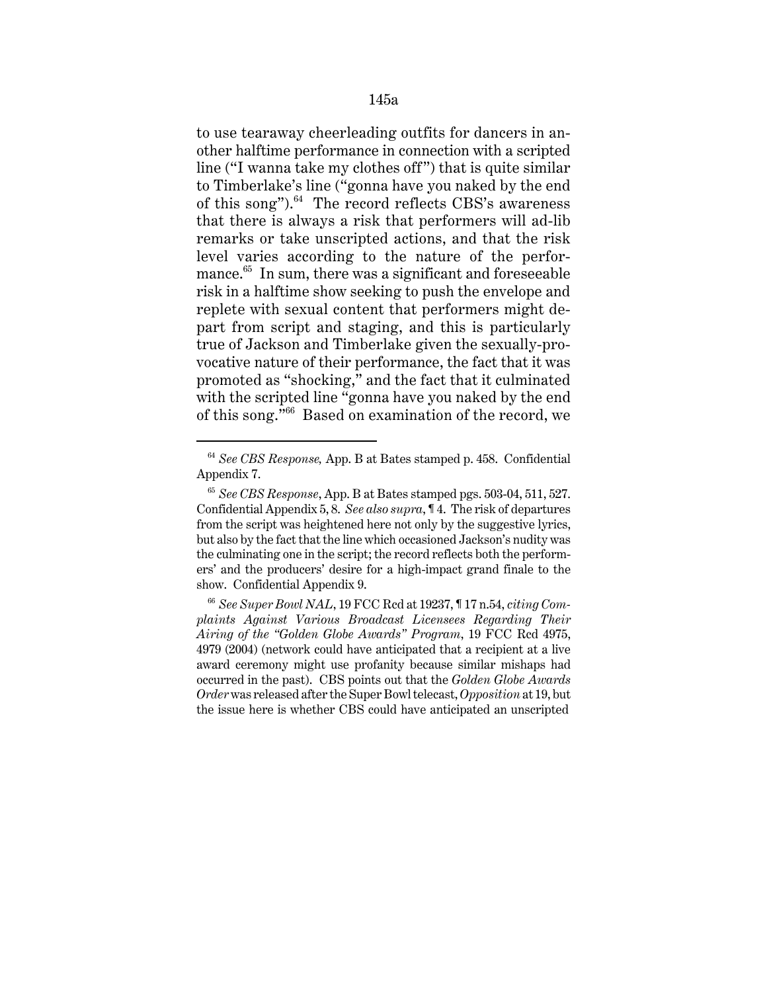to use tearaway cheerleading outfits for dancers in another halftime performance in connection with a scripted line ("I wanna take my clothes off") that is quite similar to Timberlake's line ("gonna have you naked by the end of this song"). $^{64}$  The record reflects CBS's awareness that there is always a risk that performers will ad-lib remarks or take unscripted actions, and that the risk level varies according to the nature of the performance.<sup>65</sup> In sum, there was a significant and foreseeable risk in a halftime show seeking to push the envelope and replete with sexual content that performers might depart from script and staging, and this is particularly true of Jackson and Timberlake given the sexually-provocative nature of their performance, the fact that it was promoted as "shocking," and the fact that it culminated with the scripted line "gonna have you naked by the end of this song."66 Based on examination of the record, we

<sup>64</sup> *See CBS Response,* App. B at Bates stamped p. 458. Confidential Appendix 7.

<sup>65</sup> *See CBS Response*, App. B at Bates stamped pgs. 503-04, 511, 527. Confidential Appendix 5, 8. *See also supra*, ¶ 4. The risk of departures from the script was heightened here not only by the suggestive lyrics, but also by the fact that the line which occasioned Jackson's nudity was the culminating one in the script; the record reflects both the performers' and the producers' desire for a high-impact grand finale to the show. Confidential Appendix 9.

<sup>66</sup> *See Super Bowl NAL*, 19 FCC Rcd at 19237, ¶ 17 n.54, *citing Complaints Against Various Broadcast Licensees Regarding Their Airing of the "Golden Globe Awards" Program*, 19 FCC Rcd 4975, 4979 (2004) (network could have anticipated that a recipient at a live award ceremony might use profanity because similar mishaps had occurred in the past). CBS points out that the *Golden Globe Awards Order* was released after the Super Bowl telecast, *Opposition* at 19, but the issue here is whether CBS could have anticipated an unscripted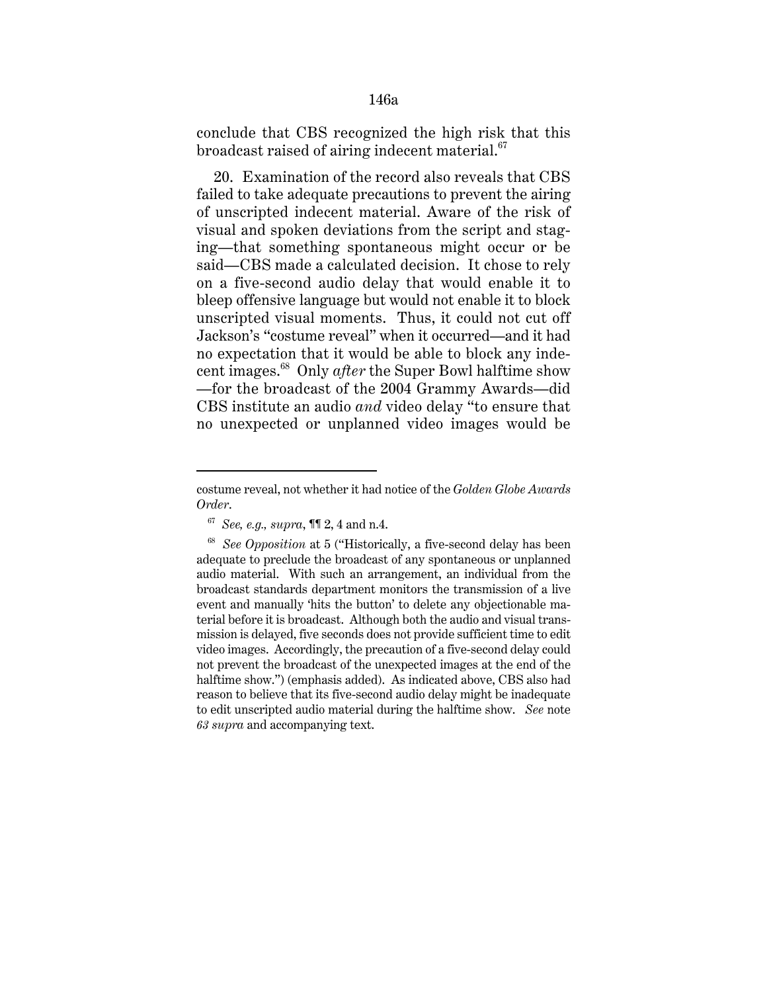# conclude that CBS recognized the high risk that this broadcast raised of airing indecent material. $67$

20. Examination of the record also reveals that CBS failed to take adequate precautions to prevent the airing of unscripted indecent material. Aware of the risk of visual and spoken deviations from the script and staging—that something spontaneous might occur or be said—CBS made a calculated decision. It chose to rely on a five-second audio delay that would enable it to bleep offensive language but would not enable it to block unscripted visual moments. Thus, it could not cut off Jackson's "costume reveal" when it occurred—and it had no expectation that it would be able to block any indecent images.68 Only *after* the Super Bowl halftime show —for the broadcast of the 2004 Grammy Awards—did CBS institute an audio *and* video delay "to ensure that no unexpected or unplanned video images would be

costume reveal, not whether it had notice of the *Golden Globe Awards Order*.

<sup>67</sup> *See, e.g., supra*, ¶¶ 2, 4 and n.4.

<sup>68</sup> *See Opposition* at 5 ("Historically, a five-second delay has been adequate to preclude the broadcast of any spontaneous or unplanned audio material. With such an arrangement, an individual from the broadcast standards department monitors the transmission of a live event and manually 'hits the button' to delete any objectionable material before it is broadcast. Although both the audio and visual transmission is delayed, five seconds does not provide sufficient time to edit video images. Accordingly, the precaution of a five-second delay could not prevent the broadcast of the unexpected images at the end of the halftime show.") (emphasis added). As indicated above, CBS also had reason to believe that its five-second audio delay might be inadequate to edit unscripted audio material during the halftime show. *See* note *63 supra* and accompanying text.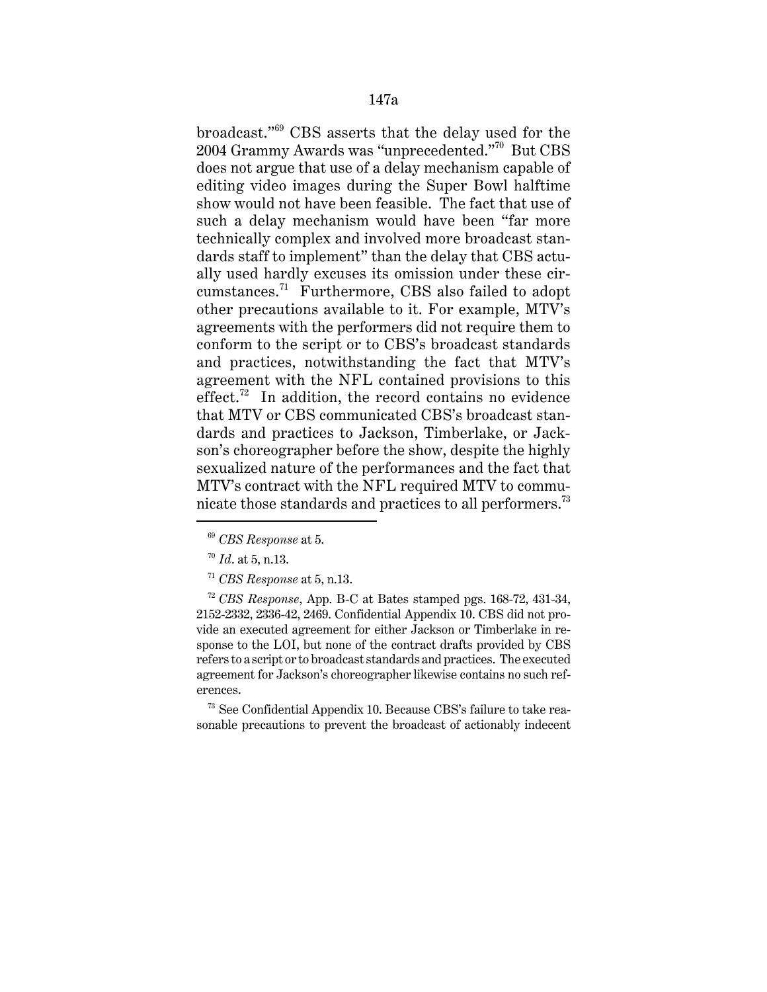broadcast."69 CBS asserts that the delay used for the 2004 Grammy Awards was "unprecedented."70 But CBS does not argue that use of a delay mechanism capable of editing video images during the Super Bowl halftime show would not have been feasible. The fact that use of such a delay mechanism would have been "far more technically complex and involved more broadcast standards staff to implement" than the delay that CBS actually used hardly excuses its omission under these circumstances.71 Furthermore, CBS also failed to adopt other precautions available to it. For example, MTV's agreements with the performers did not require them to conform to the script or to CBS's broadcast standards and practices, notwithstanding the fact that MTV's agreement with the NFL contained provisions to this effect. $72$  In addition, the record contains no evidence that MTV or CBS communicated CBS's broadcast standards and practices to Jackson, Timberlake, or Jackson's choreographer before the show, despite the highly sexualized nature of the performances and the fact that MTV's contract with the NFL required MTV to communicate those standards and practices to all performers.<sup>73</sup>

<sup>72</sup> *CBS Response*, App. B-C at Bates stamped pgs. 168-72, 431-34, 2152-2332, 2336-42, 2469. Confidential Appendix 10. CBS did not provide an executed agreement for either Jackson or Timberlake in response to the LOI, but none of the contract drafts provided by CBS refers to a script or to broadcast standards and practices. The executed agreement for Jackson's choreographer likewise contains no such references.

<sup>73</sup> See Confidential Appendix 10. Because CBS's failure to take reasonable precautions to prevent the broadcast of actionably indecent

<sup>69</sup> *CBS Response* at 5.

<sup>70</sup> *Id*. at 5, n.13.

<sup>71</sup> *CBS Response* at 5, n.13.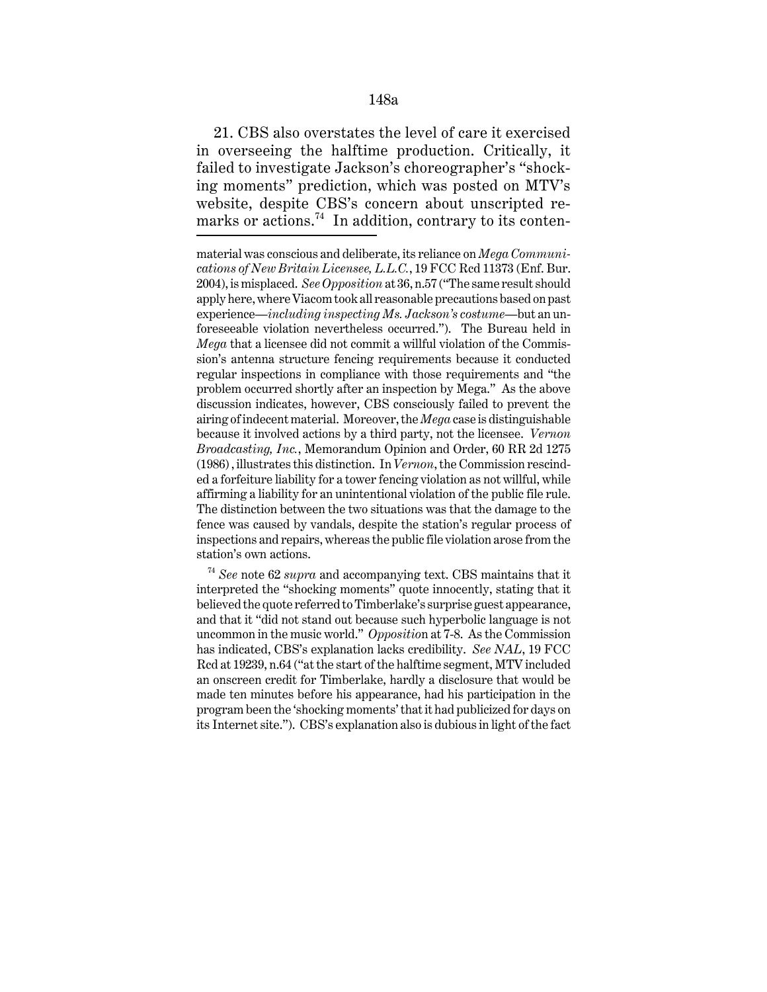### 148a

21. CBS also overstates the level of care it exercised in overseeing the halftime production. Critically, it failed to investigate Jackson's choreographer's "shocking moments" prediction, which was posted on MTV's website, despite CBS's concern about unscripted remarks or actions.<sup>74</sup> In addition, contrary to its conten-

material was conscious and deliberate, its reliance on *Mega Communications of New Britain Licensee, L.L.C.*, 19 FCC Rcd 11373 (Enf. Bur. 2004), is misplaced. *See Opposition* at 36, n.57 ("The same result should apply here, where Viacom took all reasonable precautions based on past experience—*including inspecting Ms. Jackson's costume*—but an unforeseeable violation nevertheless occurred."). The Bureau held in *Mega* that a licensee did not commit a willful violation of the Commission's antenna structure fencing requirements because it conducted regular inspections in compliance with those requirements and "the problem occurred shortly after an inspection by Mega." As the above discussion indicates, however, CBS consciously failed to prevent the airing of indecent material. Moreover, the *Mega* case is distinguishable because it involved actions by a third party, not the licensee. *Vernon Broadcasting, Inc.*, Memorandum Opinion and Order, 60 RR 2d 1275 (1986) , illustrates this distinction. In *Vernon*, the Commission rescinded a forfeiture liability for a tower fencing violation as not willful, while affirming a liability for an unintentional violation of the public file rule. The distinction between the two situations was that the damage to the fence was caused by vandals, despite the station's regular process of inspections and repairs, whereas the public file violation arose from the station's own actions.

<sup>74</sup> *See* note 62 *supra* and accompanying text. CBS maintains that it interpreted the "shocking moments" quote innocently, stating that it believed the quote referred to Timberlake's surprise guest appearance, and that it "did not stand out because such hyperbolic language is not uncommon in the music world." *Oppositio*n at 7-8. As the Commission has indicated, CBS's explanation lacks credibility. *See NAL*, 19 FCC Rcd at 19239, n.64 ("at the start of the halftime segment, MTV included an onscreen credit for Timberlake, hardly a disclosure that would be made ten minutes before his appearance, had his participation in the program been the 'shocking moments' that it had publicized for days on its Internet site."). CBS's explanation also is dubious in light of the fact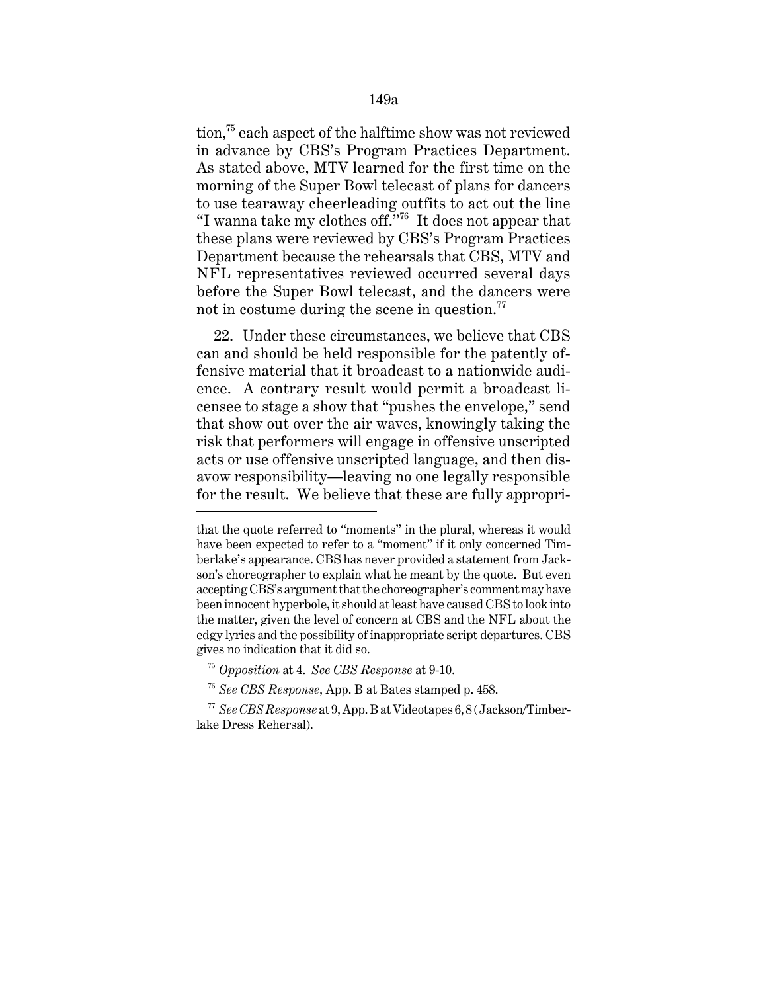tion,75 each aspect of the halftime show was not reviewed in advance by CBS's Program Practices Department. As stated above, MTV learned for the first time on the morning of the Super Bowl telecast of plans for dancers to use tearaway cheerleading outfits to act out the line "I wanna take my clothes off."76 It does not appear that these plans were reviewed by CBS's Program Practices Department because the rehearsals that CBS, MTV and NFL representatives reviewed occurred several days before the Super Bowl telecast, and the dancers were not in costume during the scene in question.<sup>77</sup>

22. Under these circumstances, we believe that CBS can and should be held responsible for the patently offensive material that it broadcast to a nationwide audience. A contrary result would permit a broadcast licensee to stage a show that "pushes the envelope," send that show out over the air waves, knowingly taking the risk that performers will engage in offensive unscripted acts or use offensive unscripted language, and then disavow responsibility—leaving no one legally responsible for the result. We believe that these are fully appropri-

that the quote referred to "moments" in the plural, whereas it would have been expected to refer to a "moment" if it only concerned Timberlake's appearance. CBS has never provided a statement from Jackson's choreographer to explain what he meant by the quote. But even accepting CBS's argument that the choreographer's comment may have been innocent hyperbole, it should at least have caused CBS to look into the matter, given the level of concern at CBS and the NFL about the edgy lyrics and the possibility of inappropriate script departures. CBS gives no indication that it did so.

<sup>75</sup> *Opposition* at 4. *See CBS Response* at 9-10.

<sup>76</sup> *See CBS Response*, App. B at Bates stamped p. 458.

<sup>77</sup> *See CBS Response* at 9, App. B at Videotapes 6, 8 (Jackson/Timberlake Dress Rehersal).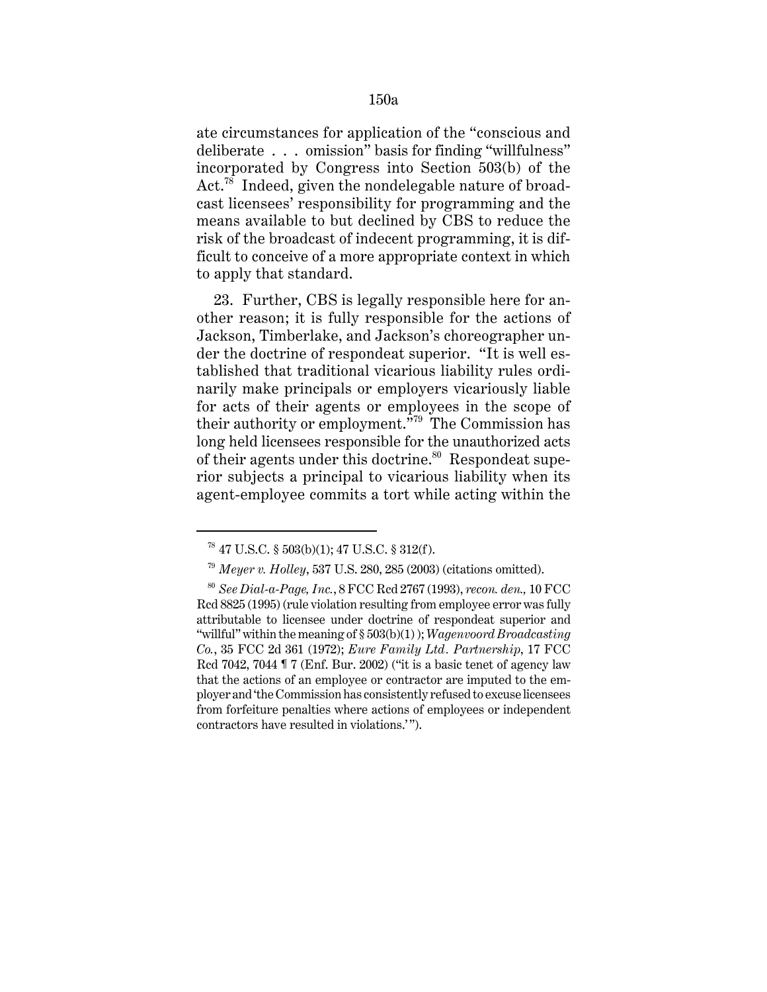ate circumstances for application of the "conscious and deliberate . . . omission" basis for finding "willfulness" incorporated by Congress into Section 503(b) of the Act.<sup>78</sup> Indeed, given the nondelegable nature of broadcast licensees' responsibility for programming and the means available to but declined by CBS to reduce the risk of the broadcast of indecent programming, it is difficult to conceive of a more appropriate context in which to apply that standard.

23. Further, CBS is legally responsible here for another reason; it is fully responsible for the actions of Jackson, Timberlake, and Jackson's choreographer under the doctrine of respondeat superior. "It is well established that traditional vicarious liability rules ordinarily make principals or employers vicariously liable for acts of their agents or employees in the scope of their authority or employment.<sup> $\overline{r}$ 79 The Commission has</sup> long held licensees responsible for the unauthorized acts of their agents under this doctrine.<sup>80</sup> Respondeat superior subjects a principal to vicarious liability when its agent-employee commits a tort while acting within the

 $78$  47 U.S.C. §  $503(b)(1)$ ; 47 U.S.C. §  $312(f)$ .

<sup>79</sup> *Meyer v. Holley*, 537 U.S. 280, 285 (2003) (citations omitted).

<sup>80</sup> *See Dial-a-Page, Inc.*, 8 FCC Rcd 2767 (1993), *recon. den.,* 10 FCC Rcd 8825 (1995) (rule violation resulting from employee error was fully attributable to licensee under doctrine of respondeat superior and "willful" within the meaning of § 503(b)(1) ); *Wagenvoord Broadcasting Co.*, 35 FCC 2d 361 (1972); *Eure Family Ltd. Partnership*, 17 FCC Rcd 7042, 7044 ¶ 7 (Enf. Bur. 2002) ("it is a basic tenet of agency law that the actions of an employee or contractor are imputed to the employer and 'the Commission has consistently refused to excuse licensees from forfeiture penalties where actions of employees or independent contractors have resulted in violations.'").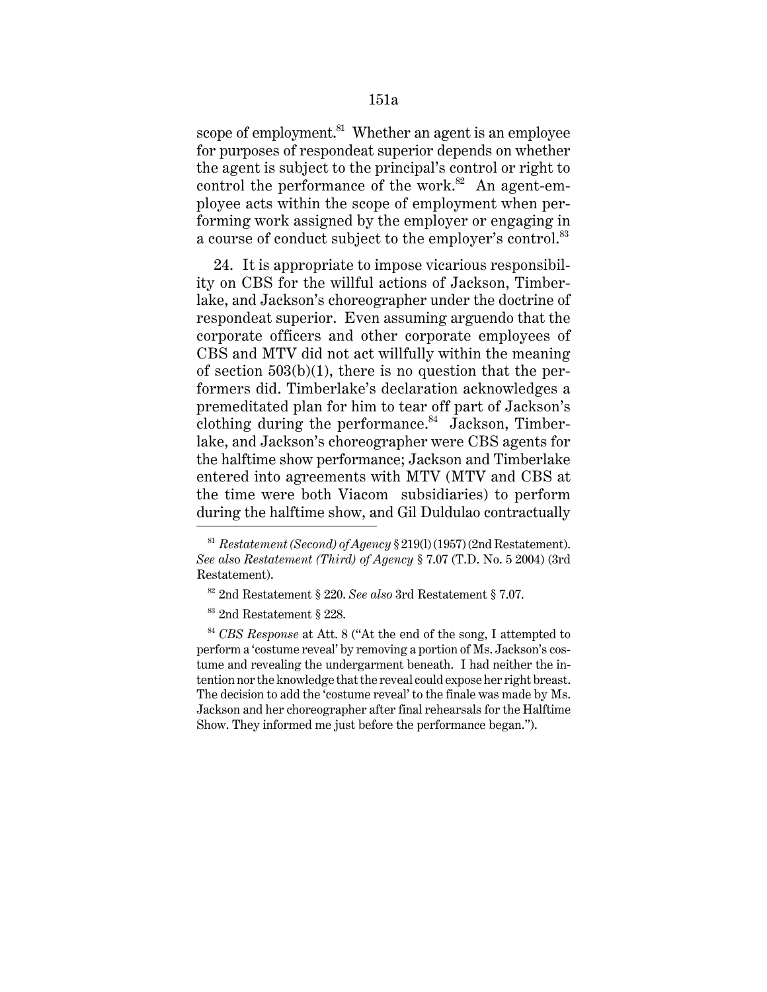scope of employment.<sup>81</sup> Whether an agent is an employee for purposes of respondeat superior depends on whether the agent is subject to the principal's control or right to control the performance of the work. $82$  An agent-employee acts within the scope of employment when performing work assigned by the employer or engaging in a course of conduct subject to the employer's control.<sup>83</sup>

24. It is appropriate to impose vicarious responsibility on CBS for the willful actions of Jackson, Timberlake, and Jackson's choreographer under the doctrine of respondeat superior. Even assuming arguendo that the corporate officers and other corporate employees of CBS and MTV did not act willfully within the meaning of section 503(b)(1), there is no question that the performers did. Timberlake's declaration acknowledges a premeditated plan for him to tear off part of Jackson's clothing during the performance. $^{84}$  Jackson, Timberlake, and Jackson's choreographer were CBS agents for the halftime show performance; Jackson and Timberlake entered into agreements with MTV (MTV and CBS at the time were both Viacom subsidiaries) to perform during the halftime show, and Gil Duldulao contractually

<sup>84</sup> *CBS Response* at Att. 8 ("At the end of the song, I attempted to perform a 'costume reveal' by removing a portion of Ms. Jackson's costume and revealing the undergarment beneath. I had neither the intention nor the knowledge that the reveal could expose her right breast. The decision to add the 'costume reveal' to the finale was made by Ms. Jackson and her choreographer after final rehearsals for the Halftime Show. They informed me just before the performance began.").

<sup>81</sup> *Restatement (Second) of Agency* § 219(l) (1957) (2nd Restatement). *See als*o *Restatement (Third) of Agency* § 7.07 (T.D. No. 5 2004) (3rd Restatement).

<sup>82</sup> 2nd Restatement § 220. *See also* 3rd Restatement § 7.07.

<sup>83</sup> 2nd Restatement § 228.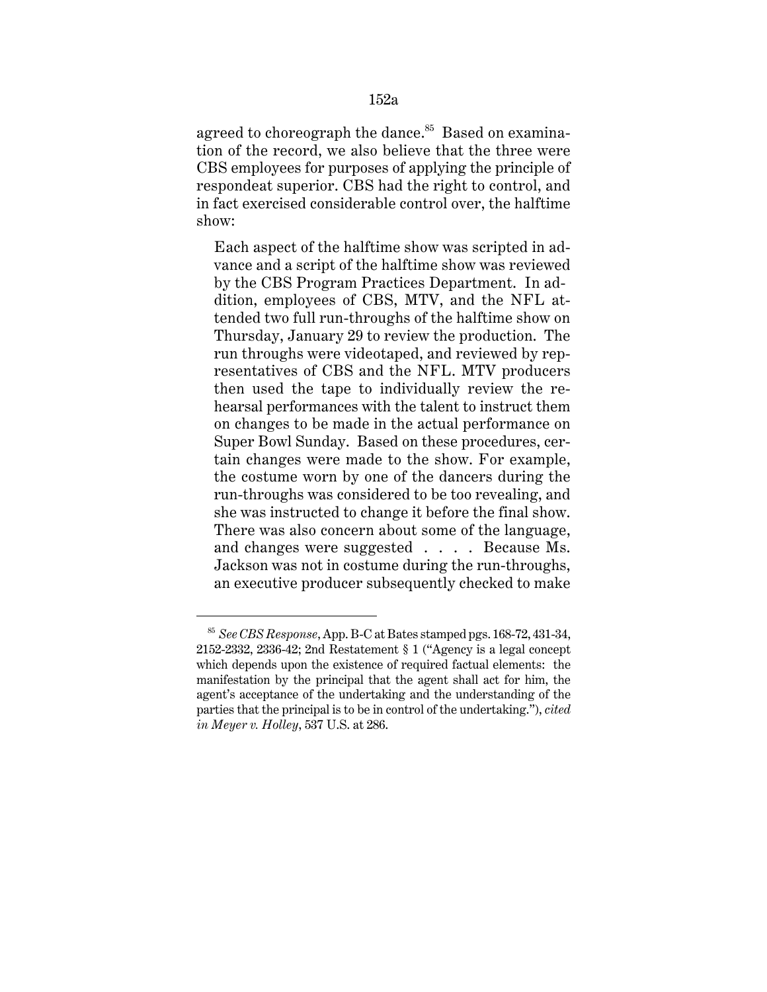agreed to choreograph the dance.<sup>85</sup> Based on examination of the record, we also believe that the three were CBS employees for purposes of applying the principle of respondeat superior. CBS had the right to control, and in fact exercised considerable control over, the halftime show:

Each aspect of the halftime show was scripted in advance and a script of the halftime show was reviewed by the CBS Program Practices Department. In addition, employees of CBS, MTV, and the NFL attended two full run-throughs of the halftime show on Thursday, January 29 to review the production. The run throughs were videotaped, and reviewed by representatives of CBS and the NFL. MTV producers then used the tape to individually review the rehearsal performances with the talent to instruct them on changes to be made in the actual performance on Super Bowl Sunday. Based on these procedures, certain changes were made to the show. For example, the costume worn by one of the dancers during the run-throughs was considered to be too revealing, and she was instructed to change it before the final show. There was also concern about some of the language, and changes were suggested . . . . Because Ms. Jackson was not in costume during the run-throughs, an executive producer subsequently checked to make

<sup>85</sup> *See CBS Response*, App. B-C at Bates stamped pgs. 168-72, 431-34, 2152-2332, 2336-42; 2nd Restatement § 1 ("Agency is a legal concept which depends upon the existence of required factual elements: the manifestation by the principal that the agent shall act for him, the agent's acceptance of the undertaking and the understanding of the parties that the principal is to be in control of the undertaking."), *cited in Meyer v. Holley*, 537 U.S. at 286.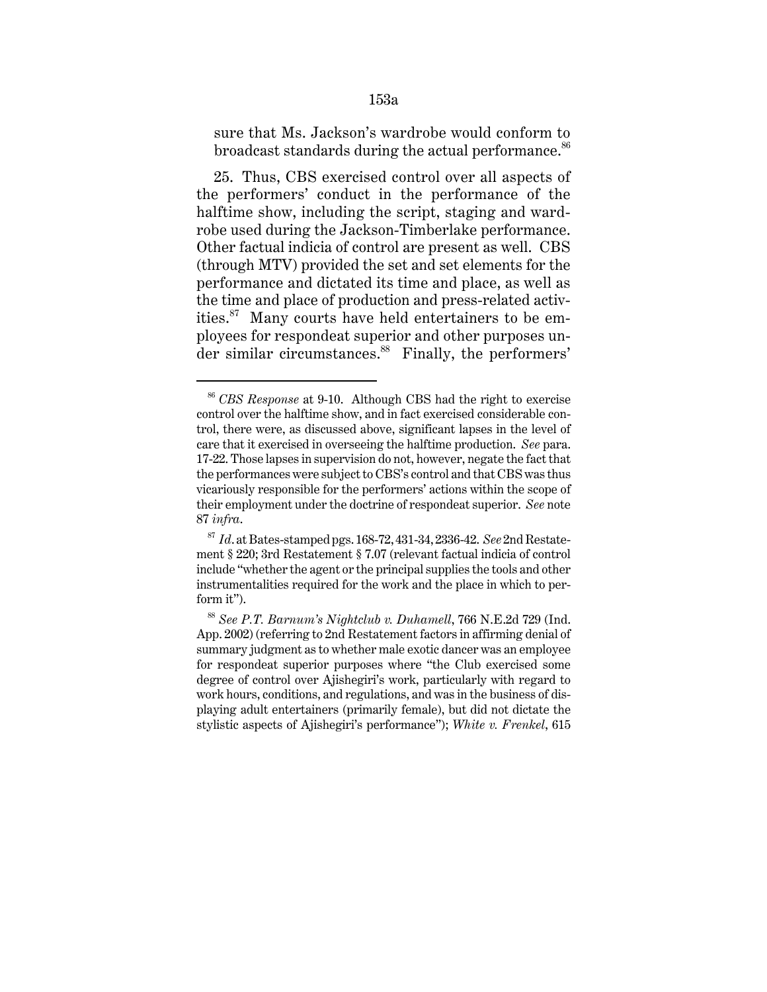sure that Ms. Jackson's wardrobe would conform to broadcast standards during the actual performance.  $86$ 

25. Thus, CBS exercised control over all aspects of the performers' conduct in the performance of the halftime show, including the script, staging and wardrobe used during the Jackson-Timberlake performance. Other factual indicia of control are present as well. CBS (through MTV) provided the set and set elements for the performance and dictated its time and place, as well as the time and place of production and press-related activities.87 Many courts have held entertainers to be employees for respondeat superior and other purposes under similar circumstances.<sup>88</sup> Finally, the performers'

<sup>86</sup> *CBS Response* at 9-10. Although CBS had the right to exercise control over the halftime show, and in fact exercised considerable control, there were, as discussed above, significant lapses in the level of care that it exercised in overseeing the halftime production. *See* para. 17-22. Those lapses in supervision do not, however, negate the fact that the performances were subject to CBS's control and that CBS was thus vicariously responsible for the performers' actions within the scope of their employment under the doctrine of respondeat superior. *See* note 87 *infra*.

<sup>87</sup> *Id*. at Bates-stamped pgs. 168-72, 431-34, 2336-42. *See* 2nd Restatement § 220; 3rd Restatement § 7.07 (relevant factual indicia of control include "whether the agent or the principal supplies the tools and other instrumentalities required for the work and the place in which to perform it").

<sup>88</sup> *See P.T. Barnum's Nightclub v. Duhamell*, 766 N.E.2d 729 (Ind. App. 2002) (referring to 2nd Restatement factors in affirming denial of summary judgment as to whether male exotic dancer was an employee for respondeat superior purposes where "the Club exercised some degree of control over Ajishegiri's work, particularly with regard to work hours, conditions, and regulations, and was in the business of displaying adult entertainers (primarily female), but did not dictate the stylistic aspects of Ajishegiri's performance"); *White v. Frenkel*, 615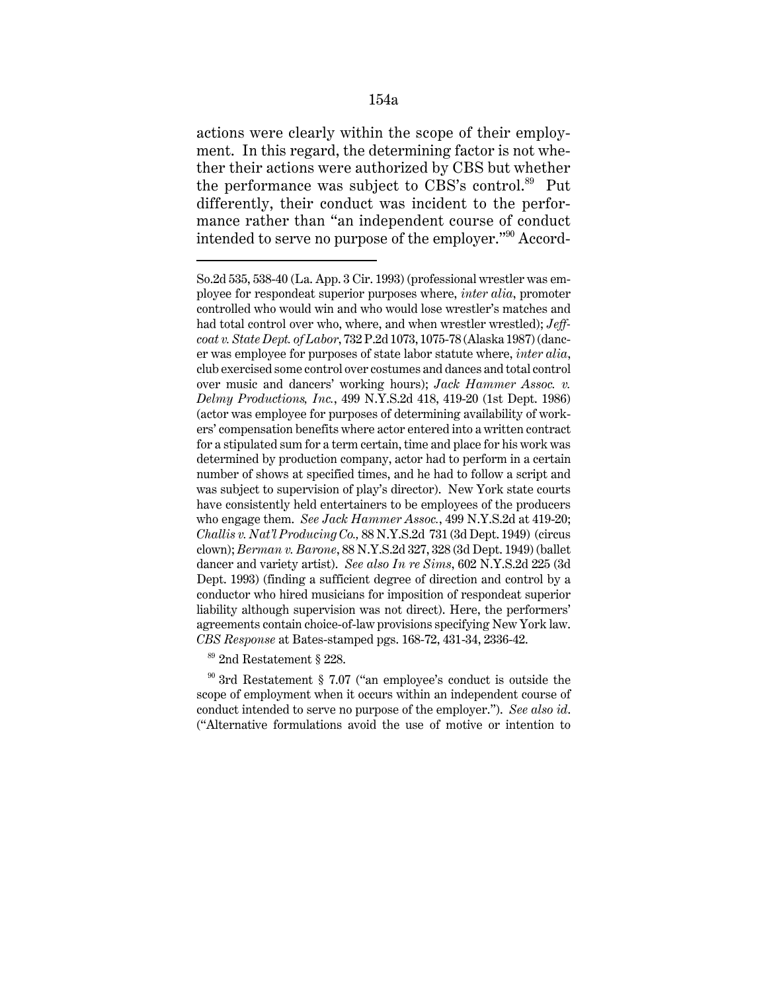actions were clearly within the scope of their employment. In this regard, the determining factor is not whether their actions were authorized by CBS but whether the performance was subject to CBS's control.<sup>89</sup> Put differently, their conduct was incident to the performance rather than "an independent course of conduct intended to serve no purpose of the employer."90 Accord-

<sup>89</sup> 2nd Restatement § 228.

 $90$  3rd Restatement § 7.07 ("an employee's conduct is outside the scope of employment when it occurs within an independent course of conduct intended to serve no purpose of the employer."). *See also id*. ("Alternative formulations avoid the use of motive or intention to

So.2d 535, 538-40 (La. App. 3 Cir. 1993) (professional wrestler was employee for respondeat superior purposes where, *inter alia*, promoter controlled who would win and who would lose wrestler's matches and had total control over who, where, and when wrestler wrestled); *Jeffcoat v. State Dept. of Labor*, 732 P.2d 1073, 1075-78 (Alaska 1987) (dancer was employee for purposes of state labor statute where, *inter alia*, club exercised some control over costumes and dances and total control over music and dancers' working hours); *Jack Hammer Assoc. v. Delmy Productions, Inc.*, 499 N.Y.S.2d 418, 419-20 (1st Dept. 1986) (actor was employee for purposes of determining availability of workers' compensation benefits where actor entered into a written contract for a stipulated sum for a term certain, time and place for his work was determined by production company, actor had to perform in a certain number of shows at specified times, and he had to follow a script and was subject to supervision of play's director). New York state courts have consistently held entertainers to be employees of the producers who engage them. *See Jack Hammer Assoc.*, 499 N.Y.S.2d at 419-20; *Challis v. Nat'l Producing Co.,* 88 N.Y.S.2d 731 (3d Dept. 1949) (circus clown); *Berman v. Barone*, 88 N.Y.S.2d 327, 328 (3d Dept. 1949) (ballet dancer and variety artist). *See also In re Sims*, 602 N.Y.S.2d 225 (3d Dept. 1993) (finding a sufficient degree of direction and control by a conductor who hired musicians for imposition of respondeat superior liability although supervision was not direct). Here, the performers' agreements contain choice-of-law provisions specifying New York law. *CBS Response* at Bates-stamped pgs. 168-72, 431-34, 2336-42.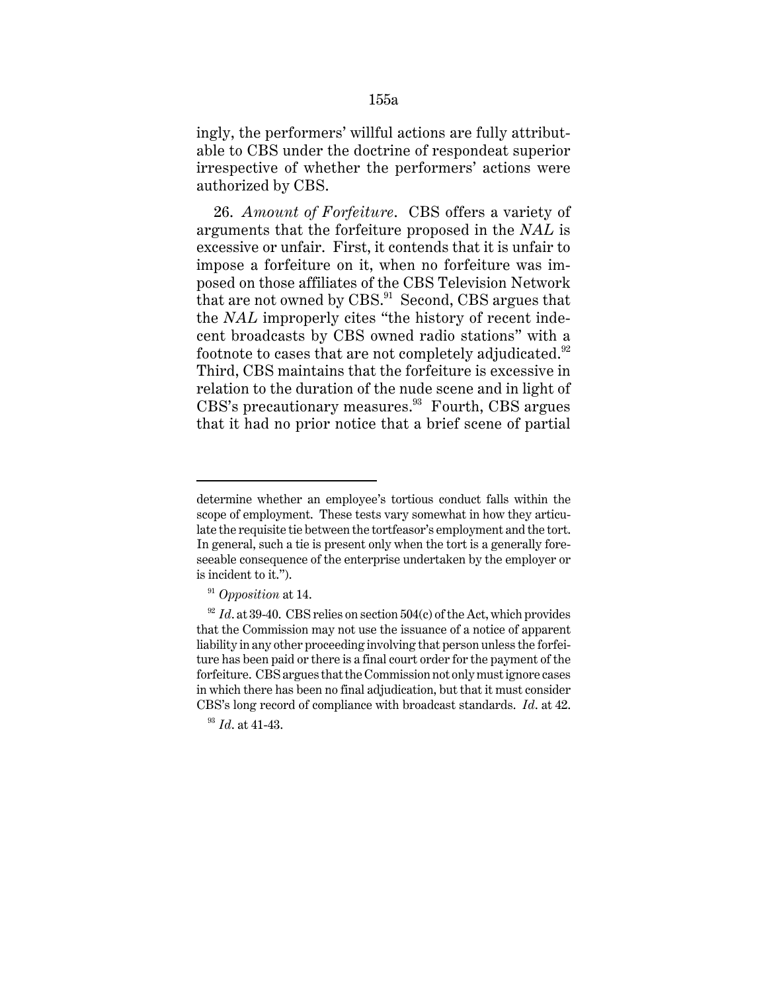ingly, the performers' willful actions are fully attributable to CBS under the doctrine of respondeat superior irrespective of whether the performers' actions were authorized by CBS.

26. *Amount of Forfeiture*. CBS offers a variety of arguments that the forfeiture proposed in the *NAL* is excessive or unfair. First, it contends that it is unfair to impose a forfeiture on it, when no forfeiture was imposed on those affiliates of the CBS Television Network that are not owned by  $CBS^{91}$  Second, CBS argues that the *NAL* improperly cites "the history of recent indecent broadcasts by CBS owned radio stations" with a footnote to cases that are not completely adjudicated.<sup>92</sup> Third, CBS maintains that the forfeiture is excessive in relation to the duration of the nude scene and in light of  $CBS's$  precautionary measures.<sup>93</sup> Fourth,  $CBS$  argues that it had no prior notice that a brief scene of partial

determine whether an employee's tortious conduct falls within the scope of employment. These tests vary somewhat in how they articulate the requisite tie between the tortfeasor's employment and the tort. In general, such a tie is present only when the tort is a generally foreseeable consequence of the enterprise undertaken by the employer or is incident to it.").

<sup>91</sup> *Opposition* at 14.

 $92$  *Id.* at 39-40. CBS relies on section  $504(c)$  of the Act, which provides that the Commission may not use the issuance of a notice of apparent liability in any other proceeding involving that person unless the forfeiture has been paid or there is a final court order for the payment of the forfeiture. CBS argues that the Commission not only must ignore cases in which there has been no final adjudication, but that it must consider CBS's long record of compliance with broadcast standards. *Id*. at 42.

<sup>93</sup> *Id*. at 41-43.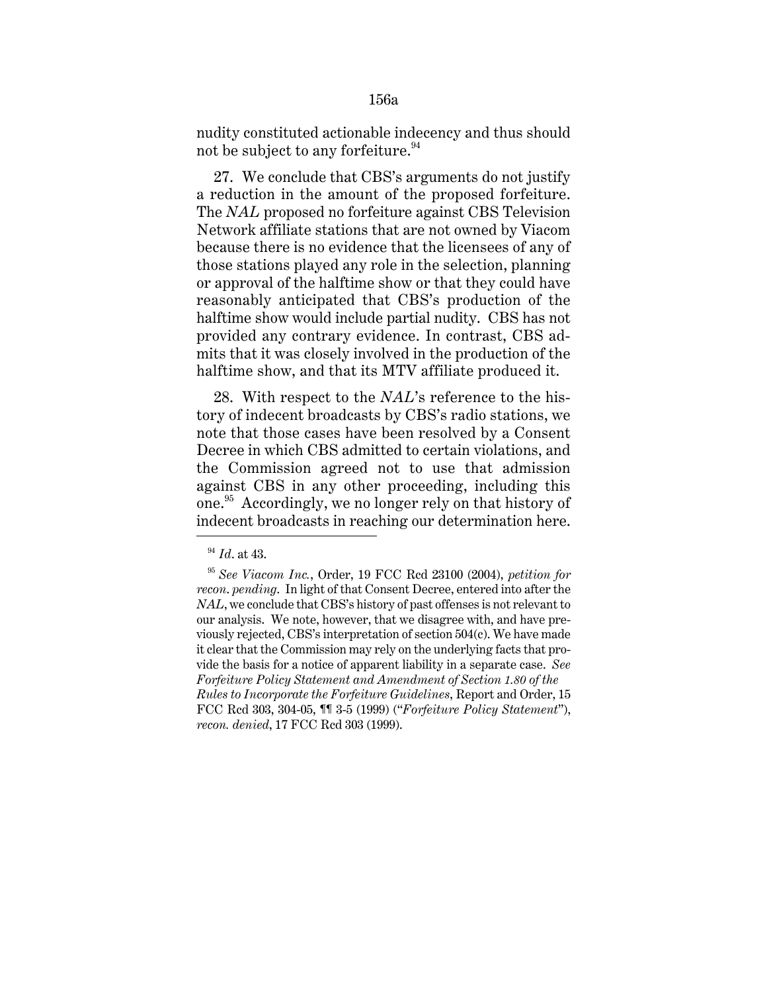## nudity constituted actionable indecency and thus should not be subject to any forfeiture.<sup>94</sup>

27. We conclude that CBS's arguments do not justify a reduction in the amount of the proposed forfeiture. The *NAL* proposed no forfeiture against CBS Television Network affiliate stations that are not owned by Viacom because there is no evidence that the licensees of any of those stations played any role in the selection, planning or approval of the halftime show or that they could have reasonably anticipated that CBS's production of the halftime show would include partial nudity. CBS has not provided any contrary evidence. In contrast, CBS admits that it was closely involved in the production of the halftime show, and that its MTV affiliate produced it.

28. With respect to the *NAL*'s reference to the history of indecent broadcasts by CBS's radio stations, we note that those cases have been resolved by a Consent Decree in which CBS admitted to certain violations, and the Commission agreed not to use that admission against CBS in any other proceeding, including this one.<sup>95</sup> Accordingly, we no longer rely on that history of indecent broadcasts in reaching our determination here.

<sup>94</sup> *Id*. at 43.

<sup>95</sup> *See Viacom Inc.*, Order, 19 FCC Rcd 23100 (2004), *petition for recon*. *pending*. In light of that Consent Decree, entered into after the *NAL*, we conclude that CBS's history of past offenses is not relevant to our analysis. We note, however, that we disagree with, and have previously rejected, CBS's interpretation of section 504(c). We have made it clear that the Commission may rely on the underlying facts that provide the basis for a notice of apparent liability in a separate case. *See Forfeiture Policy Statement and Amendment of Section 1.80 of the Rules to Incorporate the Forfeiture Guidelines*, Report and Order, 15 FCC Rcd 303, 304-05, ¶¶ 3-5 (1999) ("*Forfeiture Policy Statement*"), *recon. denied*, 17 FCC Rcd 303 (1999).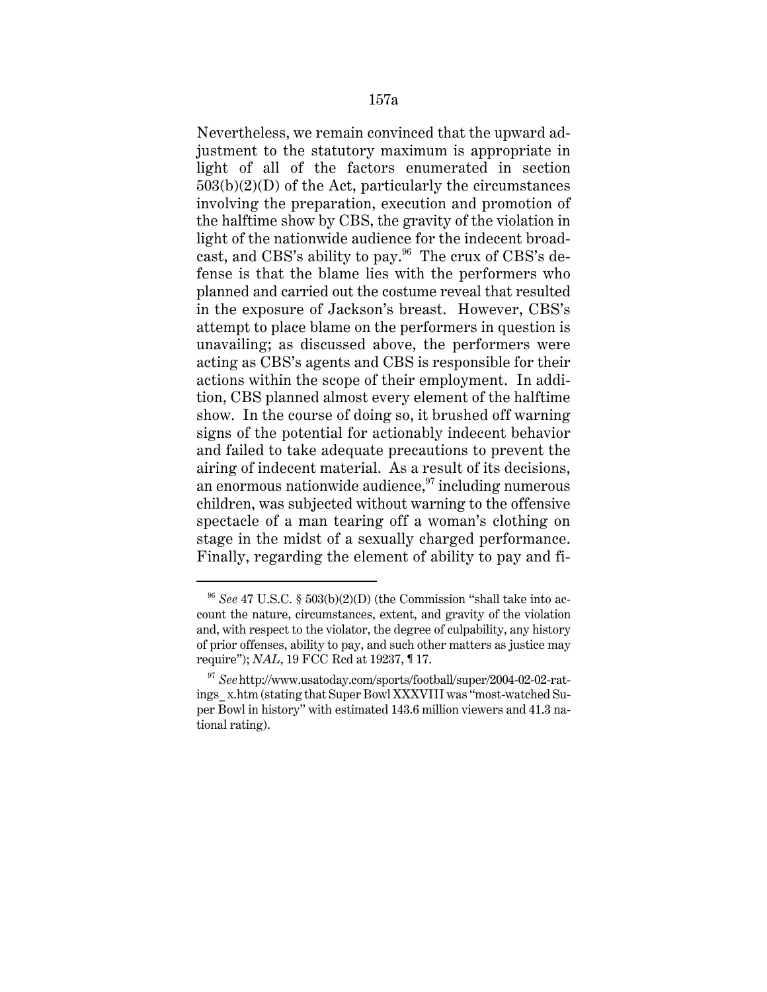Nevertheless, we remain convinced that the upward adjustment to the statutory maximum is appropriate in light of all of the factors enumerated in section  $503(b)(2)(D)$  of the Act, particularly the circumstances involving the preparation, execution and promotion of the halftime show by CBS, the gravity of the violation in light of the nationwide audience for the indecent broadcast, and CBS's ability to pay.<sup>96</sup> The crux of CBS's defense is that the blame lies with the performers who planned and carried out the costume reveal that resulted in the exposure of Jackson's breast. However, CBS's attempt to place blame on the performers in question is unavailing; as discussed above, the performers were acting as CBS's agents and CBS is responsible for their actions within the scope of their employment. In addition, CBS planned almost every element of the halftime show. In the course of doing so, it brushed off warning signs of the potential for actionably indecent behavior and failed to take adequate precautions to prevent the airing of indecent material. As a result of its decisions, an enormous nationwide audience,  $\frac{97}{7}$  including numerous children, was subjected without warning to the offensive spectacle of a man tearing off a woman's clothing on stage in the midst of a sexually charged performance. Finally, regarding the element of ability to pay and fi-

<sup>96</sup> *See* 47 U.S.C. § 503(b)(2)(D) (the Commission "shall take into account the nature, circumstances, extent, and gravity of the violation and, with respect to the violator, the degree of culpability, any history of prior offenses, ability to pay, and such other matters as justice may require"); *NAL*, 19 FCC Rcd at 19237, ¶ 17.

<sup>97</sup> *See* http://www.usatoday.com/sports/football/super/2004-02-02-ratings\_ x.htm (stating that Super Bowl XXXVIII was "most-watched Super Bowl in history" with estimated 143.6 million viewers and 41.3 national rating).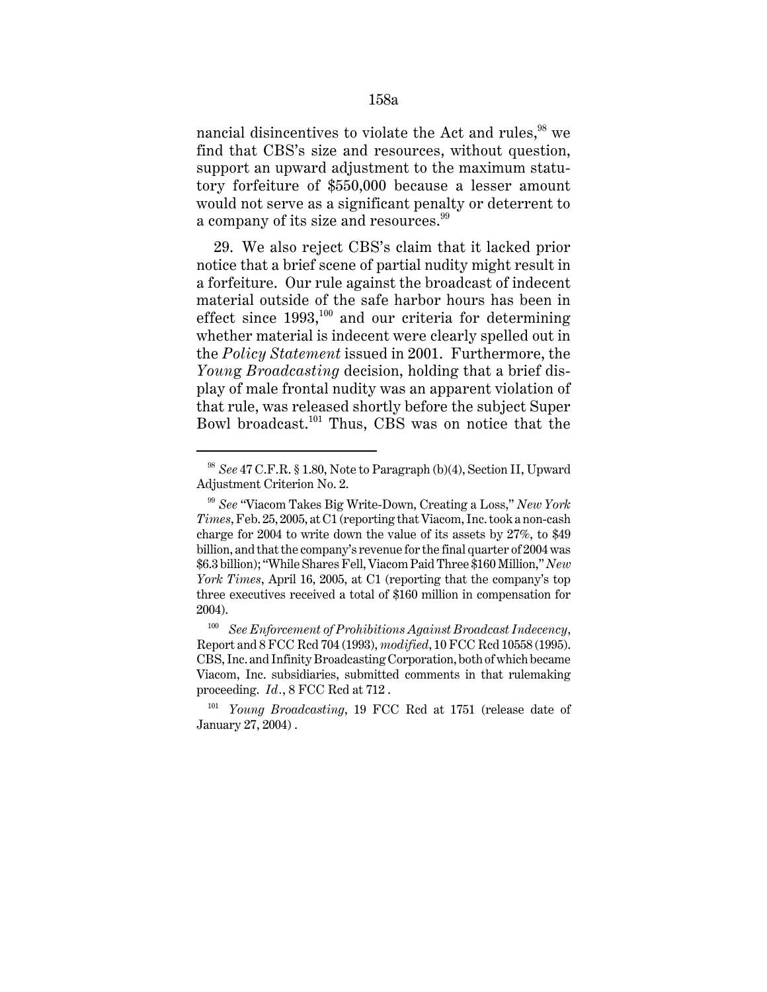nancial disincentives to violate the Act and rules,<sup>98</sup> we find that CBS's size and resources, without question, support an upward adjustment to the maximum statutory forfeiture of \$550,000 because a lesser amount would not serve as a significant penalty or deterrent to a company of its size and resources.<sup>99</sup>

29. We also reject CBS's claim that it lacked prior notice that a brief scene of partial nudity might result in a forfeiture. Our rule against the broadcast of indecent material outside of the safe harbor hours has been in effect since  $1993$ ,<sup>100</sup> and our criteria for determining whether material is indecent were clearly spelled out in the *Policy Statement* issued in 2001. Furthermore, the *Youn*g *Broadcasting* decision, holding that a brief display of male frontal nudity was an apparent violation of that rule, was released shortly before the subject Super Bowl broadcast.101 Thus, CBS was on notice that the

<sup>98</sup> *See* 47 C.F.R. § 1.80, Note to Paragraph (b)(4), Section II, Upward Adjustment Criterion No. 2.

<sup>99</sup> *See* "Viacom Takes Big Write-Down, Creating a Loss," *New York Times*, Feb. 25, 2005, at C1 (reporting that Viacom, Inc. took a non-cash charge for 2004 to write down the value of its assets by 27%, to \$49 billion, and that the company's revenue for the final quarter of 2004 was \$6.3 billion); "While Shares Fell, Viacom Paid Three \$160 Million," *New York Times*, April 16, 2005, at C1 (reporting that the company's top three executives received a total of \$160 million in compensation for 2004).

<sup>100</sup> *See Enforcement of Prohibitions Against Broadcast Indecency*, Report and 8 FCC Rcd 704 (1993), *modified*, 10 FCC Rcd 10558 (1995). CBS, Inc. and Infinity Broadcasting Corporation, both of which became Viacom, Inc. subsidiaries, submitted comments in that rulemaking proceeding. *Id.*, 8 FCC Rcd at 712 .

<sup>101</sup> *Young Broadcasting*, 19 FCC Rcd at 1751 (release date of January 27, 2004) .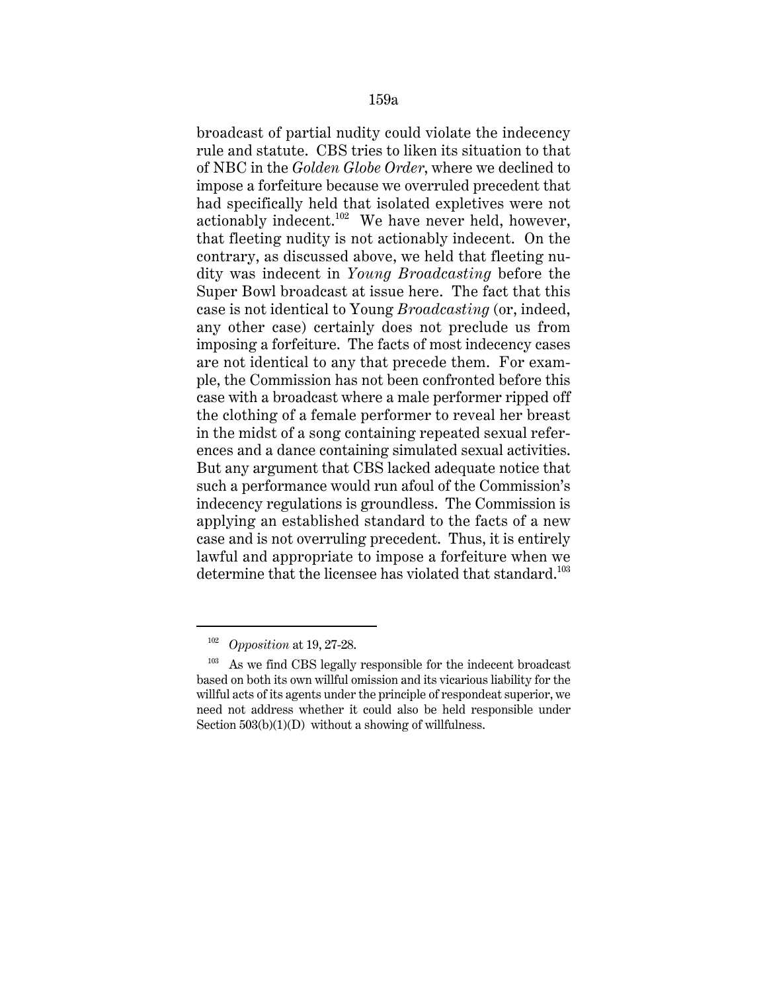broadcast of partial nudity could violate the indecency rule and statute. CBS tries to liken its situation to that of NBC in the *Golden Globe Order*, where we declined to impose a forfeiture because we overruled precedent that had specifically held that isolated expletives were not  $\arctan \frac{1}{2}$  indecent.<sup>102</sup> We have never held, however, that fleeting nudity is not actionably indecent. On the contrary, as discussed above, we held that fleeting nudity was indecent in *Young Broadcasting* before the Super Bowl broadcast at issue here. The fact that this case is not identical to Young *Broadcasting* (or, indeed, any other case) certainly does not preclude us from imposing a forfeiture. The facts of most indecency cases are not identical to any that precede them. For example, the Commission has not been confronted before this case with a broadcast where a male performer ripped off the clothing of a female performer to reveal her breast in the midst of a song containing repeated sexual references and a dance containing simulated sexual activities. But any argument that CBS lacked adequate notice that such a performance would run afoul of the Commission's indecency regulations is groundless. The Commission is applying an established standard to the facts of a new case and is not overruling precedent. Thus, it is entirely lawful and appropriate to impose a forfeiture when we determine that the licensee has violated that standard.<sup>103</sup>

<sup>102</sup> *Opposition* at 19, 27-28.

As we find CBS legally responsible for the indecent broadcast based on both its own willful omission and its vicarious liability for the willful acts of its agents under the principle of respondeat superior, we need not address whether it could also be held responsible under Section  $503(b)(1)(D)$  without a showing of willfulness.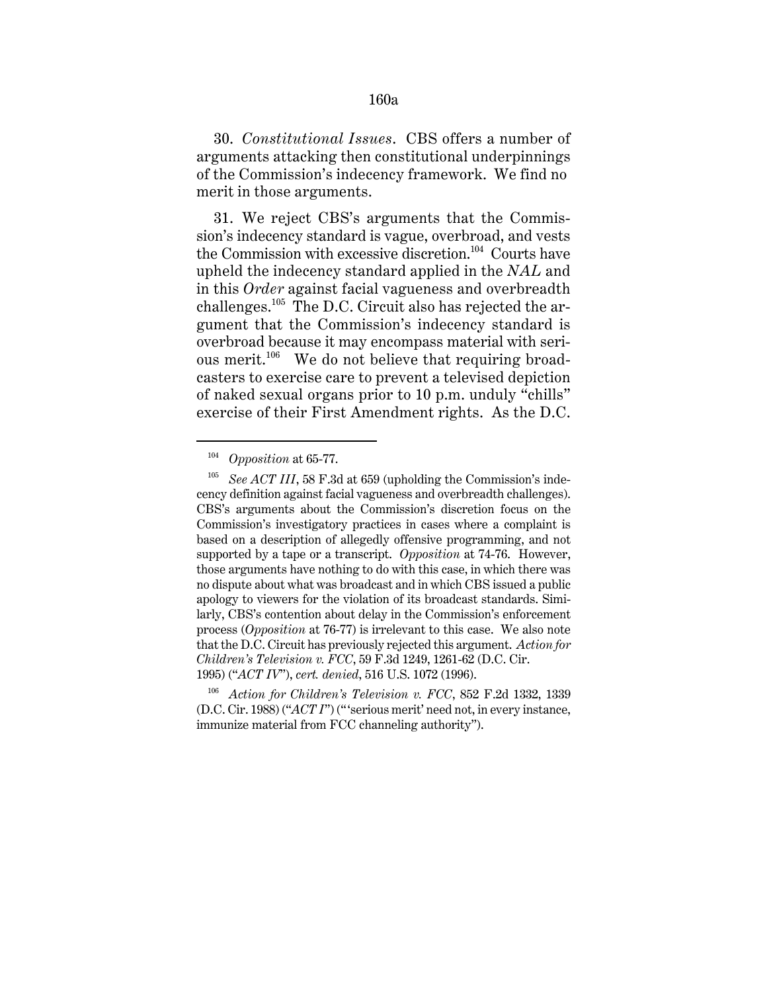30. *Constitutional Issues*. CBS offers a number of arguments attacking then constitutional underpinnings of the Commission's indecency framework. We find no merit in those arguments.

31. We reject CBS's arguments that the Commission's indecency standard is vague, overbroad, and vests the Commission with excessive discretion.<sup>104</sup> Courts have upheld the indecency standard applied in the *NAL* and in this *Order* against facial vagueness and overbreadth challenges.<sup>105</sup> The D.C. Circuit also has rejected the argument that the Commission's indecency standard is overbroad because it may encompass material with serious merit.<sup>106</sup> We do not believe that requiring broadcasters to exercise care to prevent a televised depiction of naked sexual organs prior to 10 p.m. unduly "chills" exercise of their First Amendment rights. As the D.C.

<sup>104</sup> *Opposition* at 65-77.

See ACT III, 58 F.3d at 659 (upholding the Commission's indecency definition against facial vagueness and overbreadth challenges). CBS's arguments about the Commission's discretion focus on the Commission's investigatory practices in cases where a complaint is based on a description of allegedly offensive programming, and not supported by a tape or a transcript. *Opposition* at 74-76. However, those arguments have nothing to do with this case, in which there was no dispute about what was broadcast and in which CBS issued a public apology to viewers for the violation of its broadcast standards. Similarly, CBS's contention about delay in the Commission's enforcement process (*Opposition* at 76-77) is irrelevant to this case. We also note that the D.C. Circuit has previously rejected this argument. *Action for Children's Television v. FCC*, 59 F.3d 1249, 1261-62 (D.C. Cir. 1995) ("*ACT IV*"), *cert. denied*, 516 U.S. 1072 (1996).

<sup>106</sup> *Action for Children's Television v. FCC*, 852 F.2d 1332, 1339 (D.C. Cir. 1988) ("*ACT I*") ("'serious merit' need not, in every instance, immunize material from FCC channeling authority").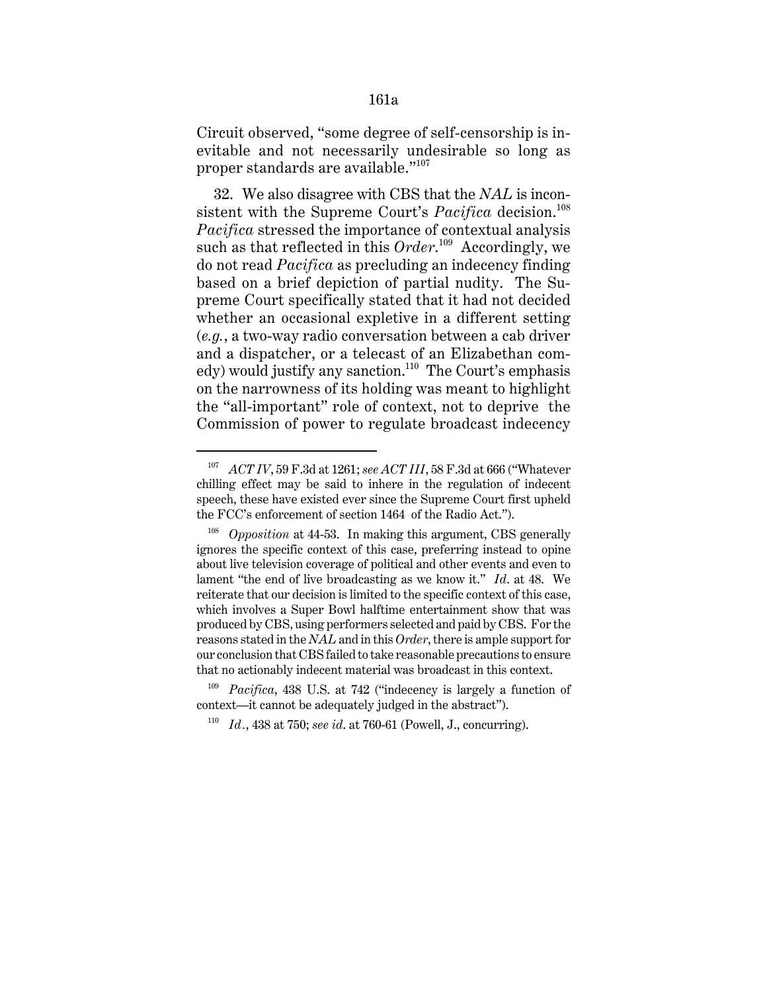Circuit observed, "some degree of self-censorship is inevitable and not necessarily undesirable so long as proper standards are available."<sup>107</sup>

32. We also disagree with CBS that the *NAL* is inconsistent with the Supreme Court's *Pacifica* decision.<sup>108</sup> *Pacifica* stressed the importance of contextual analysis such as that reflected in this *Order*. 109 Accordingly, we do not read *Pacifica* as precluding an indecency finding based on a brief depiction of partial nudity. The Supreme Court specifically stated that it had not decided whether an occasional expletive in a different setting (*e.g.*, a two-way radio conversation between a cab driver and a dispatcher, or a telecast of an Elizabethan comedy) would justify any sanction.<sup>110</sup> The Court's emphasis on the narrowness of its holding was meant to highlight the "all-important" role of context, not to deprive the Commission of power to regulate broadcast indecency

<sup>107</sup> *ACT IV*, 59 F.3d at 1261; *see ACT III*, 58 F.3d at 666 ("Whatever chilling effect may be said to inhere in the regulation of indecent speech, these have existed ever since the Supreme Court first upheld the FCC's enforcement of section 1464 of the Radio Act.").

<sup>108</sup> *Opposition* at 44-53. In making this argument, CBS generally ignores the specific context of this case, preferring instead to opine about live television coverage of political and other events and even to lament "the end of live broadcasting as we know it." *Id*. at 48. We reiterate that our decision is limited to the specific context of this case, which involves a Super Bowl halftime entertainment show that was produced by CBS, using performers selected and paid by CBS. For the reasons stated in the *NAL* and in this *Order*, there is ample support for our conclusion that CBS failed to take reasonable precautions to ensure that no actionably indecent material was broadcast in this context.

*Pacifica*, 438 U.S. at 742 ("indecency is largely a function of context—it cannot be adequately judged in the abstract").

<sup>110</sup> *Id.*, 438 at 750; *see id*. at 760-61 (Powell, J., concurring).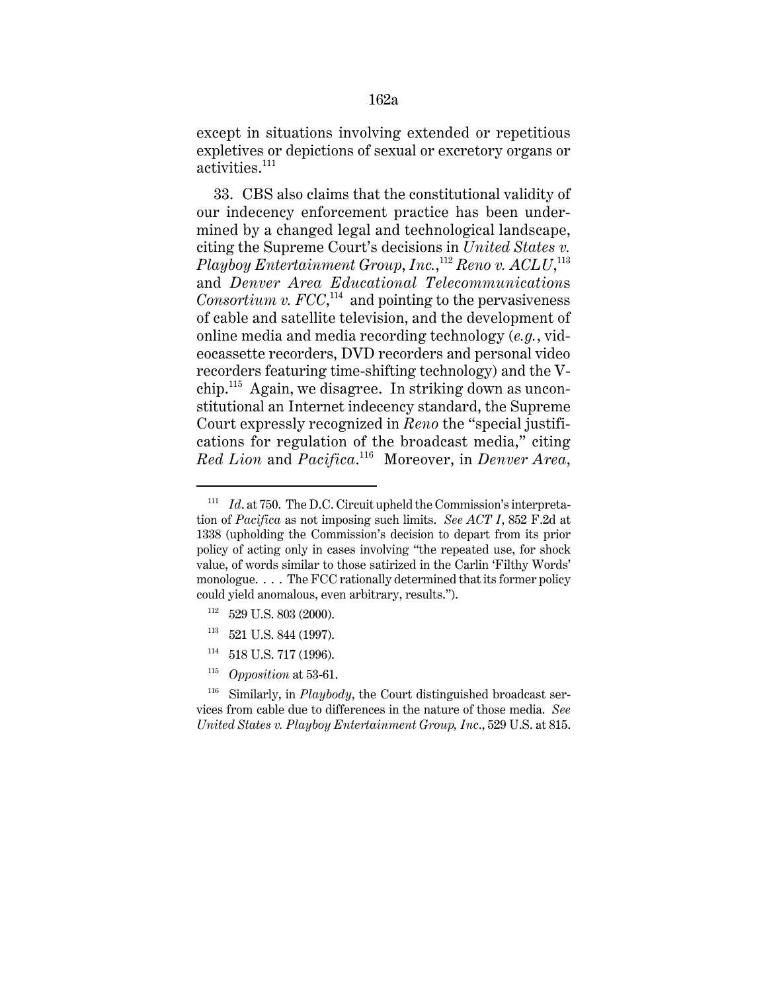except in situations involving extended or repetitious expletives or depictions of sexual or excretory organs or activities.<sup>111</sup>

33. CBS also claims that the constitutional validity of our indecency enforcement practice has been undermined by a changed legal and technological landscape, citing the Supreme Court's decisions in *United States v. Playboy Entertainment Group*, *Inc.*, <sup>112</sup> *Reno v. ACLU*, 113 and *Denver Area Educational Telecommunication*s Consortium v.  $FCC$ <sup>114</sup>, and pointing to the pervasiveness of cable and satellite television, and the development of online media and media recording technology (*e.g.*, videocassette recorders, DVD recorders and personal video recorders featuring time-shifting technology) and the Vchip.115 Again, we disagree. In striking down as unconstitutional an Internet indecency standard, the Supreme Court expressly recognized in *Reno* the "special justifications for regulation of the broadcast media," citing *Red Lion* and *Pacifica*. 116 Moreover, in *Denver Area*,

- $112$  529 U.S. 803 (2000).
- <sup>113</sup> 521 U.S. 844 (1997).
- <sup>114</sup> 518 U.S. 717 (1996).
- <sup>115</sup> *Opposition* at 53-61.

<sup>116</sup> Similarly, in *Playbody*, the Court distinguished broadcast services from cable due to differences in the nature of those media. *See United States v. Playboy Entertainment Group, Inc*., 529 U.S. at 815.

<sup>&</sup>lt;sup>111</sup> *Id.* at 750. The D.C. Circuit upheld the Commission's interpretation of *Pacifica* as not imposing such limits. *See ACT I*, 852 F.2d at 1338 (upholding the Commission's decision to depart from its prior policy of acting only in cases involving "the repeated use, for shock value, of words similar to those satirized in the Carlin 'Filthy Words' monologue. . . . The FCC rationally determined that its former policy could yield anomalous, even arbitrary, results.").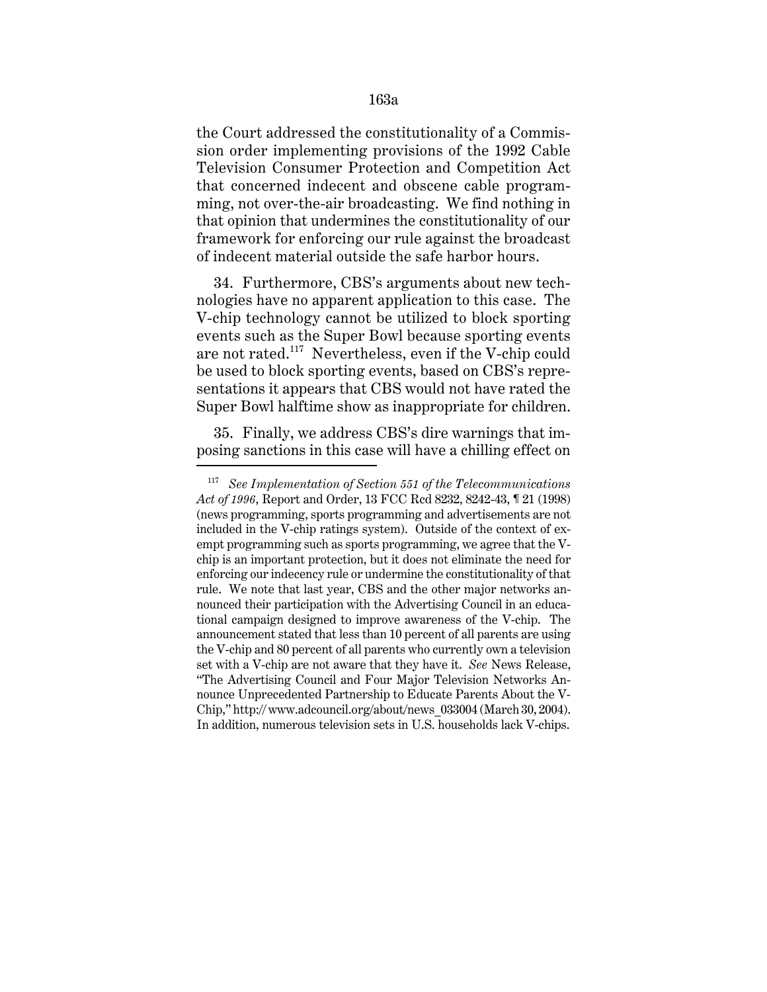the Court addressed the constitutionality of a Commission order implementing provisions of the 1992 Cable Television Consumer Protection and Competition Act that concerned indecent and obscene cable programming, not over-the-air broadcasting. We find nothing in that opinion that undermines the constitutionality of our framework for enforcing our rule against the broadcast of indecent material outside the safe harbor hours.

34. Furthermore, CBS's arguments about new technologies have no apparent application to this case. The V-chip technology cannot be utilized to block sporting events such as the Super Bowl because sporting events are not rated.<sup>117</sup> Nevertheless, even if the V-chip could be used to block sporting events, based on CBS's representations it appears that CBS would not have rated the Super Bowl halftime show as inappropriate for children.

35. Finally, we address CBS's dire warnings that imposing sanctions in this case will have a chilling effect on

<sup>117</sup> *See Implementation of Section 551 of the Telecommunications Act of 1996*, Report and Order, 13 FCC Rcd 8232, 8242-43, ¶ 21 (1998) (news programming, sports programming and advertisements are not included in the V-chip ratings system). Outside of the context of exempt programming such as sports programming, we agree that the Vchip is an important protection, but it does not eliminate the need for enforcing our indecency rule or undermine the constitutionality of that rule. We note that last year, CBS and the other major networks announced their participation with the Advertising Council in an educational campaign designed to improve awareness of the V-chip. The announcement stated that less than 10 percent of all parents are using the V-chip and 80 percent of all parents who currently own a television set with a V-chip are not aware that they have it. *See* News Release, "The Advertising Council and Four Major Television Networks Announce Unprecedented Partnership to Educate Parents About the V-Chip," http:// www.adcouncil.org/about/news\_033004 (March 30, 2004). In addition, numerous television sets in U.S. households lack V-chips.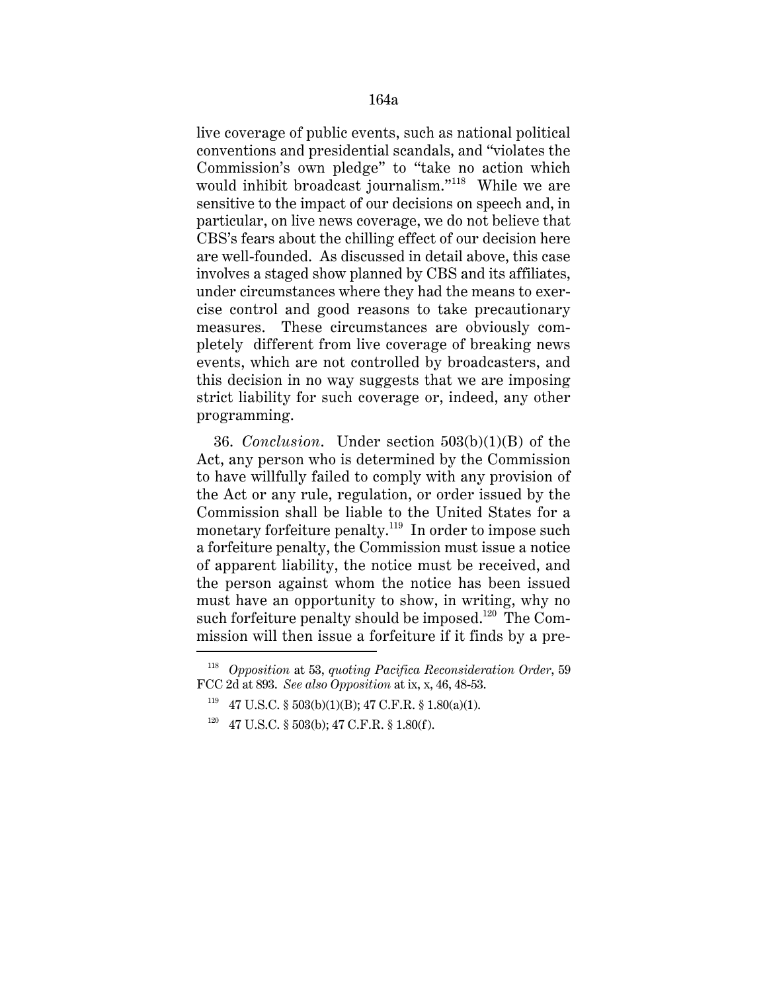live coverage of public events, such as national political conventions and presidential scandals, and "violates the Commission's own pledge" to "take no action which would inhibit broadcast journalism."<sup>118</sup> While we are sensitive to the impact of our decisions on speech and, in particular, on live news coverage, we do not believe that CBS's fears about the chilling effect of our decision here are well-founded. As discussed in detail above, this case involves a staged show planned by CBS and its affiliates, under circumstances where they had the means to exercise control and good reasons to take precautionary measures. These circumstances are obviously completely different from live coverage of breaking news events, which are not controlled by broadcasters, and this decision in no way suggests that we are imposing strict liability for such coverage or, indeed, any other programming.

36. *Conclusion*. Under section 503(b)(1)(B) of the Act, any person who is determined by the Commission to have willfully failed to comply with any provision of the Act or any rule, regulation, or order issued by the Commission shall be liable to the United States for a monetary forfeiture penalty.<sup>119</sup> In order to impose such a forfeiture penalty, the Commission must issue a notice of apparent liability, the notice must be received, and the person against whom the notice has been issued must have an opportunity to show, in writing, why no such forfeiture penalty should be imposed.<sup>120</sup> The Commission will then issue a forfeiture if it finds by a pre-

- <sup>119</sup> 47 U.S.C. § 503(b)(1)(B); 47 C.F.R. § 1.80(a)(1).
- $120$  47 U.S.C. § 503(b); 47 C.F.R. § 1.80(f).

<sup>118</sup> *Opposition* at 53, *quoting Pacifica Reconsideration Order*, 59 FCC 2d at 893. *See also Opposition* at ix, x, 46, 48-53.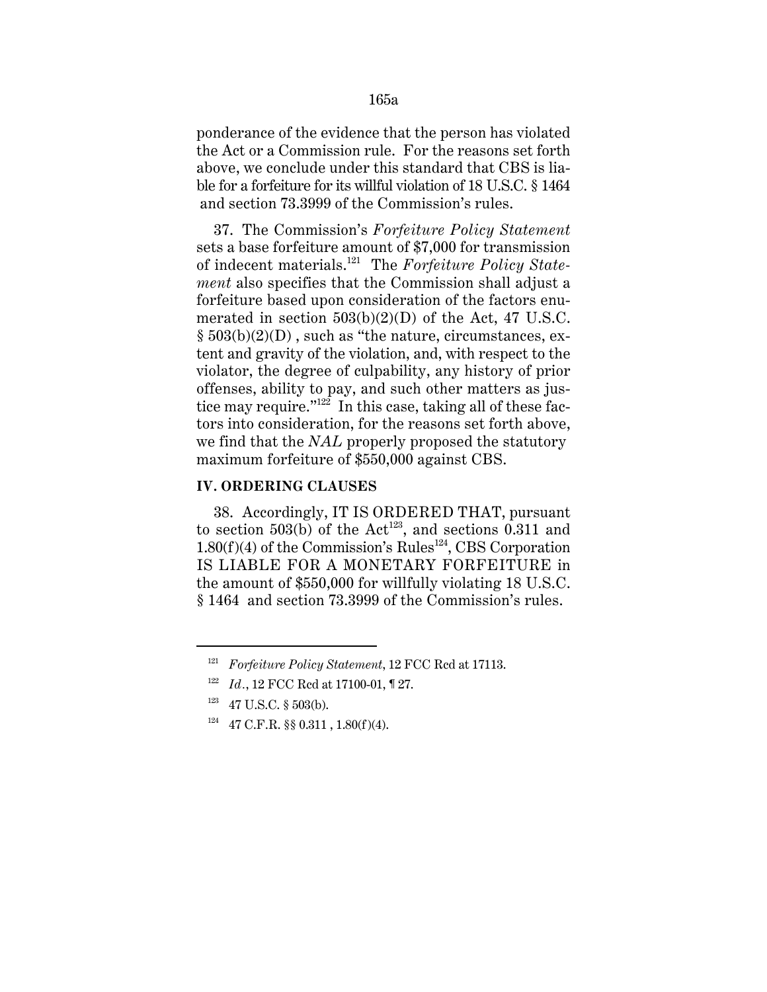ponderance of the evidence that the person has violated the Act or a Commission rule. For the reasons set forth above, we conclude under this standard that CBS is liable for a forfeiture for its willful violation of 18 U.S.C. § 1464 and section 73.3999 of the Commission's rules.

37. The Commission's *Forfeiture Policy Statement* sets a base forfeiture amount of \$7,000 for transmission of indecent materials.121 The *Forfeiture Policy Statement* also specifies that the Commission shall adjust a forfeiture based upon consideration of the factors enumerated in section  $503(b)(2)(D)$  of the Act, 47 U.S.C. § 503(b)(2)(D) , such as "the nature, circumstances, extent and gravity of the violation, and, with respect to the violator, the degree of culpability, any history of prior offenses, ability to pay, and such other matters as justice may require." $122$  In this case, taking all of these factors into consideration, for the reasons set forth above, we find that the *NAL* properly proposed the statutory maximum forfeiture of \$550,000 against CBS.

#### **IV. ORDERING CLAUSES**

38. Accordingly, IT IS ORDERED THAT, pursuant to section 503(b) of the Act<sup>123</sup>, and sections 0.311 and  $1.80(f)(4)$  of the Commission's Rules<sup>124</sup>, CBS Corporation IS LIABLE FOR A MONETARY FORFEITURE in the amount of \$550,000 for willfully violating 18 U.S.C. § 1464 and section 73.3999 of the Commission's rules.

<sup>121</sup> *Forfeiture Policy Statement*, 12 FCC Rcd at 17113.

<sup>122</sup> *Id.*, 12 FCC Rcd at 17100-01, ¶ 27.

<sup>123</sup> 47 U.S.C. § 503(b).

 $124$  47 C.F.R. §§ 0.311, 1.80(f)(4).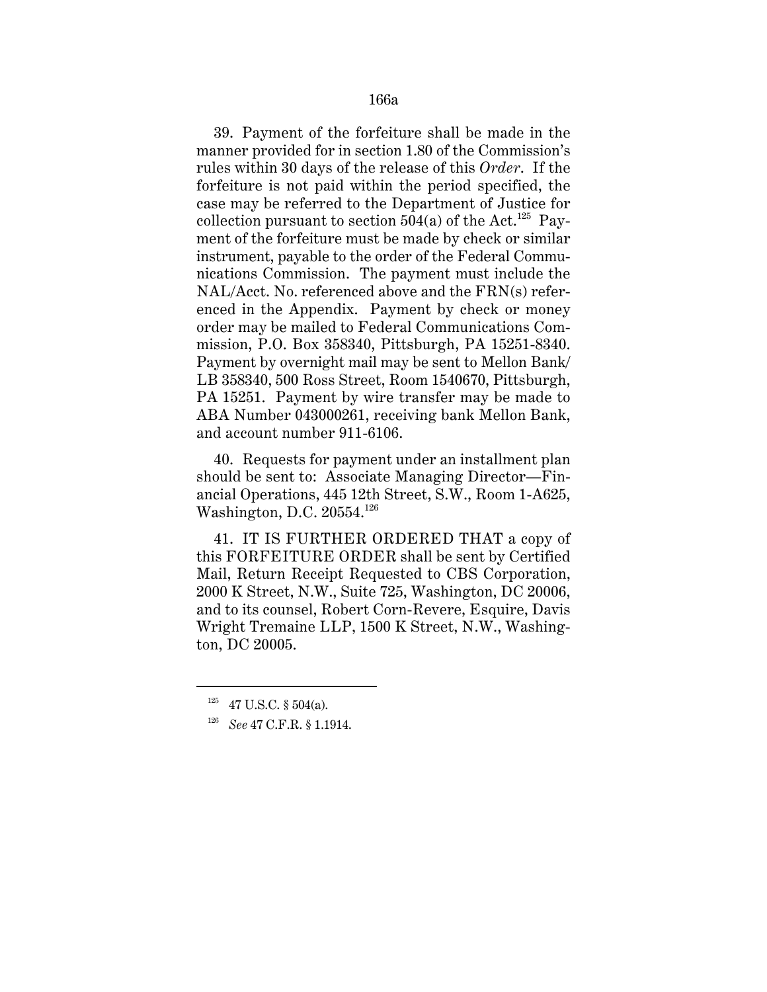39. Payment of the forfeiture shall be made in the manner provided for in section 1.80 of the Commission's rules within 30 days of the release of this *Order*. If the forfeiture is not paid within the period specified, the case may be referred to the Department of Justice for collection pursuant to section  $504(a)$  of the Act.<sup>125</sup> Payment of the forfeiture must be made by check or similar instrument, payable to the order of the Federal Communications Commission. The payment must include the NAL/Acct. No. referenced above and the FRN(s) referenced in the Appendix. Payment by check or money order may be mailed to Federal Communications Commission, P.O. Box 358340, Pittsburgh, PA 15251-8340. Payment by overnight mail may be sent to Mellon Bank/ LB 358340, 500 Ross Street, Room 1540670, Pittsburgh, PA 15251. Payment by wire transfer may be made to ABA Number 043000261, receiving bank Mellon Bank, and account number 911-6106.

40. Requests for payment under an installment plan should be sent to: Associate Managing Director—Financial Operations, 445 12th Street, S.W., Room 1-A625, Washington, D.C.  $20554.<sup>126</sup>$ 

41. IT IS FURTHER ORDERED THAT a copy of this FORFEITURE ORDER shall be sent by Certified Mail, Return Receipt Requested to CBS Corporation, 2000 K Street, N.W., Suite 725, Washington, DC 20006, and to its counsel, Robert Corn-Revere, Esquire, Davis Wright Tremaine LLP, 1500 K Street, N.W., Washington, DC 20005.

 $^{125}$   $\,$  47 U.S.C. § 504(a).

<sup>126</sup> *See* 47 C.F.R. § 1.1914.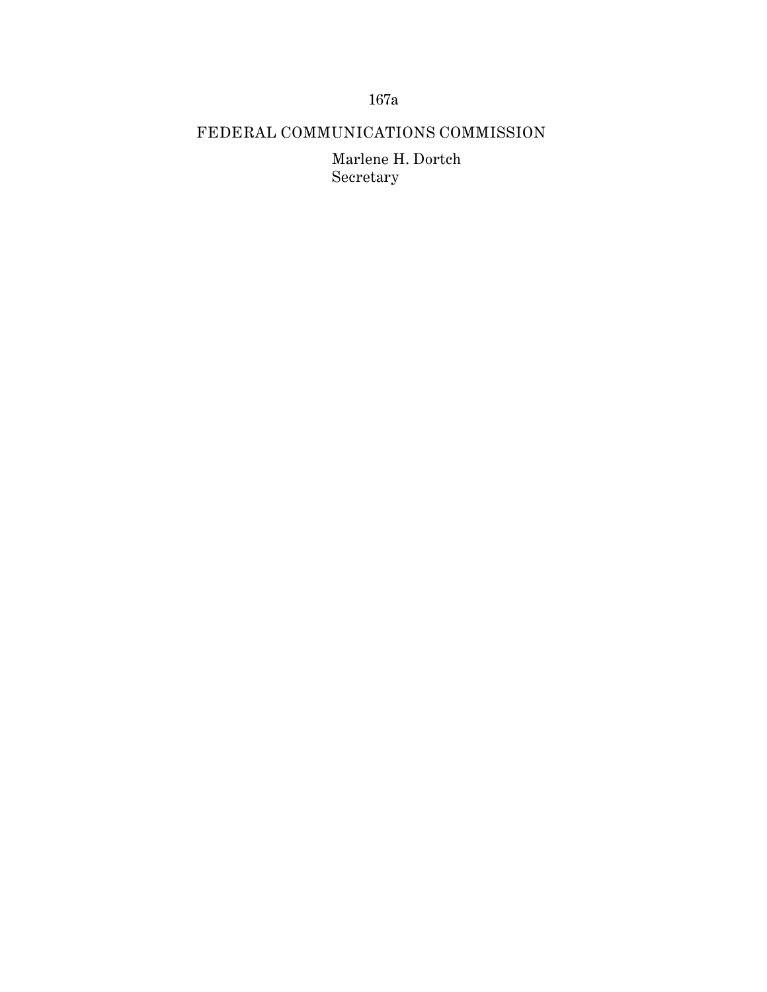## FEDERAL COMMUNICATIONS COMMISSION

Marlene H. Dortch Secretary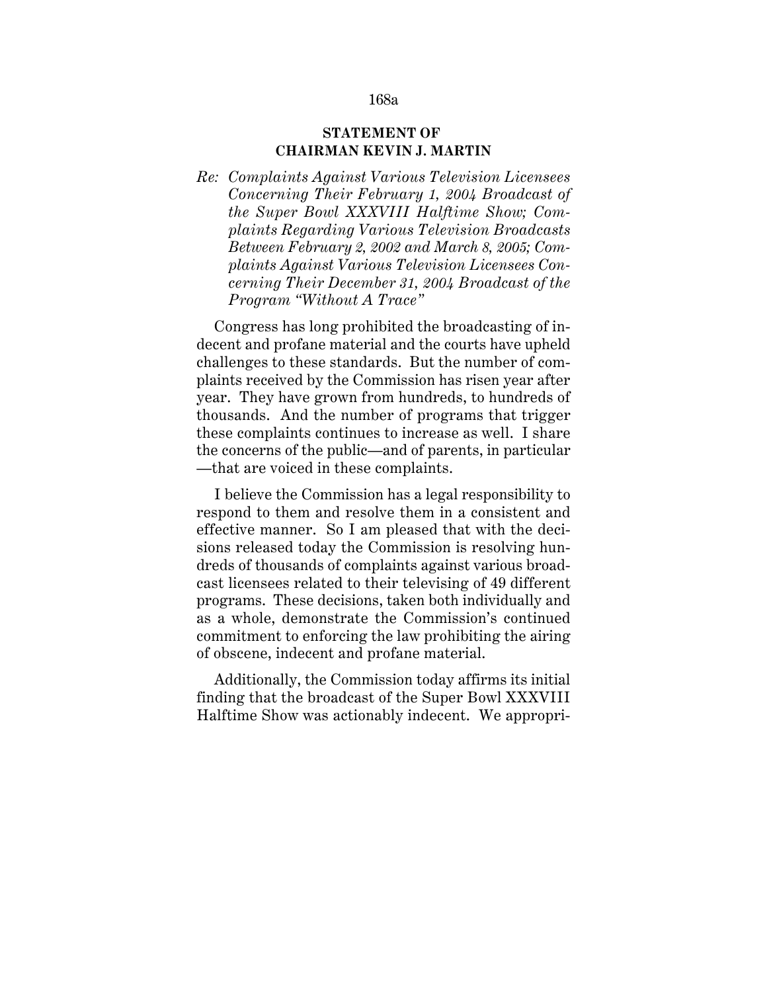## **STATEMENT OF CHAIRMAN KEVIN J. MARTIN**

*Re: Complaints Against Various Television Licensees Concerning Their February 1, 2004 Broadcast of the Super Bowl XXXVIII Halftime Show; Complaints Regarding Various Television Broadcasts Between February 2, 2002 and March 8, 2005; Complaints Against Various Television Licensees Concerning Their December 31, 2004 Broadcast of the Program "Without A Trace"*

Congress has long prohibited the broadcasting of indecent and profane material and the courts have upheld challenges to these standards. But the number of complaints received by the Commission has risen year after year. They have grown from hundreds, to hundreds of thousands. And the number of programs that trigger these complaints continues to increase as well. I share the concerns of the public—and of parents, in particular —that are voiced in these complaints.

I believe the Commission has a legal responsibility to respond to them and resolve them in a consistent and effective manner. So I am pleased that with the decisions released today the Commission is resolving hundreds of thousands of complaints against various broadcast licensees related to their televising of 49 different programs. These decisions, taken both individually and as a whole, demonstrate the Commission's continued commitment to enforcing the law prohibiting the airing of obscene, indecent and profane material.

Additionally, the Commission today affirms its initial finding that the broadcast of the Super Bowl XXXVIII Halftime Show was actionably indecent. We appropri-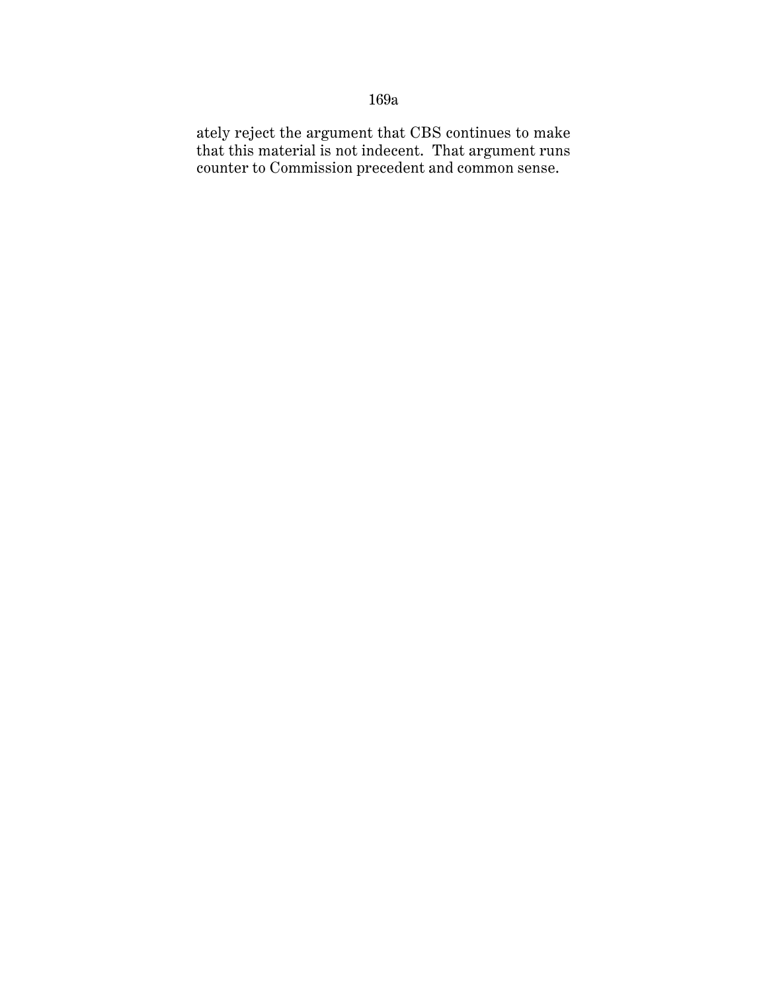ately reject the argument that CBS continues to make that this material is not indecent. That argument runs counter to Commission precedent and common sense.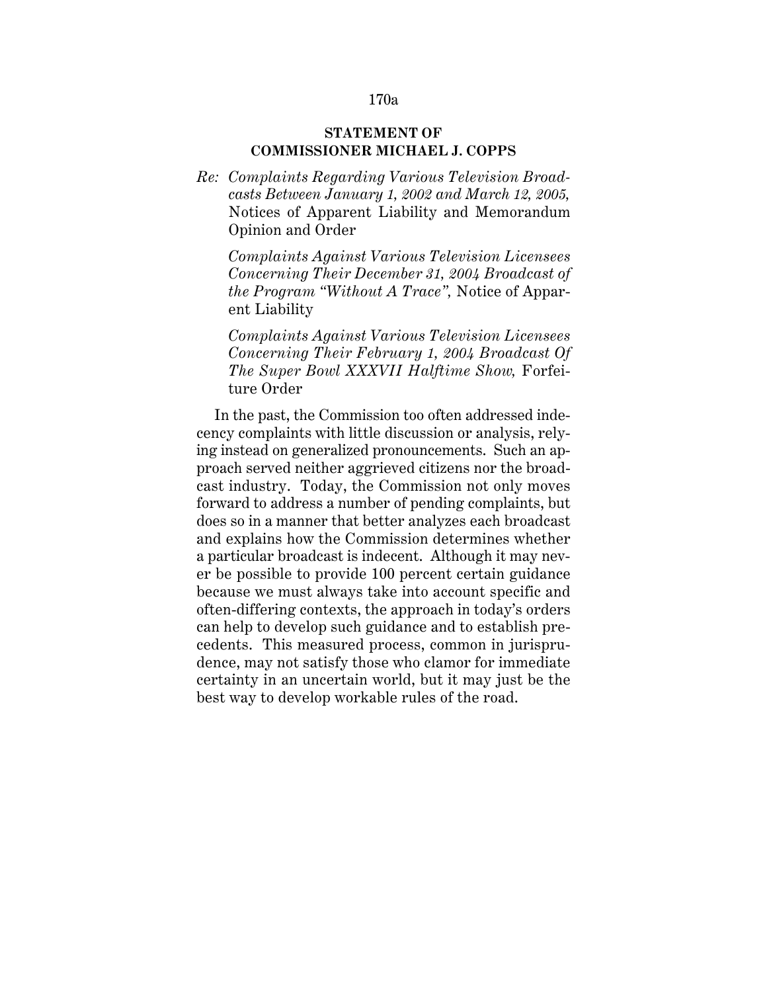### **STATEMENT OF COMMISSIONER MICHAEL J. COPPS**

*Re: Complaints Regarding Various Television Broadcasts Between January 1, 2002 and March 12, 2005,* Notices of Apparent Liability and Memorandum Opinion and Order

*Complaints Against Various Television Licensees Concerning Their December 31, 2004 Broadcast of the Program "Without A Trace",* Notice of Apparent Liability

*Complaints Against Various Television Licensees Concerning Their February 1, 2004 Broadcast Of The Super Bowl XXXVII Halftime Show,* Forfeiture Order

In the past, the Commission too often addressed indecency complaints with little discussion or analysis, relying instead on generalized pronouncements. Such an approach served neither aggrieved citizens nor the broadcast industry. Today, the Commission not only moves forward to address a number of pending complaints, but does so in a manner that better analyzes each broadcast and explains how the Commission determines whether a particular broadcast is indecent. Although it may never be possible to provide 100 percent certain guidance because we must always take into account specific and often-differing contexts, the approach in today's orders can help to develop such guidance and to establish precedents. This measured process, common in jurisprudence, may not satisfy those who clamor for immediate certainty in an uncertain world, but it may just be the best way to develop workable rules of the road.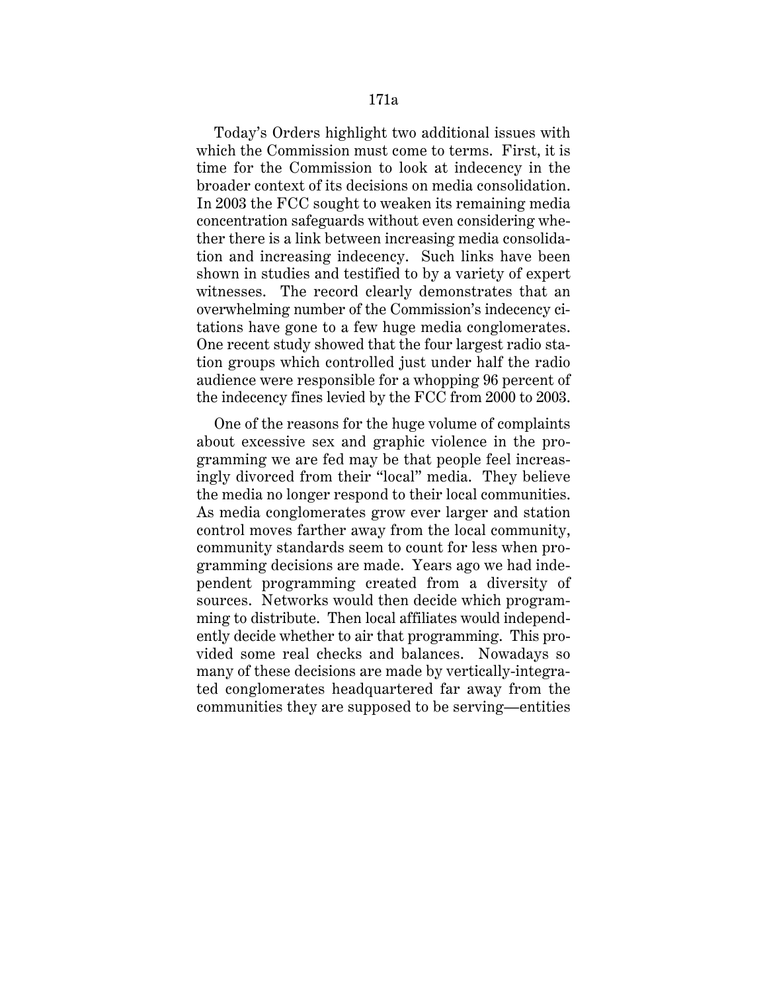Today's Orders highlight two additional issues with which the Commission must come to terms. First, it is time for the Commission to look at indecency in the broader context of its decisions on media consolidation. In 2003 the FCC sought to weaken its remaining media concentration safeguards without even considering whether there is a link between increasing media consolidation and increasing indecency. Such links have been shown in studies and testified to by a variety of expert witnesses. The record clearly demonstrates that an overwhelming number of the Commission's indecency citations have gone to a few huge media conglomerates. One recent study showed that the four largest radio station groups which controlled just under half the radio audience were responsible for a whopping 96 percent of the indecency fines levied by the FCC from 2000 to 2003.

One of the reasons for the huge volume of complaints about excessive sex and graphic violence in the programming we are fed may be that people feel increasingly divorced from their "local" media. They believe the media no longer respond to their local communities. As media conglomerates grow ever larger and station control moves farther away from the local community, community standards seem to count for less when programming decisions are made. Years ago we had independent programming created from a diversity of sources. Networks would then decide which programming to distribute. Then local affiliates would independently decide whether to air that programming. This provided some real checks and balances. Nowadays so many of these decisions are made by vertically-integrated conglomerates headquartered far away from the communities they are supposed to be serving—entities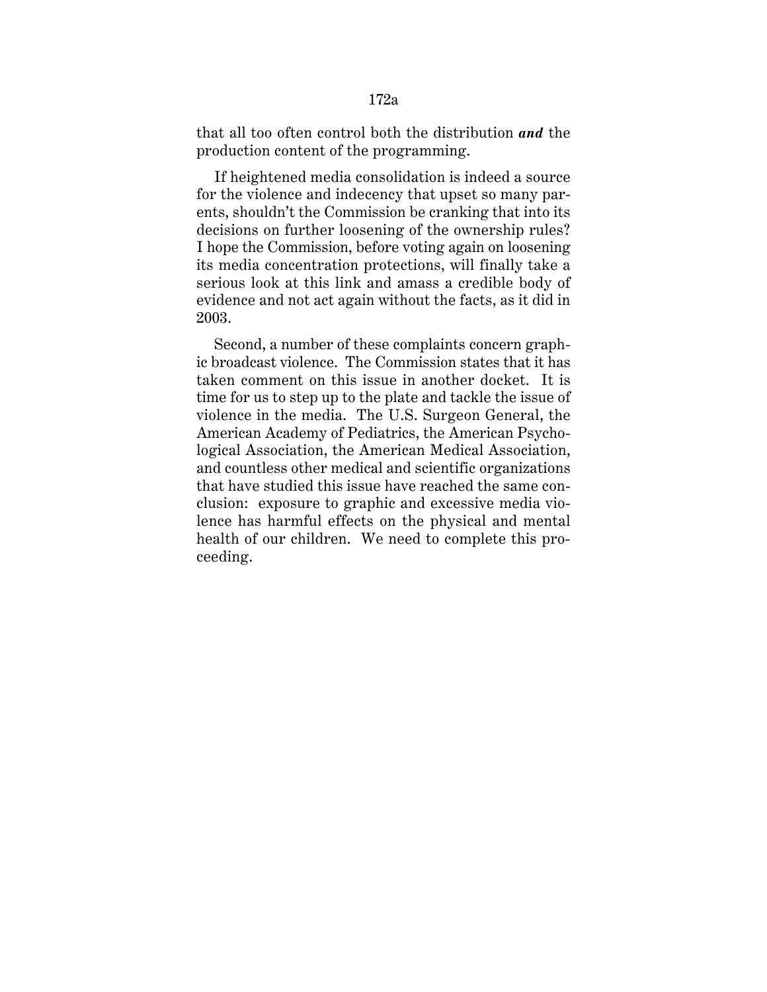that all too often control both the distribution *and* the production content of the programming.

If heightened media consolidation is indeed a source for the violence and indecency that upset so many parents, shouldn't the Commission be cranking that into its decisions on further loosening of the ownership rules? I hope the Commission, before voting again on loosening its media concentration protections, will finally take a serious look at this link and amass a credible body of evidence and not act again without the facts, as it did in 2003.

Second, a number of these complaints concern graphic broadcast violence. The Commission states that it has taken comment on this issue in another docket. It is time for us to step up to the plate and tackle the issue of violence in the media. The U.S. Surgeon General, the American Academy of Pediatrics, the American Psychological Association, the American Medical Association, and countless other medical and scientific organizations that have studied this issue have reached the same conclusion: exposure to graphic and excessive media violence has harmful effects on the physical and mental health of our children. We need to complete this proceeding.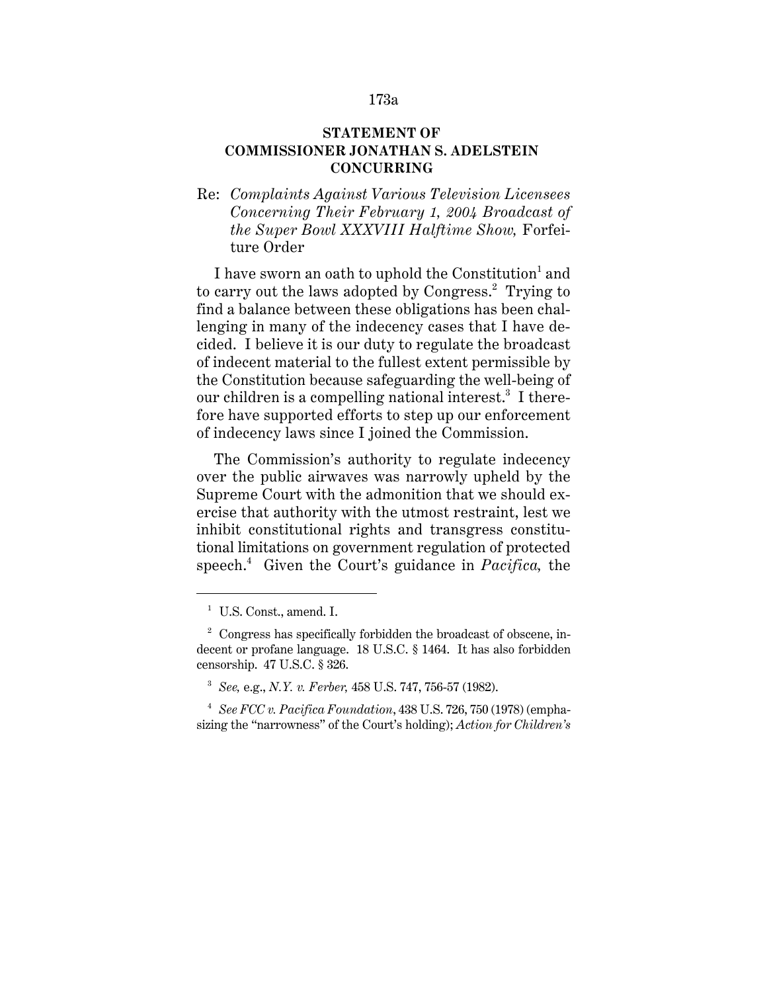## **STATEMENT OF COMMISSIONER JONATHAN S. ADELSTEIN CONCURRING**

Re: *Complaints Against Various Television Licensees Concerning Their February 1, 2004 Broadcast of the Super Bowl XXXVIII Halftime Show,* Forfeiture Order

I have sworn an oath to uphold the Constitution<sup>1</sup> and to carry out the laws adopted by Congress.<sup>2</sup> Trying to find a balance between these obligations has been challenging in many of the indecency cases that I have decided. I believe it is our duty to regulate the broadcast of indecent material to the fullest extent permissible by the Constitution because safeguarding the well-being of our children is a compelling national interest.<sup>3</sup> I therefore have supported efforts to step up our enforcement of indecency laws since I joined the Commission.

The Commission's authority to regulate indecency over the public airwaves was narrowly upheld by the Supreme Court with the admonition that we should exercise that authority with the utmost restraint, lest we inhibit constitutional rights and transgress constitutional limitations on government regulation of protected speech.<sup>4</sup> Given the Court's guidance in *Pacifica,* the

 $1$  U.S. Const., amend. I.

<sup>2</sup> Congress has specifically forbidden the broadcast of obscene, indecent or profane language. 18 U.S.C. § 1464. It has also forbidden censorship. 47 U.S.C. § 326.

<sup>3</sup> *See,* e.g., *N.Y. v. Ferber,* 458 U.S. 747, 756-57 (1982).

<sup>4</sup> *See FCC v. Pacifica Foundation*, 438 U.S. 726, 750 (1978) (emphasizing the "narrowness" of the Court's holding); *Action for Children's*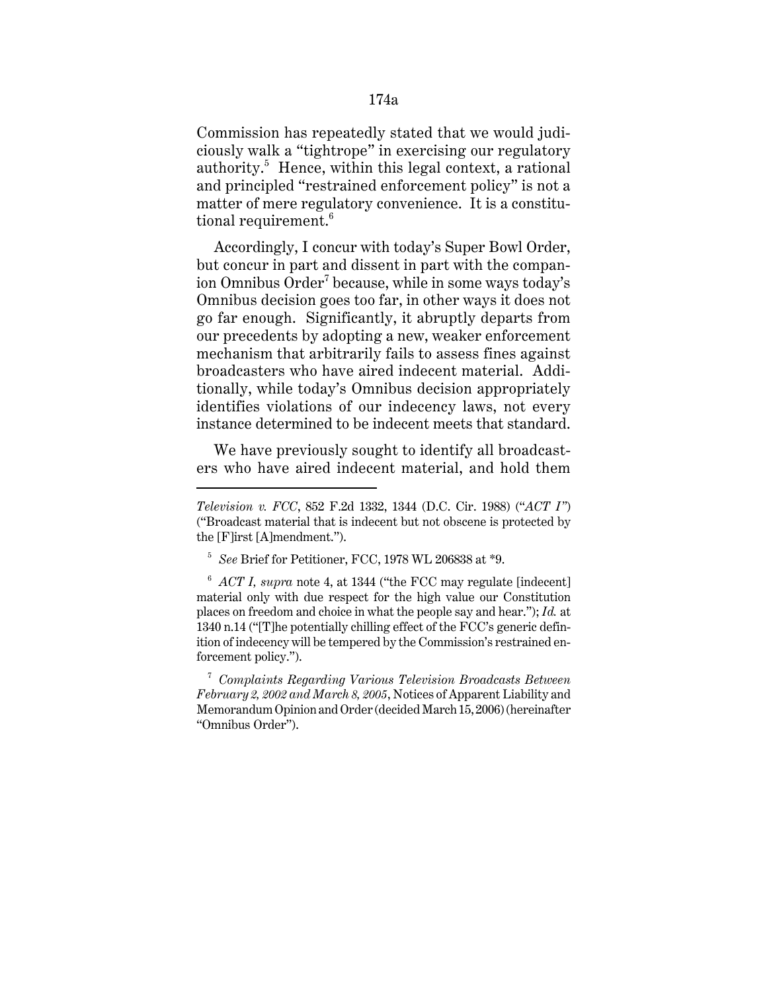Commission has repeatedly stated that we would judiciously walk a "tightrope" in exercising our regulatory authority.<sup>5</sup> Hence, within this legal context, a rational and principled "restrained enforcement policy" is not a matter of mere regulatory convenience. It is a constitutional requirement.<sup>6</sup>

Accordingly, I concur with today's Super Bowl Order, but concur in part and dissent in part with the companion Omnibus Order<sup>7</sup> because, while in some ways today's Omnibus decision goes too far, in other ways it does not go far enough. Significantly, it abruptly departs from our precedents by adopting a new, weaker enforcement mechanism that arbitrarily fails to assess fines against broadcasters who have aired indecent material. Additionally, while today's Omnibus decision appropriately identifies violations of our indecency laws, not every instance determined to be indecent meets that standard.

We have previously sought to identify all broadcasters who have aired indecent material, and hold them

*Television v. FCC*, 852 F.2d 1332, 1344 (D.C. Cir. 1988) ("*ACT I"*) ("Broadcast material that is indecent but not obscene is protected by the [F]irst [A]mendment.").

<sup>5</sup> *See* Brief for Petitioner, FCC, 1978 WL 206838 at \*9.

<sup>6</sup> *ACT I, supra* note 4, at 1344 ("the FCC may regulate [indecent] material only with due respect for the high value our Constitution places on freedom and choice in what the people say and hear."); *Id.* at 1340 n.14 ("[T]he potentially chilling effect of the FCC's generic definition of indecency will be tempered by the Commission's restrained enforcement policy.").

<sup>7</sup> *Complaints Regarding Various Television Broadcasts Between February 2, 2002 and March 8, 2005*, Notices of Apparent Liability and Memorandum Opinion and Order (decided March 15, 2006) (hereinafter "Omnibus Order").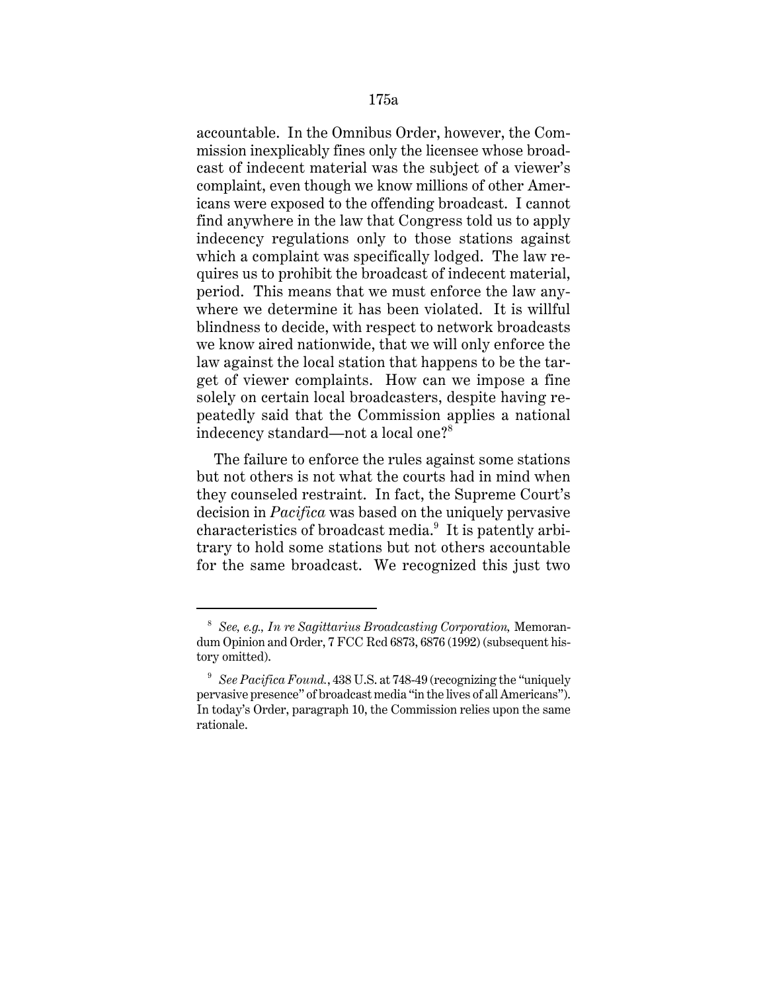accountable. In the Omnibus Order, however, the Commission inexplicably fines only the licensee whose broadcast of indecent material was the subject of a viewer's complaint, even though we know millions of other Americans were exposed to the offending broadcast. I cannot find anywhere in the law that Congress told us to apply indecency regulations only to those stations against which a complaint was specifically lodged. The law requires us to prohibit the broadcast of indecent material, period. This means that we must enforce the law anywhere we determine it has been violated. It is willful blindness to decide, with respect to network broadcasts we know aired nationwide, that we will only enforce the law against the local station that happens to be the target of viewer complaints. How can we impose a fine solely on certain local broadcasters, despite having repeatedly said that the Commission applies a national indecency standard—not a local one?<sup>8</sup>

The failure to enforce the rules against some stations but not others is not what the courts had in mind when they counseled restraint. In fact, the Supreme Court's decision in *Pacifica* was based on the uniquely pervasive characteristics of broadcast media.<sup>9</sup> It is patently arbitrary to hold some stations but not others accountable for the same broadcast. We recognized this just two

<sup>8</sup> *See, e.g., In re Sagittarius Broadcasting Corporation,* Memorandum Opinion and Order, 7 FCC Rcd 6873, 6876 (1992) (subsequent history omitted).

<sup>9</sup> *See Pacifica Found.*, 438 U.S. at 748-49 (recognizing the "uniquely pervasive presence" of broadcast media "in the lives of all Americans"). In today's Order, paragraph 10, the Commission relies upon the same rationale.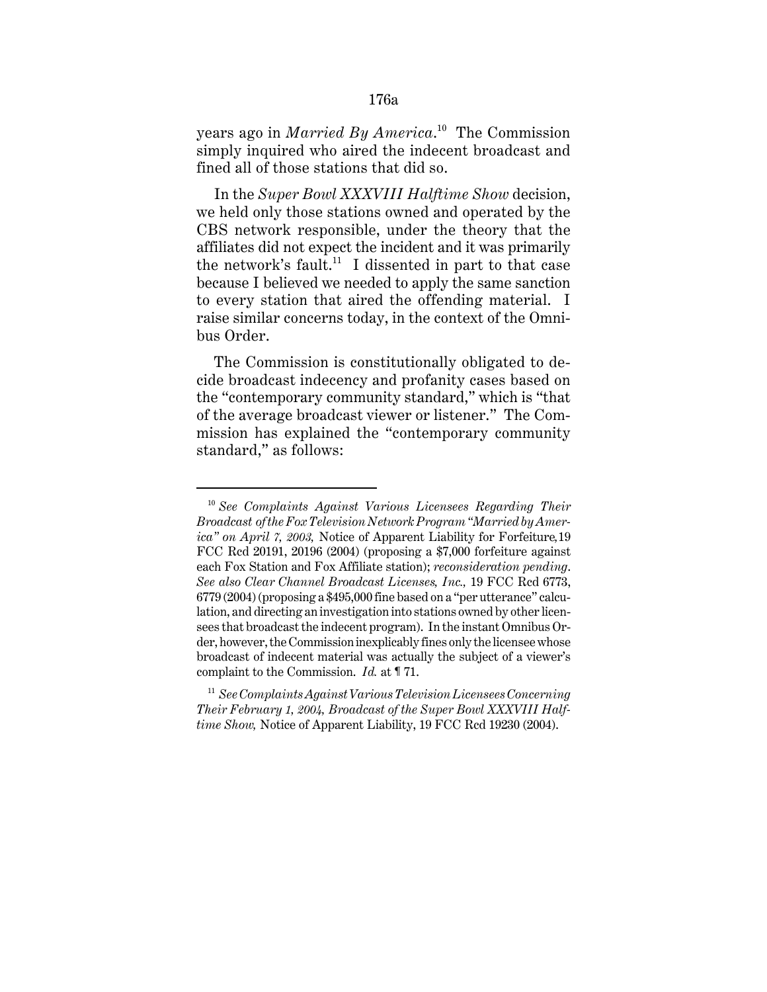years ago in *Married By America*. 10 The Commission simply inquired who aired the indecent broadcast and fined all of those stations that did so.

In the *Super Bowl XXXVIII Halftime Show* decision, we held only those stations owned and operated by the CBS network responsible, under the theory that the affiliates did not expect the incident and it was primarily the network's fault.<sup>11</sup> I dissented in part to that case because I believed we needed to apply the same sanction to every station that aired the offending material. I raise similar concerns today, in the context of the Omnibus Order.

The Commission is constitutionally obligated to decide broadcast indecency and profanity cases based on the "contemporary community standard," which is "that of the average broadcast viewer or listener." The Commission has explained the "contemporary community standard," as follows:

<sup>10</sup> *See Complaints Against Various Licensees Regarding Their Broadcast of the Fox Television Network Program "Married by America" on April 7, 2003,* Notice of Apparent Liability for Forfeiture*,*19 FCC Rcd 20191, 20196 (2004) (proposing a \$7,000 forfeiture against each Fox Station and Fox Affiliate station); *reconsideration pending*. *See also Clear Channel Broadcast Licenses, Inc.,* 19 FCC Rcd 6773, 6779 (2004) (proposing a \$495,000 fine based on a "per utterance" calculation, and directing an investigation into stations owned by other licensees that broadcast the indecent program). In the instant Omnibus Order, however, the Commission inexplicably fines only the licensee whose broadcast of indecent material was actually the subject of a viewer's complaint to the Commission. *Id.* at ¶ 71.

<sup>11</sup> *SeeComplaints Against Various Television Licensees Concerning Their February 1, 2004, Broadcast of the Super Bowl XXXVIII Halftime Show,* Notice of Apparent Liability, 19 FCC Rcd 19230 (2004).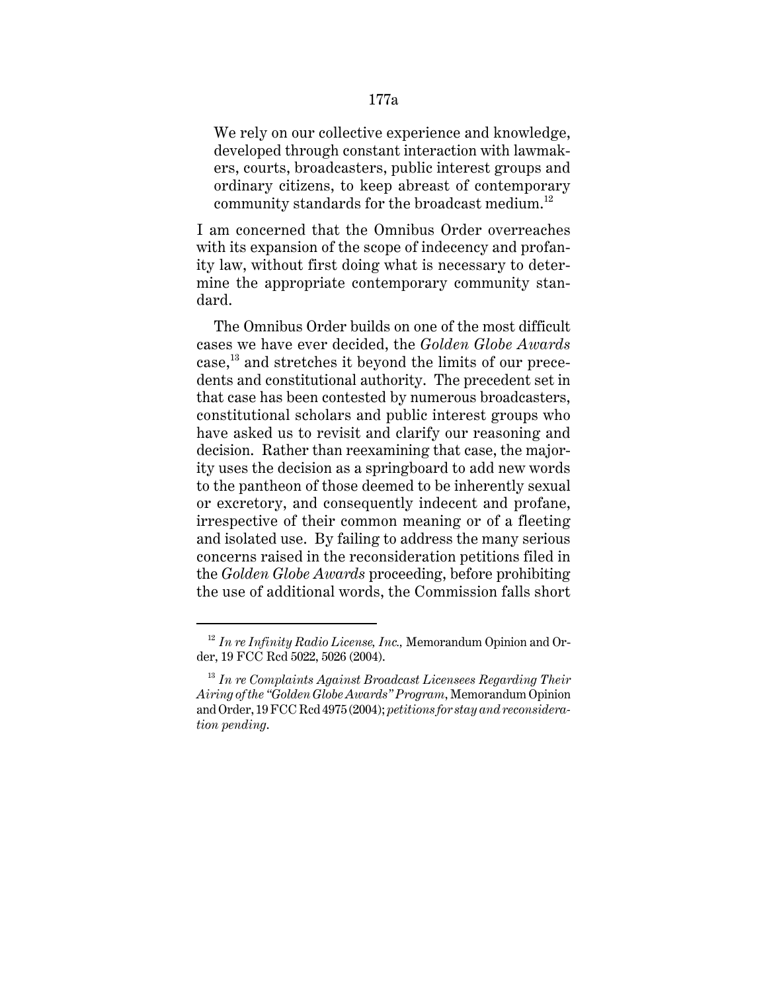We rely on our collective experience and knowledge, developed through constant interaction with lawmakers, courts, broadcasters, public interest groups and ordinary citizens, to keep abreast of contemporary community standards for the broadcast medium.<sup>12</sup>

I am concerned that the Omnibus Order overreaches with its expansion of the scope of indecency and profanity law, without first doing what is necessary to determine the appropriate contemporary community standard.

The Omnibus Order builds on one of the most difficult cases we have ever decided, the *Golden Globe Awards* case,13 and stretches it beyond the limits of our precedents and constitutional authority. The precedent set in that case has been contested by numerous broadcasters, constitutional scholars and public interest groups who have asked us to revisit and clarify our reasoning and decision. Rather than reexamining that case, the majority uses the decision as a springboard to add new words to the pantheon of those deemed to be inherently sexual or excretory, and consequently indecent and profane, irrespective of their common meaning or of a fleeting and isolated use. By failing to address the many serious concerns raised in the reconsideration petitions filed in the *Golden Globe Awards* proceeding, before prohibiting the use of additional words, the Commission falls short

<sup>12</sup> *In re Infinity Radio License, Inc.,* Memorandum Opinion and Order, 19 FCC Rcd 5022, 5026 (2004).

<sup>13</sup> *In re Complaints Against Broadcast Licensees Regarding Their Airing of the "Golden Globe Awards" Program*, Memorandum Opinion and Order, 19 FCC Rcd 4975 (2004); *petitions for stay and reconsideration pending*.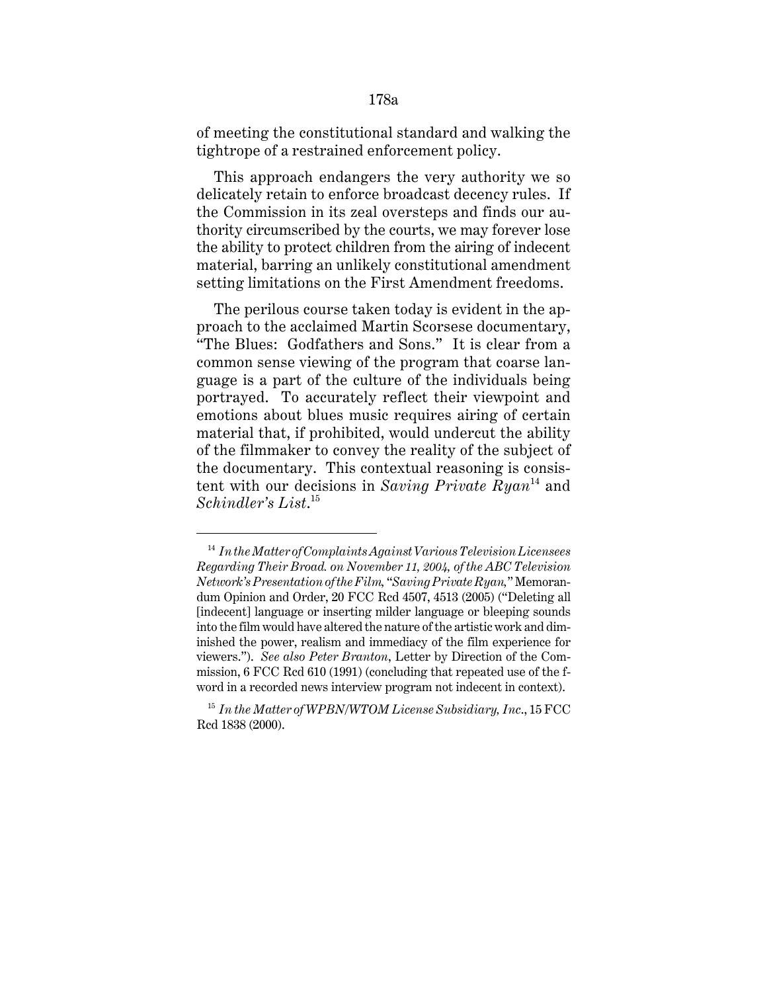of meeting the constitutional standard and walking the tightrope of a restrained enforcement policy.

This approach endangers the very authority we so delicately retain to enforce broadcast decency rules. If the Commission in its zeal oversteps and finds our authority circumscribed by the courts, we may forever lose the ability to protect children from the airing of indecent material, barring an unlikely constitutional amendment setting limitations on the First Amendment freedoms.

The perilous course taken today is evident in the approach to the acclaimed Martin Scorsese documentary, "The Blues: Godfathers and Sons." It is clear from a common sense viewing of the program that coarse language is a part of the culture of the individuals being portrayed. To accurately reflect their viewpoint and emotions about blues music requires airing of certain material that, if prohibited, would undercut the ability of the filmmaker to convey the reality of the subject of the documentary. This contextual reasoning is consistent with our decisions in *Saving Private Ryan*14 and *Schindler's List*. 15

<sup>14</sup> *In the Matter of Complaints Against Various Television Licensees Regarding Their Broad. on November 11, 2004, of the ABC Television Network's Presentation of the Film,* "*Saving Private Ryan,*"Memorandum Opinion and Order, 20 FCC Rcd 4507, 4513 (2005) ("Deleting all [indecent] language or inserting milder language or bleeping sounds into the film would have altered the nature of the artistic work and diminished the power, realism and immediacy of the film experience for viewers."). *See also Peter Branton*, Letter by Direction of the Commission, 6 FCC Rcd 610 (1991) (concluding that repeated use of the fword in a recorded news interview program not indecent in context).

<sup>15</sup> *In the Matter of WPBN/WTOM License Subsidiary, Inc*., 15 FCC Rcd 1838 (2000).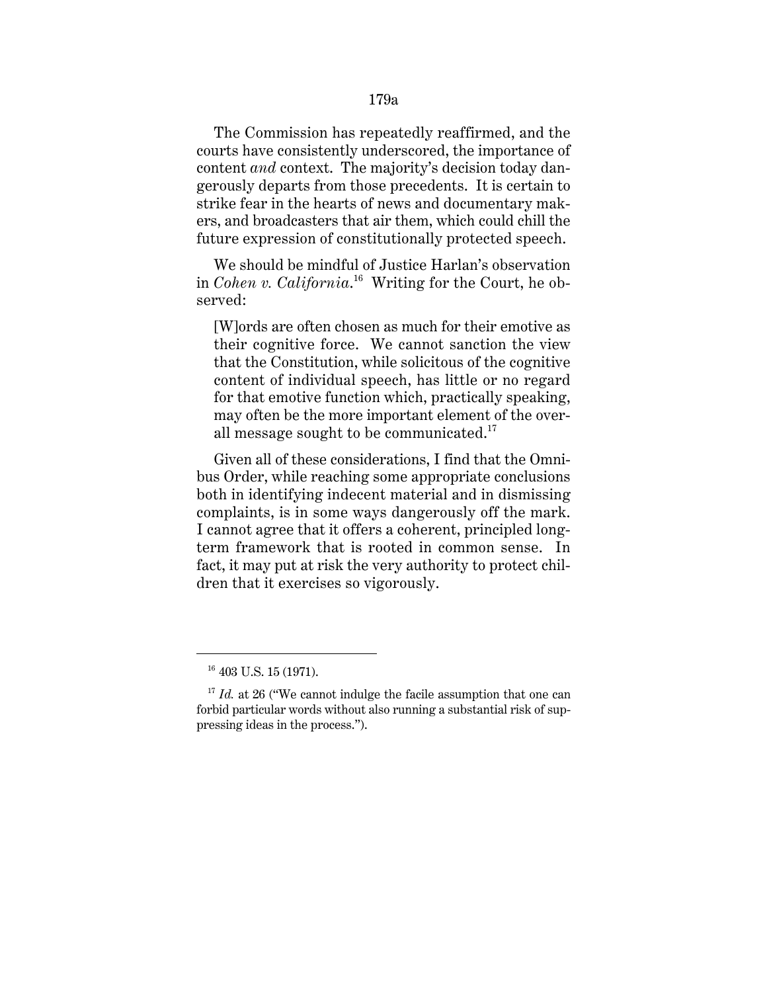The Commission has repeatedly reaffirmed, and the courts have consistently underscored, the importance of content *and* context. The majority's decision today dangerously departs from those precedents. It is certain to strike fear in the hearts of news and documentary makers, and broadcasters that air them, which could chill the future expression of constitutionally protected speech.

We should be mindful of Justice Harlan's observation in *Cohen v. California*. 16 Writing for the Court, he observed:

[W]ords are often chosen as much for their emotive as their cognitive force. We cannot sanction the view that the Constitution, while solicitous of the cognitive content of individual speech, has little or no regard for that emotive function which, practically speaking, may often be the more important element of the overall message sought to be communicated.<sup>17</sup>

Given all of these considerations, I find that the Omnibus Order, while reaching some appropriate conclusions both in identifying indecent material and in dismissing complaints, is in some ways dangerously off the mark. I cannot agree that it offers a coherent, principled longterm framework that is rooted in common sense. In fact, it may put at risk the very authority to protect children that it exercises so vigorously.

<sup>&</sup>lt;sup>16</sup> 403 U.S. 15 (1971).

 $17$  *Id.* at 26 ("We cannot indulge the facile assumption that one can forbid particular words without also running a substantial risk of suppressing ideas in the process.").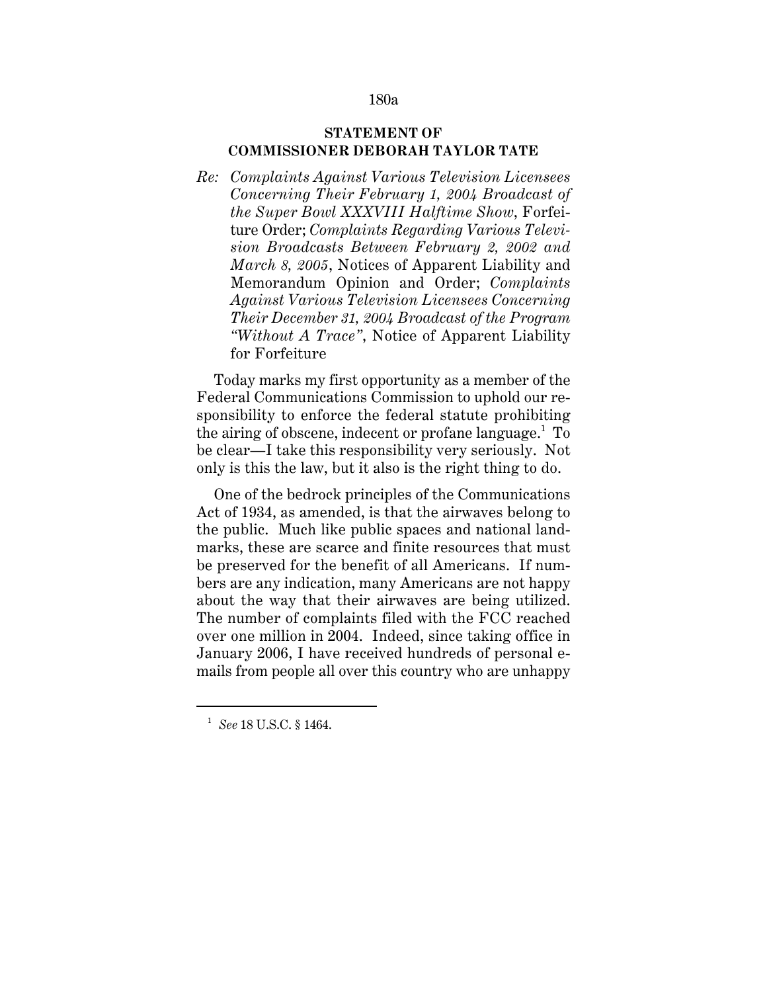## **STATEMENT OF COMMISSIONER DEBORAH TAYLOR TATE**

*Re: Complaints Against Various Television Licensees Concerning Their February 1, 2004 Broadcast of the Super Bowl XXXVIII Halftime Show*, Forfeiture Order; *Complaints Regarding Various Television Broadcasts Between February 2, 2002 and March 8, 2005*, Notices of Apparent Liability and Memorandum Opinion and Order; *Complaints Against Various Television Licensees Concerning Their December 31, 2004 Broadcast of the Program "Without A Trace"*, Notice of Apparent Liability for Forfeiture

Today marks my first opportunity as a member of the Federal Communications Commission to uphold our responsibility to enforce the federal statute prohibiting the airing of obscene, indecent or profane language. $^1$  To be clear—I take this responsibility very seriously. Not only is this the law, but it also is the right thing to do.

One of the bedrock principles of the Communications Act of 1934, as amended, is that the airwaves belong to the public. Much like public spaces and national landmarks, these are scarce and finite resources that must be preserved for the benefit of all Americans. If numbers are any indication, many Americans are not happy about the way that their airwaves are being utilized. The number of complaints filed with the FCC reached over one million in 2004. Indeed, since taking office in January 2006, I have received hundreds of personal emails from people all over this country who are unhappy

<sup>1</sup> *See* 18 U.S.C. § 1464.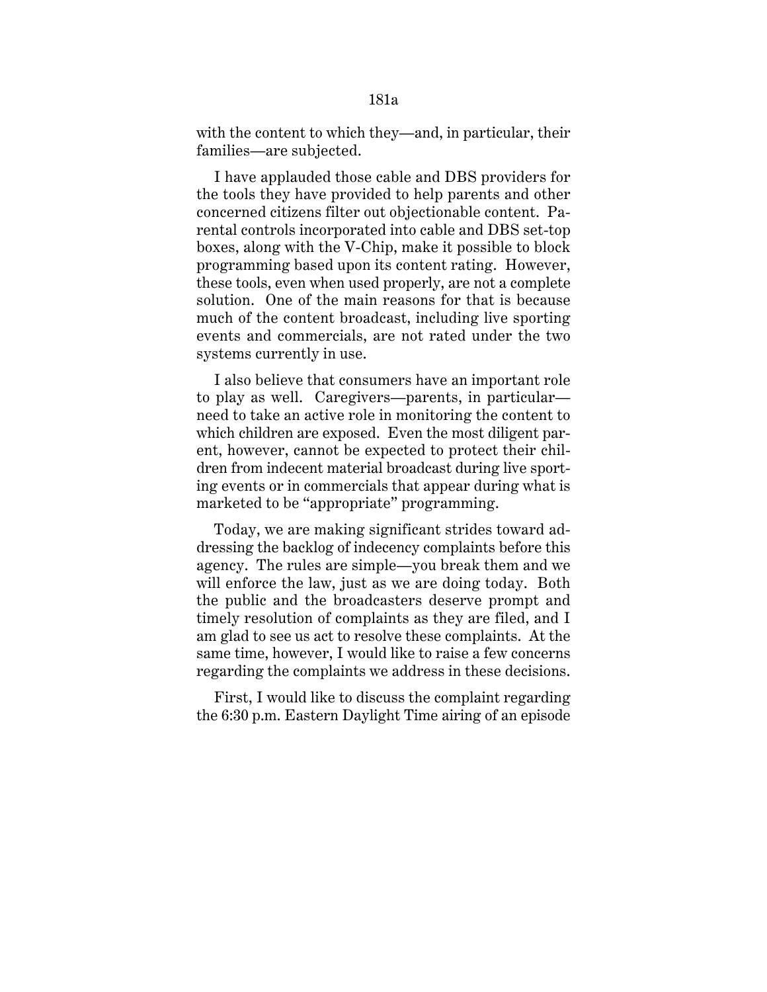I have applauded those cable and DBS providers for the tools they have provided to help parents and other concerned citizens filter out objectionable content. Parental controls incorporated into cable and DBS set-top boxes, along with the V-Chip, make it possible to block programming based upon its content rating. However, these tools, even when used properly, are not a complete solution. One of the main reasons for that is because much of the content broadcast, including live sporting events and commercials, are not rated under the two systems currently in use.

I also believe that consumers have an important role to play as well. Caregivers—parents, in particular need to take an active role in monitoring the content to which children are exposed. Even the most diligent parent, however, cannot be expected to protect their children from indecent material broadcast during live sporting events or in commercials that appear during what is marketed to be "appropriate" programming.

Today, we are making significant strides toward addressing the backlog of indecency complaints before this agency. The rules are simple—you break them and we will enforce the law, just as we are doing today. Both the public and the broadcasters deserve prompt and timely resolution of complaints as they are filed, and I am glad to see us act to resolve these complaints. At the same time, however, I would like to raise a few concerns regarding the complaints we address in these decisions.

First, I would like to discuss the complaint regarding the 6:30 p.m. Eastern Daylight Time airing of an episode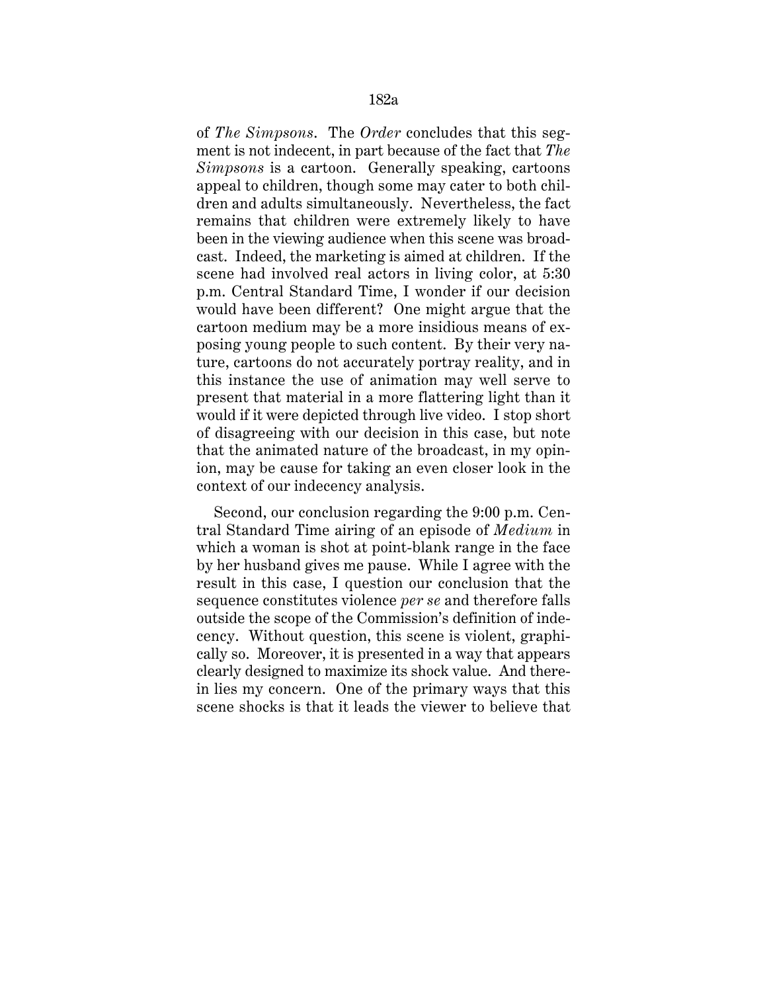of *The Simpsons*. The *Order* concludes that this segment is not indecent, in part because of the fact that *The Simpsons* is a cartoon. Generally speaking, cartoons appeal to children, though some may cater to both children and adults simultaneously. Nevertheless, the fact remains that children were extremely likely to have been in the viewing audience when this scene was broadcast. Indeed, the marketing is aimed at children. If the scene had involved real actors in living color, at 5:30 p.m. Central Standard Time, I wonder if our decision would have been different? One might argue that the cartoon medium may be a more insidious means of exposing young people to such content. By their very nature, cartoons do not accurately portray reality, and in this instance the use of animation may well serve to present that material in a more flattering light than it would if it were depicted through live video. I stop short of disagreeing with our decision in this case, but note that the animated nature of the broadcast, in my opinion, may be cause for taking an even closer look in the context of our indecency analysis.

Second, our conclusion regarding the 9:00 p.m. Central Standard Time airing of an episode of *Medium* in which a woman is shot at point-blank range in the face by her husband gives me pause. While I agree with the result in this case, I question our conclusion that the sequence constitutes violence *per se* and therefore falls outside the scope of the Commission's definition of indecency. Without question, this scene is violent, graphically so. Moreover, it is presented in a way that appears clearly designed to maximize its shock value. And therein lies my concern. One of the primary ways that this scene shocks is that it leads the viewer to believe that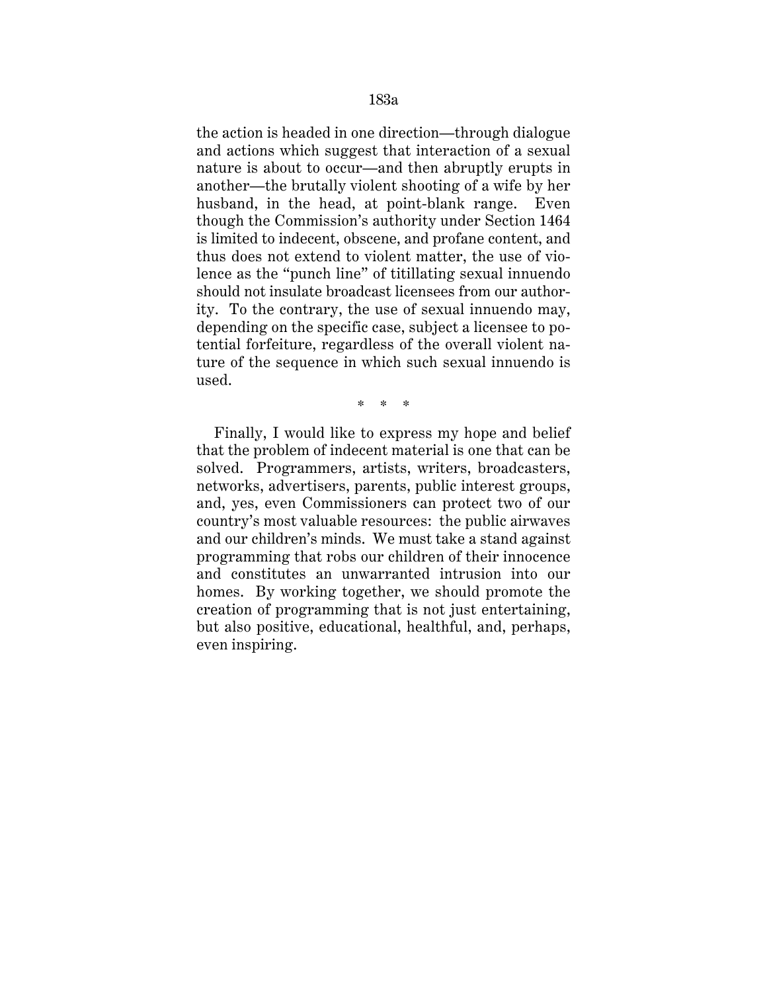the action is headed in one direction—through dialogue and actions which suggest that interaction of a sexual nature is about to occur—and then abruptly erupts in another—the brutally violent shooting of a wife by her husband, in the head, at point-blank range. Even though the Commission's authority under Section 1464 is limited to indecent, obscene, and profane content, and thus does not extend to violent matter, the use of violence as the "punch line" of titillating sexual innuendo should not insulate broadcast licensees from our authority. To the contrary, the use of sexual innuendo may, depending on the specific case, subject a licensee to potential forfeiture, regardless of the overall violent nature of the sequence in which such sexual innuendo is used.

\* \* \*

Finally, I would like to express my hope and belief that the problem of indecent material is one that can be solved. Programmers, artists, writers, broadcasters, networks, advertisers, parents, public interest groups, and, yes, even Commissioners can protect two of our country's most valuable resources: the public airwaves and our children's minds. We must take a stand against programming that robs our children of their innocence and constitutes an unwarranted intrusion into our homes. By working together, we should promote the creation of programming that is not just entertaining, but also positive, educational, healthful, and, perhaps, even inspiring.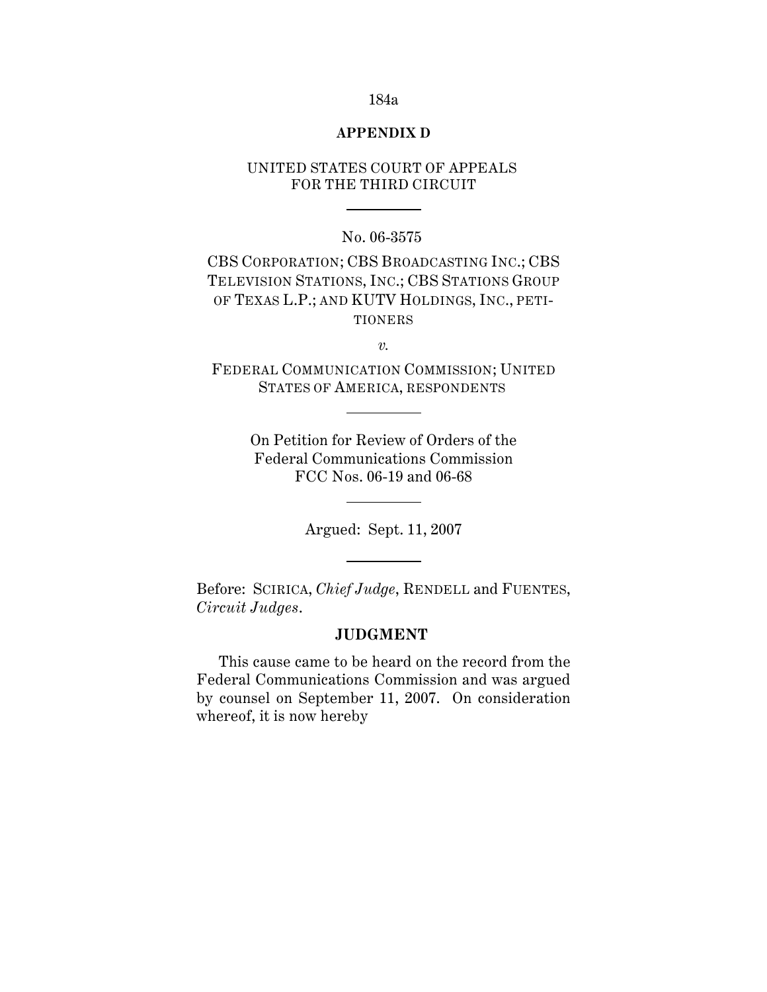## **APPENDIX D**

## UNITED STATES COURT OF APPEALS FOR THE THIRD CIRCUIT

No. 06-3575

CBS CORPORATION; CBS BROADCASTING INC.; CBS TELEVISION STATIONS, INC.; CBS STATIONS GROUP OF TEXAS L.P.; AND KUTV HOLDINGS, INC., PETI-**TIONERS** 

*v.*

FEDERAL COMMUNICATION COMMISSION; UNITED STATES OF AMERICA, RESPONDENTS

> On Petition for Review of Orders of the Federal Communications Commission FCC Nos. 06-19 and 06-68

> > Argued: Sept. 11, 2007

Before: SCIRICA, *Chief Judge*, RENDELL and FUENTES, *Circuit Judges*.

## **JUDGMENT**

This cause came to be heard on the record from the Federal Communications Commission and was argued by counsel on September 11, 2007. On consideration whereof, it is now hereby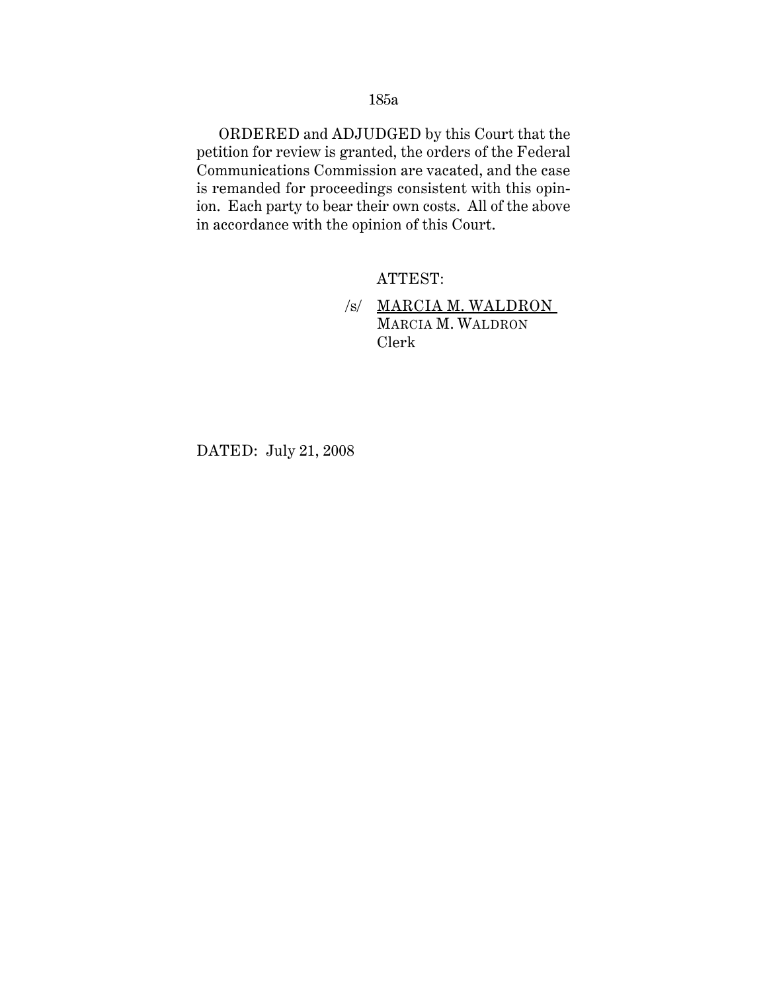ORDERED and ADJUDGED by this Court that the petition for review is granted, the orders of the Federal Communications Commission are vacated, and the case is remanded for proceedings consistent with this opinion. Each party to bear their own costs. All of the above in accordance with the opinion of this Court.

ATTEST:

## /s/ MARCIA M. WALDRON MARCIA M. WALDRON Clerk

DATED: July 21, 2008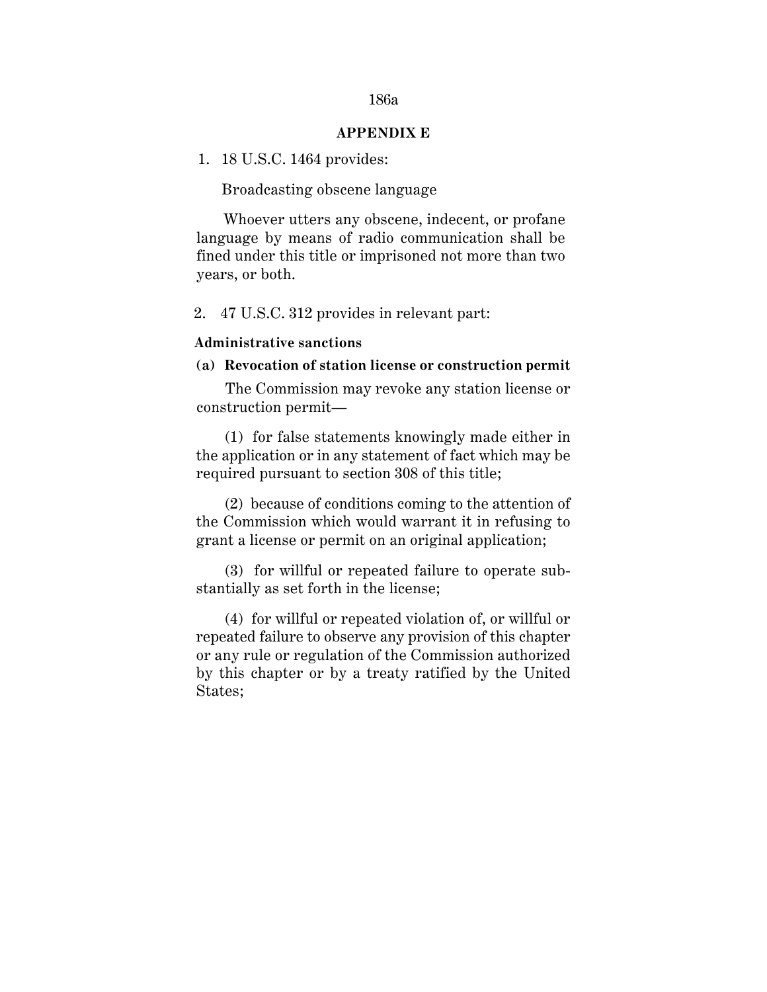#### **APPENDIX E**

1. 18 U.S.C. 1464 provides:

#### Broadcasting obscene language

Whoever utters any obscene, indecent, or profane language by means of radio communication shall be fined under this title or imprisoned not more than two years, or both.

## 2. 47 U.S.C. 312 provides in relevant part:

#### **Administrative sanctions**

## **(a) Revocation of station license or construction permit**

The Commission may revoke any station license or construction permit—

(1) for false statements knowingly made either in the application or in any statement of fact which may be required pursuant to section 308 of this title;

(2) because of conditions coming to the attention of the Commission which would warrant it in refusing to grant a license or permit on an original application;

(3) for willful or repeated failure to operate substantially as set forth in the license;

(4) for willful or repeated violation of, or willful or repeated failure to observe any provision of this chapter or any rule or regulation of the Commission authorized by this chapter or by a treaty ratified by the United States;

#### 186a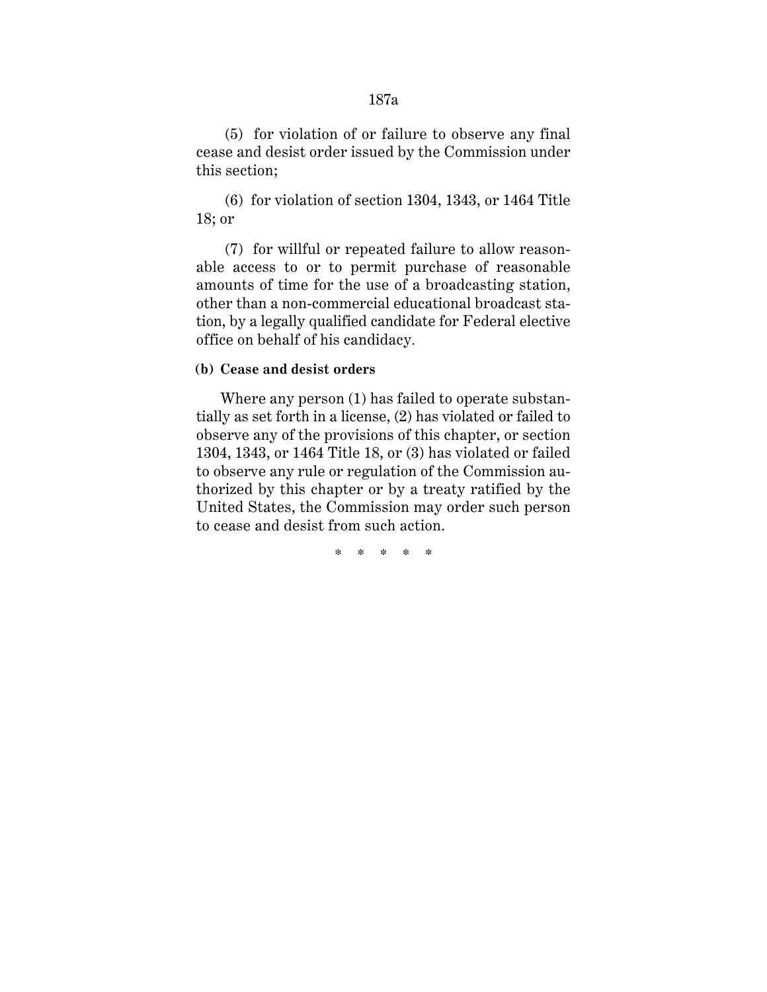(5) for violation of or failure to observe any final cease and desist order issued by the Commission under this section;

(6) for violation of section 1304, 1343, or 1464 Title 18; or

(7) for willful or repeated failure to allow reasonable access to or to permit purchase of reasonable amounts of time for the use of a broadcasting station, other than a non-commercial educational broadcast station, by a legally qualified candidate for Federal elective office on behalf of his candidacy.

## **(b) Cease and desist orders**

Where any person (1) has failed to operate substantially as set forth in a license, (2) has violated or failed to observe any of the provisions of this chapter, or section 1304, 1343, or 1464 Title 18, or (3) has violated or failed to observe any rule or regulation of the Commission authorized by this chapter or by a treaty ratified by the United States, the Commission may order such person to cease and desist from such action.

\* \* \* \* \*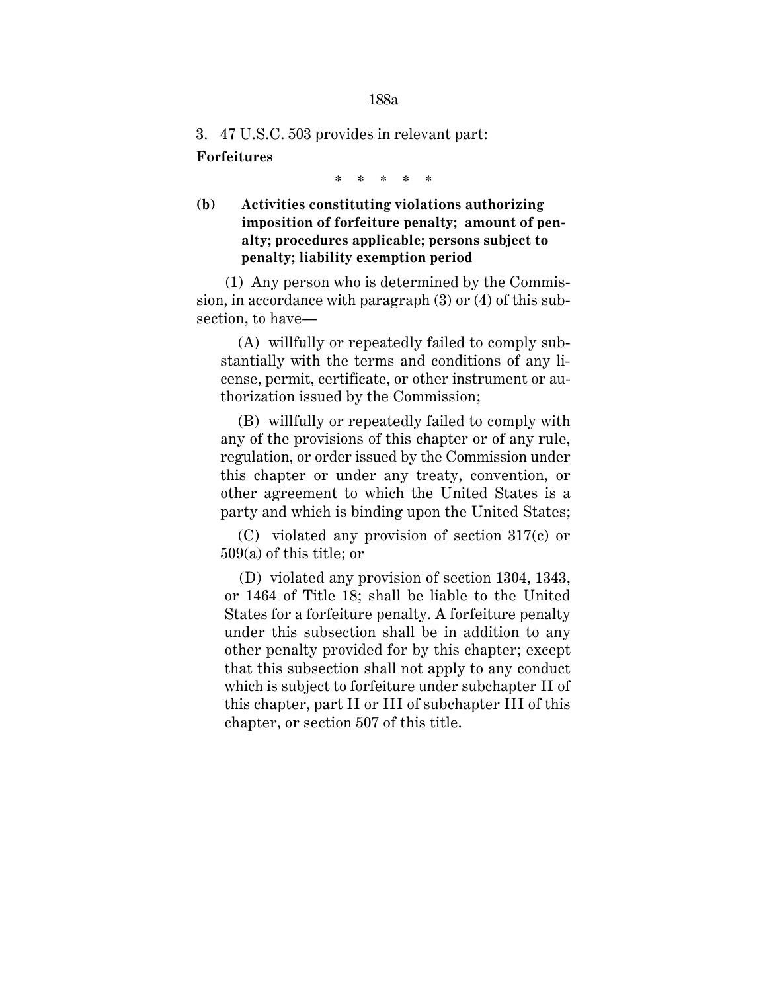## 188a

3. 47 U.S.C. 503 provides in relevant part:

## **Forfeitures**

\* \* \* \* \*

## **(b) Activities constituting violations authorizing imposition of forfeiture penalty; amount of penalty; procedures applicable; persons subject to penalty; liability exemption period**

(1) Any person who is determined by the Commission, in accordance with paragraph (3) or (4) of this subsection, to have—

(A) willfully or repeatedly failed to comply substantially with the terms and conditions of any license, permit, certificate, or other instrument or authorization issued by the Commission;

(B) willfully or repeatedly failed to comply with any of the provisions of this chapter or of any rule, regulation, or order issued by the Commission under this chapter or under any treaty, convention, or other agreement to which the United States is a party and which is binding upon the United States;

(C) violated any provision of section 317(c) or 509(a) of this title; or

(D) violated any provision of section 1304, 1343, or 1464 of Title 18; shall be liable to the United States for a forfeiture penalty. A forfeiture penalty under this subsection shall be in addition to any other penalty provided for by this chapter; except that this subsection shall not apply to any conduct which is subject to forfeiture under subchapter II of this chapter, part II or III of subchapter III of this chapter, or section 507 of this title.